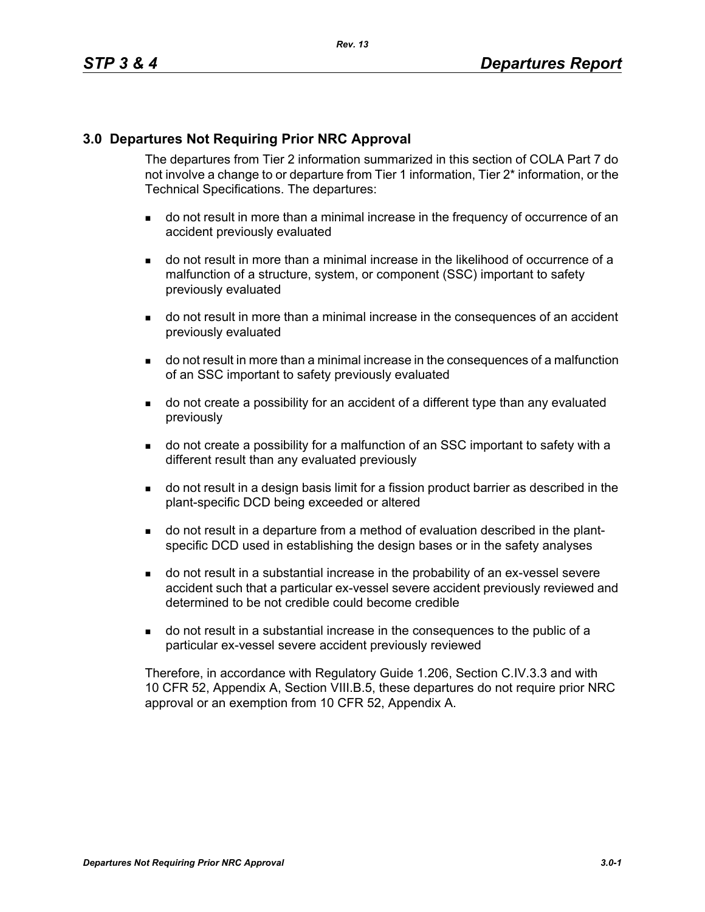### **3.0 Departures Not Requiring Prior NRC Approval**

The departures from Tier 2 information summarized in this section of COLA Part 7 do not involve a change to or departure from Tier 1 information, Tier 2\* information, or the Technical Specifications. The departures:

- do not result in more than a minimal increase in the frequency of occurrence of an accident previously evaluated
- do not result in more than a minimal increase in the likelihood of occurrence of a malfunction of a structure, system, or component (SSC) important to safety previously evaluated
- do not result in more than a minimal increase in the consequences of an accident previously evaluated
- do not result in more than a minimal increase in the consequences of a malfunction of an SSC important to safety previously evaluated
- do not create a possibility for an accident of a different type than any evaluated previously
- do not create a possibility for a malfunction of an SSC important to safety with a different result than any evaluated previously
- do not result in a design basis limit for a fission product barrier as described in the plant-specific DCD being exceeded or altered
- do not result in a departure from a method of evaluation described in the plantspecific DCD used in establishing the design bases or in the safety analyses
- do not result in a substantial increase in the probability of an ex-vessel severe accident such that a particular ex-vessel severe accident previously reviewed and determined to be not credible could become credible
- do not result in a substantial increase in the consequences to the public of a particular ex-vessel severe accident previously reviewed

Therefore, in accordance with Regulatory Guide 1.206, Section C.IV.3.3 and with 10 CFR 52, Appendix A, Section VIII.B.5, these departures do not require prior NRC approval or an exemption from 10 CFR 52, Appendix A.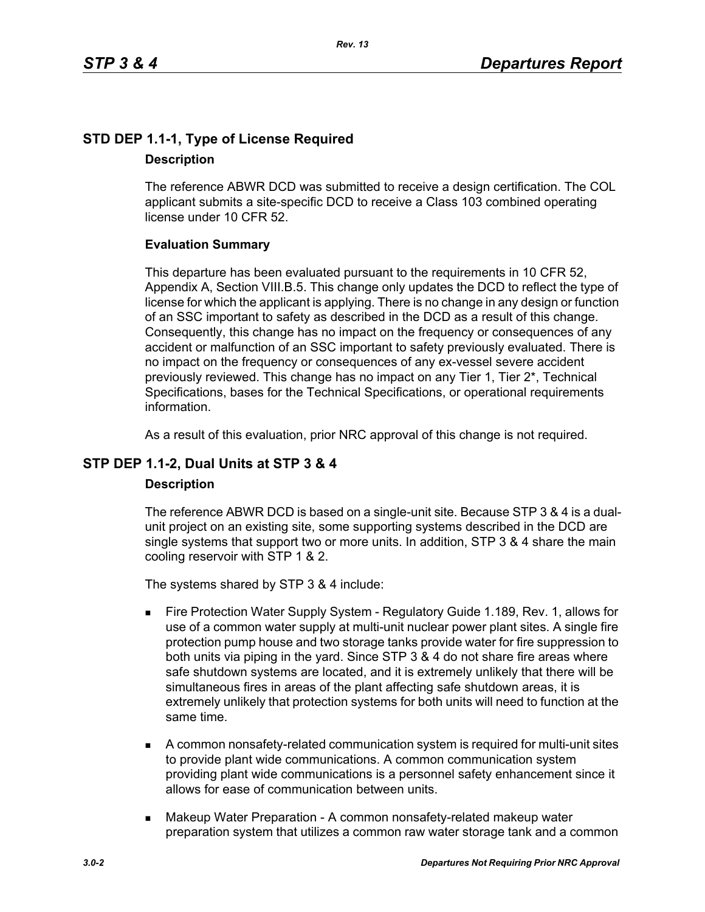# **STD DEP 1.1-1, Type of License Required Description**

The reference ABWR DCD was submitted to receive a design certification. The COL applicant submits a site-specific DCD to receive a Class 103 combined operating license under 10 CFR 52.

### **Evaluation Summary**

This departure has been evaluated pursuant to the requirements in 10 CFR 52, Appendix A, Section VIII.B.5. This change only updates the DCD to reflect the type of license for which the applicant is applying. There is no change in any design or function of an SSC important to safety as described in the DCD as a result of this change. Consequently, this change has no impact on the frequency or consequences of any accident or malfunction of an SSC important to safety previously evaluated. There is no impact on the frequency or consequences of any ex-vessel severe accident previously reviewed. This change has no impact on any Tier 1, Tier 2\*, Technical Specifications, bases for the Technical Specifications, or operational requirements information.

As a result of this evaluation, prior NRC approval of this change is not required.

# **STP DEP 1.1-2, Dual Units at STP 3 & 4**

#### **Description**

The reference ABWR DCD is based on a single-unit site. Because STP 3 & 4 is a dualunit project on an existing site, some supporting systems described in the DCD are single systems that support two or more units. In addition, STP 3 & 4 share the main cooling reservoir with STP 1 & 2.

The systems shared by STP 3 & 4 include:

- Fire Protection Water Supply System Regulatory Guide 1.189, Rev. 1, allows for use of a common water supply at multi-unit nuclear power plant sites. A single fire protection pump house and two storage tanks provide water for fire suppression to both units via piping in the yard. Since STP 3 & 4 do not share fire areas where safe shutdown systems are located, and it is extremely unlikely that there will be simultaneous fires in areas of the plant affecting safe shutdown areas, it is extremely unlikely that protection systems for both units will need to function at the same time.
- A common nonsafety-related communication system is required for multi-unit sites to provide plant wide communications. A common communication system providing plant wide communications is a personnel safety enhancement since it allows for ease of communication between units.
- **Makeup Water Preparation A common nonsafety-related makeup water** preparation system that utilizes a common raw water storage tank and a common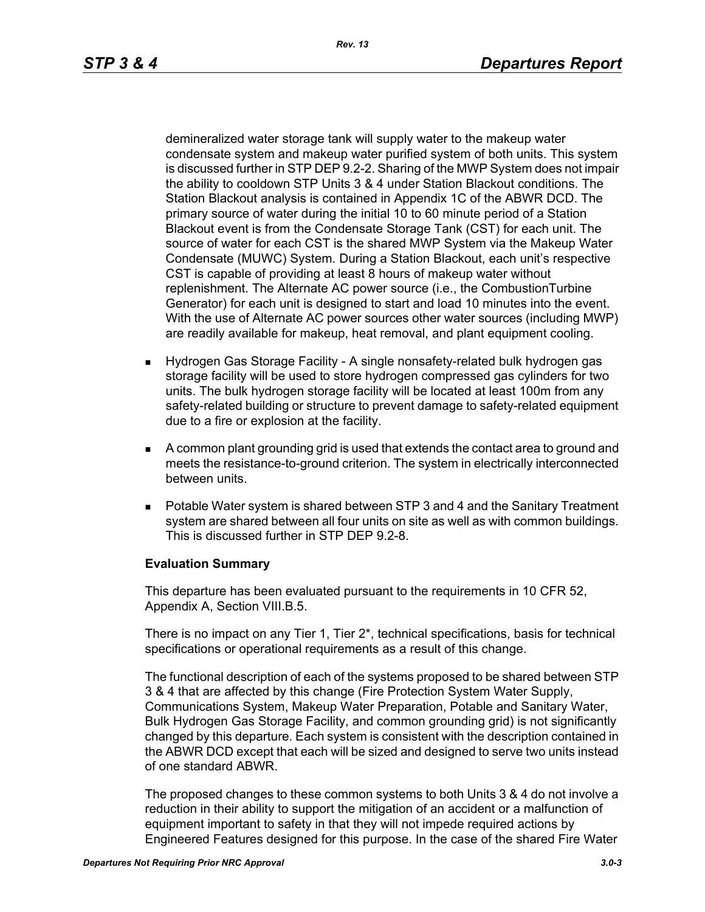demineralized water storage tank will supply water to the makeup water condensate system and makeup water purified system of both units. This system is discussed further in STP DEP 9.2-2. Sharing of the MWP System does not impair the ability to cooldown STP Units 3 & 4 under Station Blackout conditions. The Station Blackout analysis is contained in Appendix 1C of the ABWR DCD. The primary source of water during the initial 10 to 60 minute period of a Station Blackout event is from the Condensate Storage Tank (CST) for each unit. The source of water for each CST is the shared MWP System via the Makeup Water Condensate (MUWC) System. During a Station Blackout, each unit's respective CST is capable of providing at least 8 hours of makeup water without replenishment. The Alternate AC power source (i.e., the CombustionTurbine Generator) for each unit is designed to start and load 10 minutes into the event. With the use of Alternate AC power sources other water sources (including MWP) are readily available for makeup, heat removal, and plant equipment cooling.

- Hydrogen Gas Storage Facility A single nonsafety-related bulk hydrogen gas storage facility will be used to store hydrogen compressed gas cylinders for two units. The bulk hydrogen storage facility will be located at least 100m from any safety-related building or structure to prevent damage to safety-related equipment due to a fire or explosion at the facility.
- A common plant grounding grid is used that extends the contact area to ground and meets the resistance-to-ground criterion. The system in electrically interconnected between units.
- Potable Water system is shared between STP 3 and 4 and the Sanitary Treatment system are shared between all four units on site as well as with common buildings. This is discussed further in STP DEP 9.2-8.

#### **Evaluation Summary**

This departure has been evaluated pursuant to the requirements in 10 CFR 52, Appendix A, Section VIII.B.5.

There is no impact on any Tier 1, Tier 2\*, technical specifications, basis for technical specifications or operational requirements as a result of this change.

The functional description of each of the systems proposed to be shared between STP 3 & 4 that are affected by this change (Fire Protection System Water Supply, Communications System, Makeup Water Preparation, Potable and Sanitary Water, Bulk Hydrogen Gas Storage Facility, and common grounding grid) is not significantly changed by this departure. Each system is consistent with the description contained in the ABWR DCD except that each will be sized and designed to serve two units instead of one standard ABWR.

The proposed changes to these common systems to both Units 3 & 4 do not involve a reduction in their ability to support the mitigation of an accident or a malfunction of equipment important to safety in that they will not impede required actions by Engineered Features designed for this purpose. In the case of the shared Fire Water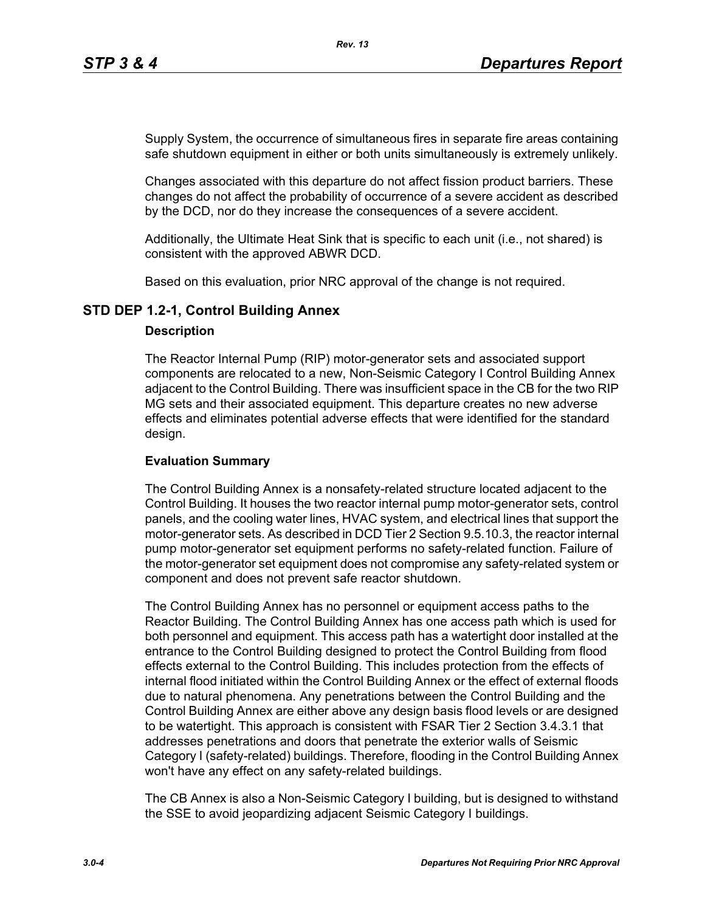Supply System, the occurrence of simultaneous fires in separate fire areas containing safe shutdown equipment in either or both units simultaneously is extremely unlikely.

Changes associated with this departure do not affect fission product barriers. These changes do not affect the probability of occurrence of a severe accident as described by the DCD, nor do they increase the consequences of a severe accident.

Additionally, the Ultimate Heat Sink that is specific to each unit (i.e., not shared) is consistent with the approved ABWR DCD.

Based on this evaluation, prior NRC approval of the change is not required.

### **STD DEP 1.2-1, Control Building Annex**

#### **Description**

The Reactor Internal Pump (RIP) motor-generator sets and associated support components are relocated to a new, Non-Seismic Category I Control Building Annex adjacent to the Control Building. There was insufficient space in the CB for the two RIP MG sets and their associated equipment. This departure creates no new adverse effects and eliminates potential adverse effects that were identified for the standard design.

#### **Evaluation Summary**

The Control Building Annex is a nonsafety-related structure located adjacent to the Control Building. It houses the two reactor internal pump motor-generator sets, control panels, and the cooling water lines, HVAC system, and electrical lines that support the motor-generator sets. As described in DCD Tier 2 Section 9.5.10.3, the reactor internal pump motor-generator set equipment performs no safety-related function. Failure of the motor-generator set equipment does not compromise any safety-related system or component and does not prevent safe reactor shutdown.

The Control Building Annex has no personnel or equipment access paths to the Reactor Building. The Control Building Annex has one access path which is used for both personnel and equipment. This access path has a watertight door installed at the entrance to the Control Building designed to protect the Control Building from flood effects external to the Control Building. This includes protection from the effects of internal flood initiated within the Control Building Annex or the effect of external floods due to natural phenomena. Any penetrations between the Control Building and the Control Building Annex are either above any design basis flood levels or are designed to be watertight. This approach is consistent with FSAR Tier 2 Section 3.4.3.1 that addresses penetrations and doors that penetrate the exterior walls of Seismic Category I (safety-related) buildings. Therefore, flooding in the Control Building Annex won't have any effect on any safety-related buildings.

The CB Annex is also a Non-Seismic Category I building, but is designed to withstand the SSE to avoid jeopardizing adjacent Seismic Category I buildings.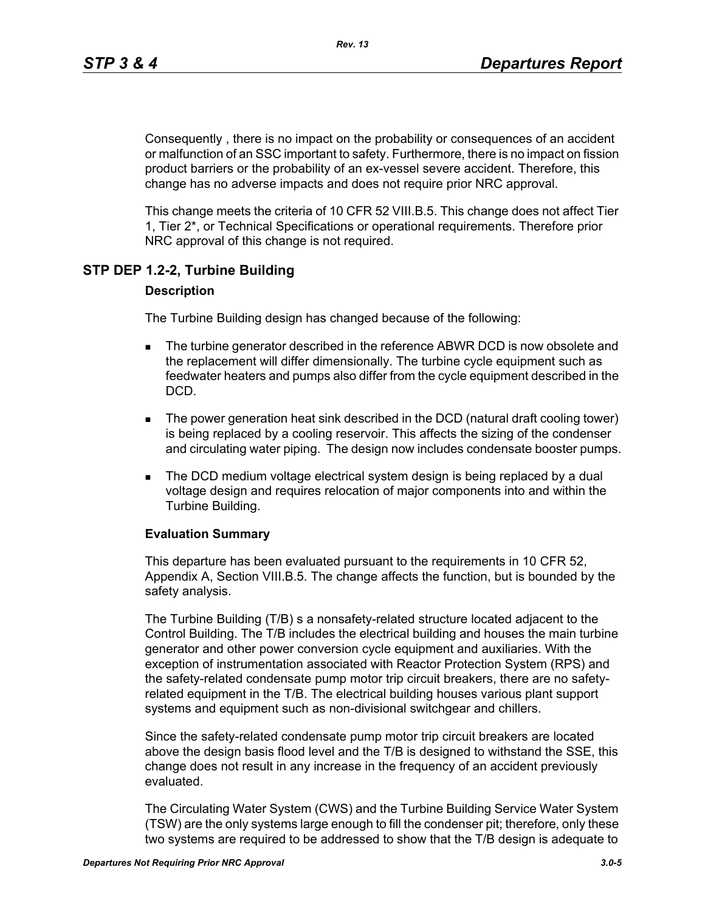Consequently , there is no impact on the probability or consequences of an accident or malfunction of an SSC important to safety. Furthermore, there is no impact on fission product barriers or the probability of an ex-vessel severe accident. Therefore, this change has no adverse impacts and does not require prior NRC approval.

This change meets the criteria of 10 CFR 52 VIII.B.5. This change does not affect Tier 1, Tier 2\*, or Technical Specifications or operational requirements. Therefore prior NRC approval of this change is not required.

# **STP DEP 1.2-2, Turbine Building**

#### **Description**

The Turbine Building design has changed because of the following:

- **The turbine generator described in the reference ABWR DCD is now obsolete and** the replacement will differ dimensionally. The turbine cycle equipment such as feedwater heaters and pumps also differ from the cycle equipment described in the DCD.
- The power generation heat sink described in the DCD (natural draft cooling tower) is being replaced by a cooling reservoir. This affects the sizing of the condenser and circulating water piping. The design now includes condensate booster pumps.
- **The DCD medium voltage electrical system design is being replaced by a dual** voltage design and requires relocation of major components into and within the Turbine Building.

#### **Evaluation Summary**

This departure has been evaluated pursuant to the requirements in 10 CFR 52, Appendix A, Section VIII.B.5. The change affects the function, but is bounded by the safety analysis.

The Turbine Building (T/B) s a nonsafety-related structure located adjacent to the Control Building. The T/B includes the electrical building and houses the main turbine generator and other power conversion cycle equipment and auxiliaries. With the exception of instrumentation associated with Reactor Protection System (RPS) and the safety-related condensate pump motor trip circuit breakers, there are no safetyrelated equipment in the T/B. The electrical building houses various plant support systems and equipment such as non-divisional switchgear and chillers.

Since the safety-related condensate pump motor trip circuit breakers are located above the design basis flood level and the T/B is designed to withstand the SSE, this change does not result in any increase in the frequency of an accident previously evaluated.

The Circulating Water System (CWS) and the Turbine Building Service Water System (TSW) are the only systems large enough to fill the condenser pit; therefore, only these two systems are required to be addressed to show that the T/B design is adequate to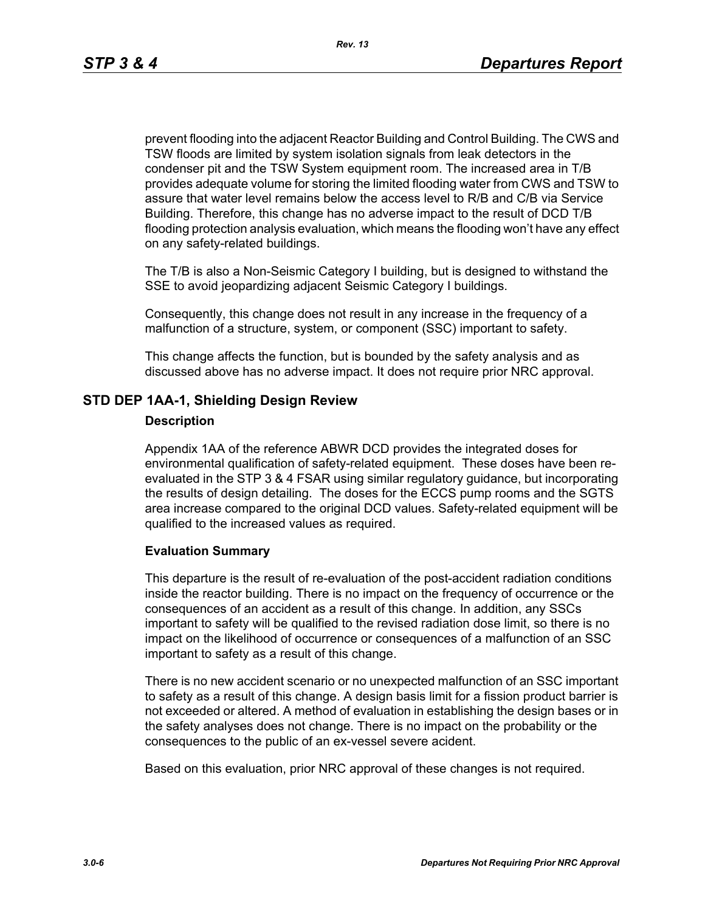prevent flooding into the adjacent Reactor Building and Control Building. The CWS and TSW floods are limited by system isolation signals from leak detectors in the condenser pit and the TSW System equipment room. The increased area in T/B provides adequate volume for storing the limited flooding water from CWS and TSW to assure that water level remains below the access level to R/B and C/B via Service Building. Therefore, this change has no adverse impact to the result of DCD T/B flooding protection analysis evaluation, which means the flooding won't have any effect on any safety-related buildings.

The T/B is also a Non-Seismic Category I building, but is designed to withstand the SSE to avoid jeopardizing adjacent Seismic Category I buildings.

Consequently, this change does not result in any increase in the frequency of a malfunction of a structure, system, or component (SSC) important to safety.

This change affects the function, but is bounded by the safety analysis and as discussed above has no adverse impact. It does not require prior NRC approval.

#### **STD DEP 1AA-1, Shielding Design Review**

#### **Description**

Appendix 1AA of the reference ABWR DCD provides the integrated doses for environmental qualification of safety-related equipment. These doses have been reevaluated in the STP 3 & 4 FSAR using similar regulatory guidance, but incorporating the results of design detailing. The doses for the ECCS pump rooms and the SGTS area increase compared to the original DCD values. Safety-related equipment will be qualified to the increased values as required.

#### **Evaluation Summary**

This departure is the result of re-evaluation of the post-accident radiation conditions inside the reactor building. There is no impact on the frequency of occurrence or the consequences of an accident as a result of this change. In addition, any SSCs important to safety will be qualified to the revised radiation dose limit, so there is no impact on the likelihood of occurrence or consequences of a malfunction of an SSC important to safety as a result of this change.

There is no new accident scenario or no unexpected malfunction of an SSC important to safety as a result of this change. A design basis limit for a fission product barrier is not exceeded or altered. A method of evaluation in establishing the design bases or in the safety analyses does not change. There is no impact on the probability or the consequences to the public of an ex-vessel severe acident.

Based on this evaluation, prior NRC approval of these changes is not required.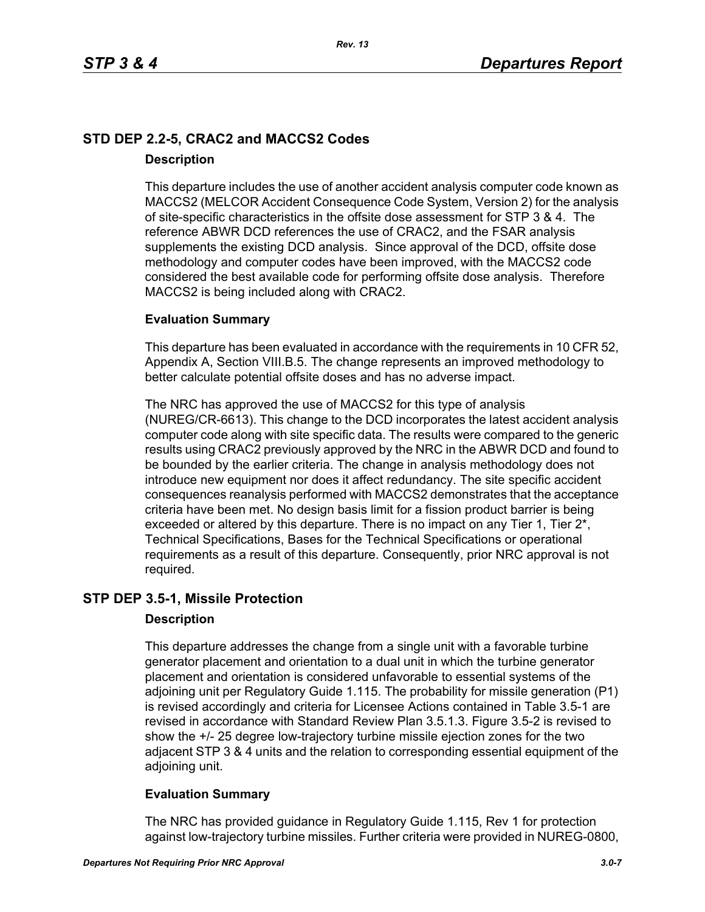# **STD DEP 2.2-5, CRAC2 and MACCS2 Codes Description**

This departure includes the use of another accident analysis computer code known as MACCS2 (MELCOR Accident Consequence Code System, Version 2) for the analysis of site-specific characteristics in the offsite dose assessment for STP 3 & 4. The reference ABWR DCD references the use of CRAC2, and the FSAR analysis supplements the existing DCD analysis. Since approval of the DCD, offsite dose methodology and computer codes have been improved, with the MACCS2 code considered the best available code for performing offsite dose analysis. Therefore MACCS2 is being included along with CRAC2.

### **Evaluation Summary**

This departure has been evaluated in accordance with the requirements in 10 CFR 52, Appendix A, Section VIII.B.5. The change represents an improved methodology to better calculate potential offsite doses and has no adverse impact.

The NRC has approved the use of MACCS2 for this type of analysis (NUREG/CR-6613). This change to the DCD incorporates the latest accident analysis computer code along with site specific data. The results were compared to the generic results using CRAC2 previously approved by the NRC in the ABWR DCD and found to be bounded by the earlier criteria. The change in analysis methodology does not introduce new equipment nor does it affect redundancy. The site specific accident consequences reanalysis performed with MACCS2 demonstrates that the acceptance criteria have been met. No design basis limit for a fission product barrier is being exceeded or altered by this departure. There is no impact on any Tier 1, Tier 2<sup>\*</sup>, Technical Specifications, Bases for the Technical Specifications or operational requirements as a result of this departure. Consequently, prior NRC approval is not required.

### **STP DEP 3.5-1, Missile Protection**

#### **Description**

This departure addresses the change from a single unit with a favorable turbine generator placement and orientation to a dual unit in which the turbine generator placement and orientation is considered unfavorable to essential systems of the adjoining unit per Regulatory Guide 1.115. The probability for missile generation (P1) is revised accordingly and criteria for Licensee Actions contained in Table 3.5-1 are revised in accordance with Standard Review Plan 3.5.1.3. Figure 3.5-2 is revised to show the +/- 25 degree low-trajectory turbine missile ejection zones for the two adjacent STP 3 & 4 units and the relation to corresponding essential equipment of the adjoining unit.

### **Evaluation Summary**

The NRC has provided guidance in Regulatory Guide 1.115, Rev 1 for protection against low-trajectory turbine missiles. Further criteria were provided in NUREG-0800,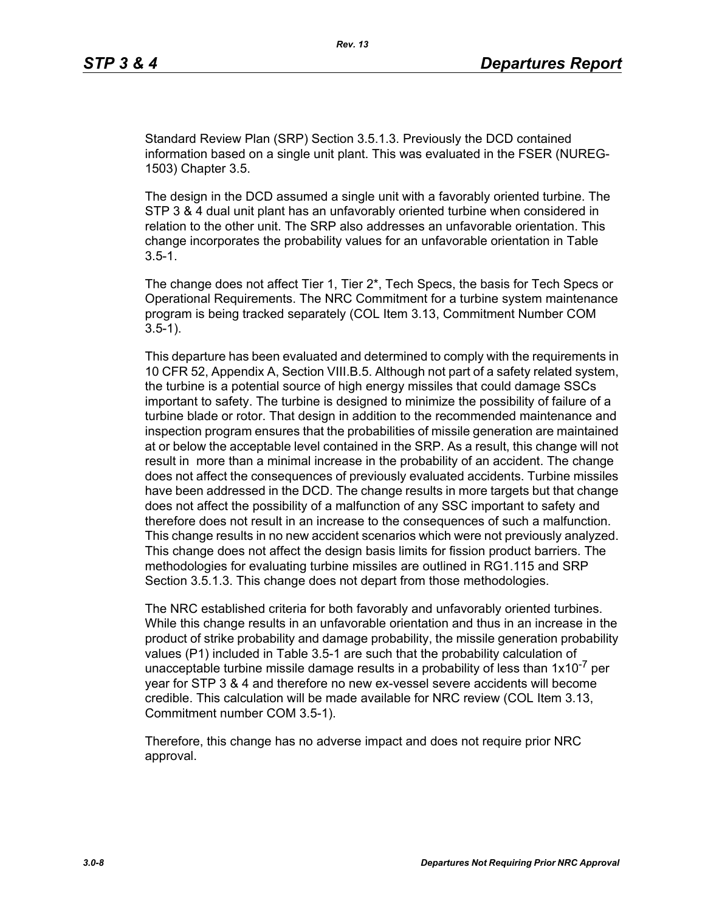Standard Review Plan (SRP) Section 3.5.1.3. Previously the DCD contained information based on a single unit plant. This was evaluated in the FSER (NUREG-1503) Chapter 3.5.

The design in the DCD assumed a single unit with a favorably oriented turbine. The STP 3 & 4 dual unit plant has an unfavorably oriented turbine when considered in relation to the other unit. The SRP also addresses an unfavorable orientation. This change incorporates the probability values for an unfavorable orientation in Table  $3.5 - 1.$ 

The change does not affect Tier 1, Tier 2\*, Tech Specs, the basis for Tech Specs or Operational Requirements. The NRC Commitment for a turbine system maintenance program is being tracked separately (COL Item 3.13, Commitment Number COM 3.5-1).

This departure has been evaluated and determined to comply with the requirements in 10 CFR 52, Appendix A, Section VIII.B.5. Although not part of a safety related system, the turbine is a potential source of high energy missiles that could damage SSCs important to safety. The turbine is designed to minimize the possibility of failure of a turbine blade or rotor. That design in addition to the recommended maintenance and inspection program ensures that the probabilities of missile generation are maintained at or below the acceptable level contained in the SRP. As a result, this change will not result in more than a minimal increase in the probability of an accident. The change does not affect the consequences of previously evaluated accidents. Turbine missiles have been addressed in the DCD. The change results in more targets but that change does not affect the possibility of a malfunction of any SSC important to safety and therefore does not result in an increase to the consequences of such a malfunction. This change results in no new accident scenarios which were not previously analyzed. This change does not affect the design basis limits for fission product barriers. The methodologies for evaluating turbine missiles are outlined in RG1.115 and SRP Section 3.5.1.3. This change does not depart from those methodologies.

The NRC established criteria for both favorably and unfavorably oriented turbines. While this change results in an unfavorable orientation and thus in an increase in the product of strike probability and damage probability, the missile generation probability values (P1) included in Table 3.5-1 are such that the probability calculation of unacceptable turbine missile damage results in a probability of less than  $1x10^{-7}$  per year for STP 3 & 4 and therefore no new ex-vessel severe accidents will become credible. This calculation will be made available for NRC review (COL Item 3.13, Commitment number COM 3.5-1).

Therefore, this change has no adverse impact and does not require prior NRC approval.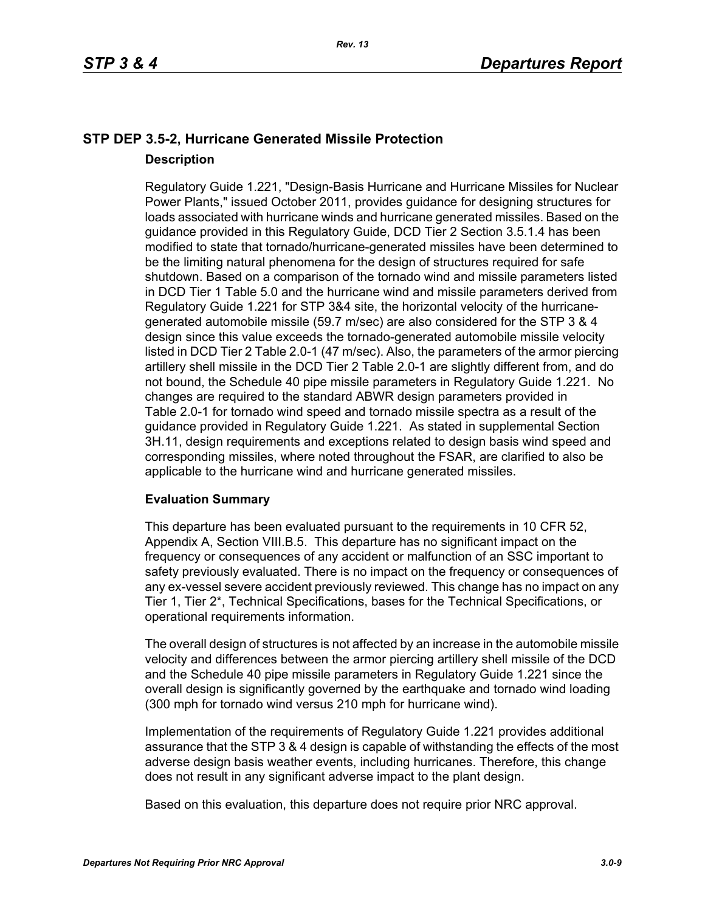# **STP DEP 3.5-2, Hurricane Generated Missile Protection Description**

Regulatory Guide 1.221, "Design-Basis Hurricane and Hurricane Missiles for Nuclear Power Plants," issued October 2011, provides guidance for designing structures for loads associated with hurricane winds and hurricane generated missiles. Based on the guidance provided in this Regulatory Guide, DCD Tier 2 Section 3.5.1.4 has been modified to state that tornado/hurricane-generated missiles have been determined to be the limiting natural phenomena for the design of structures required for safe shutdown. Based on a comparison of the tornado wind and missile parameters listed in DCD Tier 1 Table 5.0 and the hurricane wind and missile parameters derived from Regulatory Guide 1.221 for STP 3&4 site, the horizontal velocity of the hurricanegenerated automobile missile (59.7 m/sec) are also considered for the STP 3 & 4 design since this value exceeds the tornado-generated automobile missile velocity listed in DCD Tier 2 Table 2.0-1 (47 m/sec). Also, the parameters of the armor piercing artillery shell missile in the DCD Tier 2 Table 2.0-1 are slightly different from, and do not bound, the Schedule 40 pipe missile parameters in Regulatory Guide 1.221. No changes are required to the standard ABWR design parameters provided in Table 2.0-1 for tornado wind speed and tornado missile spectra as a result of the guidance provided in Regulatory Guide 1.221. As stated in supplemental Section 3H.11, design requirements and exceptions related to design basis wind speed and corresponding missiles, where noted throughout the FSAR, are clarified to also be applicable to the hurricane wind and hurricane generated missiles.

#### **Evaluation Summary**

This departure has been evaluated pursuant to the requirements in 10 CFR 52, Appendix A, Section VIII.B.5. This departure has no significant impact on the frequency or consequences of any accident or malfunction of an SSC important to safety previously evaluated. There is no impact on the frequency or consequences of any ex-vessel severe accident previously reviewed. This change has no impact on any Tier 1, Tier 2\*, Technical Specifications, bases for the Technical Specifications, or operational requirements information.

The overall design of structures is not affected by an increase in the automobile missile velocity and differences between the armor piercing artillery shell missile of the DCD and the Schedule 40 pipe missile parameters in Regulatory Guide 1.221 since the overall design is significantly governed by the earthquake and tornado wind loading (300 mph for tornado wind versus 210 mph for hurricane wind).

Implementation of the requirements of Regulatory Guide 1.221 provides additional assurance that the STP 3 & 4 design is capable of withstanding the effects of the most adverse design basis weather events, including hurricanes. Therefore, this change does not result in any significant adverse impact to the plant design.

Based on this evaluation, this departure does not require prior NRC approval.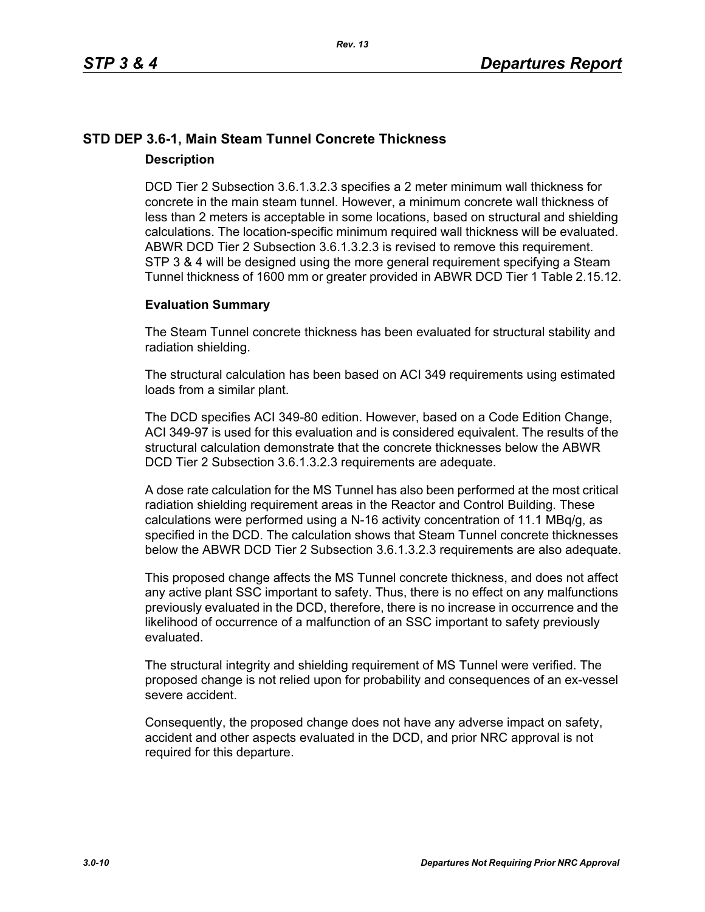# **STD DEP 3.6-1, Main Steam Tunnel Concrete Thickness Description**

DCD Tier 2 Subsection 3.6.1.3.2.3 specifies a 2 meter minimum wall thickness for concrete in the main steam tunnel. However, a minimum concrete wall thickness of less than 2 meters is acceptable in some locations, based on structural and shielding calculations. The location-specific minimum required wall thickness will be evaluated. ABWR DCD Tier 2 Subsection 3.6.1.3.2.3 is revised to remove this requirement. STP 3 & 4 will be designed using the more general requirement specifying a Steam Tunnel thickness of 1600 mm or greater provided in ABWR DCD Tier 1 Table 2.15.12.

### **Evaluation Summary**

The Steam Tunnel concrete thickness has been evaluated for structural stability and radiation shielding.

The structural calculation has been based on ACI 349 requirements using estimated loads from a similar plant.

The DCD specifies ACI 349-80 edition. However, based on a Code Edition Change, ACI 349-97 is used for this evaluation and is considered equivalent. The results of the structural calculation demonstrate that the concrete thicknesses below the ABWR DCD Tier 2 Subsection 3.6.1.3.2.3 requirements are adequate.

A dose rate calculation for the MS Tunnel has also been performed at the most critical radiation shielding requirement areas in the Reactor and Control Building. These calculations were performed using a N-16 activity concentration of 11.1 MBq/g, as specified in the DCD. The calculation shows that Steam Tunnel concrete thicknesses below the ABWR DCD Tier 2 Subsection 3.6.1.3.2.3 requirements are also adequate.

This proposed change affects the MS Tunnel concrete thickness, and does not affect any active plant SSC important to safety. Thus, there is no effect on any malfunctions previously evaluated in the DCD, therefore, there is no increase in occurrence and the likelihood of occurrence of a malfunction of an SSC important to safety previously evaluated.

The structural integrity and shielding requirement of MS Tunnel were verified. The proposed change is not relied upon for probability and consequences of an ex-vessel severe accident.

Consequently, the proposed change does not have any adverse impact on safety, accident and other aspects evaluated in the DCD, and prior NRC approval is not required for this departure.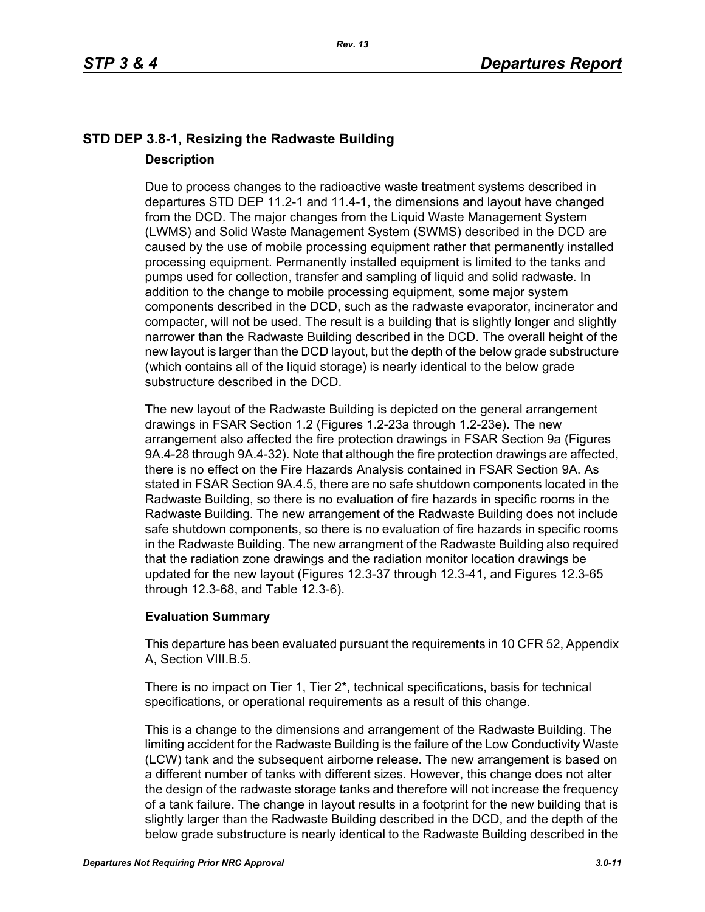# **STD DEP 3.8-1, Resizing the Radwaste Building Description**

Due to process changes to the radioactive waste treatment systems described in departures STD DEP 11.2-1 and 11.4-1, the dimensions and layout have changed from the DCD. The major changes from the Liquid Waste Management System (LWMS) and Solid Waste Management System (SWMS) described in the DCD are caused by the use of mobile processing equipment rather that permanently installed processing equipment. Permanently installed equipment is limited to the tanks and pumps used for collection, transfer and sampling of liquid and solid radwaste. In addition to the change to mobile processing equipment, some major system components described in the DCD, such as the radwaste evaporator, incinerator and compacter, will not be used. The result is a building that is slightly longer and slightly narrower than the Radwaste Building described in the DCD. The overall height of the new layout is larger than the DCD layout, but the depth of the below grade substructure (which contains all of the liquid storage) is nearly identical to the below grade substructure described in the DCD.

The new layout of the Radwaste Building is depicted on the general arrangement drawings in FSAR Section 1.2 (Figures 1.2-23a through 1.2-23e). The new arrangement also affected the fire protection drawings in FSAR Section 9a (Figures 9A.4-28 through 9A.4-32). Note that although the fire protection drawings are affected, there is no effect on the Fire Hazards Analysis contained in FSAR Section 9A. As stated in FSAR Section 9A.4.5, there are no safe shutdown components located in the Radwaste Building, so there is no evaluation of fire hazards in specific rooms in the Radwaste Building. The new arrangement of the Radwaste Building does not include safe shutdown components, so there is no evaluation of fire hazards in specific rooms in the Radwaste Building. The new arrangment of the Radwaste Building also required that the radiation zone drawings and the radiation monitor location drawings be updated for the new layout (Figures 12.3-37 through 12.3-41, and Figures 12.3-65 through 12.3-68, and Table 12.3-6).

### **Evaluation Summary**

This departure has been evaluated pursuant the requirements in 10 CFR 52, Appendix A, Section VIII.B.5.

There is no impact on Tier 1, Tier 2\*, technical specifications, basis for technical specifications, or operational requirements as a result of this change.

This is a change to the dimensions and arrangement of the Radwaste Building. The limiting accident for the Radwaste Building is the failure of the Low Conductivity Waste (LCW) tank and the subsequent airborne release. The new arrangement is based on a different number of tanks with different sizes. However, this change does not alter the design of the radwaste storage tanks and therefore will not increase the frequency of a tank failure. The change in layout results in a footprint for the new building that is slightly larger than the Radwaste Building described in the DCD, and the depth of the below grade substructure is nearly identical to the Radwaste Building described in the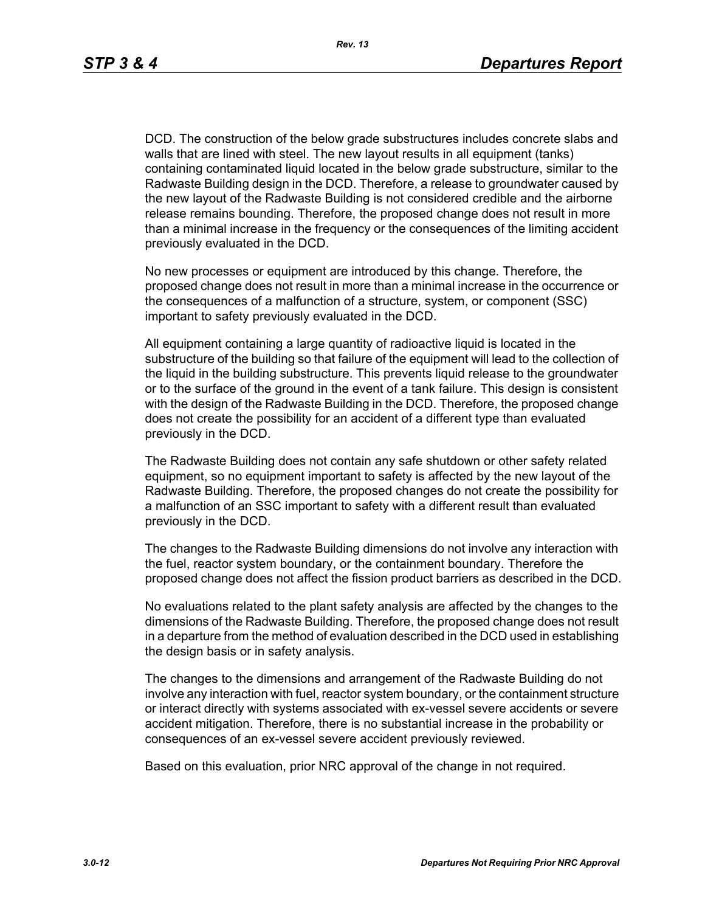DCD. The construction of the below grade substructures includes concrete slabs and walls that are lined with steel. The new layout results in all equipment (tanks) containing contaminated liquid located in the below grade substructure, similar to the Radwaste Building design in the DCD. Therefore, a release to groundwater caused by the new layout of the Radwaste Building is not considered credible and the airborne release remains bounding. Therefore, the proposed change does not result in more than a minimal increase in the frequency or the consequences of the limiting accident previously evaluated in the DCD.

No new processes or equipment are introduced by this change. Therefore, the proposed change does not result in more than a minimal increase in the occurrence or the consequences of a malfunction of a structure, system, or component (SSC) important to safety previously evaluated in the DCD.

All equipment containing a large quantity of radioactive liquid is located in the substructure of the building so that failure of the equipment will lead to the collection of the liquid in the building substructure. This prevents liquid release to the groundwater or to the surface of the ground in the event of a tank failure. This design is consistent with the design of the Radwaste Building in the DCD. Therefore, the proposed change does not create the possibility for an accident of a different type than evaluated previously in the DCD.

The Radwaste Building does not contain any safe shutdown or other safety related equipment, so no equipment important to safety is affected by the new layout of the Radwaste Building. Therefore, the proposed changes do not create the possibility for a malfunction of an SSC important to safety with a different result than evaluated previously in the DCD.

The changes to the Radwaste Building dimensions do not involve any interaction with the fuel, reactor system boundary, or the containment boundary. Therefore the proposed change does not affect the fission product barriers as described in the DCD.

No evaluations related to the plant safety analysis are affected by the changes to the dimensions of the Radwaste Building. Therefore, the proposed change does not result in a departure from the method of evaluation described in the DCD used in establishing the design basis or in safety analysis.

The changes to the dimensions and arrangement of the Radwaste Building do not involve any interaction with fuel, reactor system boundary, or the containment structure or interact directly with systems associated with ex-vessel severe accidents or severe accident mitigation. Therefore, there is no substantial increase in the probability or consequences of an ex-vessel severe accident previously reviewed.

Based on this evaluation, prior NRC approval of the change in not required.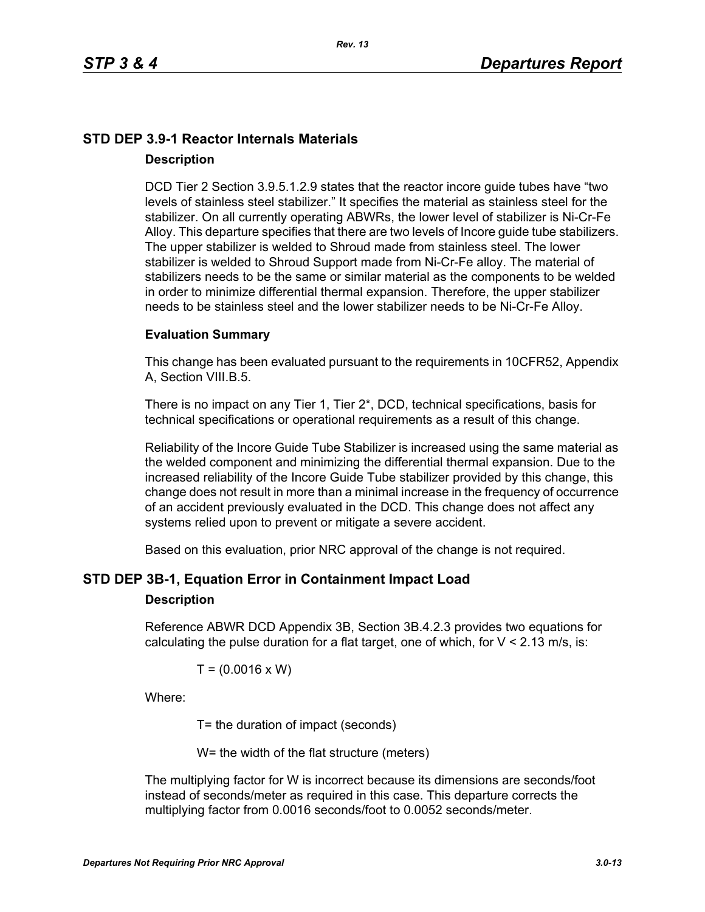# **STD DEP 3.9-1 Reactor Internals Materials Description**

DCD Tier 2 Section 3.9.5.1.2.9 states that the reactor incore guide tubes have "two levels of stainless steel stabilizer." It specifies the material as stainless steel for the stabilizer. On all currently operating ABWRs, the lower level of stabilizer is Ni-Cr-Fe Alloy. This departure specifies that there are two levels of Incore guide tube stabilizers. The upper stabilizer is welded to Shroud made from stainless steel. The lower stabilizer is welded to Shroud Support made from Ni-Cr-Fe alloy. The material of stabilizers needs to be the same or similar material as the components to be welded in order to minimize differential thermal expansion. Therefore, the upper stabilizer needs to be stainless steel and the lower stabilizer needs to be Ni-Cr-Fe Alloy.

### **Evaluation Summary**

This change has been evaluated pursuant to the requirements in 10CFR52, Appendix A, Section VIII.B.5.

There is no impact on any Tier 1, Tier 2\*, DCD, technical specifications, basis for technical specifications or operational requirements as a result of this change.

Reliability of the Incore Guide Tube Stabilizer is increased using the same material as the welded component and minimizing the differential thermal expansion. Due to the increased reliability of the Incore Guide Tube stabilizer provided by this change, this change does not result in more than a minimal increase in the frequency of occurrence of an accident previously evaluated in the DCD. This change does not affect any systems relied upon to prevent or mitigate a severe accident.

Based on this evaluation, prior NRC approval of the change is not required.

### **STD DEP 3B-1, Equation Error in Containment Impact Load**

#### **Description**

Reference ABWR DCD Appendix 3B, Section 3B.4.2.3 provides two equations for calculating the pulse duration for a flat target, one of which, for  $V < 2.13$  m/s, is:

$$
T = (0.0016 \times W)
$$

Where:

T= the duration of impact (seconds)

W= the width of the flat structure (meters)

The multiplying factor for W is incorrect because its dimensions are seconds/foot instead of seconds/meter as required in this case. This departure corrects the multiplying factor from 0.0016 seconds/foot to 0.0052 seconds/meter.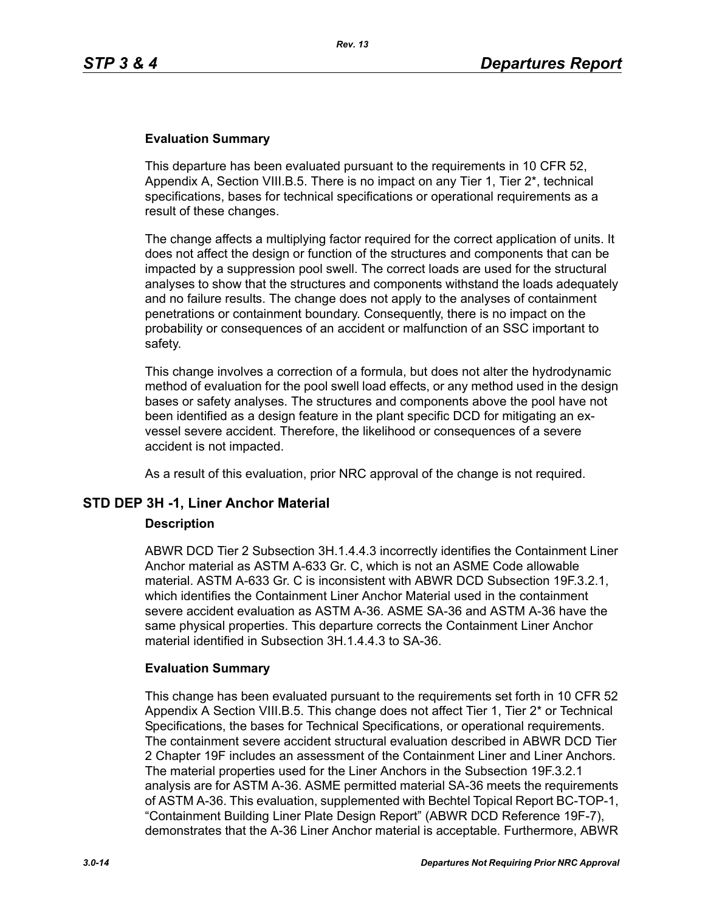#### **Evaluation Summary**

This departure has been evaluated pursuant to the requirements in 10 CFR 52, Appendix A, Section VIII.B.5. There is no impact on any Tier 1, Tier 2\*, technical specifications, bases for technical specifications or operational requirements as a result of these changes.

The change affects a multiplying factor required for the correct application of units. It does not affect the design or function of the structures and components that can be impacted by a suppression pool swell. The correct loads are used for the structural analyses to show that the structures and components withstand the loads adequately and no failure results. The change does not apply to the analyses of containment penetrations or containment boundary. Consequently, there is no impact on the probability or consequences of an accident or malfunction of an SSC important to safety.

This change involves a correction of a formula, but does not alter the hydrodynamic method of evaluation for the pool swell load effects, or any method used in the design bases or safety analyses. The structures and components above the pool have not been identified as a design feature in the plant specific DCD for mitigating an exvessel severe accident. Therefore, the likelihood or consequences of a severe accident is not impacted.

As a result of this evaluation, prior NRC approval of the change is not required.

#### **STD DEP 3H -1, Liner Anchor Material**

#### **Description**

ABWR DCD Tier 2 Subsection 3H.1.4.4.3 incorrectly identifies the Containment Liner Anchor material as ASTM A-633 Gr. C, which is not an ASME Code allowable material. ASTM A-633 Gr. C is inconsistent with ABWR DCD Subsection 19F.3.2.1, which identifies the Containment Liner Anchor Material used in the containment severe accident evaluation as ASTM A-36. ASME SA-36 and ASTM A-36 have the same physical properties. This departure corrects the Containment Liner Anchor material identified in Subsection 3H.1.4.4.3 to SA-36.

#### **Evaluation Summary**

This change has been evaluated pursuant to the requirements set forth in 10 CFR 52 Appendix A Section VIII.B.5. This change does not affect Tier 1, Tier 2\* or Technical Specifications, the bases for Technical Specifications, or operational requirements. The containment severe accident structural evaluation described in ABWR DCD Tier 2 Chapter 19F includes an assessment of the Containment Liner and Liner Anchors. The material properties used for the Liner Anchors in the Subsection 19F.3.2.1 analysis are for ASTM A-36. ASME permitted material SA-36 meets the requirements of ASTM A-36. This evaluation, supplemented with Bechtel Topical Report BC-TOP-1, "Containment Building Liner Plate Design Report" (ABWR DCD Reference 19F-7), demonstrates that the A-36 Liner Anchor material is acceptable. Furthermore, ABWR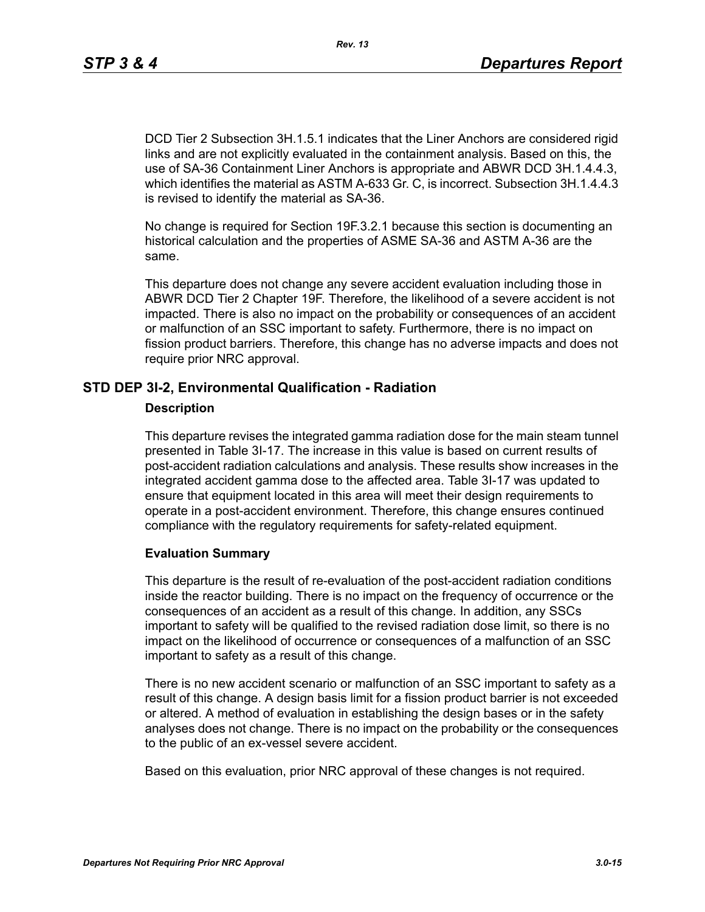DCD Tier 2 Subsection 3H.1.5.1 indicates that the Liner Anchors are considered rigid links and are not explicitly evaluated in the containment analysis. Based on this, the use of SA-36 Containment Liner Anchors is appropriate and ABWR DCD 3H.1.4.4.3, which identifies the material as ASTM A-633 Gr. C, is incorrect. Subsection 3H.1.4.4.3 is revised to identify the material as SA-36.

No change is required for Section 19F.3.2.1 because this section is documenting an historical calculation and the properties of ASME SA-36 and ASTM A-36 are the same.

This departure does not change any severe accident evaluation including those in ABWR DCD Tier 2 Chapter 19F. Therefore, the likelihood of a severe accident is not impacted. There is also no impact on the probability or consequences of an accident or malfunction of an SSC important to safety. Furthermore, there is no impact on fission product barriers. Therefore, this change has no adverse impacts and does not require prior NRC approval.

### **STD DEP 3I-2, Environmental Qualification - Radiation**

#### **Description**

This departure revises the integrated gamma radiation dose for the main steam tunnel presented in Table 3I-17. The increase in this value is based on current results of post-accident radiation calculations and analysis. These results show increases in the integrated accident gamma dose to the affected area. Table 3I-17 was updated to ensure that equipment located in this area will meet their design requirements to operate in a post-accident environment. Therefore, this change ensures continued compliance with the regulatory requirements for safety-related equipment.

#### **Evaluation Summary**

This departure is the result of re-evaluation of the post-accident radiation conditions inside the reactor building. There is no impact on the frequency of occurrence or the consequences of an accident as a result of this change. In addition, any SSCs important to safety will be qualified to the revised radiation dose limit, so there is no impact on the likelihood of occurrence or consequences of a malfunction of an SSC important to safety as a result of this change.

There is no new accident scenario or malfunction of an SSC important to safety as a result of this change. A design basis limit for a fission product barrier is not exceeded or altered. A method of evaluation in establishing the design bases or in the safety analyses does not change. There is no impact on the probability or the consequences to the public of an ex-vessel severe accident.

Based on this evaluation, prior NRC approval of these changes is not required.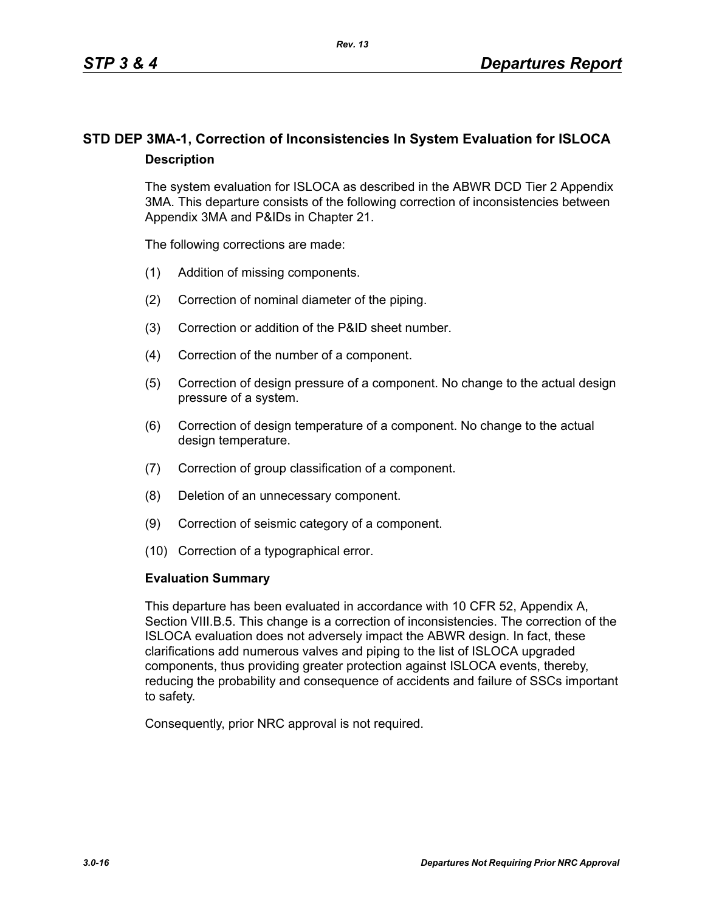# **STD DEP 3MA-1, Correction of Inconsistencies In System Evaluation for ISLOCA Description**

The system evaluation for ISLOCA as described in the ABWR DCD Tier 2 Appendix 3MA. This departure consists of the following correction of inconsistencies between Appendix 3MA and P&IDs in Chapter 21.

The following corrections are made:

- (1) Addition of missing components.
- (2) Correction of nominal diameter of the piping.
- (3) Correction or addition of the P&ID sheet number.
- (4) Correction of the number of a component.
- (5) Correction of design pressure of a component. No change to the actual design pressure of a system.
- (6) Correction of design temperature of a component. No change to the actual design temperature.
- (7) Correction of group classification of a component.
- (8) Deletion of an unnecessary component.
- (9) Correction of seismic category of a component.
- (10) Correction of a typographical error.

#### **Evaluation Summary**

This departure has been evaluated in accordance with 10 CFR 52, Appendix A, Section VIII.B.5. This change is a correction of inconsistencies. The correction of the ISLOCA evaluation does not adversely impact the ABWR design. In fact, these clarifications add numerous valves and piping to the list of ISLOCA upgraded components, thus providing greater protection against ISLOCA events, thereby, reducing the probability and consequence of accidents and failure of SSCs important to safety.

Consequently, prior NRC approval is not required.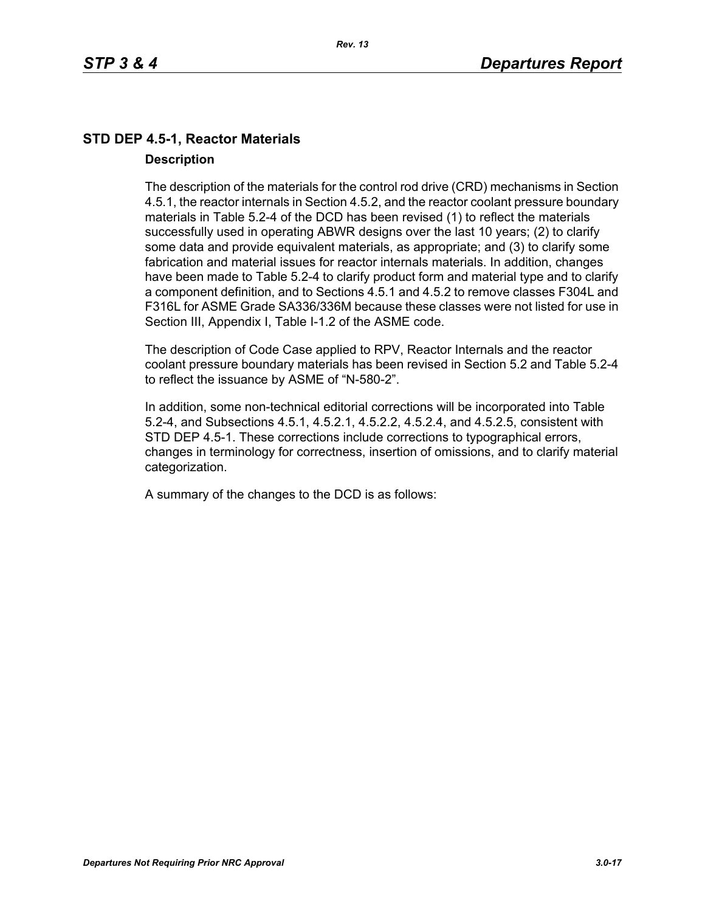# **STD DEP 4.5-1, Reactor Materials Description**

The description of the materials for the control rod drive (CRD) mechanisms in Section 4.5.1, the reactor internals in Section 4.5.2, and the reactor coolant pressure boundary materials in Table 5.2-4 of the DCD has been revised (1) to reflect the materials successfully used in operating ABWR designs over the last 10 years; (2) to clarify some data and provide equivalent materials, as appropriate; and (3) to clarify some fabrication and material issues for reactor internals materials. In addition, changes have been made to Table 5.2-4 to clarify product form and material type and to clarify a component definition, and to Sections 4.5.1 and 4.5.2 to remove classes F304L and F316L for ASME Grade SA336/336M because these classes were not listed for use in Section III, Appendix I, Table I-1.2 of the ASME code.

The description of Code Case applied to RPV, Reactor Internals and the reactor coolant pressure boundary materials has been revised in Section 5.2 and Table 5.2-4 to reflect the issuance by ASME of "N-580-2".

In addition, some non-technical editorial corrections will be incorporated into Table 5.2-4, and Subsections 4.5.1, 4.5.2.1, 4.5.2.2, 4.5.2.4, and 4.5.2.5, consistent with STD DEP 4.5-1. These corrections include corrections to typographical errors, changes in terminology for correctness, insertion of omissions, and to clarify material categorization.

A summary of the changes to the DCD is as follows: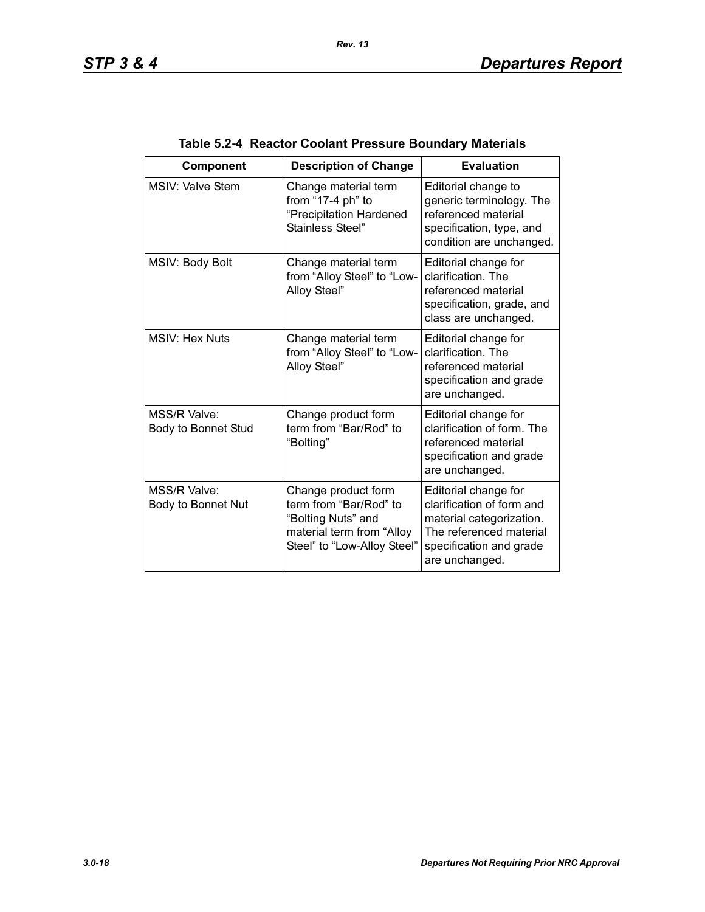| Component                           | <b>Description of Change</b>                                                                                                    | <b>Evaluation</b>                                                                                                                                     |
|-------------------------------------|---------------------------------------------------------------------------------------------------------------------------------|-------------------------------------------------------------------------------------------------------------------------------------------------------|
| <b>MSIV: Valve Stem</b>             | Change material term<br>from "17-4 ph" to<br>"Precipitation Hardened<br>Stainless Steel"                                        | Editorial change to<br>generic terminology. The<br>referenced material<br>specification, type, and<br>condition are unchanged.                        |
| MSIV: Body Bolt                     | Change material term<br>from "Alloy Steel" to "Low-<br>Alloy Steel"                                                             | Editorial change for<br>clarification. The<br>referenced material<br>specification, grade, and<br>class are unchanged.                                |
| <b>MSIV: Hex Nuts</b>               | Change material term<br>from "Alloy Steel" to "Low-<br>Alloy Steel"                                                             | Editorial change for<br>clarification. The<br>referenced material<br>specification and grade<br>are unchanged.                                        |
| MSS/R Valve:<br>Body to Bonnet Stud | Change product form<br>term from "Bar/Rod" to<br>"Bolting"                                                                      | Editorial change for<br>clarification of form. The<br>referenced material<br>specification and grade<br>are unchanged.                                |
| MSS/R Valve:<br>Body to Bonnet Nut  | Change product form<br>term from "Bar/Rod" to<br>"Bolting Nuts" and<br>material term from "Alloy<br>Steel" to "Low-Alloy Steel" | Editorial change for<br>clarification of form and<br>material categorization.<br>The referenced material<br>specification and grade<br>are unchanged. |

# **Table 5.2-4 Reactor Coolant Pressure Boundary Materials**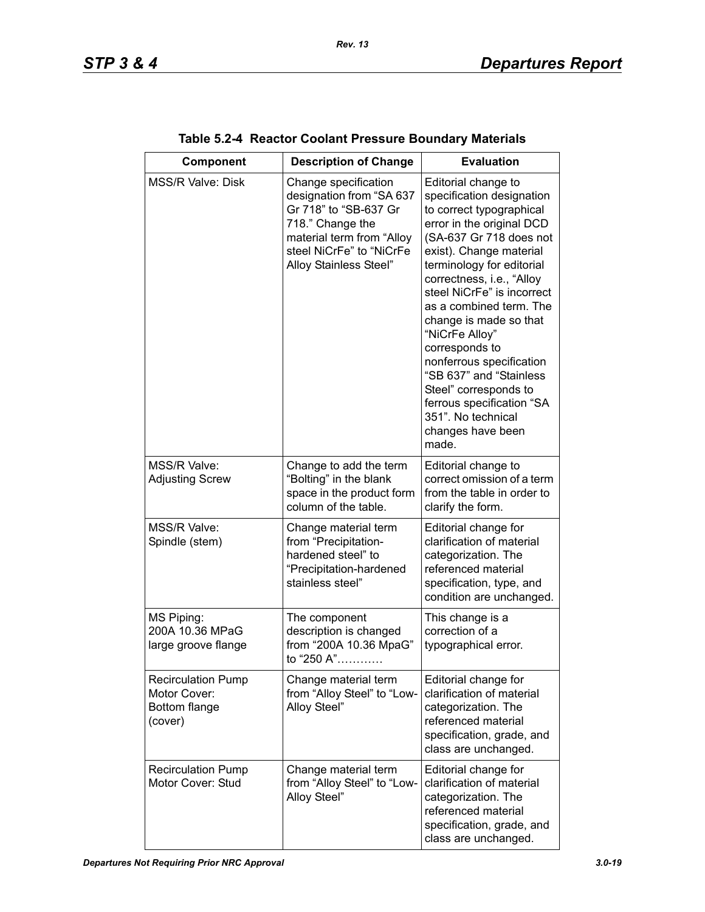| Component                                                             | <b>Description of Change</b>                                                                                                                                                     | <b>Evaluation</b>                                                                                                                                                                                                                                                                                                                                                                                                                                                                                                 |
|-----------------------------------------------------------------------|----------------------------------------------------------------------------------------------------------------------------------------------------------------------------------|-------------------------------------------------------------------------------------------------------------------------------------------------------------------------------------------------------------------------------------------------------------------------------------------------------------------------------------------------------------------------------------------------------------------------------------------------------------------------------------------------------------------|
| <b>MSS/R Valve: Disk</b>                                              | Change specification<br>designation from "SA 637<br>Gr 718" to "SB-637 Gr<br>718." Change the<br>material term from "Alloy<br>steel NiCrFe" to "NiCrFe<br>Alloy Stainless Steel" | Editorial change to<br>specification designation<br>to correct typographical<br>error in the original DCD<br>(SA-637 Gr 718 does not<br>exist). Change material<br>terminology for editorial<br>correctness, i.e., "Alloy<br>steel NiCrFe" is incorrect<br>as a combined term. The<br>change is made so that<br>"NiCrFe Alloy"<br>corresponds to<br>nonferrous specification<br>"SB 637" and "Stainless<br>Steel" corresponds to<br>ferrous specification "SA<br>351". No technical<br>changes have been<br>made. |
| MSS/R Valve:<br><b>Adjusting Screw</b>                                | Change to add the term<br>"Bolting" in the blank<br>space in the product form<br>column of the table.                                                                            | Editorial change to<br>correct omission of a term<br>from the table in order to<br>clarify the form.                                                                                                                                                                                                                                                                                                                                                                                                              |
| MSS/R Valve:<br>Spindle (stem)                                        | Change material term<br>from "Precipitation-<br>hardened steel" to<br>"Precipitation-hardened<br>stainless steel"                                                                | Editorial change for<br>clarification of material<br>categorization. The<br>referenced material<br>specification, type, and<br>condition are unchanged.                                                                                                                                                                                                                                                                                                                                                           |
| MS Piping:<br>200A 10.36 MPaG<br>large groove flange                  | The component<br>description is changed<br>from "200A 10.36 MpaG"<br>to "250 A"                                                                                                  | This change is a<br>correction of a<br>typographical error.                                                                                                                                                                                                                                                                                                                                                                                                                                                       |
| <b>Recirculation Pump</b><br>Motor Cover:<br>Bottom flange<br>(cover) | Change material term<br>from "Alloy Steel" to "Low-<br>Alloy Steel"                                                                                                              | Editorial change for<br>clarification of material<br>categorization. The<br>referenced material<br>specification, grade, and<br>class are unchanged.                                                                                                                                                                                                                                                                                                                                                              |
| <b>Recirculation Pump</b><br>Motor Cover: Stud                        | Change material term<br>from "Alloy Steel" to "Low-<br>Alloy Steel"                                                                                                              | Editorial change for<br>clarification of material<br>categorization. The<br>referenced material<br>specification, grade, and<br>class are unchanged.                                                                                                                                                                                                                                                                                                                                                              |

| Table 5.2-4 Reactor Coolant Pressure Boundary Materials |  |  |  |  |  |
|---------------------------------------------------------|--|--|--|--|--|
|---------------------------------------------------------|--|--|--|--|--|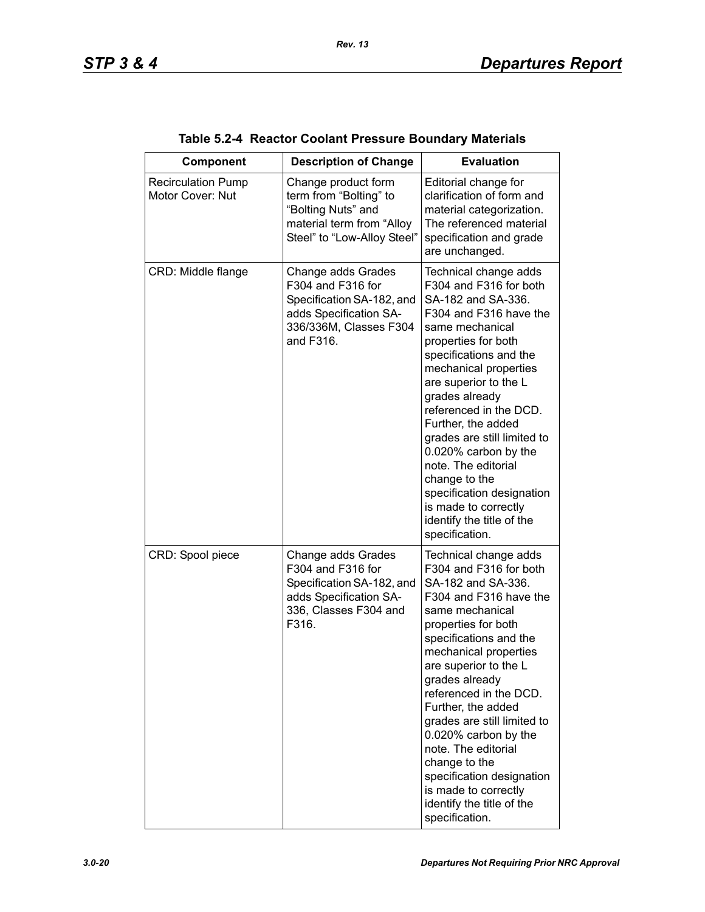| <b>Component</b>                              | <b>Description of Change</b>                                                                                                          | <b>Evaluation</b>                                                                                                                                                                                                                                                                                                                                                                                                                                                                          |
|-----------------------------------------------|---------------------------------------------------------------------------------------------------------------------------------------|--------------------------------------------------------------------------------------------------------------------------------------------------------------------------------------------------------------------------------------------------------------------------------------------------------------------------------------------------------------------------------------------------------------------------------------------------------------------------------------------|
| <b>Recirculation Pump</b><br>Motor Cover: Nut | Change product form<br>term from "Bolting" to<br>"Bolting Nuts" and<br>material term from "Alloy<br>Steel" to "Low-Alloy Steel"       | Editorial change for<br>clarification of form and<br>material categorization.<br>The referenced material<br>specification and grade<br>are unchanged.                                                                                                                                                                                                                                                                                                                                      |
| CRD: Middle flange                            | Change adds Grades<br>F304 and F316 for<br>Specification SA-182, and<br>adds Specification SA-<br>336/336M, Classes F304<br>and F316. | Technical change adds<br>F304 and F316 for both<br>SA-182 and SA-336.<br>F304 and F316 have the<br>same mechanical<br>properties for both<br>specifications and the<br>mechanical properties<br>are superior to the L<br>grades already<br>referenced in the DCD.<br>Further, the added<br>grades are still limited to<br>0.020% carbon by the<br>note. The editorial<br>change to the<br>specification designation<br>is made to correctly<br>identify the title of the<br>specification. |
| CRD: Spool piece                              | Change adds Grades<br>F304 and F316 for<br>Specification SA-182, and<br>adds Specification SA-<br>336, Classes F304 and<br>F316.      | Technical change adds<br>F304 and F316 for both<br>SA-182 and SA-336.<br>F304 and F316 have the<br>same mechanical<br>properties for both<br>specifications and the<br>mechanical properties<br>are superior to the L<br>grades already<br>referenced in the DCD.<br>Further, the added<br>grades are still limited to<br>0.020% carbon by the<br>note. The editorial<br>change to the<br>specification designation<br>is made to correctly<br>identify the title of the<br>specification. |

### **Table 5.2-4 Reactor Coolant Pressure Boundary Materials**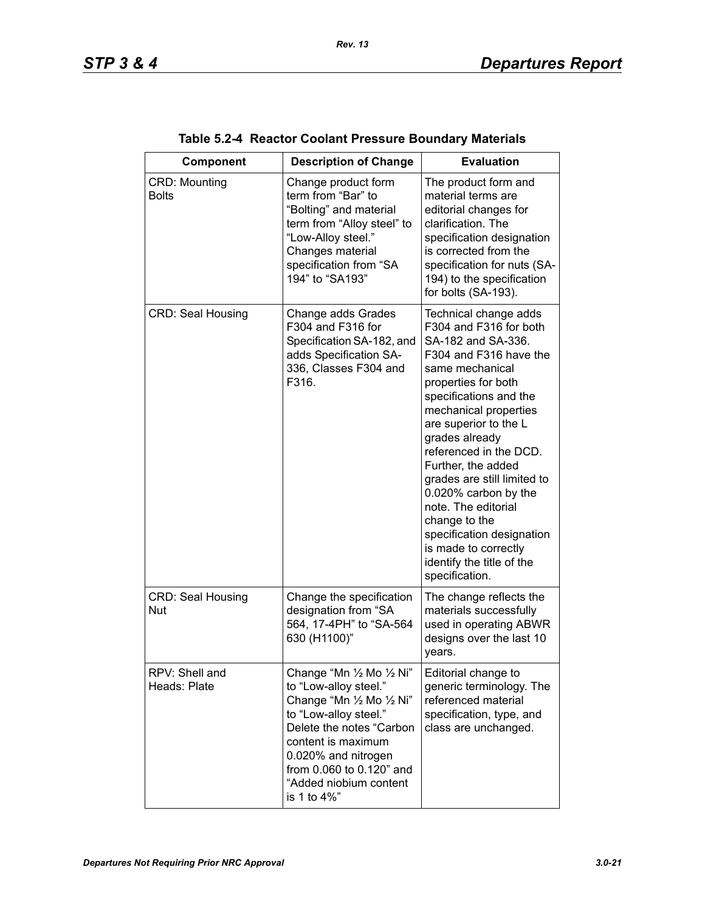| Component                              | <b>Description of Change</b>                                                                                                                                                                                                                           | <b>Evaluation</b>                                                                                                                                                                                                                                                                                                                                                                                                                                                                          |
|----------------------------------------|--------------------------------------------------------------------------------------------------------------------------------------------------------------------------------------------------------------------------------------------------------|--------------------------------------------------------------------------------------------------------------------------------------------------------------------------------------------------------------------------------------------------------------------------------------------------------------------------------------------------------------------------------------------------------------------------------------------------------------------------------------------|
| <b>CRD: Mounting</b><br><b>Bolts</b>   | Change product form<br>term from "Bar" to<br>"Bolting" and material<br>term from "Alloy steel" to<br>"Low-Alloy steel."<br>Changes material<br>specification from "SA<br>194" to "SA193"                                                               | The product form and<br>material terms are<br>editorial changes for<br>clarification. The<br>specification designation<br>is corrected from the<br>specification for nuts (SA-<br>194) to the specification<br>for bolts (SA-193).                                                                                                                                                                                                                                                         |
| <b>CRD: Seal Housing</b>               | Change adds Grades<br>F304 and F316 for<br>Specification SA-182, and<br>adds Specification SA-<br>336, Classes F304 and<br>F316.                                                                                                                       | Technical change adds<br>F304 and F316 for both<br>SA-182 and SA-336.<br>F304 and F316 have the<br>same mechanical<br>properties for both<br>specifications and the<br>mechanical properties<br>are superior to the L<br>grades already<br>referenced in the DCD.<br>Further, the added<br>grades are still limited to<br>0.020% carbon by the<br>note. The editorial<br>change to the<br>specification designation<br>is made to correctly<br>identify the title of the<br>specification. |
| <b>CRD: Seal Housing</b><br><b>Nut</b> | Change the specification<br>designation from "SA<br>564, 17-4PH" to "SA-564<br>630 (H1100)"                                                                                                                                                            | The change reflects the<br>materials successfully<br>used in operating ABWR<br>designs over the last 10<br>years.                                                                                                                                                                                                                                                                                                                                                                          |
| RPV: Shell and<br>Heads: Plate         | Change "Mn 1/2 Mo 1/2 Ni"<br>to "Low-alloy steel."<br>Change "Mn 1/2 Mo 1/2 Ni"<br>to "Low-alloy steel."<br>Delete the notes "Carbon<br>content is maximum<br>0.020% and nitrogen<br>from 0.060 to 0.120" and<br>"Added niobium content<br>is 1 to 4%" | Editorial change to<br>generic terminology. The<br>referenced material<br>specification, type, and<br>class are unchanged.                                                                                                                                                                                                                                                                                                                                                                 |

| Table 5.2-4 Reactor Coolant Pressure Boundary Materials |  |  |  |  |  |
|---------------------------------------------------------|--|--|--|--|--|
|---------------------------------------------------------|--|--|--|--|--|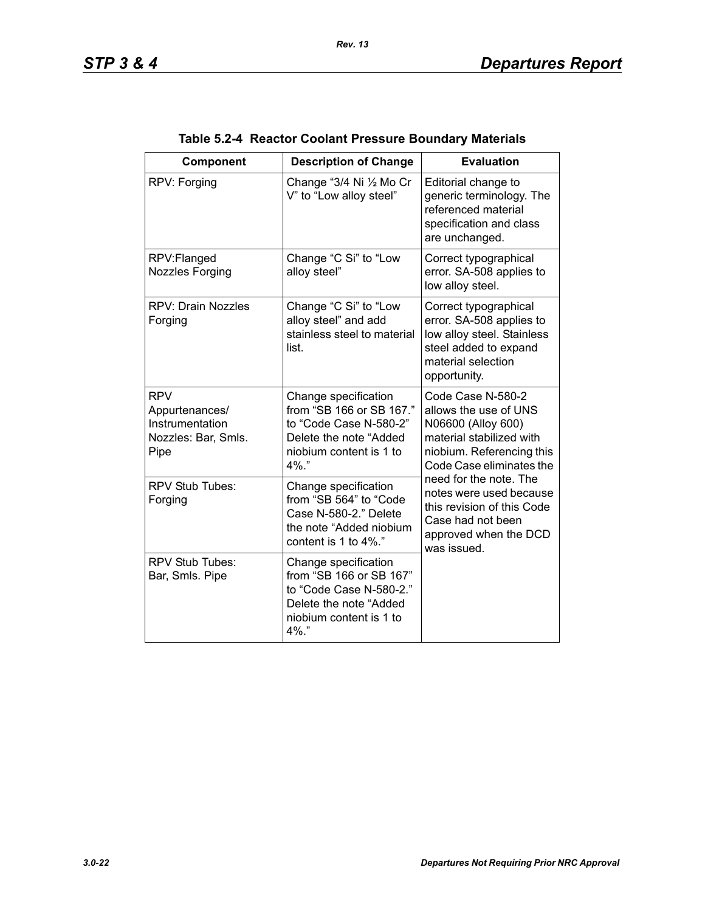| Component                                                                      | <b>Description of Change</b>                                                                                                            | <b>Evaluation</b>                                                                                                                                                                                                                                                                                     |
|--------------------------------------------------------------------------------|-----------------------------------------------------------------------------------------------------------------------------------------|-------------------------------------------------------------------------------------------------------------------------------------------------------------------------------------------------------------------------------------------------------------------------------------------------------|
| RPV: Forging                                                                   | Change "3/4 Ni 1/2 Mo Cr<br>V" to "Low alloy steel"                                                                                     | Editorial change to<br>generic terminology. The<br>referenced material<br>specification and class<br>are unchanged.                                                                                                                                                                                   |
| RPV:Flanged<br><b>Nozzles Forging</b>                                          | Change "C Si" to "Low<br>alloy steel"                                                                                                   | Correct typographical<br>error. SA-508 applies to<br>low alloy steel.                                                                                                                                                                                                                                 |
| <b>RPV: Drain Nozzles</b><br>Forging                                           | Change "C Si" to "Low<br>alloy steel" and add<br>stainless steel to material<br>list.                                                   | Correct typographical<br>error. SA-508 applies to<br>low alloy steel. Stainless<br>steel added to expand<br>material selection<br>opportunity.                                                                                                                                                        |
| <b>RPV</b><br>Appurtenances/<br>Instrumentation<br>Nozzles: Bar, Smls.<br>Pipe | Change specification<br>from "SB 166 or SB 167."<br>to "Code Case N-580-2"<br>Delete the note "Added<br>niobium content is 1 to<br>4%." | Code Case N-580-2<br>allows the use of UNS<br>N06600 (Alloy 600)<br>material stabilized with<br>niobium. Referencing this<br>Code Case eliminates the<br>need for the note. The<br>notes were used because<br>this revision of this Code<br>Case had not been<br>approved when the DCD<br>was issued. |
| <b>RPV Stub Tubes:</b><br>Forging                                              | Change specification<br>from "SB 564" to "Code<br>Case N-580-2." Delete<br>the note "Added niobium<br>content is 1 to 4%."              |                                                                                                                                                                                                                                                                                                       |
| RPV Stub Tubes:<br>Bar, Smls. Pipe                                             | Change specification<br>from "SB 166 or SB 167"<br>to "Code Case N-580-2."<br>Delete the note "Added<br>niobium content is 1 to<br>4%." |                                                                                                                                                                                                                                                                                                       |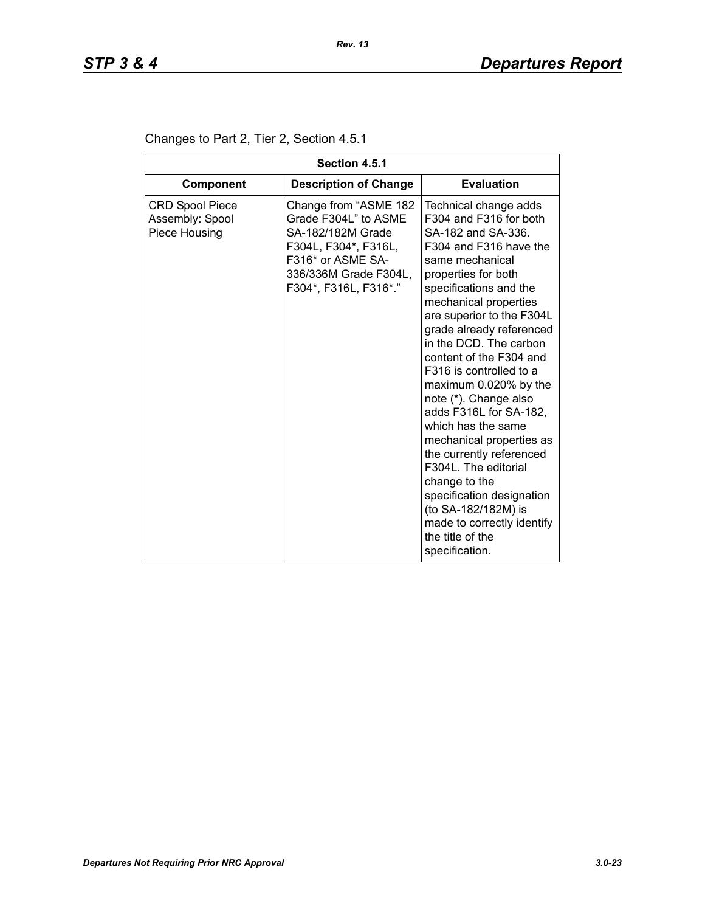| Section 4.5.1                                              |                                                                                                                                                                   |                                                                                                                                                                                                                                                                                                                                                                                                                                                                                                                                                                                                                                                                  |  |  |
|------------------------------------------------------------|-------------------------------------------------------------------------------------------------------------------------------------------------------------------|------------------------------------------------------------------------------------------------------------------------------------------------------------------------------------------------------------------------------------------------------------------------------------------------------------------------------------------------------------------------------------------------------------------------------------------------------------------------------------------------------------------------------------------------------------------------------------------------------------------------------------------------------------------|--|--|
| <b>Component</b>                                           | <b>Description of Change</b>                                                                                                                                      | <b>Evaluation</b>                                                                                                                                                                                                                                                                                                                                                                                                                                                                                                                                                                                                                                                |  |  |
| <b>CRD Spool Piece</b><br>Assembly: Spool<br>Piece Housing | Change from "ASME 182<br>Grade F304L" to ASME<br>SA-182/182M Grade<br>F304L, F304*, F316L,<br>F316* or ASME SA-<br>336/336M Grade F304L,<br>F304*, F316L, F316*." | Technical change adds<br>F304 and F316 for both<br>SA-182 and SA-336.<br>F304 and F316 have the<br>same mechanical<br>properties for both<br>specifications and the<br>mechanical properties<br>are superior to the F304L<br>grade already referenced<br>in the DCD. The carbon<br>content of the F304 and<br>F316 is controlled to a<br>maximum 0.020% by the<br>note (*). Change also<br>adds F316L for SA-182,<br>which has the same<br>mechanical properties as<br>the currently referenced<br>F304L. The editorial<br>change to the<br>specification designation<br>(to SA-182/182M) is<br>made to correctly identify<br>the title of the<br>specification. |  |  |

### Changes to Part 2, Tier 2, Section 4.5.1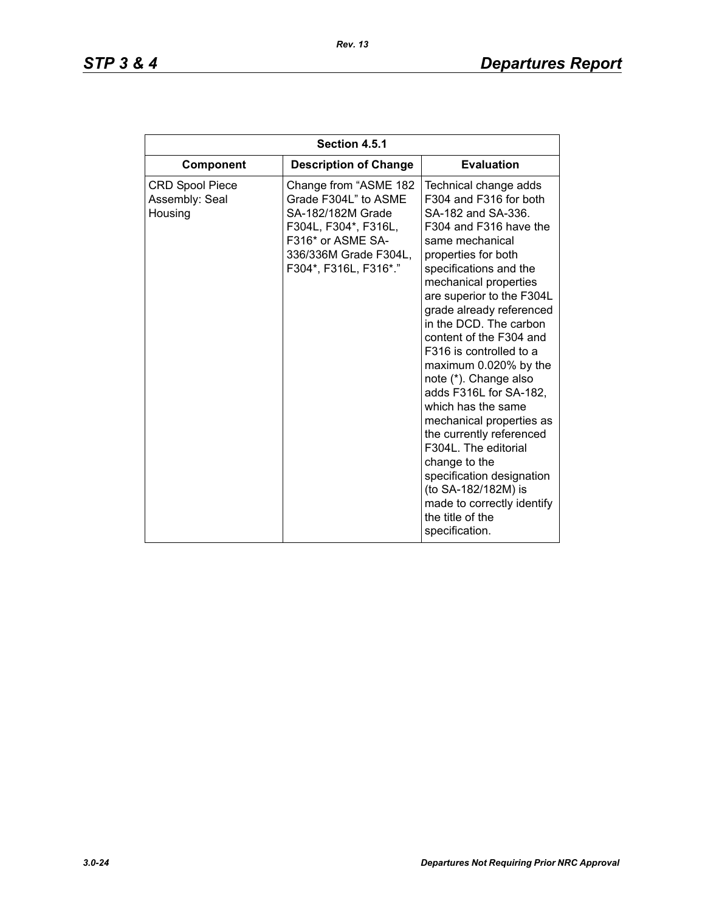| Section 4.5.1                                       |                                                                                                                                                                   |                                                                                                                                                                                                                                                                                                                                                                                                                                                                                                                                                                                                                                                                  |  |  |
|-----------------------------------------------------|-------------------------------------------------------------------------------------------------------------------------------------------------------------------|------------------------------------------------------------------------------------------------------------------------------------------------------------------------------------------------------------------------------------------------------------------------------------------------------------------------------------------------------------------------------------------------------------------------------------------------------------------------------------------------------------------------------------------------------------------------------------------------------------------------------------------------------------------|--|--|
| Component                                           | <b>Description of Change</b>                                                                                                                                      | <b>Evaluation</b>                                                                                                                                                                                                                                                                                                                                                                                                                                                                                                                                                                                                                                                |  |  |
| <b>CRD Spool Piece</b><br>Assembly: Seal<br>Housing | Change from "ASME 182<br>Grade F304L" to ASME<br>SA-182/182M Grade<br>F304L, F304*, F316L,<br>F316* or ASME SA-<br>336/336M Grade F304L,<br>F304*, F316L, F316*." | Technical change adds<br>F304 and F316 for both<br>SA-182 and SA-336.<br>F304 and F316 have the<br>same mechanical<br>properties for both<br>specifications and the<br>mechanical properties<br>are superior to the F304L<br>grade already referenced<br>in the DCD. The carbon<br>content of the F304 and<br>F316 is controlled to a<br>maximum 0.020% by the<br>note (*). Change also<br>adds F316L for SA-182,<br>which has the same<br>mechanical properties as<br>the currently referenced<br>F304L. The editorial<br>change to the<br>specification designation<br>(to SA-182/182M) is<br>made to correctly identify<br>the title of the<br>specification. |  |  |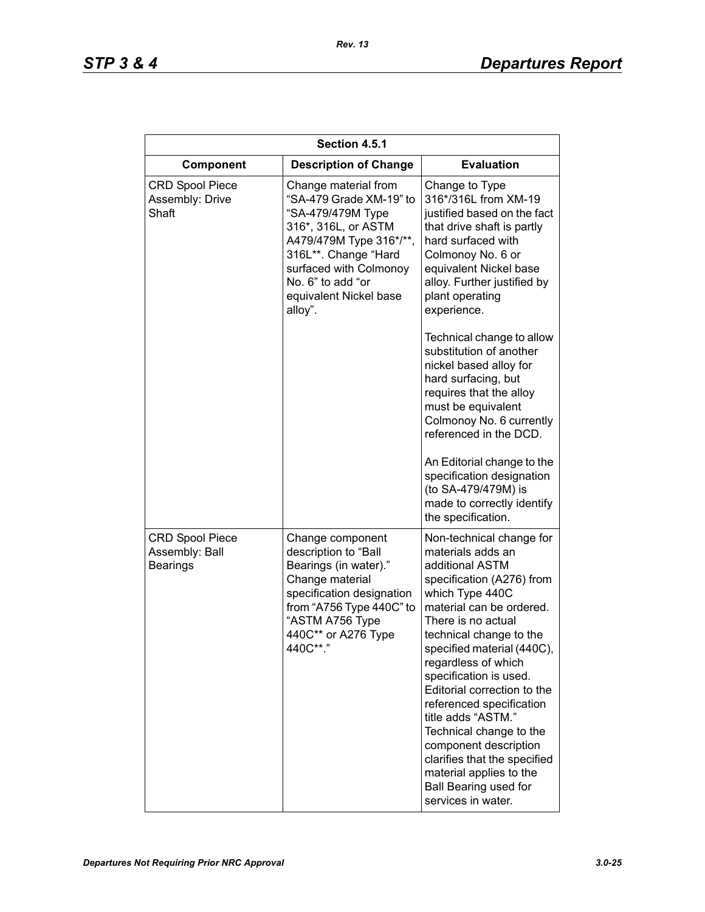| Section 4.5.1                                               |                                                                                                                                                                                                                                    |                                                                                                                                                                                                                                                                                                                                                                                                                                                                                                                                    |  |
|-------------------------------------------------------------|------------------------------------------------------------------------------------------------------------------------------------------------------------------------------------------------------------------------------------|------------------------------------------------------------------------------------------------------------------------------------------------------------------------------------------------------------------------------------------------------------------------------------------------------------------------------------------------------------------------------------------------------------------------------------------------------------------------------------------------------------------------------------|--|
| Component                                                   | <b>Description of Change</b>                                                                                                                                                                                                       | <b>Evaluation</b>                                                                                                                                                                                                                                                                                                                                                                                                                                                                                                                  |  |
| <b>CRD Spool Piece</b><br>Assembly: Drive<br>Shaft          | Change material from<br>"SA-479 Grade XM-19" to<br>"SA-479/479M Type<br>316*, 316L, or ASTM<br>A479/479M Type 316*/**,<br>316L**. Change "Hard<br>surfaced with Colmonoy<br>No. 6" to add "or<br>equivalent Nickel base<br>alloy". | Change to Type<br>316*/316L from XM-19<br>justified based on the fact<br>that drive shaft is partly<br>hard surfaced with<br>Colmonoy No. 6 or<br>equivalent Nickel base<br>alloy. Further justified by<br>plant operating<br>experience.                                                                                                                                                                                                                                                                                          |  |
|                                                             |                                                                                                                                                                                                                                    | Technical change to allow<br>substitution of another<br>nickel based alloy for<br>hard surfacing, but<br>requires that the alloy<br>must be equivalent<br>Colmonoy No. 6 currently<br>referenced in the DCD.<br>An Editorial change to the<br>specification designation<br>(to SA-479/479M) is<br>made to correctly identify<br>the specification.                                                                                                                                                                                 |  |
| <b>CRD Spool Piece</b><br>Assembly: Ball<br><b>Bearings</b> | Change component<br>description to "Ball<br>Bearings (in water)."<br>Change material<br>specification designation<br>from "A756 Type 440C" to<br>"ASTM A756 Type<br>440C** or A276 Type<br>440C**."                                | Non-technical change for<br>materials adds an<br>additional ASTM<br>specification (A276) from<br>which Type 440C<br>material can be ordered.<br>There is no actual<br>technical change to the<br>specified material (440C).<br>regardless of which<br>specification is used.<br>Editorial correction to the<br>referenced specification<br>title adds "ASTM."<br>Technical change to the<br>component description<br>clarifies that the specified<br>material applies to the<br><b>Ball Bearing used for</b><br>services in water. |  |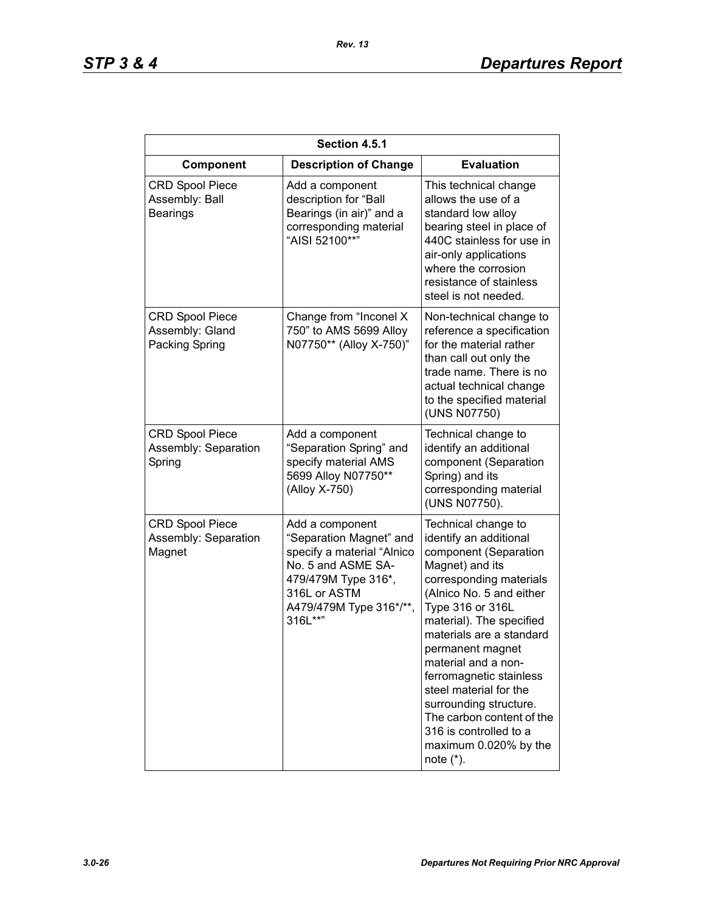| Section 4.5.1                                               |                                                                                                                                                                             |                                                                                                                                                                                                                                                                                                                                                                                                                                                        |  |
|-------------------------------------------------------------|-----------------------------------------------------------------------------------------------------------------------------------------------------------------------------|--------------------------------------------------------------------------------------------------------------------------------------------------------------------------------------------------------------------------------------------------------------------------------------------------------------------------------------------------------------------------------------------------------------------------------------------------------|--|
| Component                                                   | <b>Description of Change</b>                                                                                                                                                | <b>Evaluation</b>                                                                                                                                                                                                                                                                                                                                                                                                                                      |  |
| <b>CRD Spool Piece</b><br>Assembly: Ball<br><b>Bearings</b> | Add a component<br>description for "Ball<br>Bearings (in air)" and a<br>corresponding material<br>"AISI 52100**"                                                            | This technical change<br>allows the use of a<br>standard low alloy<br>bearing steel in place of<br>440C stainless for use in<br>air-only applications<br>where the corrosion<br>resistance of stainless<br>steel is not needed.                                                                                                                                                                                                                        |  |
| <b>CRD Spool Piece</b><br>Assembly: Gland<br>Packing Spring | Change from "Inconel X<br>750" to AMS 5699 Alloy<br>N07750** (Alloy X-750)"                                                                                                 | Non-technical change to<br>reference a specification<br>for the material rather<br>than call out only the<br>trade name. There is no<br>actual technical change<br>to the specified material<br>(UNS N07750)                                                                                                                                                                                                                                           |  |
| <b>CRD Spool Piece</b><br>Assembly: Separation<br>Spring    | Add a component<br>"Separation Spring" and<br>specify material AMS<br>5699 Alloy N07750**<br>(Alloy X-750)                                                                  | Technical change to<br>identify an additional<br>component (Separation<br>Spring) and its<br>corresponding material<br>(UNS N07750).                                                                                                                                                                                                                                                                                                                   |  |
| <b>CRD Spool Piece</b><br>Assembly: Separation<br>Magnet    | Add a component<br>"Separation Magnet" and<br>specify a material "Alnico<br>No. 5 and ASME SA-<br>479/479M Type 316*,<br>316L or ASTM<br>A479/479M Type 316*/**,<br>316L**" | Technical change to<br>identify an additional<br>component (Separation<br>Magnet) and its<br>corresponding materials<br>(Alnico No. 5 and either<br>Type 316 or 316L<br>material). The specified<br>materials are a standard<br>permanent magnet<br>material and a non-<br>ferromagnetic stainless<br>steel material for the<br>surrounding structure.<br>The carbon content of the<br>316 is controlled to a<br>maximum 0.020% by the<br>note $(*)$ . |  |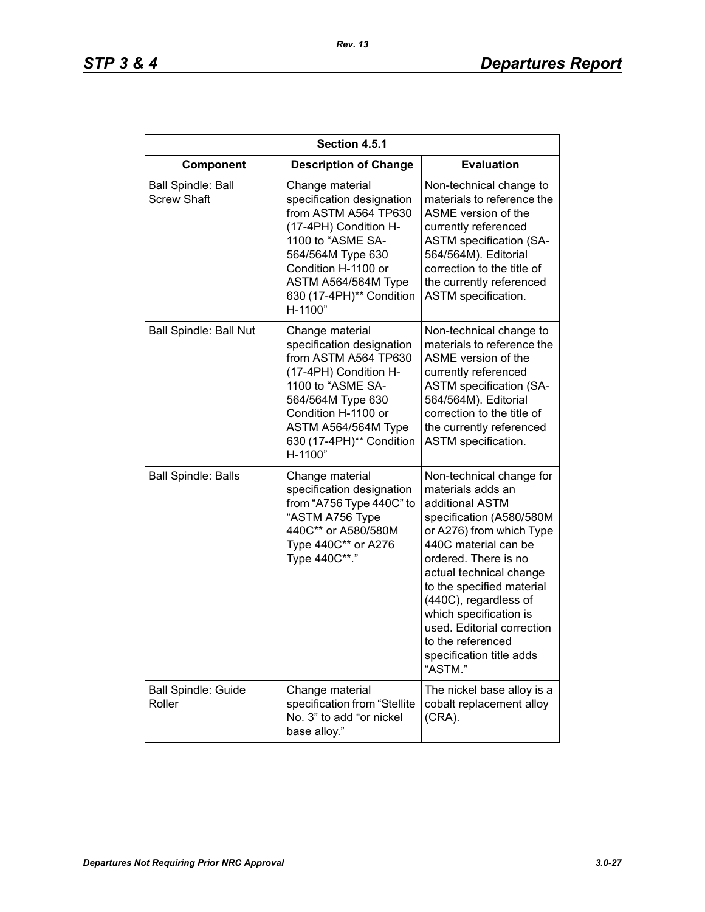| Section 4.5.1                                   |                                                                                                                                                                                                                              |                                                                                                                                                                                                                                                                                                                                                                               |  |
|-------------------------------------------------|------------------------------------------------------------------------------------------------------------------------------------------------------------------------------------------------------------------------------|-------------------------------------------------------------------------------------------------------------------------------------------------------------------------------------------------------------------------------------------------------------------------------------------------------------------------------------------------------------------------------|--|
| Component                                       | <b>Description of Change</b>                                                                                                                                                                                                 | <b>Evaluation</b>                                                                                                                                                                                                                                                                                                                                                             |  |
| <b>Ball Spindle: Ball</b><br><b>Screw Shaft</b> | Change material<br>specification designation<br>from ASTM A564 TP630<br>(17-4PH) Condition H-<br>1100 to "ASME SA-<br>564/564M Type 630<br>Condition H-1100 or<br>ASTM A564/564M Type<br>630 (17-4PH)** Condition<br>H-1100" | Non-technical change to<br>materials to reference the<br>ASME version of the<br>currently referenced<br><b>ASTM specification (SA-</b><br>564/564M). Editorial<br>correction to the title of<br>the currently referenced<br>ASTM specification.                                                                                                                               |  |
| <b>Ball Spindle: Ball Nut</b>                   | Change material<br>specification designation<br>from ASTM A564 TP630<br>(17-4PH) Condition H-<br>1100 to "ASME SA-<br>564/564M Type 630<br>Condition H-1100 or<br>ASTM A564/564M Type<br>630 (17-4PH)** Condition<br>H-1100" | Non-technical change to<br>materials to reference the<br>ASME version of the<br>currently referenced<br><b>ASTM specification (SA-</b><br>564/564M). Editorial<br>correction to the title of<br>the currently referenced<br><b>ASTM</b> specification.                                                                                                                        |  |
| <b>Ball Spindle: Balls</b>                      | Change material<br>specification designation<br>from "A756 Type 440C" to<br>"ASTM A756 Type<br>440C** or A580/580M<br>Type 440C** or A276<br>Type 440C**."                                                                   | Non-technical change for<br>materials adds an<br>additional ASTM<br>specification (A580/580M<br>or A276) from which Type<br>440C material can be<br>ordered. There is no<br>actual technical change<br>to the specified material<br>(440C), regardless of<br>which specification is<br>used. Editorial correction<br>to the referenced<br>specification title adds<br>"ASTM." |  |
| <b>Ball Spindle: Guide</b><br>Roller            | Change material<br>specification from "Stellite<br>No. 3" to add "or nickel<br>base alloy."                                                                                                                                  | The nickel base alloy is a<br>cobalt replacement alloy<br>(CRA).                                                                                                                                                                                                                                                                                                              |  |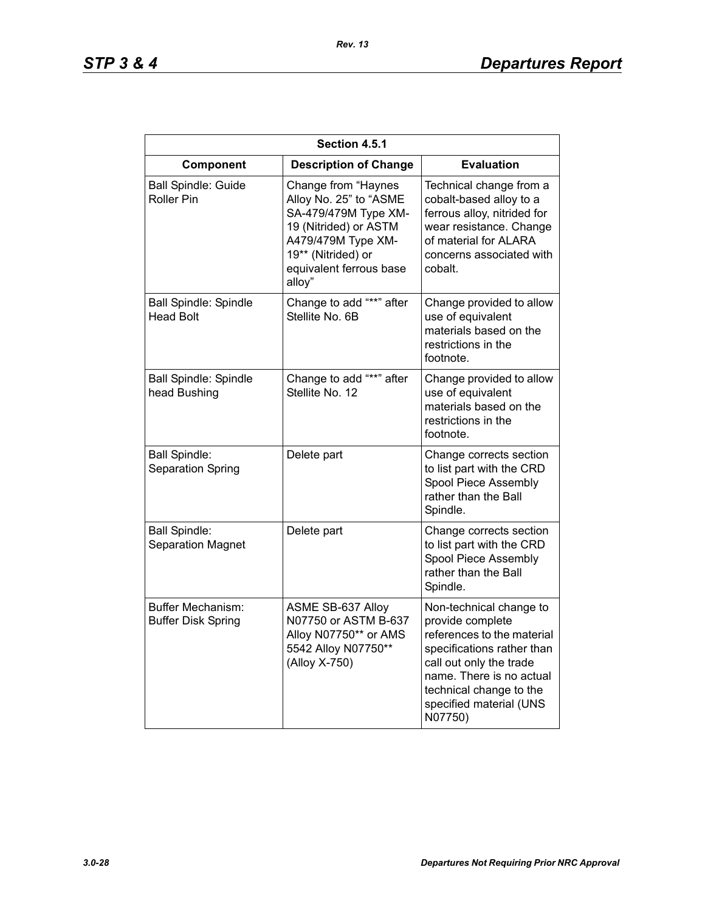| Section 4.5.1                                    |                                                                                                                                                                                 |                                                                                                                                                                                                                                 |
|--------------------------------------------------|---------------------------------------------------------------------------------------------------------------------------------------------------------------------------------|---------------------------------------------------------------------------------------------------------------------------------------------------------------------------------------------------------------------------------|
| Component                                        | <b>Description of Change</b>                                                                                                                                                    | <b>Evaluation</b>                                                                                                                                                                                                               |
| <b>Ball Spindle: Guide</b><br>Roller Pin         | Change from "Haynes<br>Alloy No. 25" to "ASME<br>SA-479/479M Type XM-<br>19 (Nitrided) or ASTM<br>A479/479M Type XM-<br>19** (Nitrided) or<br>equivalent ferrous base<br>alloy" | Technical change from a<br>cobalt-based alloy to a<br>ferrous alloy, nitrided for<br>wear resistance. Change<br>of material for ALARA<br>concerns associated with<br>cobalt.                                                    |
| <b>Ball Spindle: Spindle</b><br><b>Head Bolt</b> | Change to add "**" after<br>Stellite No. 6B                                                                                                                                     | Change provided to allow<br>use of equivalent<br>materials based on the<br>restrictions in the<br>footnote.                                                                                                                     |
| <b>Ball Spindle: Spindle</b><br>head Bushing     | Change to add "**" after<br>Stellite No. 12                                                                                                                                     | Change provided to allow<br>use of equivalent<br>materials based on the<br>restrictions in the<br>footnote.                                                                                                                     |
| <b>Ball Spindle:</b><br>Separation Spring        | Delete part                                                                                                                                                                     | Change corrects section<br>to list part with the CRD<br>Spool Piece Assembly<br>rather than the Ball<br>Spindle.                                                                                                                |
| <b>Ball Spindle:</b><br><b>Separation Magnet</b> | Delete part                                                                                                                                                                     | Change corrects section<br>to list part with the CRD<br>Spool Piece Assembly<br>rather than the Ball<br>Spindle.                                                                                                                |
| Buffer Mechanism:<br><b>Buffer Disk Spring</b>   | ASME SB-637 Alloy<br>N07750 or ASTM B-637<br>Alloy N07750** or AMS<br>5542 Alloy N07750**<br>(Alloy X-750)                                                                      | Non-technical change to<br>provide complete<br>references to the material<br>specifications rather than<br>call out only the trade<br>name. There is no actual<br>technical change to the<br>specified material (UNS<br>N07750) |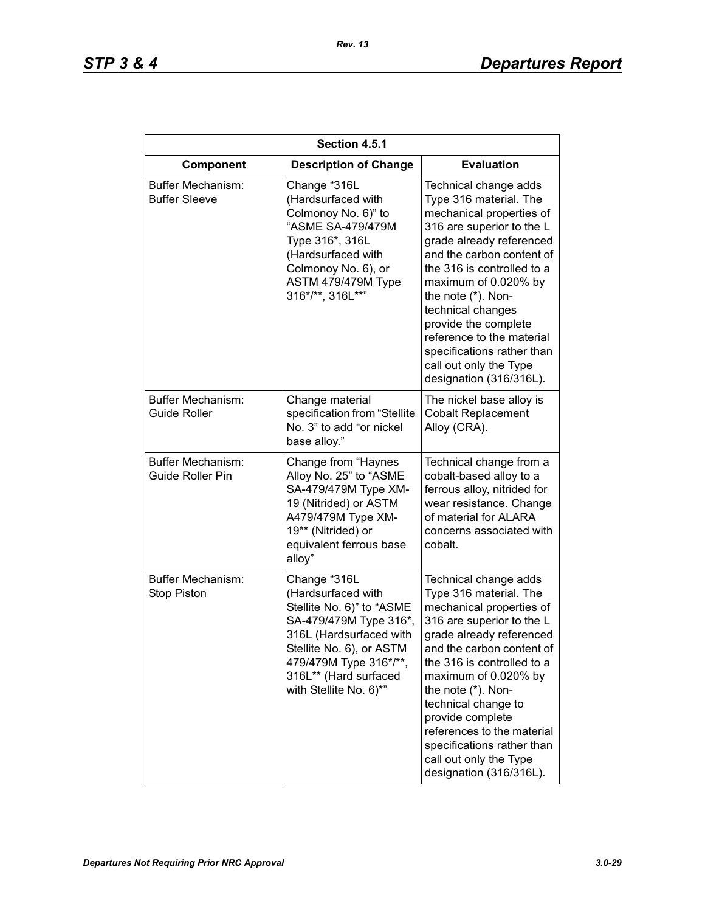| Section 4.5.1                                  |                                                                                                                                                                                                                               |                                                                                                                                                                                                                                                                                                                                                                                                            |  |
|------------------------------------------------|-------------------------------------------------------------------------------------------------------------------------------------------------------------------------------------------------------------------------------|------------------------------------------------------------------------------------------------------------------------------------------------------------------------------------------------------------------------------------------------------------------------------------------------------------------------------------------------------------------------------------------------------------|--|
| Component                                      | <b>Description of Change</b>                                                                                                                                                                                                  | <b>Evaluation</b>                                                                                                                                                                                                                                                                                                                                                                                          |  |
| Buffer Mechanism:<br><b>Buffer Sleeve</b>      | Change "316L<br>(Hardsurfaced with<br>Colmonoy No. 6)" to<br>"ASME SA-479/479M<br>Type 316*, 316L<br>(Hardsurfaced with<br>Colmonoy No. 6), or<br>ASTM 479/479M Type<br>316*/**, 316L**"                                      | Technical change adds<br>Type 316 material. The<br>mechanical properties of<br>316 are superior to the L<br>grade already referenced<br>and the carbon content of<br>the 316 is controlled to a<br>maximum of 0.020% by<br>the note (*). Non-<br>technical changes<br>provide the complete<br>reference to the material<br>specifications rather than<br>call out only the Type<br>designation (316/316L). |  |
| Buffer Mechanism:<br><b>Guide Roller</b>       | Change material<br>specification from "Stellite<br>No. 3" to add "or nickel<br>base alloy."                                                                                                                                   | The nickel base alloy is<br><b>Cobalt Replacement</b><br>Alloy (CRA).                                                                                                                                                                                                                                                                                                                                      |  |
| <b>Buffer Mechanism:</b><br>Guide Roller Pin   | Change from "Haynes<br>Alloy No. 25" to "ASME<br>SA-479/479M Type XM-<br>19 (Nitrided) or ASTM<br>A479/479M Type XM-<br>19** (Nitrided) or<br>equivalent ferrous base<br>alloy"                                               | Technical change from a<br>cobalt-based alloy to a<br>ferrous alloy, nitrided for<br>wear resistance. Change<br>of material for ALARA<br>concerns associated with<br>cobalt.                                                                                                                                                                                                                               |  |
| <b>Buffer Mechanism:</b><br><b>Stop Piston</b> | Change "316L<br>(Hardsurfaced with<br>Stellite No. 6)" to "ASME<br>SA-479/479M Type 316*,<br>316L (Hardsurfaced with<br>Stellite No. 6), or ASTM<br>479/479M Type 316*/**,<br>316L** (Hard surfaced<br>with Stellite No. 6)*" | Technical change adds<br>Type 316 material. The<br>mechanical properties of<br>316 are superior to the L<br>grade already referenced<br>and the carbon content of<br>the 316 is controlled to a<br>maximum of 0.020% by<br>the note (*). Non-<br>technical change to<br>provide complete<br>references to the material<br>specifications rather than<br>call out only the Type<br>designation (316/316L).  |  |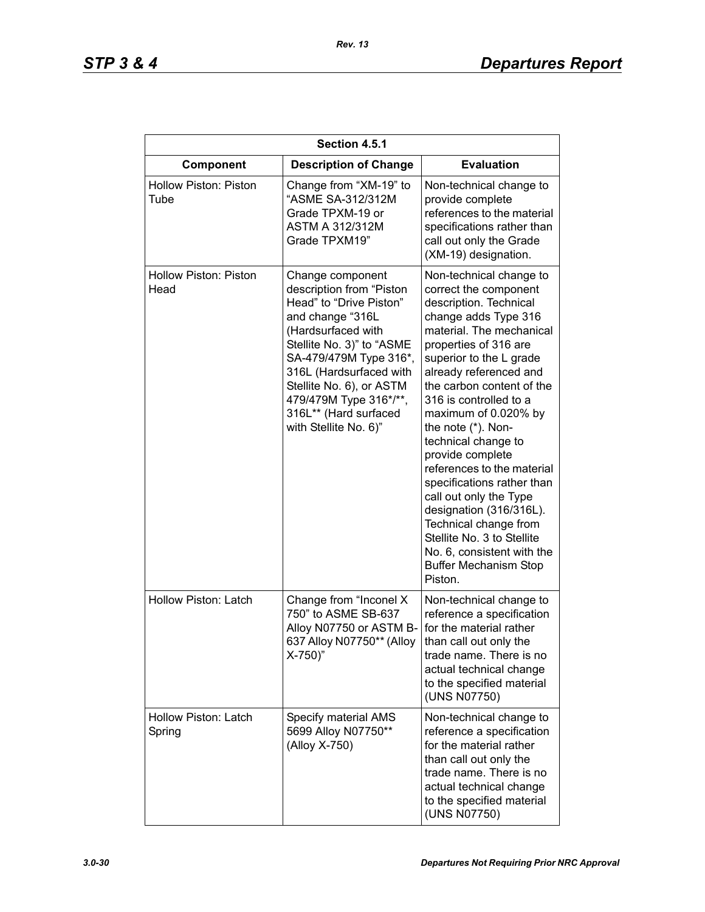| Section 4.5.1                        |                                                                                                                                                                                                                                                                                                             |                                                                                                                                                                                                                                                                                                                                                                                                                                                                                                                                                                                                               |  |
|--------------------------------------|-------------------------------------------------------------------------------------------------------------------------------------------------------------------------------------------------------------------------------------------------------------------------------------------------------------|---------------------------------------------------------------------------------------------------------------------------------------------------------------------------------------------------------------------------------------------------------------------------------------------------------------------------------------------------------------------------------------------------------------------------------------------------------------------------------------------------------------------------------------------------------------------------------------------------------------|--|
| Component                            | <b>Description of Change</b>                                                                                                                                                                                                                                                                                | <b>Evaluation</b>                                                                                                                                                                                                                                                                                                                                                                                                                                                                                                                                                                                             |  |
| <b>Hollow Piston: Piston</b><br>Tube | Change from "XM-19" to<br>"ASME SA-312/312M<br>Grade TPXM-19 or<br><b>ASTM A 312/312M</b><br>Grade TPXM19"                                                                                                                                                                                                  | Non-technical change to<br>provide complete<br>references to the material<br>specifications rather than<br>call out only the Grade<br>(XM-19) designation.                                                                                                                                                                                                                                                                                                                                                                                                                                                    |  |
| Hollow Piston: Piston<br>Head        | Change component<br>description from "Piston<br>Head" to "Drive Piston"<br>and change "316L<br>(Hardsurfaced with<br>Stellite No. 3)" to "ASME<br>SA-479/479M Type 316*,<br>316L (Hardsurfaced with<br>Stellite No. 6), or ASTM<br>479/479M Type 316*/**,<br>316L** (Hard surfaced<br>with Stellite No. 6)" | Non-technical change to<br>correct the component<br>description. Technical<br>change adds Type 316<br>material. The mechanical<br>properties of 316 are<br>superior to the L grade<br>already referenced and<br>the carbon content of the<br>316 is controlled to a<br>maximum of 0.020% by<br>the note (*). Non-<br>technical change to<br>provide complete<br>references to the material<br>specifications rather than<br>call out only the Type<br>designation (316/316L).<br>Technical change from<br>Stellite No. 3 to Stellite<br>No. 6, consistent with the<br><b>Buffer Mechanism Stop</b><br>Piston. |  |
| Hollow Piston: Latch                 | Change from "Inconel X<br>750" to ASME SB-637<br>Alloy N07750 or ASTM B-<br>637 Alloy N07750** (Alloy<br>$X-750$                                                                                                                                                                                            | Non-technical change to<br>reference a specification<br>for the material rather<br>than call out only the<br>trade name. There is no<br>actual technical change<br>to the specified material<br>(UNS N07750)                                                                                                                                                                                                                                                                                                                                                                                                  |  |
| Hollow Piston: Latch<br>Spring       | Specify material AMS<br>5699 Alloy N07750**<br>(Alloy X-750)                                                                                                                                                                                                                                                | Non-technical change to<br>reference a specification<br>for the material rather<br>than call out only the<br>trade name. There is no<br>actual technical change<br>to the specified material<br>(UNS N07750)                                                                                                                                                                                                                                                                                                                                                                                                  |  |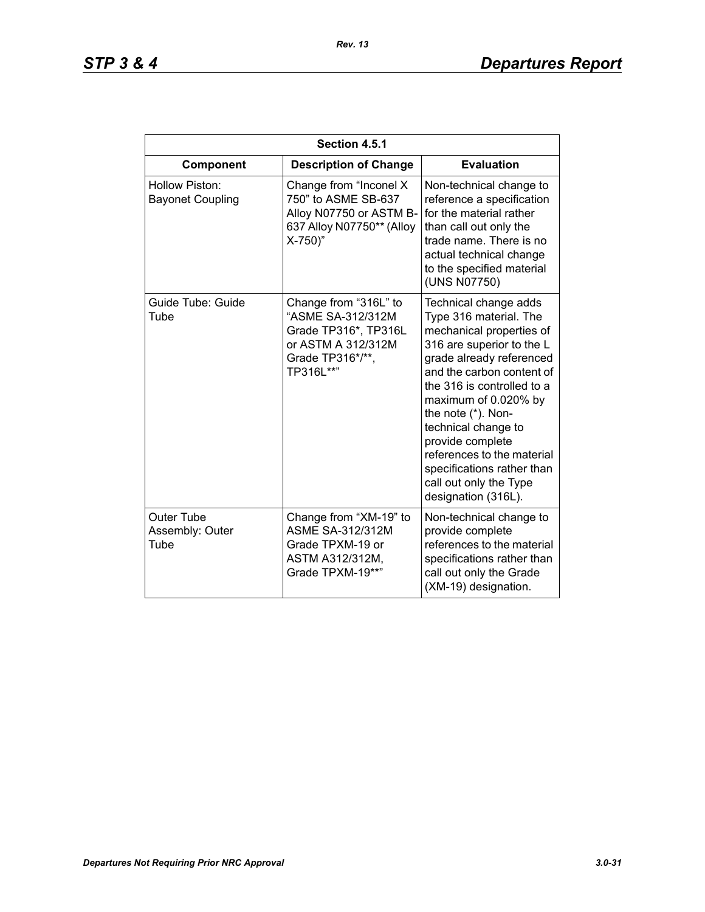| Section 4.5.1                                |                                                                                                                           |                                                                                                                                                                                                                                                                                                                                                                                                       |  |
|----------------------------------------------|---------------------------------------------------------------------------------------------------------------------------|-------------------------------------------------------------------------------------------------------------------------------------------------------------------------------------------------------------------------------------------------------------------------------------------------------------------------------------------------------------------------------------------------------|--|
| Component                                    | <b>Description of Change</b>                                                                                              | <b>Evaluation</b>                                                                                                                                                                                                                                                                                                                                                                                     |  |
| Hollow Piston:<br><b>Bayonet Coupling</b>    | Change from "Inconel X<br>750" to ASME SB-637<br>Alloy N07750 or ASTM B-<br>637 Alloy N07750** (Alloy<br>X-750)"          | Non-technical change to<br>reference a specification<br>for the material rather<br>than call out only the<br>trade name. There is no<br>actual technical change<br>to the specified material<br>(UNS N07750)                                                                                                                                                                                          |  |
| Guide Tube: Guide<br>Tube                    | Change from "316L" to<br>"ASME SA-312/312M<br>Grade TP316*, TP316L<br>or ASTM A 312/312M<br>Grade TP316*/**,<br>TP316L**" | Technical change adds<br>Type 316 material. The<br>mechanical properties of<br>316 are superior to the L<br>grade already referenced<br>and the carbon content of<br>the 316 is controlled to a<br>maximum of 0.020% by<br>the note (*). Non-<br>technical change to<br>provide complete<br>references to the material<br>specifications rather than<br>call out only the Type<br>designation (316L). |  |
| <b>Outer Tube</b><br>Assembly: Outer<br>Tube | Change from "XM-19" to<br><b>ASME SA-312/312M</b><br>Grade TPXM-19 or<br>ASTM A312/312M,<br>Grade TPXM-19**"              | Non-technical change to<br>provide complete<br>references to the material<br>specifications rather than<br>call out only the Grade<br>(XM-19) designation.                                                                                                                                                                                                                                            |  |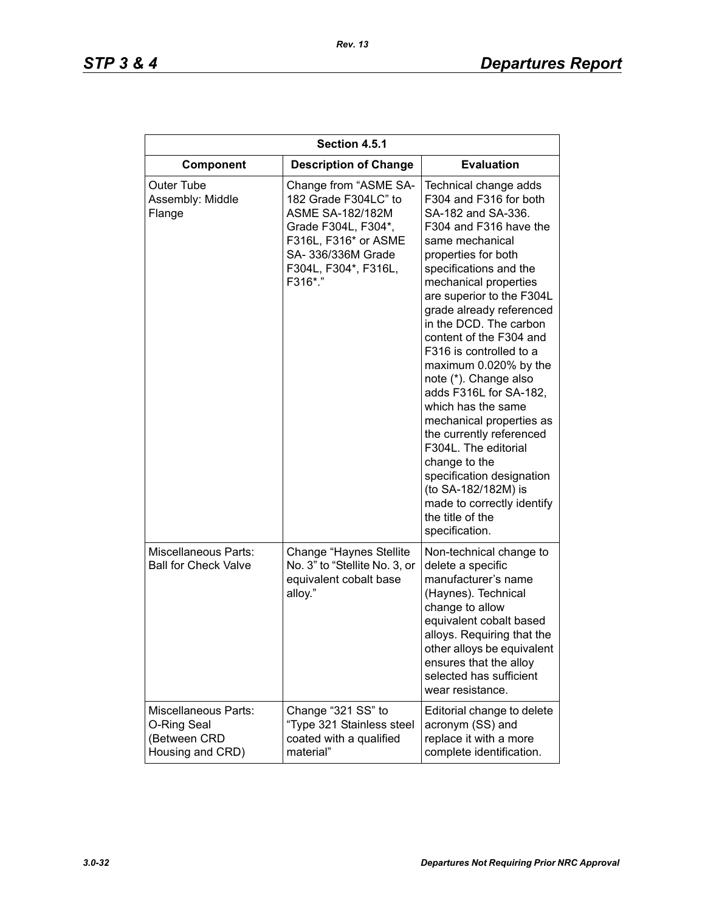| Section 4.5.1                                                                  |                                                                                                                                                                                  |                                                                                                                                                                                                                                                                                                                                                                                                                                                                                                                                                                                                                                                                  |  |
|--------------------------------------------------------------------------------|----------------------------------------------------------------------------------------------------------------------------------------------------------------------------------|------------------------------------------------------------------------------------------------------------------------------------------------------------------------------------------------------------------------------------------------------------------------------------------------------------------------------------------------------------------------------------------------------------------------------------------------------------------------------------------------------------------------------------------------------------------------------------------------------------------------------------------------------------------|--|
| Component                                                                      | <b>Description of Change</b>                                                                                                                                                     | <b>Evaluation</b>                                                                                                                                                                                                                                                                                                                                                                                                                                                                                                                                                                                                                                                |  |
| Outer Tube<br>Assembly: Middle<br>Flange                                       | Change from "ASME SA-<br>182 Grade F304LC" to<br><b>ASME SA-182/182M</b><br>Grade F304L, F304*,<br>F316L, F316* or ASME<br>SA- 336/336M Grade<br>F304L, F304*, F316L,<br>F316*." | Technical change adds<br>F304 and F316 for both<br>SA-182 and SA-336.<br>F304 and F316 have the<br>same mechanical<br>properties for both<br>specifications and the<br>mechanical properties<br>are superior to the F304L<br>grade already referenced<br>in the DCD. The carbon<br>content of the F304 and<br>F316 is controlled to a<br>maximum 0.020% by the<br>note (*). Change also<br>adds F316L for SA-182,<br>which has the same<br>mechanical properties as<br>the currently referenced<br>F304L. The editorial<br>change to the<br>specification designation<br>(to SA-182/182M) is<br>made to correctly identify<br>the title of the<br>specification. |  |
| <b>Miscellaneous Parts:</b><br><b>Ball for Check Valve</b>                     | Change "Haynes Stellite<br>No. 3" to "Stellite No. 3, or<br>equivalent cobalt base<br>alloy."                                                                                    | Non-technical change to<br>delete a specific<br>manufacturer's name<br>(Haynes). Technical<br>change to allow<br>equivalent cobalt based<br>alloys. Requiring that the<br>other alloys be equivalent<br>ensures that the alloy<br>selected has sufficient<br>wear resistance.                                                                                                                                                                                                                                                                                                                                                                                    |  |
| <b>Miscellaneous Parts:</b><br>O-Ring Seal<br>(Between CRD<br>Housing and CRD) | Change "321 SS" to<br>"Type 321 Stainless steel<br>coated with a qualified<br>material"                                                                                          | Editorial change to delete<br>acronym (SS) and<br>replace it with a more<br>complete identification.                                                                                                                                                                                                                                                                                                                                                                                                                                                                                                                                                             |  |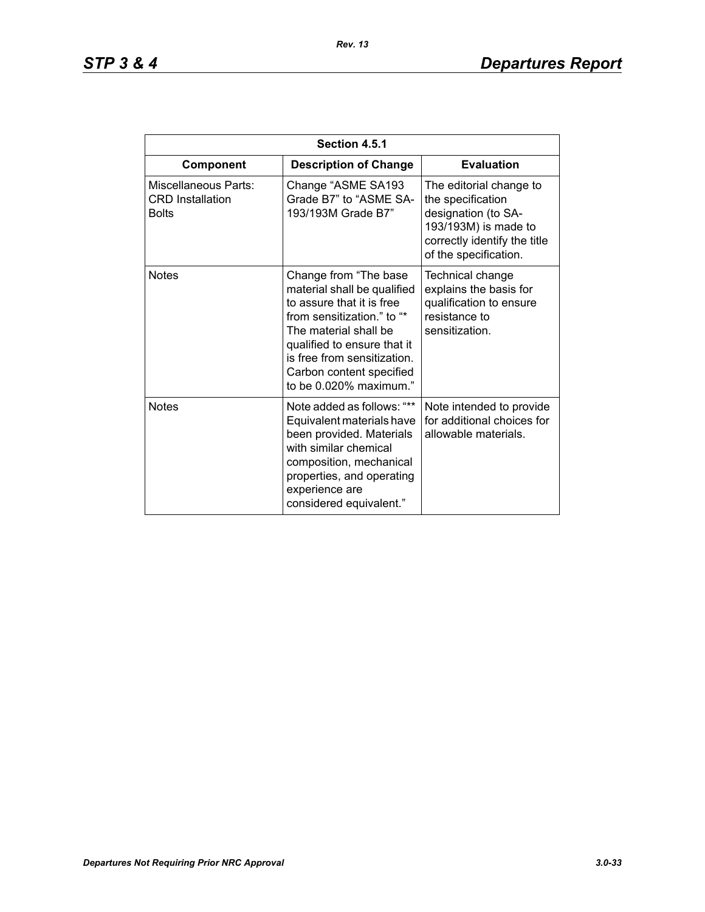| Section 4.5.1                                                   |                                                                                                                                                                                                                                                              |                                                                                                                                                      |  |
|-----------------------------------------------------------------|--------------------------------------------------------------------------------------------------------------------------------------------------------------------------------------------------------------------------------------------------------------|------------------------------------------------------------------------------------------------------------------------------------------------------|--|
| Component                                                       | <b>Description of Change</b>                                                                                                                                                                                                                                 | <b>Evaluation</b>                                                                                                                                    |  |
| Miscellaneous Parts:<br><b>CRD</b> Installation<br><b>Bolts</b> | Change "ASME SA193<br>Grade B7" to "ASME SA-<br>193/193M Grade B7"                                                                                                                                                                                           | The editorial change to<br>the specification<br>designation (to SA-<br>193/193M) is made to<br>correctly identify the title<br>of the specification. |  |
| <b>Notes</b>                                                    | Change from "The base<br>material shall be qualified<br>to assure that it is free<br>from sensitization." to "*<br>The material shall be<br>qualified to ensure that it<br>is free from sensitization.<br>Carbon content specified<br>to be 0.020% maximum." | Technical change<br>explains the basis for<br>qualification to ensure<br>resistance to<br>sensitization.                                             |  |
| <b>Notes</b>                                                    | Note added as follows: "**<br>Equivalent materials have<br>been provided. Materials<br>with similar chemical<br>composition, mechanical<br>properties, and operating<br>experience are<br>considered equivalent."                                            | Note intended to provide<br>for additional choices for<br>allowable materials.                                                                       |  |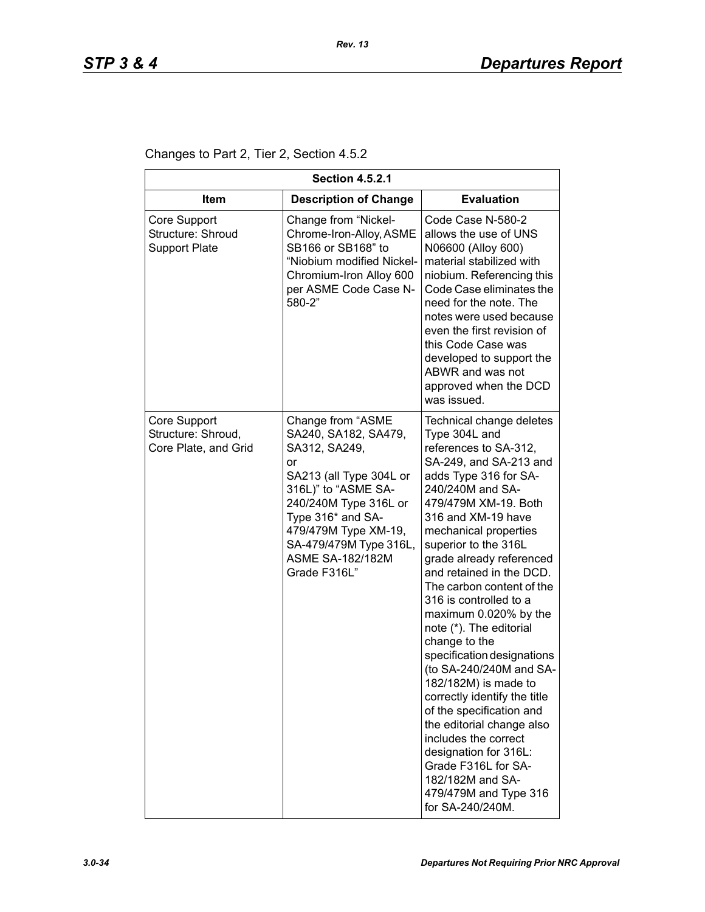Changes to Part 2, Tier 2, Section 4.5.2

| <b>Section 4.5.2.1</b>                                     |                                                                                                                                                                                                                                                               |                                                                                                                                                                                                                                                                                                                                                                                                                                                                                                                                                                                                                                                                                                                                                 |
|------------------------------------------------------------|---------------------------------------------------------------------------------------------------------------------------------------------------------------------------------------------------------------------------------------------------------------|-------------------------------------------------------------------------------------------------------------------------------------------------------------------------------------------------------------------------------------------------------------------------------------------------------------------------------------------------------------------------------------------------------------------------------------------------------------------------------------------------------------------------------------------------------------------------------------------------------------------------------------------------------------------------------------------------------------------------------------------------|
| <b>Item</b>                                                | <b>Description of Change</b>                                                                                                                                                                                                                                  | <b>Evaluation</b>                                                                                                                                                                                                                                                                                                                                                                                                                                                                                                                                                                                                                                                                                                                               |
| Core Support<br>Structure: Shroud<br><b>Support Plate</b>  | Change from "Nickel-<br>Chrome-Iron-Alloy, ASME<br>SB166 or SB168" to<br>"Niobium modified Nickel-<br>Chromium-Iron Alloy 600<br>per ASME Code Case N-<br>580-2"                                                                                              | Code Case N-580-2<br>allows the use of UNS<br>N06600 (Alloy 600)<br>material stabilized with<br>niobium. Referencing this<br>Code Case eliminates the<br>need for the note. The<br>notes were used because<br>even the first revision of<br>this Code Case was<br>developed to support the<br>ABWR and was not<br>approved when the DCD<br>was issued.                                                                                                                                                                                                                                                                                                                                                                                          |
| Core Support<br>Structure: Shroud,<br>Core Plate, and Grid | Change from "ASME<br>SA240, SA182, SA479,<br>SA312, SA249,<br>or<br>SA213 (all Type 304L or<br>316L)" to "ASME SA-<br>240/240M Type 316L or<br>Type 316* and SA-<br>479/479M Type XM-19,<br>SA-479/479M Type 316L,<br><b>ASME SA-182/182M</b><br>Grade F316L" | Technical change deletes<br>Type 304L and<br>references to SA-312,<br>SA-249, and SA-213 and<br>adds Type 316 for SA-<br>240/240M and SA-<br>479/479M XM-19. Both<br>316 and XM-19 have<br>mechanical properties<br>superior to the 316L<br>grade already referenced<br>and retained in the DCD.<br>The carbon content of the<br>316 is controlled to a<br>maximum 0.020% by the<br>note (*). The editorial<br>change to the<br>specification designations<br>(to SA-240/240M and SA-<br>182/182M) is made to<br>correctly identify the title<br>of the specification and<br>the editorial change also<br>includes the correct<br>designation for 316L:<br>Grade F316L for SA-<br>182/182M and SA-<br>479/479M and Type 316<br>for SA-240/240M. |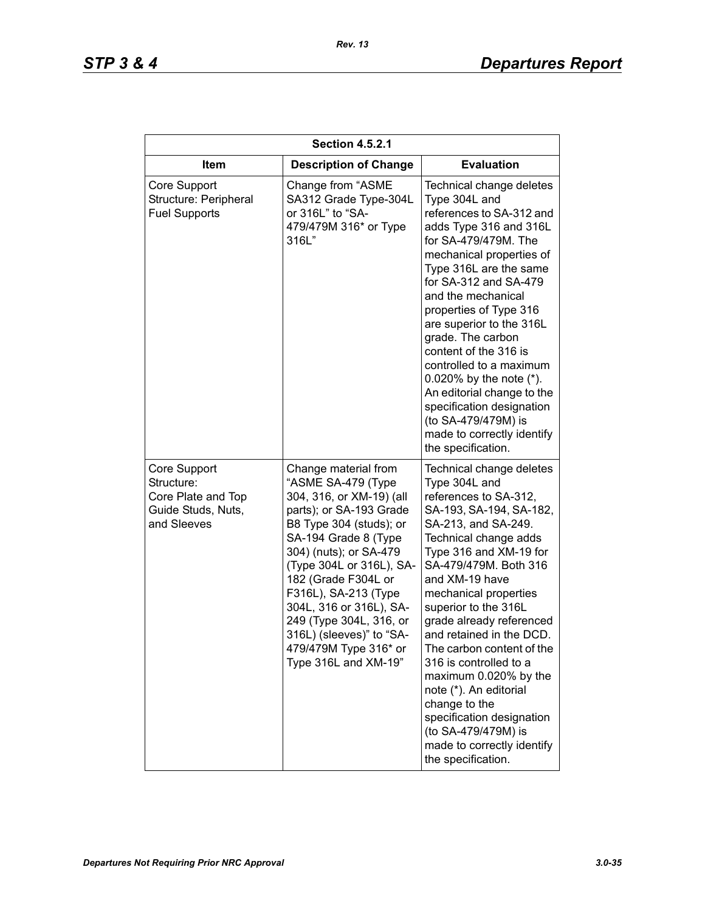| <b>Section 4.5.2.1</b>                                                                |                                                                                                                                                                                                                                                                                                                                                                                              |                                                                                                                                                                                                                                                                                                                                                                                                                                                                                                                                                                |  |
|---------------------------------------------------------------------------------------|----------------------------------------------------------------------------------------------------------------------------------------------------------------------------------------------------------------------------------------------------------------------------------------------------------------------------------------------------------------------------------------------|----------------------------------------------------------------------------------------------------------------------------------------------------------------------------------------------------------------------------------------------------------------------------------------------------------------------------------------------------------------------------------------------------------------------------------------------------------------------------------------------------------------------------------------------------------------|--|
| <b>Item</b>                                                                           | <b>Description of Change</b>                                                                                                                                                                                                                                                                                                                                                                 | <b>Evaluation</b>                                                                                                                                                                                                                                                                                                                                                                                                                                                                                                                                              |  |
| Core Support<br>Structure: Peripheral<br><b>Fuel Supports</b>                         | Change from "ASME<br>SA312 Grade Type-304L<br>or 316L" to "SA-<br>479/479M 316* or Type<br>316L"                                                                                                                                                                                                                                                                                             | Technical change deletes<br>Type 304L and<br>references to SA-312 and<br>adds Type 316 and 316L<br>for SA-479/479M. The<br>mechanical properties of<br>Type 316L are the same<br>for SA-312 and SA-479<br>and the mechanical<br>properties of Type 316<br>are superior to the 316L<br>grade. The carbon<br>content of the 316 is<br>controlled to a maximum<br>0.020% by the note $(*)$ .<br>An editorial change to the<br>specification designation<br>(to SA-479/479M) is<br>made to correctly identify<br>the specification.                                |  |
| Core Support<br>Structure:<br>Core Plate and Top<br>Guide Studs, Nuts,<br>and Sleeves | Change material from<br>"ASME SA-479 (Type<br>304, 316, or XM-19) (all<br>parts); or SA-193 Grade<br>B8 Type 304 (studs); or<br>SA-194 Grade 8 (Type<br>304) (nuts); or SA-479<br>(Type 304L or 316L), SA-<br>182 (Grade F304L or<br>F316L), SA-213 (Type<br>304L, 316 or 316L), SA-<br>249 (Type 304L, 316, or<br>316L) (sleeves)" to "SA-<br>479/479M Type 316* or<br>Type 316L and XM-19" | Technical change deletes<br>Type 304L and<br>references to SA-312,<br>SA-193, SA-194, SA-182,<br>SA-213, and SA-249.<br>Technical change adds<br>Type 316 and XM-19 for<br>SA-479/479M. Both 316<br>and XM-19 have<br>mechanical properties<br>superior to the 316L<br>grade already referenced<br>and retained in the DCD.<br>The carbon content of the<br>316 is controlled to a<br>maximum 0.020% by the<br>note (*). An editorial<br>change to the<br>specification designation<br>(to SA-479/479M) is<br>made to correctly identify<br>the specification. |  |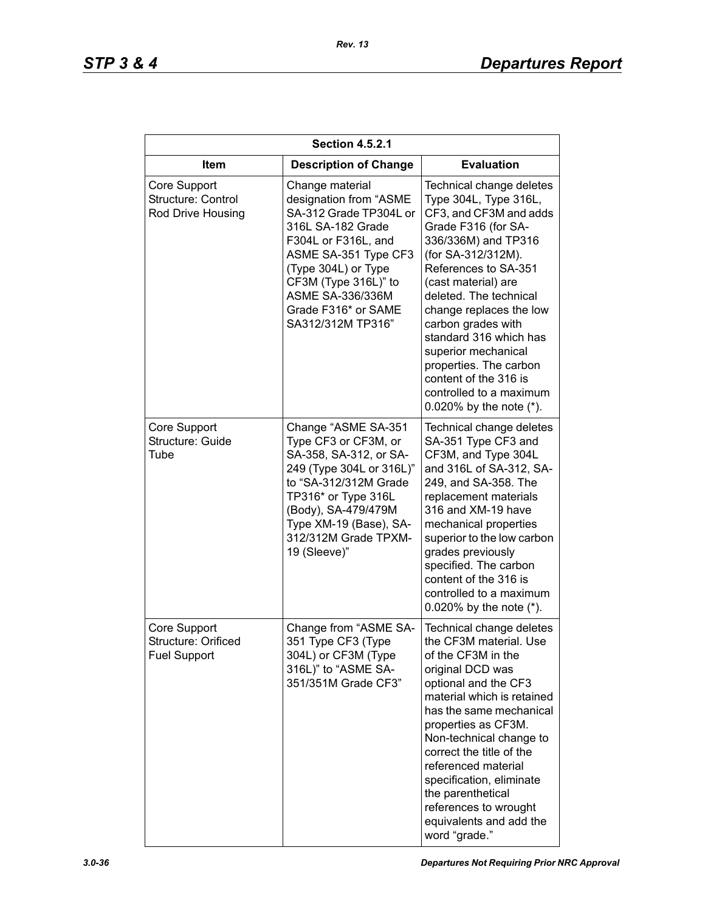| <b>Section 4.5.2.1</b>                                     |                                                                                                                                                                                                                                                        |                                                                                                                                                                                                                                                                                                                                                                                                                                        |  |
|------------------------------------------------------------|--------------------------------------------------------------------------------------------------------------------------------------------------------------------------------------------------------------------------------------------------------|----------------------------------------------------------------------------------------------------------------------------------------------------------------------------------------------------------------------------------------------------------------------------------------------------------------------------------------------------------------------------------------------------------------------------------------|--|
| <b>Item</b>                                                | <b>Description of Change</b>                                                                                                                                                                                                                           | <b>Evaluation</b>                                                                                                                                                                                                                                                                                                                                                                                                                      |  |
| Core Support<br>Structure: Control<br>Rod Drive Housing    | Change material<br>designation from "ASME<br>SA-312 Grade TP304L or<br>316L SA-182 Grade<br>F304L or F316L, and<br>ASME SA-351 Type CF3<br>(Type 304L) or Type<br>CF3M (Type 316L)" to<br>ASME SA-336/336M<br>Grade F316* or SAME<br>SA312/312M TP316" | Technical change deletes<br>Type 304L, Type 316L,<br>CF3, and CF3M and adds<br>Grade F316 (for SA-<br>336/336M) and TP316<br>(for SA-312/312M).<br>References to SA-351<br>(cast material) are<br>deleted. The technical<br>change replaces the low<br>carbon grades with<br>standard 316 which has<br>superior mechanical<br>properties. The carbon<br>content of the 316 is<br>controlled to a maximum<br>0.020% by the note $(*)$ . |  |
| Core Support<br>Structure: Guide<br>Tube                   | Change "ASME SA-351<br>Type CF3 or CF3M, or<br>SA-358, SA-312, or SA-<br>249 (Type 304L or 316L)"<br>to "SA-312/312M Grade<br>TP316* or Type 316L<br>(Body), SA-479/479M<br>Type XM-19 (Base), SA-<br>312/312M Grade TPXM-<br>19 (Sleeve)"             | Technical change deletes<br>SA-351 Type CF3 and<br>CF3M, and Type 304L<br>and 316L of SA-312, SA-<br>249, and SA-358. The<br>replacement materials<br>316 and XM-19 have<br>mechanical properties<br>superior to the low carbon<br>grades previously<br>specified. The carbon<br>content of the 316 is<br>controlled to a maximum<br>0.020% by the note $(*)$ .                                                                        |  |
| Core Support<br>Structure: Orificed<br><b>Fuel Support</b> | Change from "ASME SA-<br>351 Type CF3 (Type<br>304L) or CF3M (Type<br>316L)" to "ASME SA-<br>351/351M Grade CF3"                                                                                                                                       | Technical change deletes<br>the CF3M material. Use<br>of the CF3M in the<br>original DCD was<br>optional and the CF3<br>material which is retained<br>has the same mechanical<br>properties as CF3M.<br>Non-technical change to<br>correct the title of the<br>referenced material<br>specification, eliminate<br>the parenthetical<br>references to wrought<br>equivalents and add the<br>word "grade."                               |  |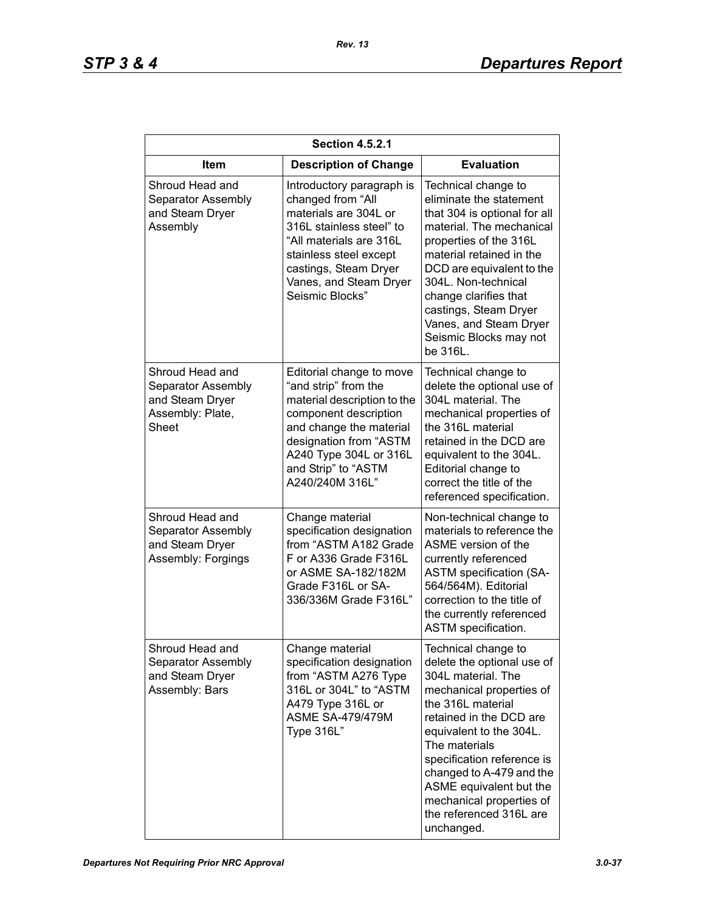| <b>Section 4.5.2.1</b>                                                                |                                                                                                                                                                                                                                   |                                                                                                                                                                                                                                                                                                                                                           |  |
|---------------------------------------------------------------------------------------|-----------------------------------------------------------------------------------------------------------------------------------------------------------------------------------------------------------------------------------|-----------------------------------------------------------------------------------------------------------------------------------------------------------------------------------------------------------------------------------------------------------------------------------------------------------------------------------------------------------|--|
| Item                                                                                  | <b>Description of Change</b>                                                                                                                                                                                                      | <b>Evaluation</b>                                                                                                                                                                                                                                                                                                                                         |  |
| Shroud Head and<br>Separator Assembly<br>and Steam Dryer<br>Assembly                  | Introductory paragraph is<br>changed from "All<br>materials are 304L or<br>316L stainless steel" to<br>"All materials are 316L<br>stainless steel except<br>castings, Steam Dryer<br>Vanes, and Steam Dryer<br>Seismic Blocks"    | Technical change to<br>eliminate the statement<br>that 304 is optional for all<br>material. The mechanical<br>properties of the 316L<br>material retained in the<br>DCD are equivalent to the<br>304L. Non-technical<br>change clarifies that<br>castings, Steam Dryer<br>Vanes, and Steam Dryer<br>Seismic Blocks may not<br>be 316L.                    |  |
| Shroud Head and<br>Separator Assembly<br>and Steam Dryer<br>Assembly: Plate,<br>Sheet | Editorial change to move<br>"and strip" from the<br>material description to the<br>component description<br>and change the material<br>designation from "ASTM<br>A240 Type 304L or 316L<br>and Strip" to "ASTM<br>A240/240M 316L" | Technical change to<br>delete the optional use of<br>304L material. The<br>mechanical properties of<br>the 316L material<br>retained in the DCD are<br>equivalent to the 304L.<br>Editorial change to<br>correct the title of the<br>referenced specification.                                                                                            |  |
| Shroud Head and<br>Separator Assembly<br>and Steam Dryer<br>Assembly: Forgings        | Change material<br>specification designation<br>from "ASTM A182 Grade<br>F or A336 Grade F316L<br>or ASME SA-182/182M<br>Grade F316L or SA-<br>336/336M Grade F316L"                                                              | Non-technical change to<br>materials to reference the<br>ASME version of the<br>currently referenced<br><b>ASTM specification (SA-</b><br>564/564M). Editorial<br>correction to the title of<br>the currently referenced<br>ASTM specification.                                                                                                           |  |
| Shroud Head and<br>Separator Assembly<br>and Steam Dryer<br>Assembly: Bars            | Change material<br>specification designation<br>from "ASTM A276 Type<br>316L or 304L" to "ASTM<br>A479 Type 316L or<br><b>ASME SA-479/479M</b><br>Type 316L"                                                                      | Technical change to<br>delete the optional use of<br>304L material. The<br>mechanical properties of<br>the 316L material<br>retained in the DCD are<br>equivalent to the 304L.<br>The materials<br>specification reference is<br>changed to A-479 and the<br>ASME equivalent but the<br>mechanical properties of<br>the referenced 316L are<br>unchanged. |  |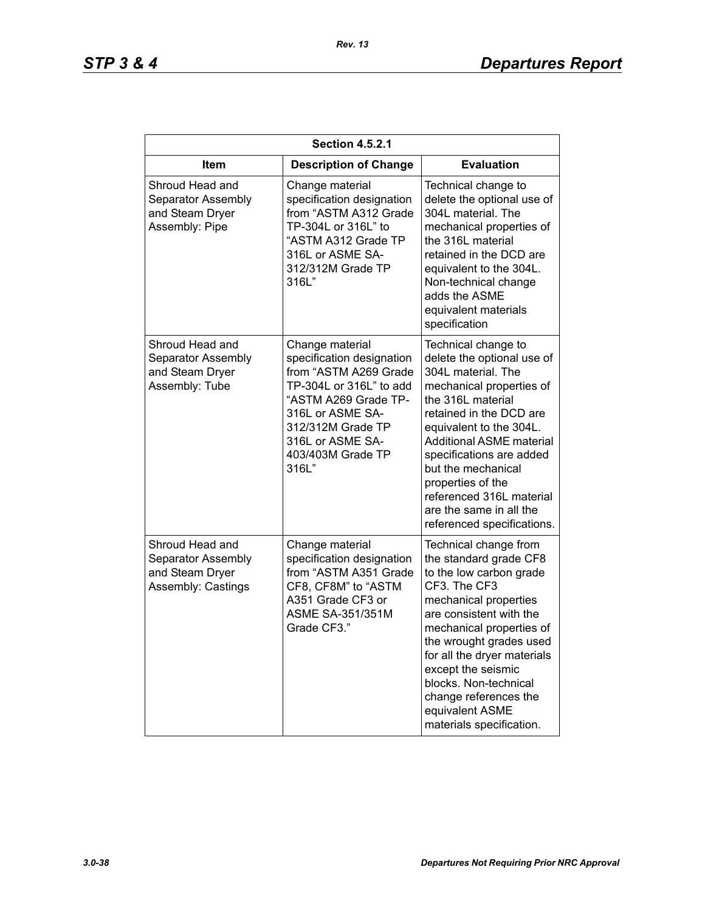| <b>Section 4.5.2.1</b>                                                         |                                                                                                                                                                                                                     |                                                                                                                                                                                                                                                                                                                                                                        |
|--------------------------------------------------------------------------------|---------------------------------------------------------------------------------------------------------------------------------------------------------------------------------------------------------------------|------------------------------------------------------------------------------------------------------------------------------------------------------------------------------------------------------------------------------------------------------------------------------------------------------------------------------------------------------------------------|
| <b>Item</b>                                                                    | <b>Description of Change</b>                                                                                                                                                                                        | <b>Evaluation</b>                                                                                                                                                                                                                                                                                                                                                      |
| Shroud Head and<br>Separator Assembly<br>and Steam Dryer<br>Assembly: Pipe     | Change material<br>specification designation<br>from "ASTM A312 Grade<br>TP-304L or 316L" to<br>"ASTM A312 Grade TP<br>316L or ASME SA-<br>312/312M Grade TP<br>316L"                                               | Technical change to<br>delete the optional use of<br>304L material. The<br>mechanical properties of<br>the 316L material<br>retained in the DCD are<br>equivalent to the 304L.<br>Non-technical change<br>adds the ASME<br>equivalent materials<br>specification                                                                                                       |
| Shroud Head and<br>Separator Assembly<br>and Steam Dryer<br>Assembly: Tube     | Change material<br>specification designation<br>from "ASTM A269 Grade<br>TP-304L or 316L" to add<br>"ASTM A269 Grade TP-<br>316L or ASME SA-<br>312/312M Grade TP<br>316L or ASME SA-<br>403/403M Grade TP<br>316L" | Technical change to<br>delete the optional use of<br>304L material. The<br>mechanical properties of<br>the 316L material<br>retained in the DCD are<br>equivalent to the 304L.<br>Additional ASME material<br>specifications are added<br>but the mechanical<br>properties of the<br>referenced 316L material<br>are the same in all the<br>referenced specifications. |
| Shroud Head and<br>Separator Assembly<br>and Steam Dryer<br>Assembly: Castings | Change material<br>specification designation<br>from "ASTM A351 Grade<br>CF8, CF8M" to "ASTM<br>A351 Grade CF3 or<br>ASME SA-351/351M<br>Grade CF3."                                                                | Technical change from<br>the standard grade CF8<br>to the low carbon grade<br>CF3. The CF3<br>mechanical properties<br>are consistent with the<br>mechanical properties of<br>the wrought grades used<br>for all the dryer materials<br>except the seismic<br>blocks. Non-technical<br>change references the<br>equivalent ASME<br>materials specification.            |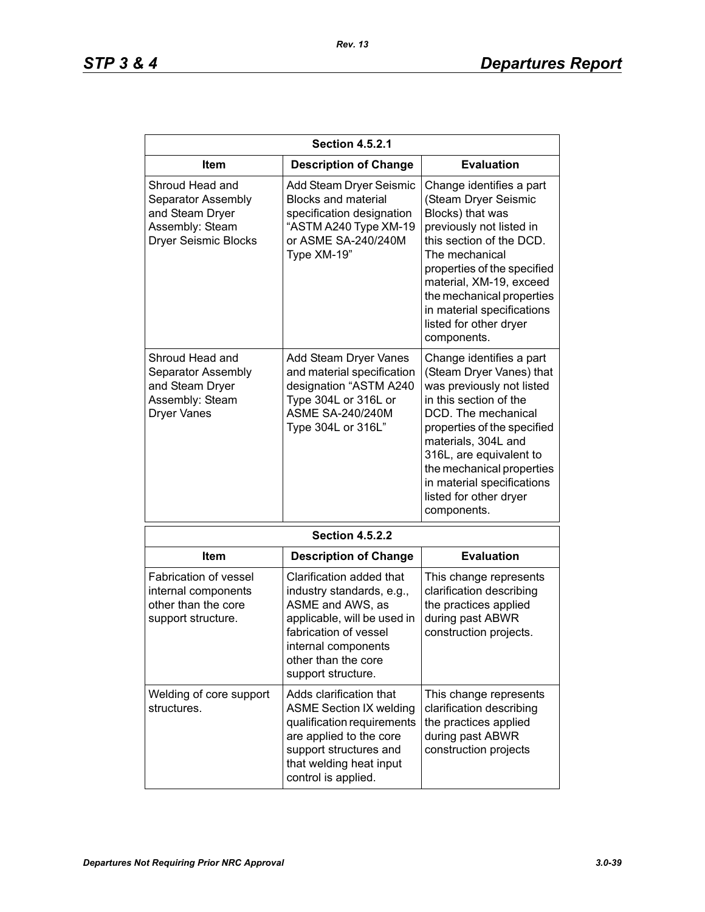| <b>Section 4.5.2.1</b>                                                                                     |                                                                                                                                                                                                       |                                                                                                                                                                                                                                                                                                                         |
|------------------------------------------------------------------------------------------------------------|-------------------------------------------------------------------------------------------------------------------------------------------------------------------------------------------------------|-------------------------------------------------------------------------------------------------------------------------------------------------------------------------------------------------------------------------------------------------------------------------------------------------------------------------|
| Item                                                                                                       | <b>Description of Change</b>                                                                                                                                                                          | <b>Evaluation</b>                                                                                                                                                                                                                                                                                                       |
| Shroud Head and<br>Separator Assembly<br>and Steam Dryer<br>Assembly: Steam<br><b>Dryer Seismic Blocks</b> | Add Steam Dryer Seismic<br><b>Blocks and material</b><br>specification designation<br>"ASTM A240 Type XM-19<br>or ASME SA-240/240M<br>Type XM-19"                                                     | Change identifies a part<br>(Steam Dryer Seismic<br>Blocks) that was<br>previously not listed in<br>this section of the DCD.<br>The mechanical<br>properties of the specified<br>material, XM-19, exceed<br>the mechanical properties<br>in material specifications<br>listed for other dryer<br>components.            |
| Shroud Head and<br>Separator Assembly<br>and Steam Dryer<br>Assembly: Steam<br><b>Dryer Vanes</b>          | Add Steam Dryer Vanes<br>and material specification<br>designation "ASTM A240<br>Type 304L or 316L or<br><b>ASME SA-240/240M</b><br>Type 304L or 316L"                                                | Change identifies a part<br>(Steam Dryer Vanes) that<br>was previously not listed<br>in this section of the<br>DCD. The mechanical<br>properties of the specified<br>materials, 304L and<br>316L, are equivalent to<br>the mechanical properties<br>in material specifications<br>listed for other dryer<br>components. |
|                                                                                                            | <b>Section 4.5.2.2</b>                                                                                                                                                                                |                                                                                                                                                                                                                                                                                                                         |
| Item                                                                                                       | <b>Description of Change</b>                                                                                                                                                                          | <b>Evaluation</b>                                                                                                                                                                                                                                                                                                       |
| Fabrication of vessel<br>internal components<br>other than the core<br>support structure.                  | Clarification added that<br>industry standards, e.g.,<br>ASME and AWS, as<br>applicable, will be used in<br>fabrication of vessel<br>internal components<br>other than the core<br>support structure. | This change represents<br>clarification describing<br>the practices applied<br>during past ABWR<br>construction projects.                                                                                                                                                                                               |
| Welding of core support<br>structures.                                                                     | Adds clarification that<br><b>ASME Section IX welding</b><br>qualification requirements<br>are applied to the core<br>support structures and<br>that welding heat input<br>control is applied.        | This change represents<br>clarification describing<br>the practices applied<br>during past ABWR<br>construction projects                                                                                                                                                                                                |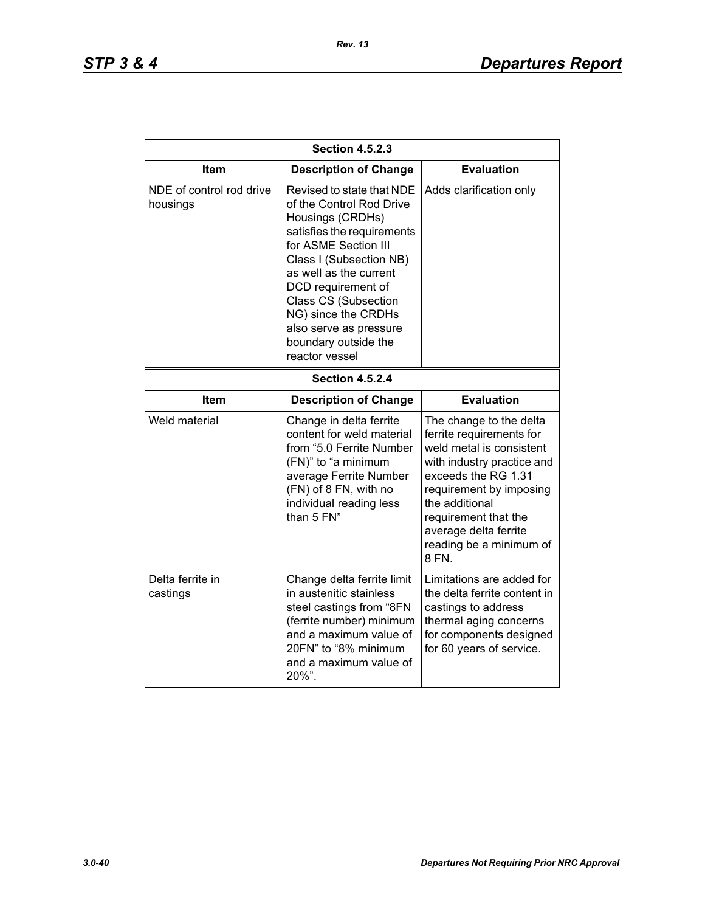*Rev. 13*

| <b>Section 4.5.2.3</b>               |                                                                                                                                                                                                                                                                                                                               |                                                                                                                                                                                                                                                                        |  |
|--------------------------------------|-------------------------------------------------------------------------------------------------------------------------------------------------------------------------------------------------------------------------------------------------------------------------------------------------------------------------------|------------------------------------------------------------------------------------------------------------------------------------------------------------------------------------------------------------------------------------------------------------------------|--|
| Item                                 | <b>Description of Change</b>                                                                                                                                                                                                                                                                                                  | <b>Evaluation</b>                                                                                                                                                                                                                                                      |  |
| NDE of control rod drive<br>housings | Revised to state that NDE<br>of the Control Rod Drive<br>Housings (CRDHs)<br>satisfies the requirements<br>for ASME Section III<br>Class I (Subsection NB)<br>as well as the current<br>DCD requirement of<br>Class CS (Subsection<br>NG) since the CRDHs<br>also serve as pressure<br>boundary outside the<br>reactor vessel | Adds clarification only                                                                                                                                                                                                                                                |  |
| <b>Section 4.5.2.4</b>               |                                                                                                                                                                                                                                                                                                                               |                                                                                                                                                                                                                                                                        |  |
| Item                                 | <b>Description of Change</b>                                                                                                                                                                                                                                                                                                  | <b>Evaluation</b>                                                                                                                                                                                                                                                      |  |
| Weld material                        | Change in delta ferrite<br>content for weld material<br>from "5.0 Ferrite Number<br>(FN)" to "a minimum<br>average Ferrite Number<br>(FN) of 8 FN, with no<br>individual reading less<br>than 5 FN"                                                                                                                           | The change to the delta<br>ferrite requirements for<br>weld metal is consistent<br>with industry practice and<br>exceeds the RG 1.31<br>requirement by imposing<br>the additional<br>requirement that the<br>average delta ferrite<br>reading be a minimum of<br>8 FN. |  |
| Delta ferrite in<br>castings         | Change delta ferrite limit<br>in austenitic stainless<br>steel castings from "8FN<br>(ferrite number) minimum<br>and a maximum value of<br>20FN" to "8% minimum<br>and a maximum value of<br>20%".                                                                                                                            | Limitations are added for<br>the delta ferrite content in<br>castings to address<br>thermal aging concerns<br>for components designed<br>for 60 years of service.                                                                                                      |  |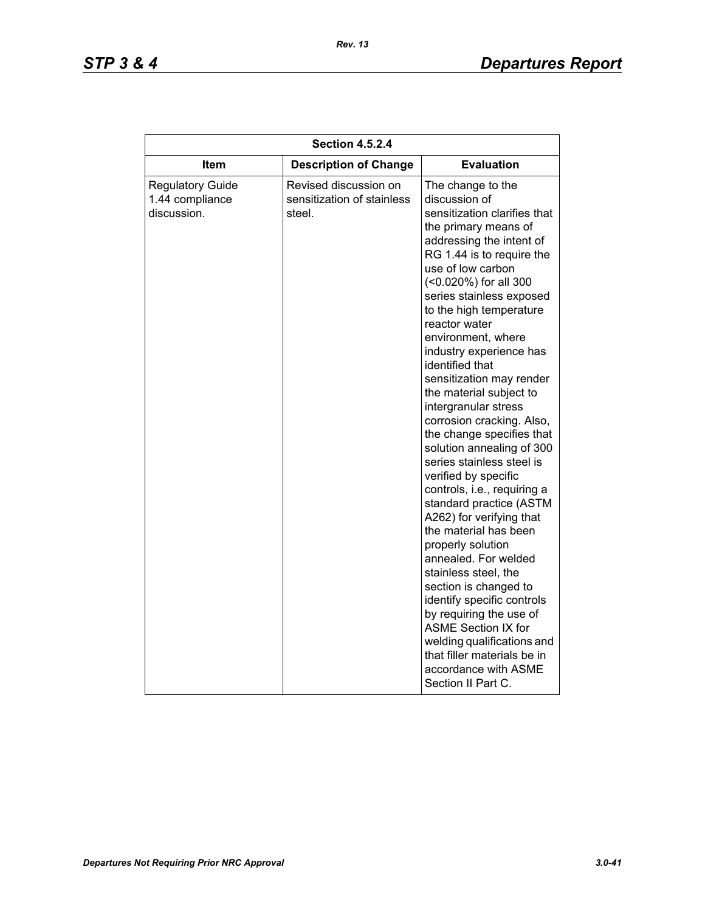| <b>Evaluation</b><br>Item<br><b>Description of Change</b><br>Revised discussion on<br><b>Regulatory Guide</b><br>The change to the<br>1.44 compliance<br>sensitization of stainless<br>discussion of<br>discussion.<br>steel.<br>the primary means of<br>addressing the intent of<br>use of low carbon                                                                                                                                                                       | <b>Section 4.5.2.4</b> |  |                                                                                                                                                                                                                                                                                                                                                                                          |
|------------------------------------------------------------------------------------------------------------------------------------------------------------------------------------------------------------------------------------------------------------------------------------------------------------------------------------------------------------------------------------------------------------------------------------------------------------------------------|------------------------|--|------------------------------------------------------------------------------------------------------------------------------------------------------------------------------------------------------------------------------------------------------------------------------------------------------------------------------------------------------------------------------------------|
|                                                                                                                                                                                                                                                                                                                                                                                                                                                                              |                        |  |                                                                                                                                                                                                                                                                                                                                                                                          |
| (<0.020%) for all 300<br>to the high temperature<br>reactor water<br>environment, where<br>identified that<br>the material subject to<br>intergranular stress<br>series stainless steel is<br>verified by specific<br>A262) for verifying that<br>the material has been<br>properly solution<br>annealed. For welded<br>stainless steel, the<br>section is changed to<br>by requiring the use of<br><b>ASME Section IX for</b><br>accordance with ASME<br>Section II Part C. |                        |  | sensitization clarifies that<br>RG 1.44 is to require the<br>series stainless exposed<br>industry experience has<br>sensitization may render<br>corrosion cracking. Also,<br>the change specifies that<br>solution annealing of 300<br>controls, i.e., requiring a<br>standard practice (ASTM<br>identify specific controls<br>welding qualifications and<br>that filler materials be in |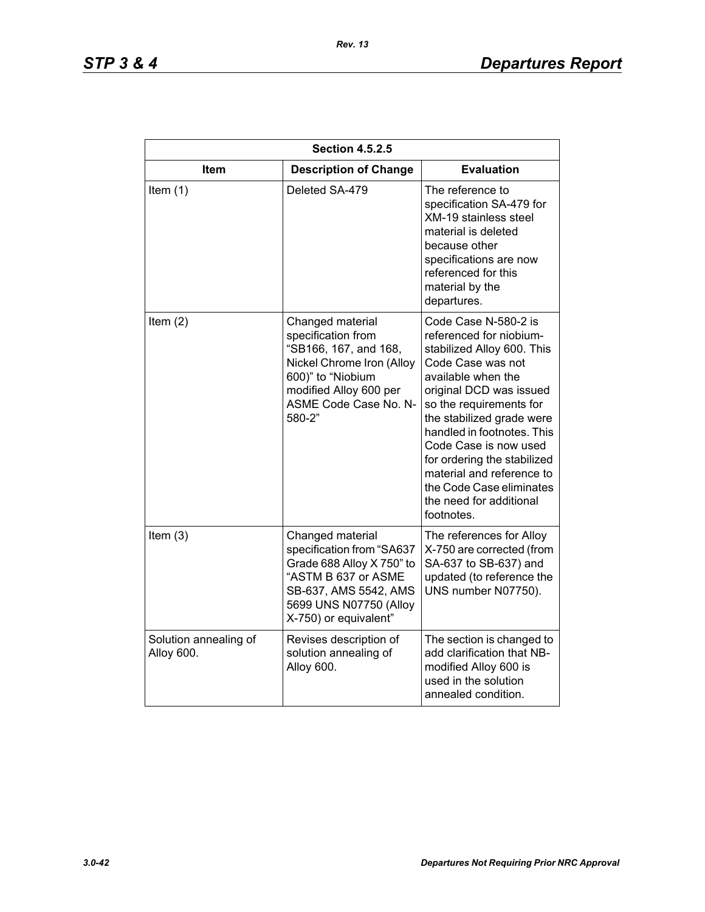| <b>Section 4.5.2.5</b>              |                                                                                                                                                                                |                                                                                                                                                                                                                                                                                                                                                                                                     |
|-------------------------------------|--------------------------------------------------------------------------------------------------------------------------------------------------------------------------------|-----------------------------------------------------------------------------------------------------------------------------------------------------------------------------------------------------------------------------------------------------------------------------------------------------------------------------------------------------------------------------------------------------|
| <b>Item</b>                         | <b>Description of Change</b>                                                                                                                                                   | <b>Evaluation</b>                                                                                                                                                                                                                                                                                                                                                                                   |
| Item $(1)$                          | Deleted SA-479                                                                                                                                                                 | The reference to<br>specification SA-479 for<br><b>XM-19 stainless steel</b><br>material is deleted<br>because other<br>specifications are now<br>referenced for this<br>material by the<br>departures.                                                                                                                                                                                             |
| Item $(2)$                          | Changed material<br>specification from<br>"SB166, 167, and 168,<br>Nickel Chrome Iron (Alloy<br>600)" to "Niobium<br>modified Alloy 600 per<br>ASME Code Case No. N-<br>580-2" | Code Case N-580-2 is<br>referenced for niobium-<br>stabilized Alloy 600. This<br>Code Case was not<br>available when the<br>original DCD was issued<br>so the requirements for<br>the stabilized grade were<br>handled in footnotes. This<br>Code Case is now used<br>for ordering the stabilized<br>material and reference to<br>the Code Case eliminates<br>the need for additional<br>footnotes. |
| Item $(3)$                          | Changed material<br>specification from "SA637<br>Grade 688 Alloy X 750" to<br>"ASTM B 637 or ASME<br>SB-637, AMS 5542, AMS<br>5699 UNS N07750 (Alloy<br>X-750) or equivalent"  | The references for Alloy<br>X-750 are corrected (from<br>SA-637 to SB-637) and<br>updated (to reference the<br>UNS number N07750).                                                                                                                                                                                                                                                                  |
| Solution annealing of<br>Alloy 600. | Revises description of<br>solution annealing of<br>Alloy 600.                                                                                                                  | The section is changed to<br>add clarification that NB-<br>modified Alloy 600 is<br>used in the solution<br>annealed condition.                                                                                                                                                                                                                                                                     |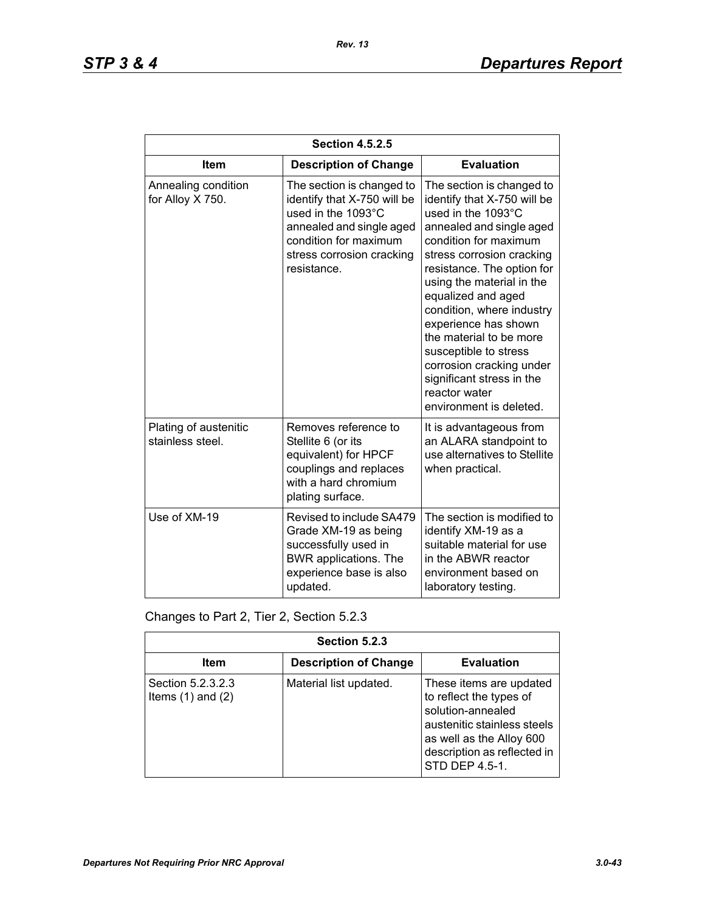| <b>Section 4.5.2.5</b>                    |                                                                                                                                                                                 |                                                                                                                                                                                                                                                                                                                                                                                                                                                                 |
|-------------------------------------------|---------------------------------------------------------------------------------------------------------------------------------------------------------------------------------|-----------------------------------------------------------------------------------------------------------------------------------------------------------------------------------------------------------------------------------------------------------------------------------------------------------------------------------------------------------------------------------------------------------------------------------------------------------------|
| <b>Item</b>                               | <b>Description of Change</b>                                                                                                                                                    | <b>Evaluation</b>                                                                                                                                                                                                                                                                                                                                                                                                                                               |
| Annealing condition<br>for Alloy X 750.   | The section is changed to<br>identify that X-750 will be<br>used in the 1093°C<br>annealed and single aged<br>condition for maximum<br>stress corrosion cracking<br>resistance. | The section is changed to<br>identify that X-750 will be<br>used in the 1093°C<br>annealed and single aged<br>condition for maximum<br>stress corrosion cracking<br>resistance. The option for<br>using the material in the<br>equalized and aged<br>condition, where industry<br>experience has shown<br>the material to be more<br>susceptible to stress<br>corrosion cracking under<br>significant stress in the<br>reactor water<br>environment is deleted. |
| Plating of austenitic<br>stainless steel. | Removes reference to<br>Stellite 6 (or its<br>equivalent) for HPCF<br>couplings and replaces<br>with a hard chromium<br>plating surface.                                        | It is advantageous from<br>an ALARA standpoint to<br>use alternatives to Stellite<br>when practical.                                                                                                                                                                                                                                                                                                                                                            |
| Use of XM-19                              | Revised to include SA479<br>Grade XM-19 as being<br>successfully used in<br>BWR applications. The<br>experience base is also<br>updated.                                        | The section is modified to<br>identify XM-19 as a<br>suitable material for use<br>in the ABWR reactor<br>environment based on<br>laboratory testing.                                                                                                                                                                                                                                                                                                            |

Changes to Part 2, Tier 2, Section 5.2.3

| Section 5.2.3                              |                              |                                                                                                                                                                                     |
|--------------------------------------------|------------------------------|-------------------------------------------------------------------------------------------------------------------------------------------------------------------------------------|
| Item                                       | <b>Description of Change</b> | <b>Evaluation</b>                                                                                                                                                                   |
| Section 5.2.3.2.3<br>Items $(1)$ and $(2)$ | Material list updated.       | These items are updated<br>to reflect the types of<br>solution-annealed<br>austenitic stainless steels<br>as well as the Alloy 600<br>description as reflected in<br>STD DEP 4.5-1. |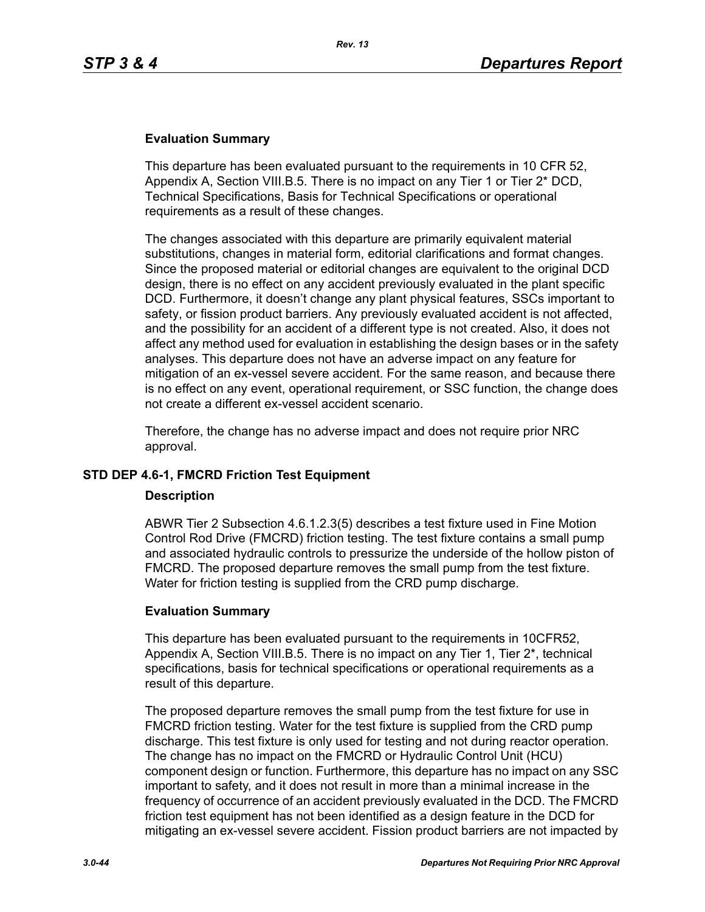### **Evaluation Summary**

This departure has been evaluated pursuant to the requirements in 10 CFR 52, Appendix A, Section VIII.B.5. There is no impact on any Tier 1 or Tier 2\* DCD, Technical Specifications, Basis for Technical Specifications or operational requirements as a result of these changes.

The changes associated with this departure are primarily equivalent material substitutions, changes in material form, editorial clarifications and format changes. Since the proposed material or editorial changes are equivalent to the original DCD design, there is no effect on any accident previously evaluated in the plant specific DCD. Furthermore, it doesn't change any plant physical features, SSCs important to safety, or fission product barriers. Any previously evaluated accident is not affected, and the possibility for an accident of a different type is not created. Also, it does not affect any method used for evaluation in establishing the design bases or in the safety analyses. This departure does not have an adverse impact on any feature for mitigation of an ex-vessel severe accident. For the same reason, and because there is no effect on any event, operational requirement, or SSC function, the change does not create a different ex-vessel accident scenario.

Therefore, the change has no adverse impact and does not require prior NRC approval.

### **STD DEP 4.6-1, FMCRD Friction Test Equipment**

#### **Description**

ABWR Tier 2 Subsection 4.6.1.2.3(5) describes a test fixture used in Fine Motion Control Rod Drive (FMCRD) friction testing. The test fixture contains a small pump and associated hydraulic controls to pressurize the underside of the hollow piston of FMCRD. The proposed departure removes the small pump from the test fixture. Water for friction testing is supplied from the CRD pump discharge.

### **Evaluation Summary**

This departure has been evaluated pursuant to the requirements in 10CFR52, Appendix A, Section VIII.B.5. There is no impact on any Tier 1, Tier 2\*, technical specifications, basis for technical specifications or operational requirements as a result of this departure.

The proposed departure removes the small pump from the test fixture for use in FMCRD friction testing. Water for the test fixture is supplied from the CRD pump discharge. This test fixture is only used for testing and not during reactor operation. The change has no impact on the FMCRD or Hydraulic Control Unit (HCU) component design or function. Furthermore, this departure has no impact on any SSC important to safety, and it does not result in more than a minimal increase in the frequency of occurrence of an accident previously evaluated in the DCD. The FMCRD friction test equipment has not been identified as a design feature in the DCD for mitigating an ex-vessel severe accident. Fission product barriers are not impacted by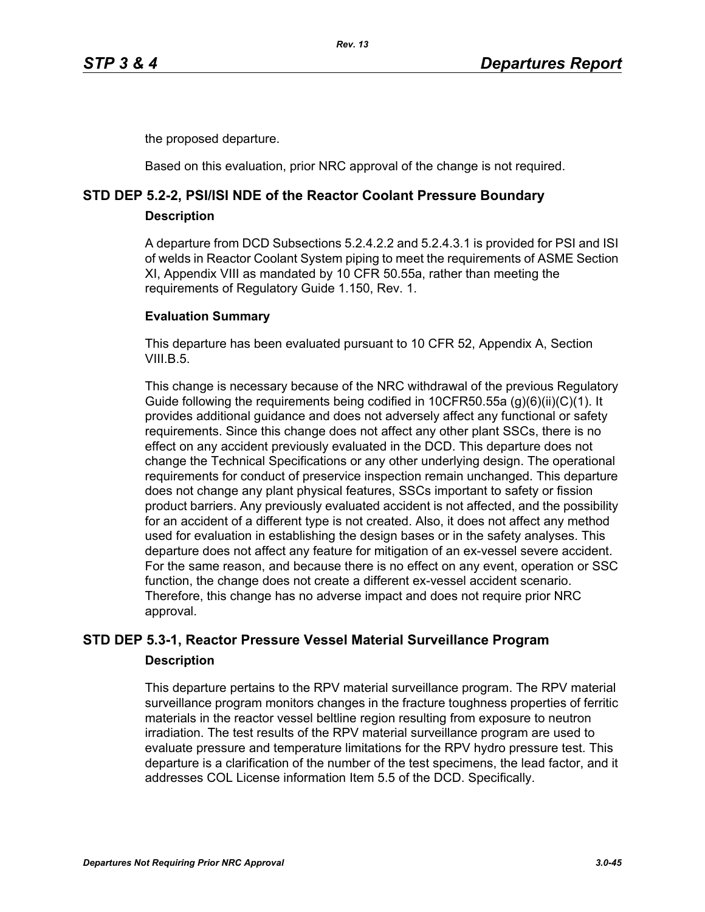the proposed departure.

Based on this evaluation, prior NRC approval of the change is not required.

# **STD DEP 5.2-2, PSI/ISI NDE of the Reactor Coolant Pressure Boundary**

### **Description**

A departure from DCD Subsections 5.2.4.2.2 and 5.2.4.3.1 is provided for PSI and ISI of welds in Reactor Coolant System piping to meet the requirements of ASME Section XI, Appendix VIII as mandated by 10 CFR 50.55a, rather than meeting the requirements of Regulatory Guide 1.150, Rev. 1.

### **Evaluation Summary**

This departure has been evaluated pursuant to 10 CFR 52, Appendix A, Section VIII $B<sub>5</sub>$ 

This change is necessary because of the NRC withdrawal of the previous Regulatory Guide following the requirements being codified in 10CFR50.55a (g)(6)(ii)(C)(1). It provides additional guidance and does not adversely affect any functional or safety requirements. Since this change does not affect any other plant SSCs, there is no effect on any accident previously evaluated in the DCD. This departure does not change the Technical Specifications or any other underlying design. The operational requirements for conduct of preservice inspection remain unchanged. This departure does not change any plant physical features, SSCs important to safety or fission product barriers. Any previously evaluated accident is not affected, and the possibility for an accident of a different type is not created. Also, it does not affect any method used for evaluation in establishing the design bases or in the safety analyses. This departure does not affect any feature for mitigation of an ex-vessel severe accident. For the same reason, and because there is no effect on any event, operation or SSC function, the change does not create a different ex-vessel accident scenario. Therefore, this change has no adverse impact and does not require prior NRC approval.

# **STD DEP 5.3-1, Reactor Pressure Vessel Material Surveillance Program Description**

This departure pertains to the RPV material surveillance program. The RPV material surveillance program monitors changes in the fracture toughness properties of ferritic materials in the reactor vessel beltline region resulting from exposure to neutron irradiation. The test results of the RPV material surveillance program are used to evaluate pressure and temperature limitations for the RPV hydro pressure test. This departure is a clarification of the number of the test specimens, the lead factor, and it addresses COL License information Item 5.5 of the DCD. Specifically.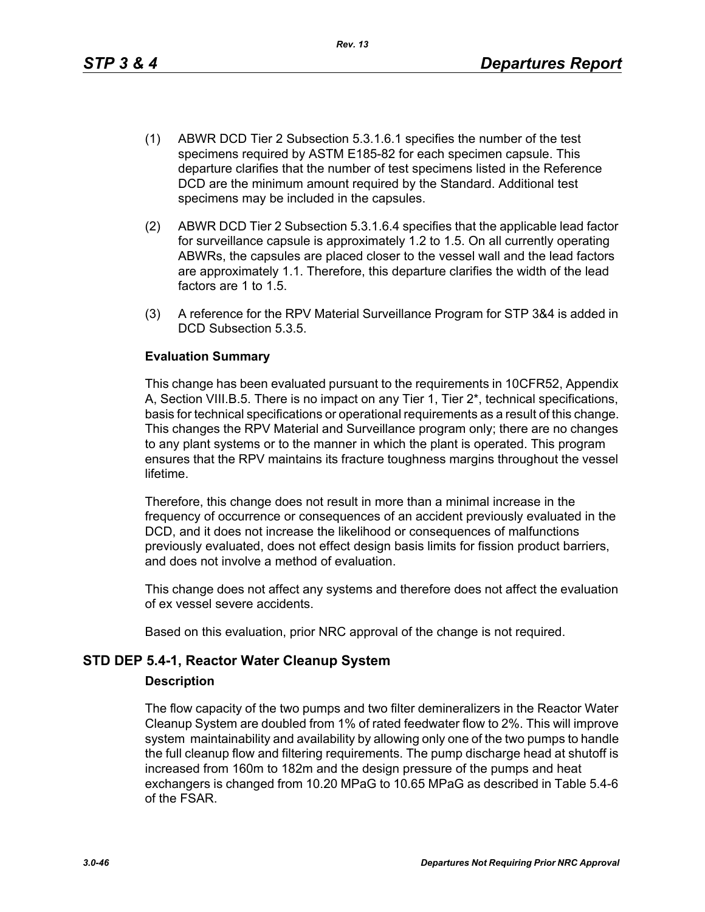*Rev. 13*

- (1) ABWR DCD Tier 2 Subsection 5.3.1.6.1 specifies the number of the test specimens required by ASTM E185-82 for each specimen capsule. This departure clarifies that the number of test specimens listed in the Reference DCD are the minimum amount required by the Standard. Additional test specimens may be included in the capsules.
- (2) ABWR DCD Tier 2 Subsection 5.3.1.6.4 specifies that the applicable lead factor for surveillance capsule is approximately 1.2 to 1.5. On all currently operating ABWRs, the capsules are placed closer to the vessel wall and the lead factors are approximately 1.1. Therefore, this departure clarifies the width of the lead factors are 1 to 1.5.
- (3) A reference for the RPV Material Surveillance Program for STP 3&4 is added in DCD Subsection 5.3.5.

### **Evaluation Summary**

This change has been evaluated pursuant to the requirements in 10CFR52, Appendix A, Section VIII.B.5. There is no impact on any Tier 1, Tier 2\*, technical specifications, basis for technical specifications or operational requirements as a result of this change. This changes the RPV Material and Surveillance program only; there are no changes to any plant systems or to the manner in which the plant is operated. This program ensures that the RPV maintains its fracture toughness margins throughout the vessel lifetime.

Therefore, this change does not result in more than a minimal increase in the frequency of occurrence or consequences of an accident previously evaluated in the DCD, and it does not increase the likelihood or consequences of malfunctions previously evaluated, does not effect design basis limits for fission product barriers, and does not involve a method of evaluation.

This change does not affect any systems and therefore does not affect the evaluation of ex vessel severe accidents.

Based on this evaluation, prior NRC approval of the change is not required.

### **STD DEP 5.4-1, Reactor Water Cleanup System**

### **Description**

The flow capacity of the two pumps and two filter demineralizers in the Reactor Water Cleanup System are doubled from 1% of rated feedwater flow to 2%. This will improve system maintainability and availability by allowing only one of the two pumps to handle the full cleanup flow and filtering requirements. The pump discharge head at shutoff is increased from 160m to 182m and the design pressure of the pumps and heat exchangers is changed from 10.20 MPaG to 10.65 MPaG as described in Table 5.4-6 of the FSAR.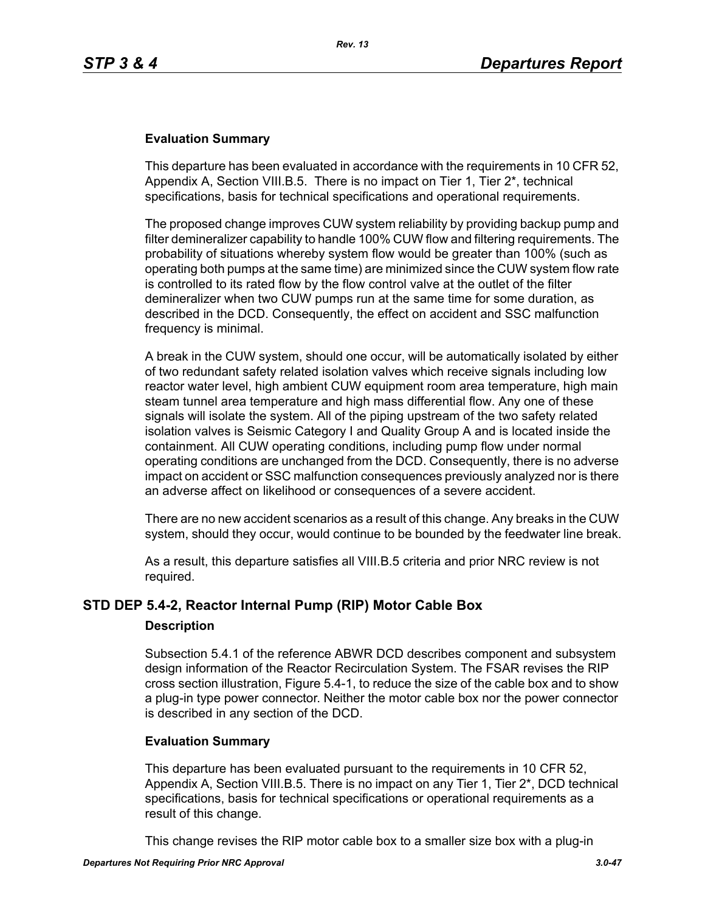### **Evaluation Summary**

This departure has been evaluated in accordance with the requirements in 10 CFR 52, Appendix A, Section VIII.B.5. There is no impact on Tier 1, Tier 2\*, technical specifications, basis for technical specifications and operational requirements.

The proposed change improves CUW system reliability by providing backup pump and filter demineralizer capability to handle 100% CUW flow and filtering requirements. The probability of situations whereby system flow would be greater than 100% (such as operating both pumps at the same time) are minimized since the CUW system flow rate is controlled to its rated flow by the flow control valve at the outlet of the filter demineralizer when two CUW pumps run at the same time for some duration, as described in the DCD. Consequently, the effect on accident and SSC malfunction frequency is minimal.

A break in the CUW system, should one occur, will be automatically isolated by either of two redundant safety related isolation valves which receive signals including low reactor water level, high ambient CUW equipment room area temperature, high main steam tunnel area temperature and high mass differential flow. Any one of these signals will isolate the system. All of the piping upstream of the two safety related isolation valves is Seismic Category I and Quality Group A and is located inside the containment. All CUW operating conditions, including pump flow under normal operating conditions are unchanged from the DCD. Consequently, there is no adverse impact on accident or SSC malfunction consequences previously analyzed nor is there an adverse affect on likelihood or consequences of a severe accident.

There are no new accident scenarios as a result of this change. Any breaks in the CUW system, should they occur, would continue to be bounded by the feedwater line break.

As a result, this departure satisfies all VIII.B.5 criteria and prior NRC review is not required.

### **STD DEP 5.4-2, Reactor Internal Pump (RIP) Motor Cable Box**

### **Description**

Subsection 5.4.1 of the reference ABWR DCD describes component and subsystem design information of the Reactor Recirculation System. The FSAR revises the RIP cross section illustration, Figure 5.4-1, to reduce the size of the cable box and to show a plug-in type power connector. Neither the motor cable box nor the power connector is described in any section of the DCD.

### **Evaluation Summary**

This departure has been evaluated pursuant to the requirements in 10 CFR 52, Appendix A, Section VIII.B.5. There is no impact on any Tier 1, Tier 2\*, DCD technical specifications, basis for technical specifications or operational requirements as a result of this change.

This change revises the RIP motor cable box to a smaller size box with a plug-in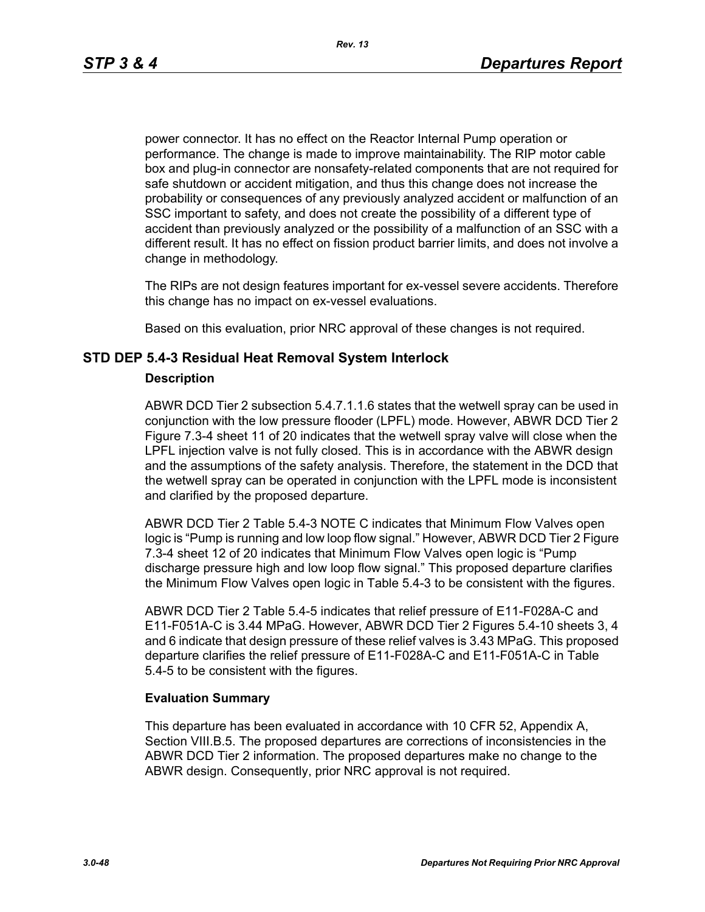power connector. It has no effect on the Reactor Internal Pump operation or performance. The change is made to improve maintainability. The RIP motor cable box and plug-in connector are nonsafety-related components that are not required for safe shutdown or accident mitigation, and thus this change does not increase the probability or consequences of any previously analyzed accident or malfunction of an SSC important to safety, and does not create the possibility of a different type of accident than previously analyzed or the possibility of a malfunction of an SSC with a different result. It has no effect on fission product barrier limits, and does not involve a change in methodology.

The RIPs are not design features important for ex-vessel severe accidents. Therefore this change has no impact on ex-vessel evaluations.

Based on this evaluation, prior NRC approval of these changes is not required.

### **STD DEP 5.4-3 Residual Heat Removal System Interlock**

#### **Description**

ABWR DCD Tier 2 subsection 5.4.7.1.1.6 states that the wetwell spray can be used in conjunction with the low pressure flooder (LPFL) mode. However, ABWR DCD Tier 2 Figure 7.3-4 sheet 11 of 20 indicates that the wetwell spray valve will close when the LPFL injection valve is not fully closed. This is in accordance with the ABWR design and the assumptions of the safety analysis. Therefore, the statement in the DCD that the wetwell spray can be operated in conjunction with the LPFL mode is inconsistent and clarified by the proposed departure.

ABWR DCD Tier 2 Table 5.4-3 NOTE C indicates that Minimum Flow Valves open logic is "Pump is running and low loop flow signal." However, ABWR DCD Tier 2 Figure 7.3-4 sheet 12 of 20 indicates that Minimum Flow Valves open logic is "Pump discharge pressure high and low loop flow signal." This proposed departure clarifies the Minimum Flow Valves open logic in Table 5.4-3 to be consistent with the figures.

ABWR DCD Tier 2 Table 5.4-5 indicates that relief pressure of E11-F028A-C and E11-F051A-C is 3.44 MPaG. However, ABWR DCD Tier 2 Figures 5.4-10 sheets 3, 4 and 6 indicate that design pressure of these relief valves is 3.43 MPaG. This proposed departure clarifies the relief pressure of E11-F028A-C and E11-F051A-C in Table 5.4-5 to be consistent with the figures.

### **Evaluation Summary**

This departure has been evaluated in accordance with 10 CFR 52, Appendix A, Section VIII.B.5. The proposed departures are corrections of inconsistencies in the ABWR DCD Tier 2 information. The proposed departures make no change to the ABWR design. Consequently, prior NRC approval is not required.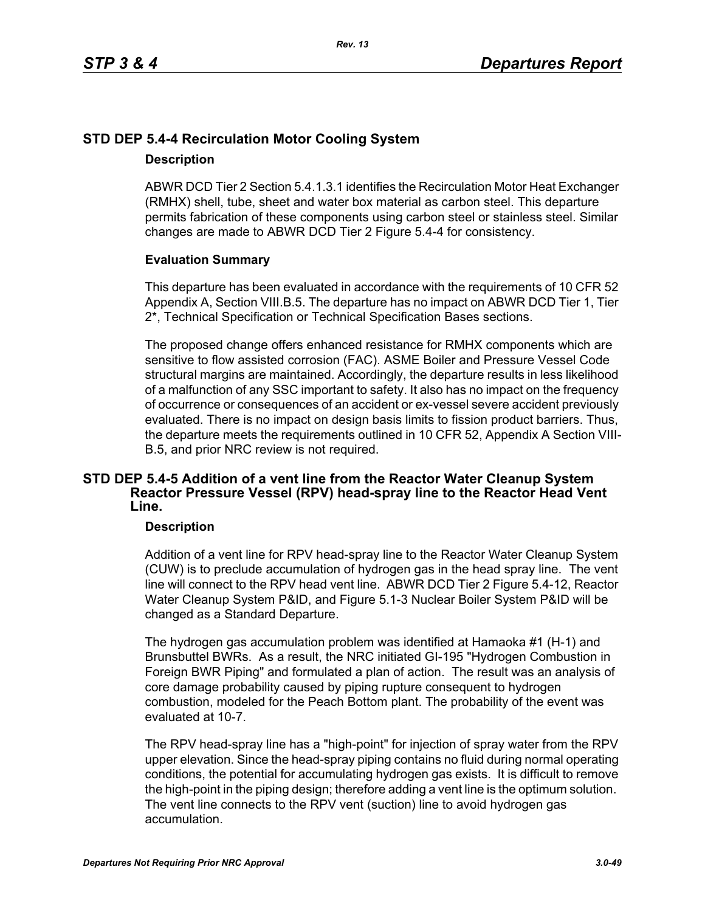# **STD DEP 5.4-4 Recirculation Motor Cooling System**

### **Description**

ABWR DCD Tier 2 Section 5.4.1.3.1 identifies the Recirculation Motor Heat Exchanger (RMHX) shell, tube, sheet and water box material as carbon steel. This departure permits fabrication of these components using carbon steel or stainless steel. Similar changes are made to ABWR DCD Tier 2 Figure 5.4-4 for consistency.

### **Evaluation Summary**

This departure has been evaluated in accordance with the requirements of 10 CFR 52 Appendix A, Section VIII.B.5. The departure has no impact on ABWR DCD Tier 1, Tier 2\*, Technical Specification or Technical Specification Bases sections.

The proposed change offers enhanced resistance for RMHX components which are sensitive to flow assisted corrosion (FAC). ASME Boiler and Pressure Vessel Code structural margins are maintained. Accordingly, the departure results in less likelihood of a malfunction of any SSC important to safety. It also has no impact on the frequency of occurrence or consequences of an accident or ex-vessel severe accident previously evaluated. There is no impact on design basis limits to fission product barriers. Thus, the departure meets the requirements outlined in 10 CFR 52, Appendix A Section VIII-B.5, and prior NRC review is not required.

### **STD DEP 5.4-5 Addition of a vent line from the Reactor Water Cleanup System Reactor Pressure Vessel (RPV) head-spray line to the Reactor Head Vent Line.**

### **Description**

Addition of a vent line for RPV head-spray line to the Reactor Water Cleanup System (CUW) is to preclude accumulation of hydrogen gas in the head spray line. The vent line will connect to the RPV head vent line. ABWR DCD Tier 2 Figure 5.4-12, Reactor Water Cleanup System P&ID, and Figure 5.1-3 Nuclear Boiler System P&ID will be changed as a Standard Departure.

The hydrogen gas accumulation problem was identified at Hamaoka #1 (H-1) and Brunsbuttel BWRs. As a result, the NRC initiated GI-195 "Hydrogen Combustion in Foreign BWR Piping" and formulated a plan of action. The result was an analysis of core damage probability caused by piping rupture consequent to hydrogen combustion, modeled for the Peach Bottom plant. The probability of the event was evaluated at 10-7.

The RPV head-spray line has a "high-point" for injection of spray water from the RPV upper elevation. Since the head-spray piping contains no fluid during normal operating conditions, the potential for accumulating hydrogen gas exists. It is difficult to remove the high-point in the piping design; therefore adding a vent line is the optimum solution. The vent line connects to the RPV vent (suction) line to avoid hydrogen gas accumulation.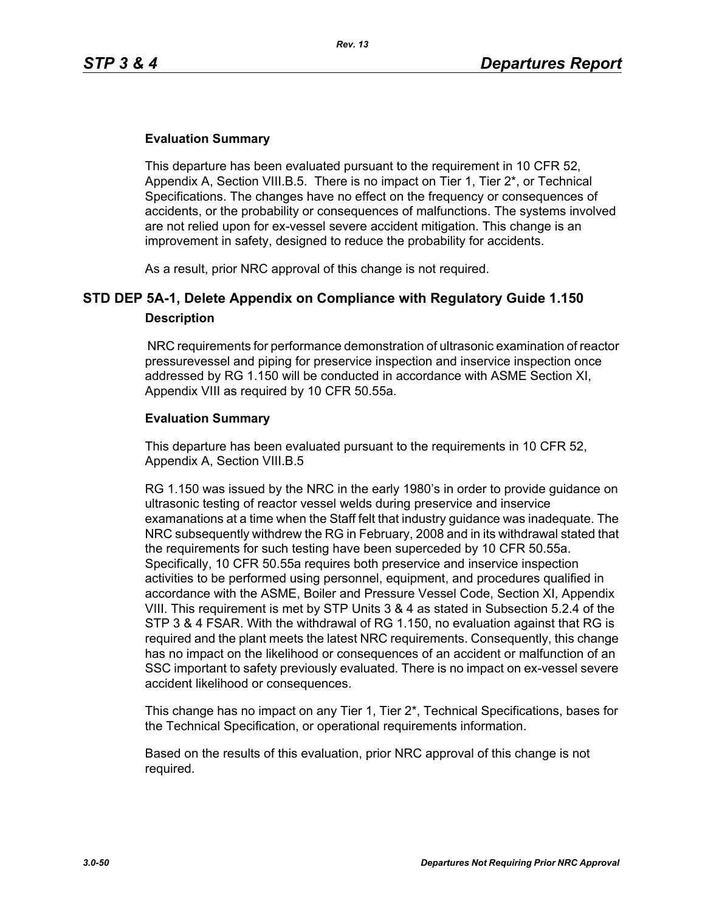### **Evaluation Summary**

This departure has been evaluated pursuant to the requirement in 10 CFR 52, Appendix A, Section VIII.B.5. There is no impact on Tier 1, Tier 2\*, or Technical Specifications. The changes have no effect on the frequency or consequences of accidents, or the probability or consequences of malfunctions. The systems involved are not relied upon for ex-vessel severe accident mitigation. This change is an improvement in safety, designed to reduce the probability for accidents.

As a result, prior NRC approval of this change is not required.

# **STD DEP 5A-1, Delete Appendix on Compliance with Regulatory Guide 1.150 Description**

 NRC requirements for performance demonstration of ultrasonic examination of reactor pressurevessel and piping for preservice inspection and inservice inspection once addressed by RG 1.150 will be conducted in accordance with ASME Section XI, Appendix VIII as required by 10 CFR 50.55a.

### **Evaluation Summary**

This departure has been evaluated pursuant to the requirements in 10 CFR 52, Appendix A, Section VIII.B.5

RG 1.150 was issued by the NRC in the early 1980's in order to provide guidance on ultrasonic testing of reactor vessel welds during preservice and inservice examanations at a time when the Staff felt that industry guidance was inadequate. The NRC subsequently withdrew the RG in February, 2008 and in its withdrawal stated that the requirements for such testing have been superceded by 10 CFR 50.55a. Specifically, 10 CFR 50.55a requires both preservice and inservice inspection activities to be performed using personnel, equipment, and procedures qualified in accordance with the ASME, Boiler and Pressure Vessel Code, Section XI, Appendix VIII. This requirement is met by STP Units 3 & 4 as stated in Subsection 5.2.4 of the STP 3 & 4 FSAR. With the withdrawal of RG 1.150, no evaluation against that RG is required and the plant meets the latest NRC requirements. Consequently, this change has no impact on the likelihood or consequences of an accident or malfunction of an SSC important to safety previously evaluated. There is no impact on ex-vessel severe accident likelihood or consequences.

This change has no impact on any Tier 1, Tier 2\*, Technical Specifications, bases for the Technical Specification, or operational requirements information.

Based on the results of this evaluation, prior NRC approval of this change is not required.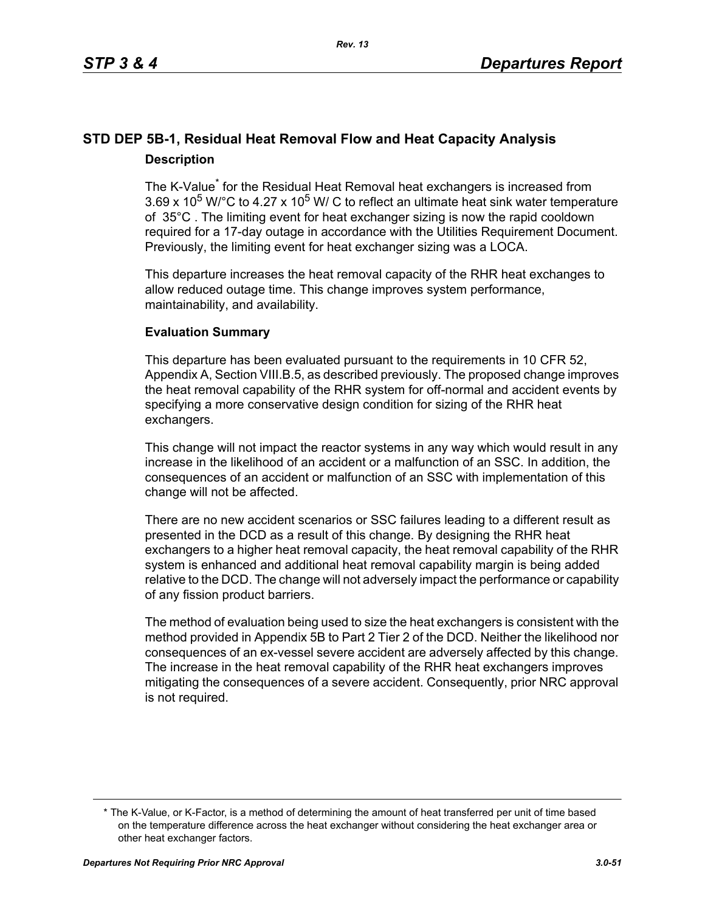# **STD DEP 5B-1, Residual Heat Removal Flow and Heat Capacity Analysis Description**

The K-Value<sup>\*</sup> for the Residual Heat Removal heat exchangers is increased from 3.69 x 10<sup>5</sup> W/ $^{\circ}$ C to 4.27 x 10<sup>5</sup> W/ C to reflect an ultimate heat sink water temperature of 35°C . The limiting event for heat exchanger sizing is now the rapid cooldown required for a 17-day outage in accordance with the Utilities Requirement Document. Previously, the limiting event for heat exchanger sizing was a LOCA.

This departure increases the heat removal capacity of the RHR heat exchanges to allow reduced outage time. This change improves system performance, maintainability, and availability.

### **Evaluation Summary**

This departure has been evaluated pursuant to the requirements in 10 CFR 52, Appendix A, Section VIII.B.5, as described previously. The proposed change improves the heat removal capability of the RHR system for off-normal and accident events by specifying a more conservative design condition for sizing of the RHR heat exchangers.

This change will not impact the reactor systems in any way which would result in any increase in the likelihood of an accident or a malfunction of an SSC. In addition, the consequences of an accident or malfunction of an SSC with implementation of this change will not be affected.

There are no new accident scenarios or SSC failures leading to a different result as presented in the DCD as a result of this change. By designing the RHR heat exchangers to a higher heat removal capacity, the heat removal capability of the RHR system is enhanced and additional heat removal capability margin is being added relative to the DCD. The change will not adversely impact the performance or capability of any fission product barriers.

The method of evaluation being used to size the heat exchangers is consistent with the method provided in Appendix 5B to Part 2 Tier 2 of the DCD. Neither the likelihood nor consequences of an ex-vessel severe accident are adversely affected by this change. The increase in the heat removal capability of the RHR heat exchangers improves mitigating the consequences of a severe accident. Consequently, prior NRC approval is not required.

<sup>\*</sup> The K-Value, or K-Factor, is a method of determining the amount of heat transferred per unit of time based on the temperature difference across the heat exchanger without considering the heat exchanger area or other heat exchanger factors.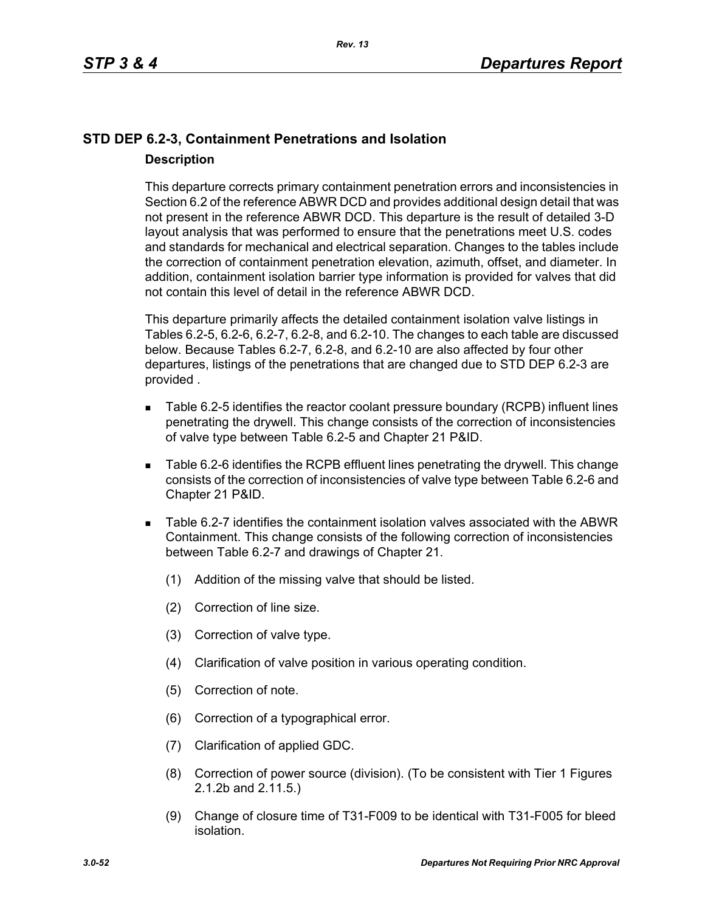# **STD DEP 6.2-3, Containment Penetrations and Isolation Description**

This departure corrects primary containment penetration errors and inconsistencies in Section 6.2 of the reference ABWR DCD and provides additional design detail that was not present in the reference ABWR DCD. This departure is the result of detailed 3-D layout analysis that was performed to ensure that the penetrations meet U.S. codes and standards for mechanical and electrical separation. Changes to the tables include the correction of containment penetration elevation, azimuth, offset, and diameter. In addition, containment isolation barrier type information is provided for valves that did not contain this level of detail in the reference ABWR DCD.

This departure primarily affects the detailed containment isolation valve listings in Tables 6.2-5, 6.2-6, 6.2-7, 6.2-8, and 6.2-10. The changes to each table are discussed below. Because Tables 6.2-7, 6.2-8, and 6.2-10 are also affected by four other departures, listings of the penetrations that are changed due to STD DEP 6.2-3 are provided .

- Table 6.2-5 identifies the reactor coolant pressure boundary (RCPB) influent lines penetrating the drywell. This change consists of the correction of inconsistencies of valve type between Table 6.2-5 and Chapter 21 P&ID.
- Table 6.2-6 identifies the RCPB effluent lines penetrating the drywell. This change consists of the correction of inconsistencies of valve type between Table 6.2-6 and Chapter 21 P&ID.
- Table 6.2-7 identifies the containment isolation valves associated with the ABWR Containment. This change consists of the following correction of inconsistencies between Table 6.2-7 and drawings of Chapter 21.
	- (1) Addition of the missing valve that should be listed.
	- (2) Correction of line size.
	- (3) Correction of valve type.
	- (4) Clarification of valve position in various operating condition.
	- (5) Correction of note.
	- (6) Correction of a typographical error.
	- (7) Clarification of applied GDC.
	- (8) Correction of power source (division). (To be consistent with Tier 1 Figures 2.1.2b and 2.11.5.)
	- (9) Change of closure time of T31-F009 to be identical with T31-F005 for bleed isolation.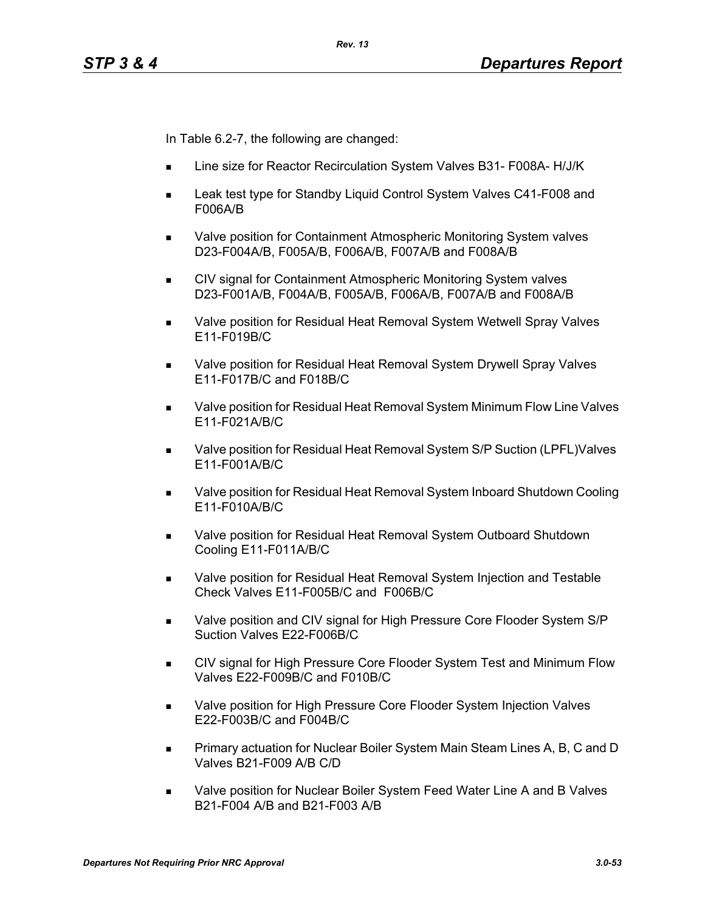In Table 6.2-7, the following are changed:

- Line size for Reactor Recirculation System Valves B31- F008A- H/J/K
- Leak test type for Standby Liquid Control System Valves C41-F008 and F006A/B
- Valve position for Containment Atmospheric Monitoring System valves D23-F004A/B, F005A/B, F006A/B, F007A/B and F008A/B
- CIV signal for Containment Atmospheric Monitoring System valves D23-F001A/B, F004A/B, F005A/B, F006A/B, F007A/B and F008A/B
- **Notable 20 as Valve position for Residual Heat Removal System Wetwell Spray Valves** E11-F019B/C
- Valve position for Residual Heat Removal System Drywell Spray Valves E11-F017B/C and F018B/C
- Valve position for Residual Heat Removal System Minimum Flow Line Valves E11-F021A/B/C
- Valve position for Residual Heat Removal System S/P Suction (LPFL)Valves E11-F001A/B/C
- Valve position for Residual Heat Removal System Inboard Shutdown Cooling E11-F010A/B/C
- Valve position for Residual Heat Removal System Outboard Shutdown Cooling E11-F011A/B/C
- **Nalve position for Residual Heat Removal System Injection and Testable** Check Valves E11-F005B/C and F006B/C
- Valve position and CIV signal for High Pressure Core Flooder System S/P Suction Valves E22-F006B/C
- CIV signal for High Pressure Core Flooder System Test and Minimum Flow Valves E22-F009B/C and F010B/C
- **Nalve position for High Pressure Core Flooder System Injection Valves** E22-F003B/C and F004B/C
- **Primary actuation for Nuclear Boiler System Main Steam Lines A, B, C and D** Valves B21-F009 A/B C/D
- Valve position for Nuclear Boiler System Feed Water Line A and B Valves B21-F004 A/B and B21-F003 A/B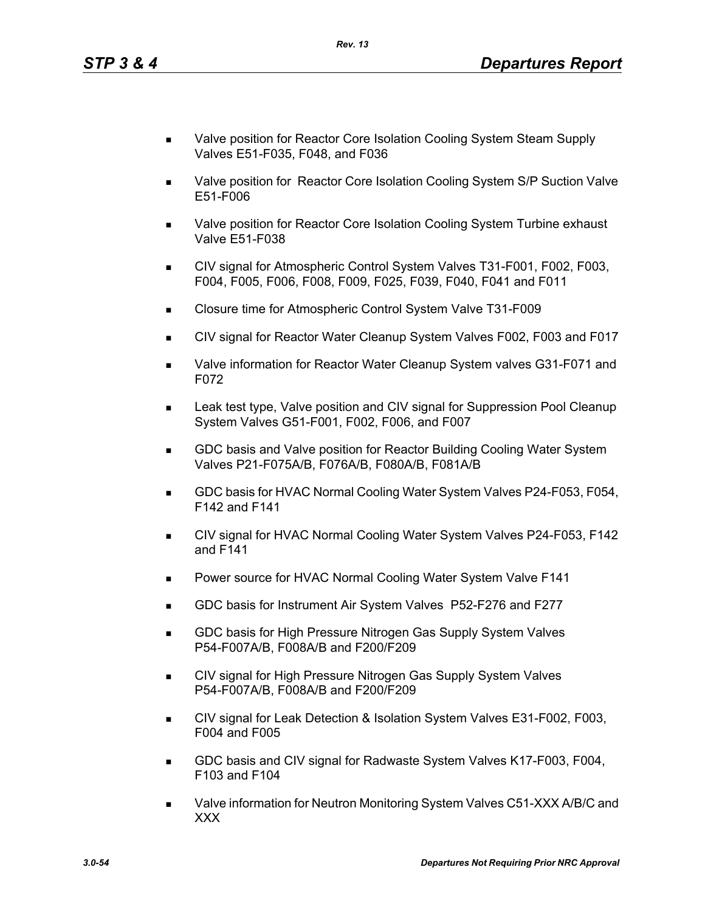- Valve position for Reactor Core Isolation Cooling System Steam Supply Valves E51-F035, F048, and F036
- Valve position for Reactor Core Isolation Cooling System S/P Suction Valve E51-F006
- Valve position for Reactor Core Isolation Cooling System Turbine exhaust Valve E51-F038
- CIV signal for Atmospheric Control System Valves T31-F001, F002, F003, F004, F005, F006, F008, F009, F025, F039, F040, F041 and F011
- Closure time for Atmospheric Control System Valve T31-F009
- CIV signal for Reactor Water Cleanup System Valves F002, F003 and F017
- Valve information for Reactor Water Cleanup System valves G31-F071 and F072
- Leak test type, Valve position and CIV signal for Suppression Pool Cleanup System Valves G51-F001, F002, F006, and F007
- GDC basis and Valve position for Reactor Building Cooling Water System Valves P21-F075A/B, F076A/B, F080A/B, F081A/B
- GDC basis for HVAC Normal Cooling Water System Valves P24-F053, F054, F142 and F141
- CIV signal for HVAC Normal Cooling Water System Valves P24-F053, F142 and F141
- **Power source for HVAC Normal Cooling Water System Valve F141**
- GDC basis for Instrument Air System Valves P52-F276 and F277
- **GDC basis for High Pressure Nitrogen Gas Supply System Valves** P54-F007A/B, F008A/B and F200/F209
- CIV signal for High Pressure Nitrogen Gas Supply System Valves P54-F007A/B, F008A/B and F200/F209
- CIV signal for Leak Detection & Isolation System Valves E31-F002, F003, F004 and F005
- GDC basis and CIV signal for Radwaste System Valves K17-F003, F004, F103 and F104
- Valve information for Neutron Monitoring System Valves C51-XXX A/B/C and XXX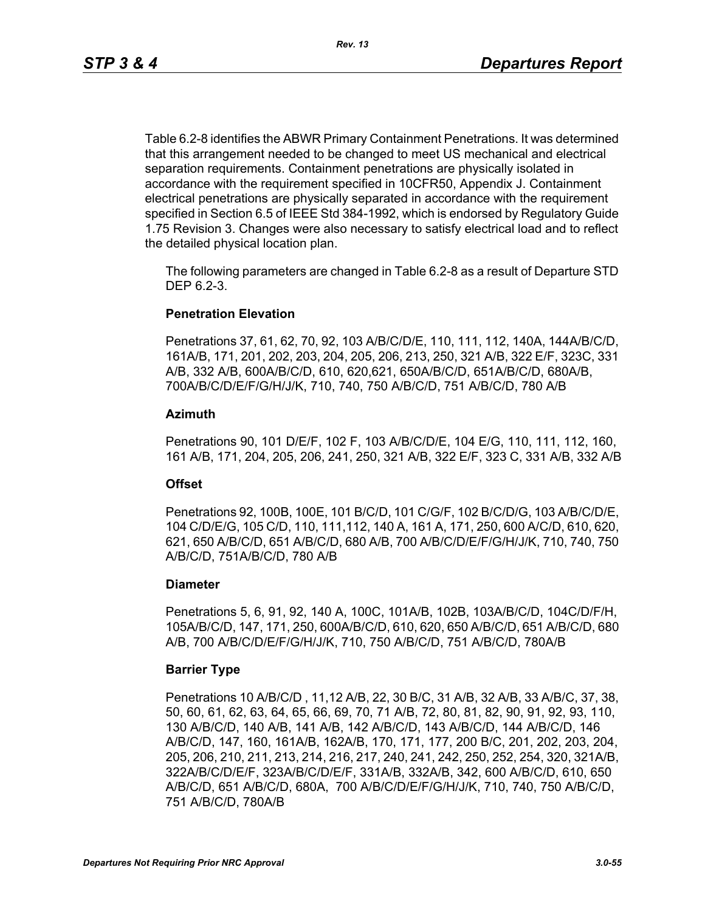Table 6.2-8 identifies the ABWR Primary Containment Penetrations. It was determined that this arrangement needed to be changed to meet US mechanical and electrical separation requirements. Containment penetrations are physically isolated in accordance with the requirement specified in 10CFR50, Appendix J. Containment electrical penetrations are physically separated in accordance with the requirement specified in Section 6.5 of IEEE Std 384-1992, which is endorsed by Regulatory Guide 1.75 Revision 3. Changes were also necessary to satisfy electrical load and to reflect the detailed physical location plan.

The following parameters are changed in Table 6.2-8 as a result of Departure STD DEP 6.2-3.

### **Penetration Elevation**

Penetrations 37, 61, 62, 70, 92, 103 A/B/C/D/E, 110, 111, 112, 140A, 144A/B/C/D, 161A/B, 171, 201, 202, 203, 204, 205, 206, 213, 250, 321 A/B, 322 E/F, 323C, 331 A/B, 332 A/B, 600A/B/C/D, 610, 620,621, 650A/B/C/D, 651A/B/C/D, 680A/B, 700A/B/C/D/E/F/G/H/J/K, 710, 740, 750 A/B/C/D, 751 A/B/C/D, 780 A/B

### **Azimuth**

Penetrations 90, 101 D/E/F, 102 F, 103 A/B/C/D/E, 104 E/G, 110, 111, 112, 160, 161 A/B, 171, 204, 205, 206, 241, 250, 321 A/B, 322 E/F, 323 C, 331 A/B, 332 A/B

### **Offset**

Penetrations 92, 100B, 100E, 101 B/C/D, 101 C/G/F, 102 B/C/D/G, 103 A/B/C/D/E, 104 C/D/E/G, 105 C/D, 110, 111,112, 140 A, 161 A, 171, 250, 600 A/C/D, 610, 620, 621, 650 A/B/C/D, 651 A/B/C/D, 680 A/B, 700 A/B/C/D/E/F/G/H/J/K, 710, 740, 750 A/B/C/D, 751A/B/C/D, 780 A/B

### **Diameter**

Penetrations 5, 6, 91, 92, 140 A, 100C, 101A/B, 102B, 103A/B/C/D, 104C/D/F/H, 105A/B/C/D, 147, 171, 250, 600A/B/C/D, 610, 620, 650 A/B/C/D, 651 A/B/C/D, 680 A/B, 700 A/B/C/D/E/F/G/H/J/K, 710, 750 A/B/C/D, 751 A/B/C/D, 780A/B

### **Barrier Type**

Penetrations 10 A/B/C/D , 11,12 A/B, 22, 30 B/C, 31 A/B, 32 A/B, 33 A/B/C, 37, 38, 50, 60, 61, 62, 63, 64, 65, 66, 69, 70, 71 A/B, 72, 80, 81, 82, 90, 91, 92, 93, 110, 130 A/B/C/D, 140 A/B, 141 A/B, 142 A/B/C/D, 143 A/B/C/D, 144 A/B/C/D, 146 A/B/C/D, 147, 160, 161A/B, 162A/B, 170, 171, 177, 200 B/C, 201, 202, 203, 204, 205, 206, 210, 211, 213, 214, 216, 217, 240, 241, 242, 250, 252, 254, 320, 321A/B, 322A/B/C/D/E/F, 323A/B/C/D/E/F, 331A/B, 332A/B, 342, 600 A/B/C/D, 610, 650 A/B/C/D, 651 A/B/C/D, 680A, 700 A/B/C/D/E/F/G/H/J/K, 710, 740, 750 A/B/C/D, 751 A/B/C/D, 780A/B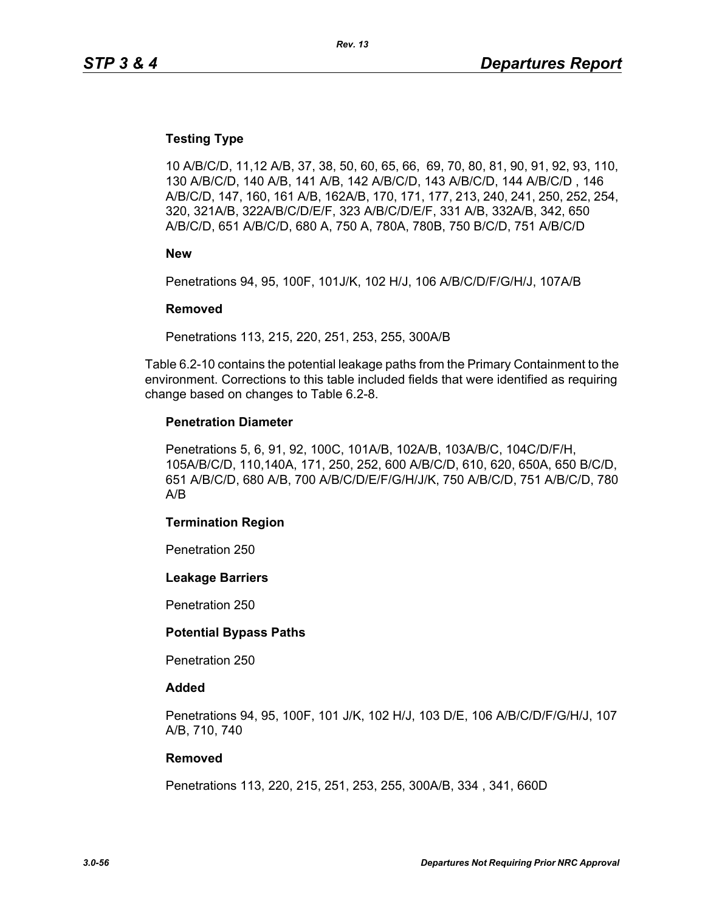### **Testing Type**

10 A/B/C/D, 11,12 A/B, 37, 38, 50, 60, 65, 66, 69, 70, 80, 81, 90, 91, 92, 93, 110, 130 A/B/C/D, 140 A/B, 141 A/B, 142 A/B/C/D, 143 A/B/C/D, 144 A/B/C/D , 146 A/B/C/D, 147, 160, 161 A/B, 162A/B, 170, 171, 177, 213, 240, 241, 250, 252, 254, 320, 321A/B, 322A/B/C/D/E/F, 323 A/B/C/D/E/F, 331 A/B, 332A/B, 342, 650 A/B/C/D, 651 A/B/C/D, 680 A, 750 A, 780A, 780B, 750 B/C/D, 751 A/B/C/D

**New**

Penetrations 94, 95, 100F, 101J/K, 102 H/J, 106 A/B/C/D/F/G/H/J, 107A/B

#### **Removed**

Penetrations 113, 215, 220, 251, 253, 255, 300A/B

Table 6.2-10 contains the potential leakage paths from the Primary Containment to the environment. Corrections to this table included fields that were identified as requiring change based on changes to Table 6.2-8.

#### **Penetration Diameter**

Penetrations 5, 6, 91, 92, 100C, 101A/B, 102A/B, 103A/B/C, 104C/D/F/H, 105A/B/C/D, 110,140A, 171, 250, 252, 600 A/B/C/D, 610, 620, 650A, 650 B/C/D, 651 A/B/C/D, 680 A/B, 700 A/B/C/D/E/F/G/H/J/K, 750 A/B/C/D, 751 A/B/C/D, 780 A/B

#### **Termination Region**

Penetration 250

#### **Leakage Barriers**

Penetration 250

#### **Potential Bypass Paths**

Penetration 250

#### **Added**

Penetrations 94, 95, 100F, 101 J/K, 102 H/J, 103 D/E, 106 A/B/C/D/F/G/H/J, 107 A/B, 710, 740

#### **Removed**

Penetrations 113, 220, 215, 251, 253, 255, 300A/B, 334 , 341, 660D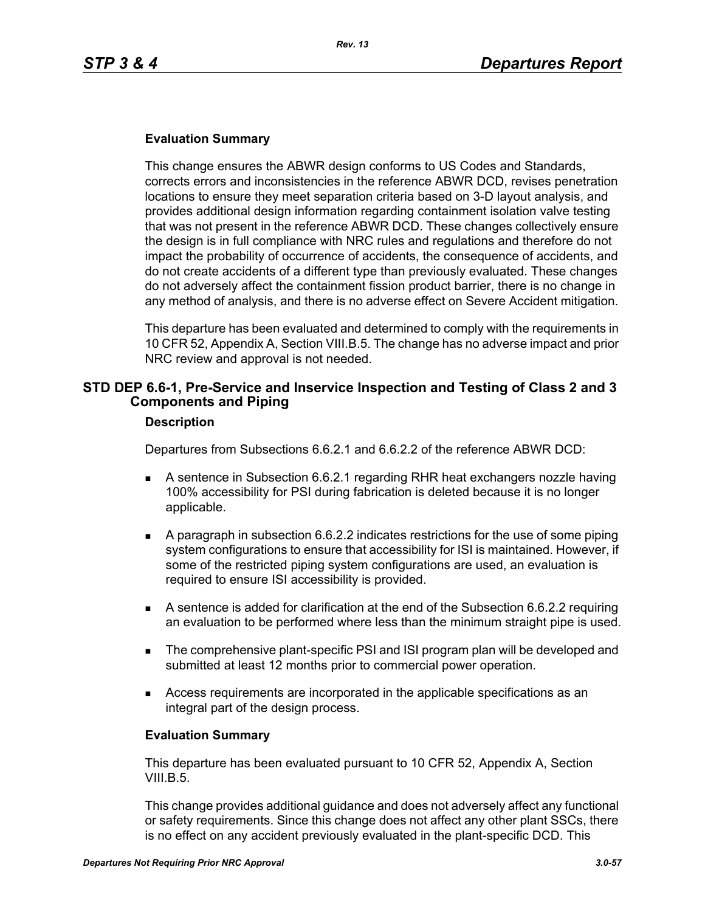### **Evaluation Summary**

This change ensures the ABWR design conforms to US Codes and Standards, corrects errors and inconsistencies in the reference ABWR DCD, revises penetration locations to ensure they meet separation criteria based on 3-D layout analysis, and provides additional design information regarding containment isolation valve testing that was not present in the reference ABWR DCD. These changes collectively ensure the design is in full compliance with NRC rules and regulations and therefore do not impact the probability of occurrence of accidents, the consequence of accidents, and do not create accidents of a different type than previously evaluated. These changes do not adversely affect the containment fission product barrier, there is no change in any method of analysis, and there is no adverse effect on Severe Accident mitigation.

This departure has been evaluated and determined to comply with the requirements in 10 CFR 52, Appendix A, Section VIII.B.5. The change has no adverse impact and prior NRC review and approval is not needed.

### **STD DEP 6.6-1, Pre-Service and Inservice Inspection and Testing of Class 2 and 3 Components and Piping**

#### **Description**

Departures from Subsections 6.6.2.1 and 6.6.2.2 of the reference ABWR DCD:

- A sentence in Subsection 6.6.2.1 regarding RHR heat exchangers nozzle having 100% accessibility for PSI during fabrication is deleted because it is no longer applicable.
- A paragraph in subsection 6.6.2.2 indicates restrictions for the use of some piping system configurations to ensure that accessibility for ISI is maintained. However, if some of the restricted piping system configurations are used, an evaluation is required to ensure ISI accessibility is provided.
- A sentence is added for clarification at the end of the Subsection 6.6.2.2 requiring an evaluation to be performed where less than the minimum straight pipe is used.
- **The comprehensive plant-specific PSI and ISI program plan will be developed and** submitted at least 12 months prior to commercial power operation.
- Access requirements are incorporated in the applicable specifications as an integral part of the design process.

#### **Evaluation Summary**

This departure has been evaluated pursuant to 10 CFR 52, Appendix A, Section VIII.B.5.

This change provides additional guidance and does not adversely affect any functional or safety requirements. Since this change does not affect any other plant SSCs, there is no effect on any accident previously evaluated in the plant-specific DCD. This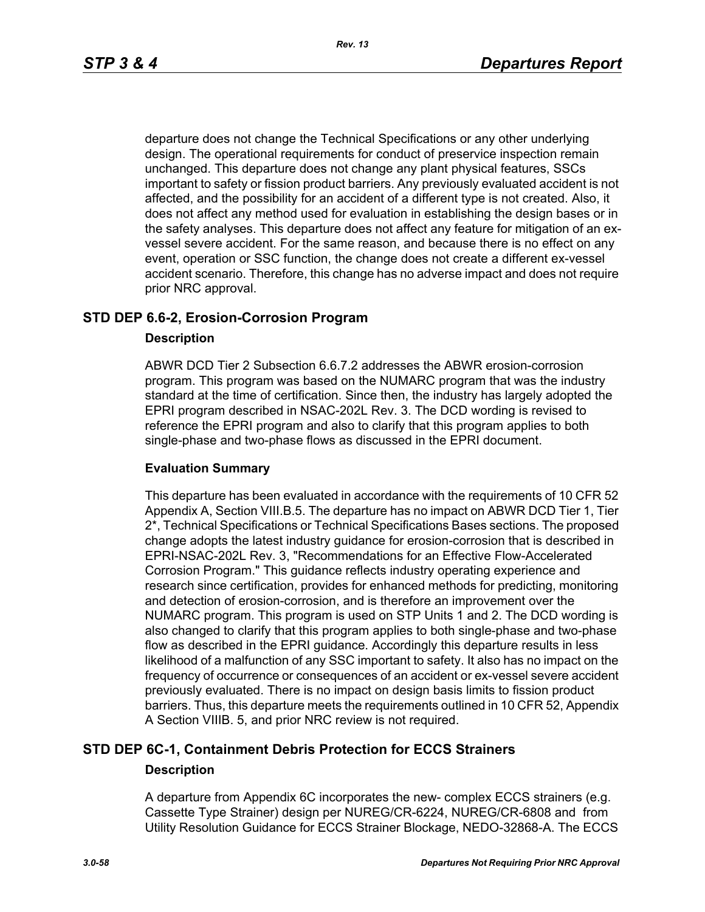departure does not change the Technical Specifications or any other underlying design. The operational requirements for conduct of preservice inspection remain unchanged. This departure does not change any plant physical features, SSCs important to safety or fission product barriers. Any previously evaluated accident is not affected, and the possibility for an accident of a different type is not created. Also, it does not affect any method used for evaluation in establishing the design bases or in the safety analyses. This departure does not affect any feature for mitigation of an exvessel severe accident. For the same reason, and because there is no effect on any event, operation or SSC function, the change does not create a different ex-vessel accident scenario. Therefore, this change has no adverse impact and does not require prior NRC approval.

### **STD DEP 6.6-2, Erosion-Corrosion Program**

### **Description**

ABWR DCD Tier 2 Subsection 6.6.7.2 addresses the ABWR erosion-corrosion program. This program was based on the NUMARC program that was the industry standard at the time of certification. Since then, the industry has largely adopted the EPRI program described in NSAC-202L Rev. 3. The DCD wording is revised to reference the EPRI program and also to clarify that this program applies to both single-phase and two-phase flows as discussed in the EPRI document.

### **Evaluation Summary**

This departure has been evaluated in accordance with the requirements of 10 CFR 52 Appendix A, Section VIII.B.5. The departure has no impact on ABWR DCD Tier 1, Tier 2\*, Technical Specifications or Technical Specifications Bases sections. The proposed change adopts the latest industry guidance for erosion-corrosion that is described in EPRI-NSAC-202L Rev. 3, "Recommendations for an Effective Flow-Accelerated Corrosion Program." This guidance reflects industry operating experience and research since certification, provides for enhanced methods for predicting, monitoring and detection of erosion-corrosion, and is therefore an improvement over the NUMARC program. This program is used on STP Units 1 and 2. The DCD wording is also changed to clarify that this program applies to both single-phase and two-phase flow as described in the EPRI guidance. Accordingly this departure results in less likelihood of a malfunction of any SSC important to safety. It also has no impact on the frequency of occurrence or consequences of an accident or ex-vessel severe accident previously evaluated. There is no impact on design basis limits to fission product barriers. Thus, this departure meets the requirements outlined in 10 CFR 52, Appendix A Section VIIIB. 5, and prior NRC review is not required.

### **STD DEP 6C-1, Containment Debris Protection for ECCS Strainers Description**

A departure from Appendix 6C incorporates the new- complex ECCS strainers (e.g. Cassette Type Strainer) design per NUREG/CR-6224, NUREG/CR-6808 and from Utility Resolution Guidance for ECCS Strainer Blockage, NEDO-32868-A. The ECCS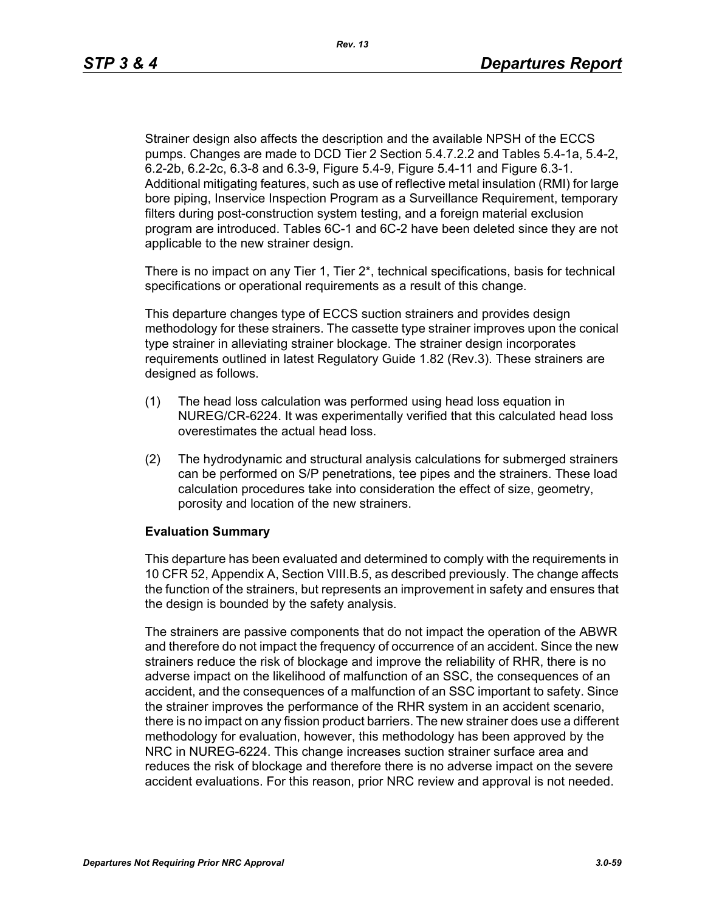Strainer design also affects the description and the available NPSH of the ECCS pumps. Changes are made to DCD Tier 2 Section 5.4.7.2.2 and Tables 5.4-1a, 5.4-2, 6.2-2b, 6.2-2c, 6.3-8 and 6.3-9, Figure 5.4-9, Figure 5.4-11 and Figure 6.3-1. Additional mitigating features, such as use of reflective metal insulation (RMI) for large bore piping, Inservice Inspection Program as a Surveillance Requirement, temporary filters during post-construction system testing, and a foreign material exclusion program are introduced. Tables 6C-1 and 6C-2 have been deleted since they are not applicable to the new strainer design.

There is no impact on any Tier 1, Tier  $2^*$ , technical specifications, basis for technical specifications or operational requirements as a result of this change.

This departure changes type of ECCS suction strainers and provides design methodology for these strainers. The cassette type strainer improves upon the conical type strainer in alleviating strainer blockage. The strainer design incorporates requirements outlined in latest Regulatory Guide 1.82 (Rev.3). These strainers are designed as follows.

- (1) The head loss calculation was performed using head loss equation in NUREG/CR-6224. It was experimentally verified that this calculated head loss overestimates the actual head loss.
- (2) The hydrodynamic and structural analysis calculations for submerged strainers can be performed on S/P penetrations, tee pipes and the strainers. These load calculation procedures take into consideration the effect of size, geometry, porosity and location of the new strainers.

### **Evaluation Summary**

This departure has been evaluated and determined to comply with the requirements in 10 CFR 52, Appendix A, Section VIII.B.5, as described previously. The change affects the function of the strainers, but represents an improvement in safety and ensures that the design is bounded by the safety analysis.

The strainers are passive components that do not impact the operation of the ABWR and therefore do not impact the frequency of occurrence of an accident. Since the new strainers reduce the risk of blockage and improve the reliability of RHR, there is no adverse impact on the likelihood of malfunction of an SSC, the consequences of an accident, and the consequences of a malfunction of an SSC important to safety. Since the strainer improves the performance of the RHR system in an accident scenario, there is no impact on any fission product barriers. The new strainer does use a different methodology for evaluation, however, this methodology has been approved by the NRC in NUREG-6224. This change increases suction strainer surface area and reduces the risk of blockage and therefore there is no adverse impact on the severe accident evaluations. For this reason, prior NRC review and approval is not needed.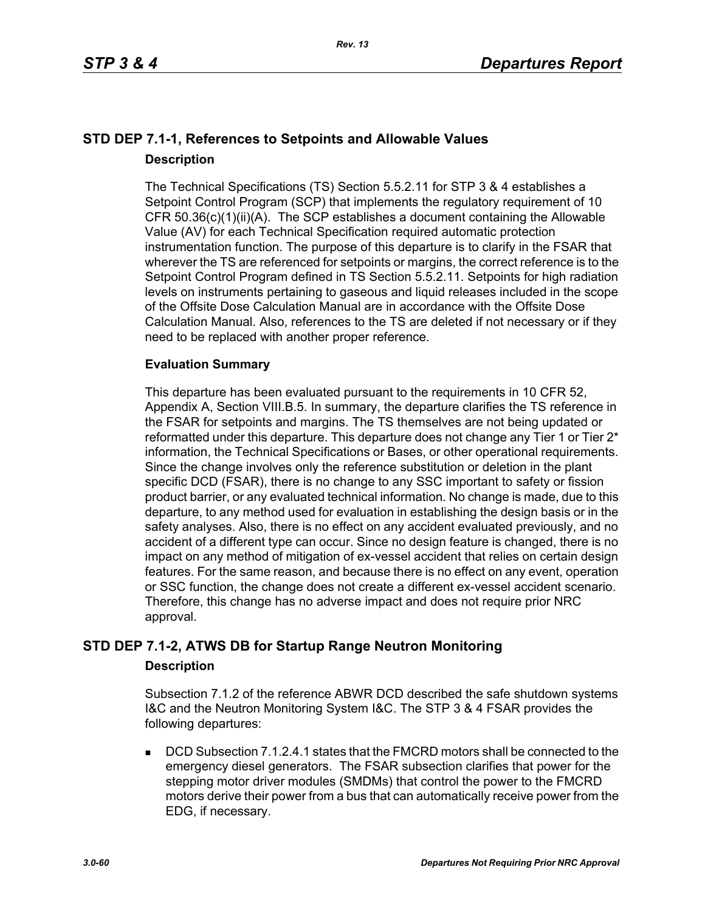# **STD DEP 7.1-1, References to Setpoints and Allowable Values Description**

The Technical Specifications (TS) Section 5.5.2.11 for STP 3 & 4 establishes a Setpoint Control Program (SCP) that implements the regulatory requirement of 10 CFR 50.36(c)(1)(ii)(A). The SCP establishes a document containing the Allowable Value (AV) for each Technical Specification required automatic protection instrumentation function. The purpose of this departure is to clarify in the FSAR that wherever the TS are referenced for setpoints or margins, the correct reference is to the Setpoint Control Program defined in TS Section 5.5.2.11. Setpoints for high radiation levels on instruments pertaining to gaseous and liquid releases included in the scope of the Offsite Dose Calculation Manual are in accordance with the Offsite Dose Calculation Manual. Also, references to the TS are deleted if not necessary or if they need to be replaced with another proper reference.

### **Evaluation Summary**

This departure has been evaluated pursuant to the requirements in 10 CFR 52, Appendix A, Section VIII.B.5. In summary, the departure clarifies the TS reference in the FSAR for setpoints and margins. The TS themselves are not being updated or reformatted under this departure. This departure does not change any Tier 1 or Tier 2<sup>\*</sup> information, the Technical Specifications or Bases, or other operational requirements. Since the change involves only the reference substitution or deletion in the plant specific DCD (FSAR), there is no change to any SSC important to safety or fission product barrier, or any evaluated technical information. No change is made, due to this departure, to any method used for evaluation in establishing the design basis or in the safety analyses. Also, there is no effect on any accident evaluated previously, and no accident of a different type can occur. Since no design feature is changed, there is no impact on any method of mitigation of ex-vessel accident that relies on certain design features. For the same reason, and because there is no effect on any event, operation or SSC function, the change does not create a different ex-vessel accident scenario. Therefore, this change has no adverse impact and does not require prior NRC approval.

# **STD DEP 7.1-2, ATWS DB for Startup Range Neutron Monitoring**

### **Description**

Subsection 7.1.2 of the reference ABWR DCD described the safe shutdown systems I&C and the Neutron Monitoring System I&C. The STP 3 & 4 FSAR provides the following departures:

 DCD Subsection 7.1.2.4.1 states that the FMCRD motors shall be connected to the emergency diesel generators. The FSAR subsection clarifies that power for the stepping motor driver modules (SMDMs) that control the power to the FMCRD motors derive their power from a bus that can automatically receive power from the EDG, if necessary.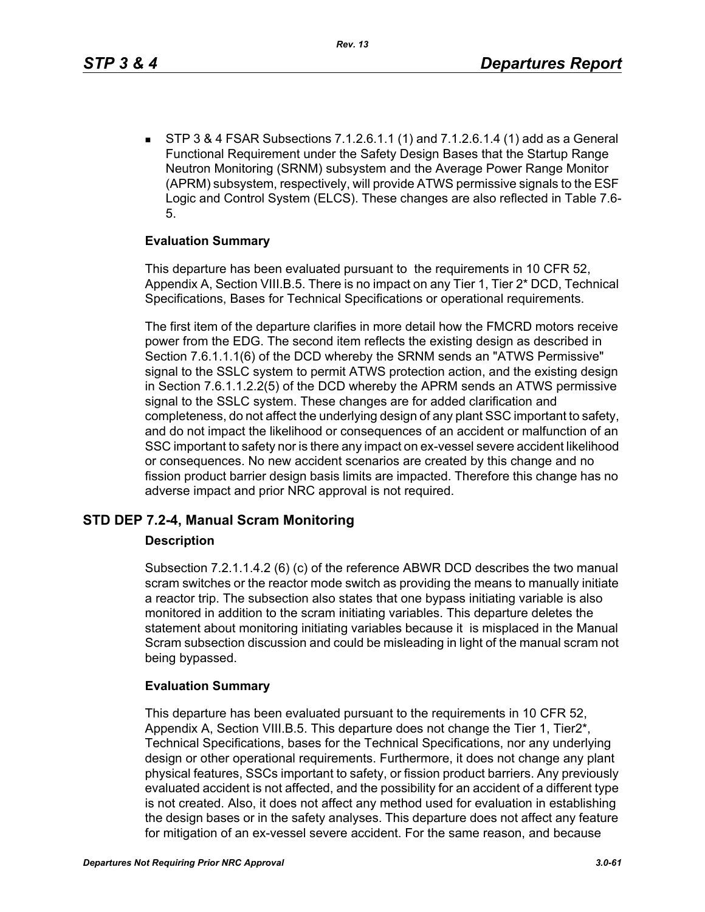$\blacksquare$  STP 3 & 4 FSAR Subsections 7.1.2.6.1.1 (1) and 7.1.2.6.1.4 (1) add as a General Functional Requirement under the Safety Design Bases that the Startup Range Neutron Monitoring (SRNM) subsystem and the Average Power Range Monitor (APRM) subsystem, respectively, will provide ATWS permissive signals to the ESF Logic and Control System (ELCS). These changes are also reflected in Table 7.6- 5.

### **Evaluation Summary**

This departure has been evaluated pursuant to the requirements in 10 CFR 52, Appendix A, Section VIII.B.5. There is no impact on any Tier 1, Tier 2\* DCD, Technical Specifications, Bases for Technical Specifications or operational requirements.

The first item of the departure clarifies in more detail how the FMCRD motors receive power from the EDG. The second item reflects the existing design as described in Section 7.6.1.1.1(6) of the DCD whereby the SRNM sends an "ATWS Permissive" signal to the SSLC system to permit ATWS protection action, and the existing design in Section 7.6.1.1.2.2(5) of the DCD whereby the APRM sends an ATWS permissive signal to the SSLC system. These changes are for added clarification and completeness, do not affect the underlying design of any plant SSC important to safety, and do not impact the likelihood or consequences of an accident or malfunction of an SSC important to safety nor is there any impact on ex-vessel severe accident likelihood or consequences. No new accident scenarios are created by this change and no fission product barrier design basis limits are impacted. Therefore this change has no adverse impact and prior NRC approval is not required.

### **STD DEP 7.2-4, Manual Scram Monitoring**

### **Description**

Subsection 7.2.1.1.4.2 (6) (c) of the reference ABWR DCD describes the two manual scram switches or the reactor mode switch as providing the means to manually initiate a reactor trip. The subsection also states that one bypass initiating variable is also monitored in addition to the scram initiating variables. This departure deletes the statement about monitoring initiating variables because it is misplaced in the Manual Scram subsection discussion and could be misleading in light of the manual scram not being bypassed.

### **Evaluation Summary**

This departure has been evaluated pursuant to the requirements in 10 CFR 52, Appendix A, Section VIII.B.5. This departure does not change the Tier 1, Tier2\*, Technical Specifications, bases for the Technical Specifications, nor any underlying design or other operational requirements. Furthermore, it does not change any plant physical features, SSCs important to safety, or fission product barriers. Any previously evaluated accident is not affected, and the possibility for an accident of a different type is not created. Also, it does not affect any method used for evaluation in establishing the design bases or in the safety analyses. This departure does not affect any feature for mitigation of an ex-vessel severe accident. For the same reason, and because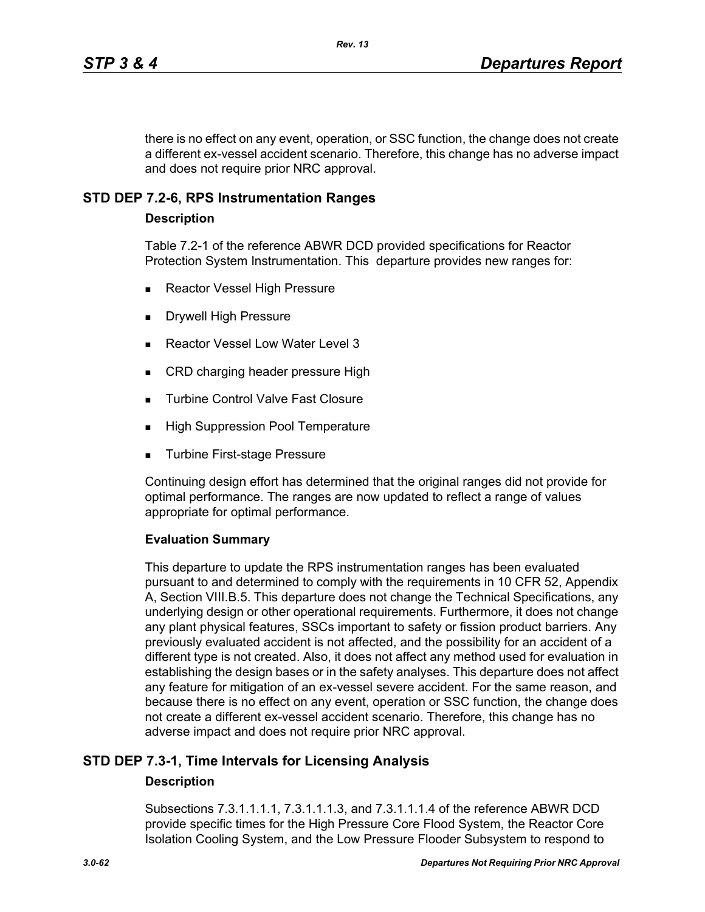there is no effect on any event, operation, or SSC function, the change does not create a different ex-vessel accident scenario. Therefore, this change has no adverse impact and does not require prior NRC approval.

### **STD DEP 7.2-6, RPS Instrumentation Ranges**

### **Description**

Table 7.2-1 of the reference ABWR DCD provided specifications for Reactor Protection System Instrumentation. This departure provides new ranges for:

- Reactor Vessel High Pressure
- Drywell High Pressure
- Reactor Vessel Low Water Level 3
- CRD charging header pressure High
- **Turbine Control Valve Fast Closure**
- **High Suppression Pool Temperature**
- Turbine First-stage Pressure

Continuing design effort has determined that the original ranges did not provide for optimal performance. The ranges are now updated to reflect a range of values appropriate for optimal performance.

### **Evaluation Summary**

This departure to update the RPS instrumentation ranges has been evaluated pursuant to and determined to comply with the requirements in 10 CFR 52, Appendix A, Section VIII.B.5. This departure does not change the Technical Specifications, any underlying design or other operational requirements. Furthermore, it does not change any plant physical features, SSCs important to safety or fission product barriers. Any previously evaluated accident is not affected, and the possibility for an accident of a different type is not created. Also, it does not affect any method used for evaluation in establishing the design bases or in the safety analyses. This departure does not affect any feature for mitigation of an ex-vessel severe accident. For the same reason, and because there is no effect on any event, operation or SSC function, the change does not create a different ex-vessel accident scenario. Therefore, this change has no adverse impact and does not require prior NRC approval.

# **STD DEP 7.3-1, Time Intervals for Licensing Analysis**

### **Description**

Subsections 7.3.1.1.1.1, 7.3.1.1.1.3, and 7.3.1.1.1.4 of the reference ABWR DCD provide specific times for the High Pressure Core Flood System, the Reactor Core Isolation Cooling System, and the Low Pressure Flooder Subsystem to respond to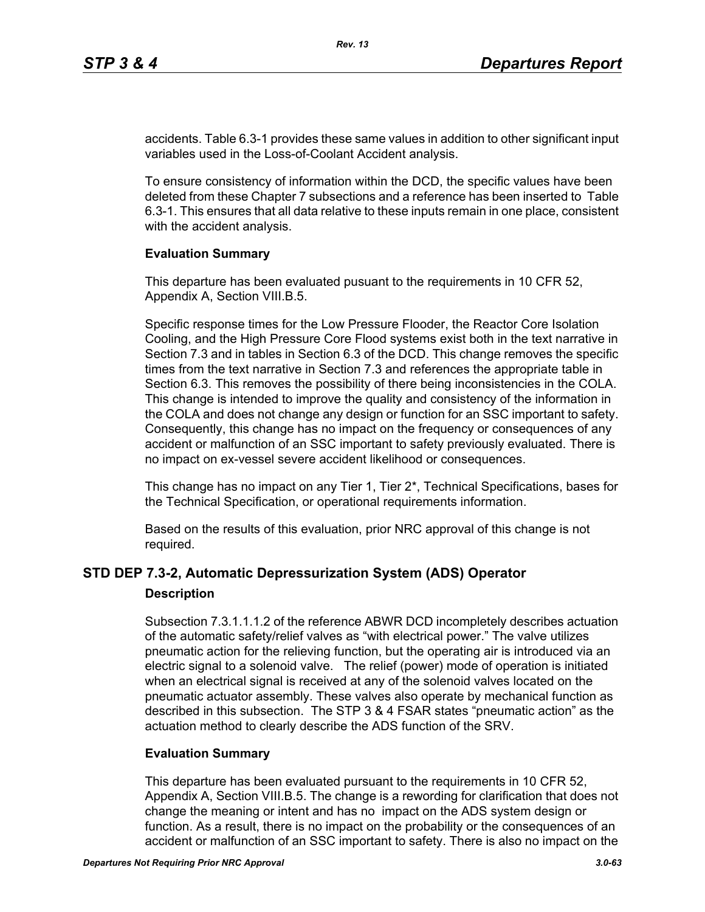accidents. Table 6.3-1 provides these same values in addition to other significant input variables used in the Loss-of-Coolant Accident analysis.

To ensure consistency of information within the DCD, the specific values have been deleted from these Chapter 7 subsections and a reference has been inserted to Table 6.3-1. This ensures that all data relative to these inputs remain in one place, consistent with the accident analysis.

### **Evaluation Summary**

This departure has been evaluated pusuant to the requirements in 10 CFR 52, Appendix A, Section VIII.B.5.

Specific response times for the Low Pressure Flooder, the Reactor Core Isolation Cooling, and the High Pressure Core Flood systems exist both in the text narrative in Section 7.3 and in tables in Section 6.3 of the DCD. This change removes the specific times from the text narrative in Section 7.3 and references the appropriate table in Section 6.3. This removes the possibility of there being inconsistencies in the COLA. This change is intended to improve the quality and consistency of the information in the COLA and does not change any design or function for an SSC important to safety. Consequently, this change has no impact on the frequency or consequences of any accident or malfunction of an SSC important to safety previously evaluated. There is no impact on ex-vessel severe accident likelihood or consequences.

This change has no impact on any Tier 1, Tier 2\*, Technical Specifications, bases for the Technical Specification, or operational requirements information.

Based on the results of this evaluation, prior NRC approval of this change is not required.

# **STD DEP 7.3-2, Automatic Depressurization System (ADS) Operator**

### **Description**

Subsection 7.3.1.1.1.2 of the reference ABWR DCD incompletely describes actuation of the automatic safety/relief valves as "with electrical power." The valve utilizes pneumatic action for the relieving function, but the operating air is introduced via an electric signal to a solenoid valve. The relief (power) mode of operation is initiated when an electrical signal is received at any of the solenoid valves located on the pneumatic actuator assembly. These valves also operate by mechanical function as described in this subsection. The STP 3 & 4 FSAR states "pneumatic action" as the actuation method to clearly describe the ADS function of the SRV.

### **Evaluation Summary**

This departure has been evaluated pursuant to the requirements in 10 CFR 52, Appendix A, Section VIII.B.5. The change is a rewording for clarification that does not change the meaning or intent and has no impact on the ADS system design or function. As a result, there is no impact on the probability or the consequences of an accident or malfunction of an SSC important to safety. There is also no impact on the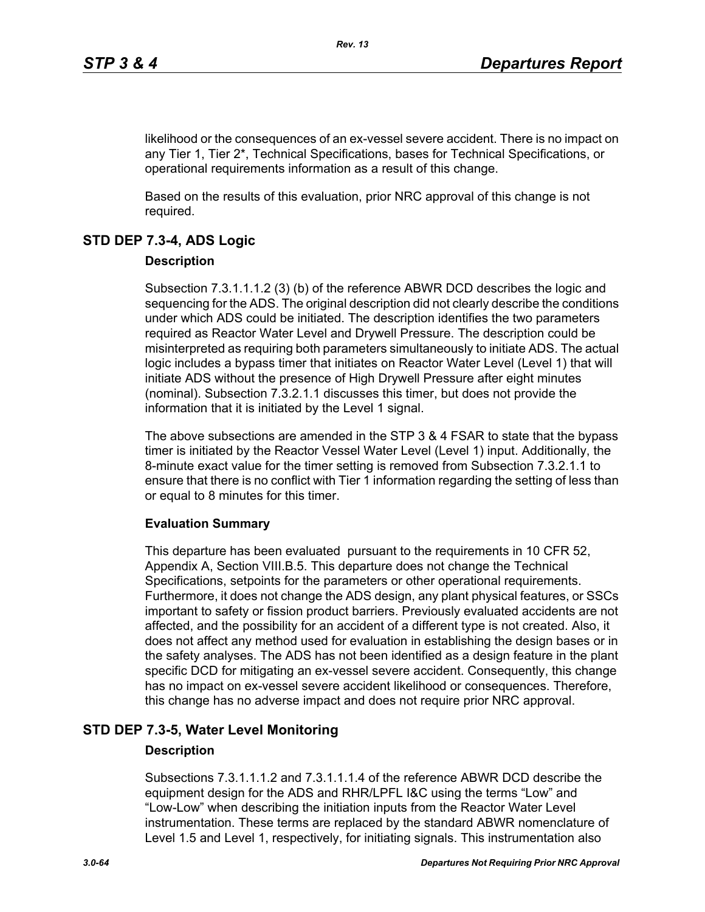likelihood or the consequences of an ex-vessel severe accident. There is no impact on any Tier 1, Tier 2\*, Technical Specifications, bases for Technical Specifications, or operational requirements information as a result of this change.

Based on the results of this evaluation, prior NRC approval of this change is not required.

# **STD DEP 7.3-4, ADS Logic**

### **Description**

Subsection 7.3.1.1.1.2 (3) (b) of the reference ABWR DCD describes the logic and sequencing for the ADS. The original description did not clearly describe the conditions under which ADS could be initiated. The description identifies the two parameters required as Reactor Water Level and Drywell Pressure. The description could be misinterpreted as requiring both parameters simultaneously to initiate ADS. The actual logic includes a bypass timer that initiates on Reactor Water Level (Level 1) that will initiate ADS without the presence of High Drywell Pressure after eight minutes (nominal). Subsection 7.3.2.1.1 discusses this timer, but does not provide the information that it is initiated by the Level 1 signal.

The above subsections are amended in the STP 3 & 4 FSAR to state that the bypass timer is initiated by the Reactor Vessel Water Level (Level 1) input. Additionally, the 8-minute exact value for the timer setting is removed from Subsection 7.3.2.1.1 to ensure that there is no conflict with Tier 1 information regarding the setting of less than or equal to 8 minutes for this timer.

### **Evaluation Summary**

This departure has been evaluated pursuant to the requirements in 10 CFR 52, Appendix A, Section VIII.B.5. This departure does not change the Technical Specifications, setpoints for the parameters or other operational requirements. Furthermore, it does not change the ADS design, any plant physical features, or SSCs important to safety or fission product barriers. Previously evaluated accidents are not affected, and the possibility for an accident of a different type is not created. Also, it does not affect any method used for evaluation in establishing the design bases or in the safety analyses. The ADS has not been identified as a design feature in the plant specific DCD for mitigating an ex-vessel severe accident. Consequently, this change has no impact on ex-vessel severe accident likelihood or consequences. Therefore, this change has no adverse impact and does not require prior NRC approval.

# **STD DEP 7.3-5, Water Level Monitoring**

### **Description**

Subsections 7.3.1.1.1.2 and 7.3.1.1.1.4 of the reference ABWR DCD describe the equipment design for the ADS and RHR/LPFL I&C using the terms "Low" and "Low-Low" when describing the initiation inputs from the Reactor Water Level instrumentation. These terms are replaced by the standard ABWR nomenclature of Level 1.5 and Level 1, respectively, for initiating signals. This instrumentation also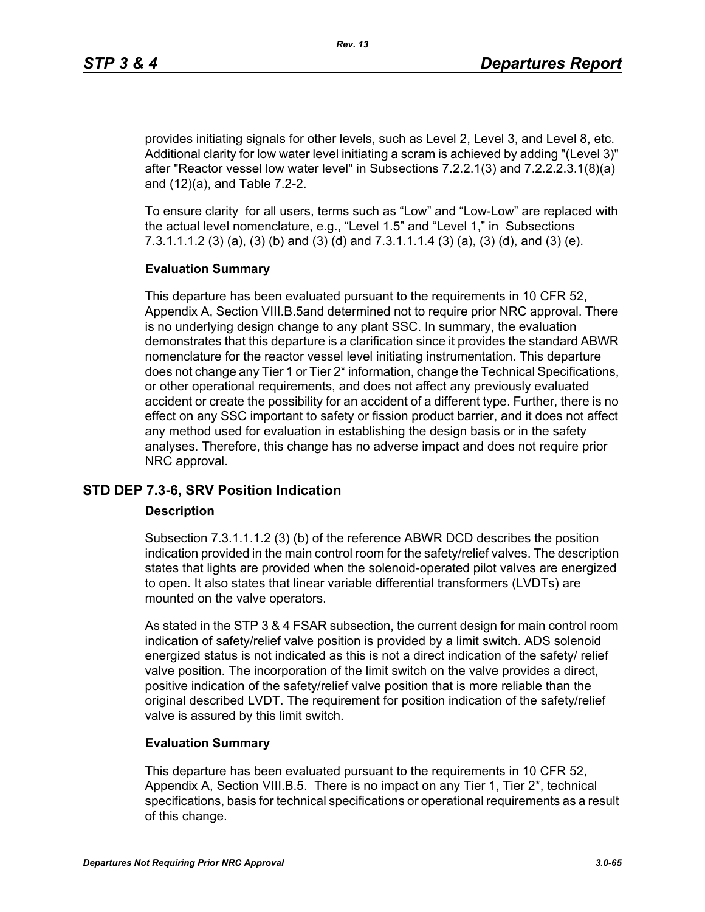provides initiating signals for other levels, such as Level 2, Level 3, and Level 8, etc. Additional clarity for low water level initiating a scram is achieved by adding "(Level 3)" after "Reactor vessel low water level" in Subsections 7.2.2.1(3) and 7.2.2.2.3.1(8)(a) and (12)(a), and Table 7.2-2.

To ensure clarity for all users, terms such as "Low" and "Low-Low" are replaced with the actual level nomenclature, e.g., "Level 1.5" and "Level 1," in Subsections 7.3.1.1.1.2 (3) (a), (3) (b) and (3) (d) and 7.3.1.1.1.4 (3) (a), (3) (d), and (3) (e).

### **Evaluation Summary**

This departure has been evaluated pursuant to the requirements in 10 CFR 52, Appendix A, Section VIII.B.5and determined not to require prior NRC approval. There is no underlying design change to any plant SSC. In summary, the evaluation demonstrates that this departure is a clarification since it provides the standard ABWR nomenclature for the reactor vessel level initiating instrumentation. This departure does not change any Tier 1 or Tier 2\* information, change the Technical Specifications, or other operational requirements, and does not affect any previously evaluated accident or create the possibility for an accident of a different type. Further, there is no effect on any SSC important to safety or fission product barrier, and it does not affect any method used for evaluation in establishing the design basis or in the safety analyses. Therefore, this change has no adverse impact and does not require prior NRC approval.

### **STD DEP 7.3-6, SRV Position Indication**

### **Description**

Subsection 7.3.1.1.1.2 (3) (b) of the reference ABWR DCD describes the position indication provided in the main control room for the safety/relief valves. The description states that lights are provided when the solenoid-operated pilot valves are energized to open. It also states that linear variable differential transformers (LVDTs) are mounted on the valve operators.

As stated in the STP 3 & 4 FSAR subsection, the current design for main control room indication of safety/relief valve position is provided by a limit switch. ADS solenoid energized status is not indicated as this is not a direct indication of the safety/ relief valve position. The incorporation of the limit switch on the valve provides a direct, positive indication of the safety/relief valve position that is more reliable than the original described LVDT. The requirement for position indication of the safety/relief valve is assured by this limit switch.

### **Evaluation Summary**

This departure has been evaluated pursuant to the requirements in 10 CFR 52, Appendix A, Section VIII.B.5. There is no impact on any Tier 1, Tier 2\*, technical specifications, basis for technical specifications or operational requirements as a result of this change.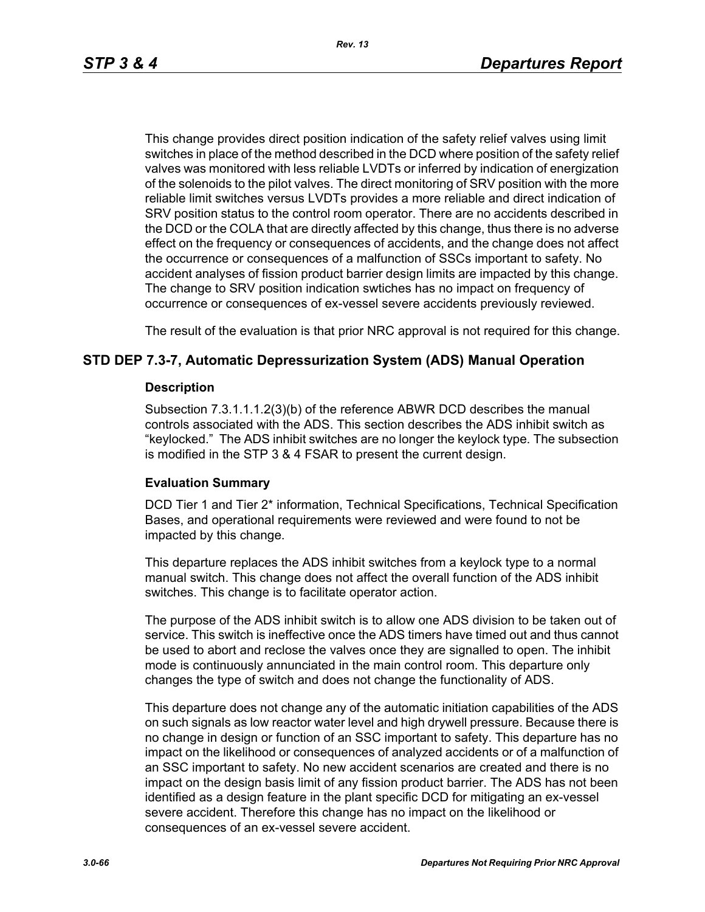*Rev. 13*

This change provides direct position indication of the safety relief valves using limit switches in place of the method described in the DCD where position of the safety relief valves was monitored with less reliable LVDTs or inferred by indication of energization of the solenoids to the pilot valves. The direct monitoring of SRV position with the more reliable limit switches versus LVDTs provides a more reliable and direct indication of SRV position status to the control room operator. There are no accidents described in the DCD or the COLA that are directly affected by this change, thus there is no adverse effect on the frequency or consequences of accidents, and the change does not affect the occurrence or consequences of a malfunction of SSCs important to safety. No accident analyses of fission product barrier design limits are impacted by this change. The change to SRV position indication swtiches has no impact on frequency of occurrence or consequences of ex-vessel severe accidents previously reviewed.

The result of the evaluation is that prior NRC approval is not required for this change.

### **STD DEP 7.3-7, Automatic Depressurization System (ADS) Manual Operation**

### **Description**

Subsection 7.3.1.1.1.2(3)(b) of the reference ABWR DCD describes the manual controls associated with the ADS. This section describes the ADS inhibit switch as "keylocked." The ADS inhibit switches are no longer the keylock type. The subsection is modified in the STP 3 & 4 FSAR to present the current design.

### **Evaluation Summary**

DCD Tier 1 and Tier 2\* information, Technical Specifications, Technical Specification Bases, and operational requirements were reviewed and were found to not be impacted by this change.

This departure replaces the ADS inhibit switches from a keylock type to a normal manual switch. This change does not affect the overall function of the ADS inhibit switches. This change is to facilitate operator action.

The purpose of the ADS inhibit switch is to allow one ADS division to be taken out of service. This switch is ineffective once the ADS timers have timed out and thus cannot be used to abort and reclose the valves once they are signalled to open. The inhibit mode is continuously annunciated in the main control room. This departure only changes the type of switch and does not change the functionality of ADS.

This departure does not change any of the automatic initiation capabilities of the ADS on such signals as low reactor water level and high drywell pressure. Because there is no change in design or function of an SSC important to safety. This departure has no impact on the likelihood or consequences of analyzed accidents or of a malfunction of an SSC important to safety. No new accident scenarios are created and there is no impact on the design basis limit of any fission product barrier. The ADS has not been identified as a design feature in the plant specific DCD for mitigating an ex-vessel severe accident. Therefore this change has no impact on the likelihood or consequences of an ex-vessel severe accident.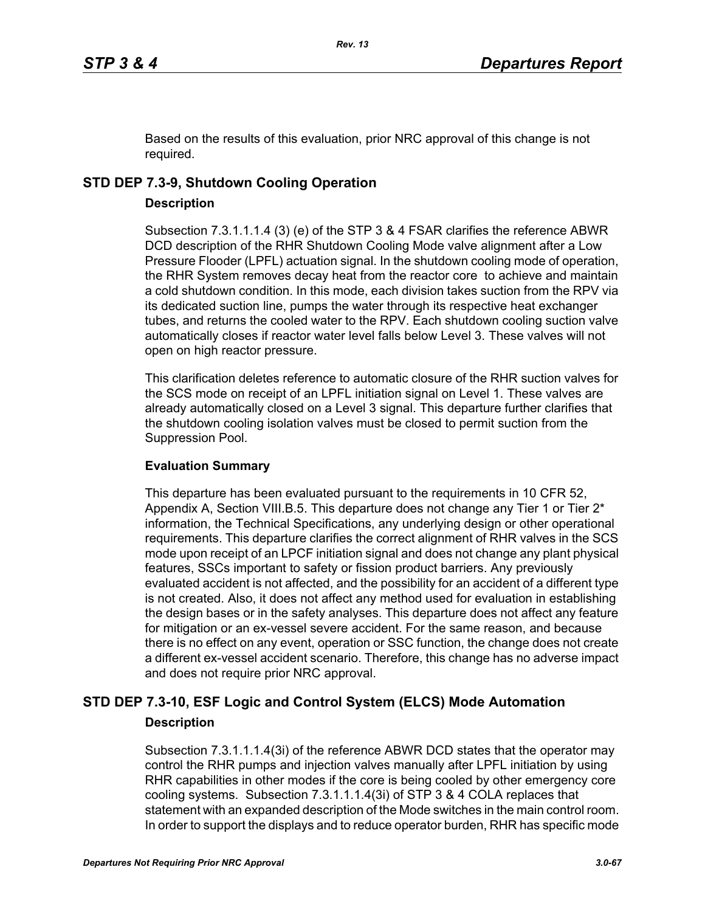Based on the results of this evaluation, prior NRC approval of this change is not required.

### **STD DEP 7.3-9, Shutdown Cooling Operation**

### **Description**

Subsection 7.3.1.1.1.4 (3) (e) of the STP 3 & 4 FSAR clarifies the reference ABWR DCD description of the RHR Shutdown Cooling Mode valve alignment after a Low Pressure Flooder (LPFL) actuation signal. In the shutdown cooling mode of operation, the RHR System removes decay heat from the reactor core to achieve and maintain a cold shutdown condition. In this mode, each division takes suction from the RPV via its dedicated suction line, pumps the water through its respective heat exchanger tubes, and returns the cooled water to the RPV. Each shutdown cooling suction valve automatically closes if reactor water level falls below Level 3. These valves will not open on high reactor pressure.

This clarification deletes reference to automatic closure of the RHR suction valves for the SCS mode on receipt of an LPFL initiation signal on Level 1. These valves are already automatically closed on a Level 3 signal. This departure further clarifies that the shutdown cooling isolation valves must be closed to permit suction from the Suppression Pool.

### **Evaluation Summary**

This departure has been evaluated pursuant to the requirements in 10 CFR 52, Appendix A, Section VIII.B.5. This departure does not change any Tier 1 or Tier 2<sup>\*</sup> information, the Technical Specifications, any underlying design or other operational requirements. This departure clarifies the correct alignment of RHR valves in the SCS mode upon receipt of an LPCF initiation signal and does not change any plant physical features, SSCs important to safety or fission product barriers. Any previously evaluated accident is not affected, and the possibility for an accident of a different type is not created. Also, it does not affect any method used for evaluation in establishing the design bases or in the safety analyses. This departure does not affect any feature for mitigation or an ex-vessel severe accident. For the same reason, and because there is no effect on any event, operation or SSC function, the change does not create a different ex-vessel accident scenario. Therefore, this change has no adverse impact and does not require prior NRC approval.

# **STD DEP 7.3-10, ESF Logic and Control System (ELCS) Mode Automation Description**

Subsection 7.3.1.1.1.4(3i) of the reference ABWR DCD states that the operator may control the RHR pumps and injection valves manually after LPFL initiation by using RHR capabilities in other modes if the core is being cooled by other emergency core cooling systems. Subsection 7.3.1.1.1.4(3i) of STP 3 & 4 COLA replaces that statement with an expanded description of the Mode switches in the main control room. In order to support the displays and to reduce operator burden, RHR has specific mode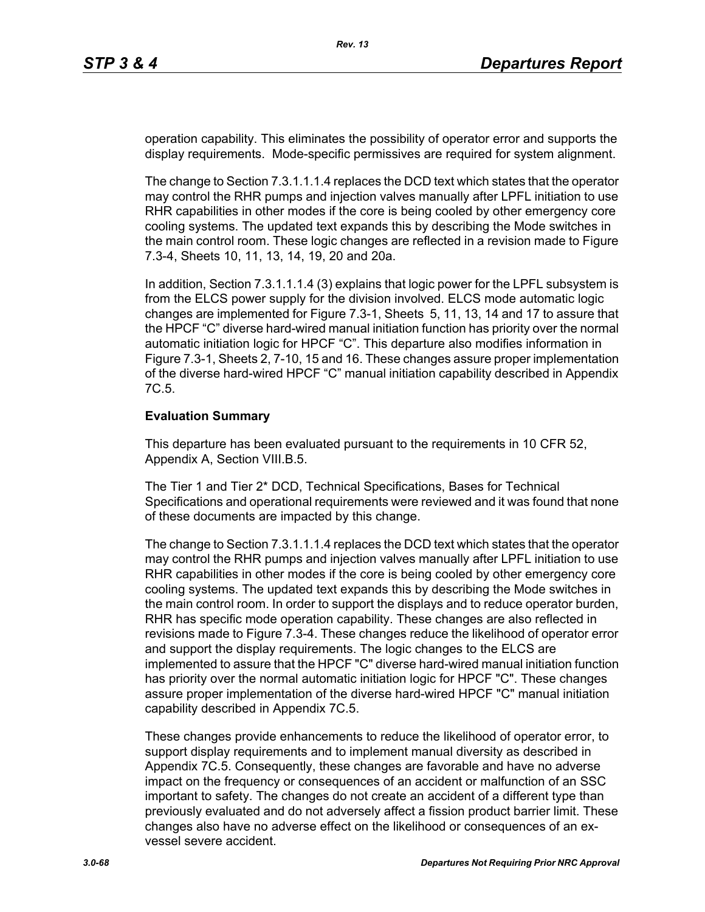operation capability. This eliminates the possibility of operator error and supports the display requirements. Mode-specific permissives are required for system alignment.

The change to Section 7.3.1.1.1.4 replaces the DCD text which states that the operator may control the RHR pumps and injection valves manually after LPFL initiation to use RHR capabilities in other modes if the core is being cooled by other emergency core cooling systems. The updated text expands this by describing the Mode switches in the main control room. These logic changes are reflected in a revision made to Figure 7.3-4, Sheets 10, 11, 13, 14, 19, 20 and 20a.

In addition, Section 7.3.1.1.1.4 (3) explains that logic power for the LPFL subsystem is from the ELCS power supply for the division involved. ELCS mode automatic logic changes are implemented for Figure 7.3-1, Sheets 5, 11, 13, 14 and 17 to assure that the HPCF "C" diverse hard-wired manual initiation function has priority over the normal automatic initiation logic for HPCF "C". This departure also modifies information in Figure 7.3-1, Sheets 2, 7-10, 15 and 16. These changes assure proper implementation of the diverse hard-wired HPCF "C" manual initiation capability described in Appendix 7C.5.

#### **Evaluation Summary**

This departure has been evaluated pursuant to the requirements in 10 CFR 52, Appendix A, Section VIII.B.5.

The Tier 1 and Tier 2\* DCD, Technical Specifications, Bases for Technical Specifications and operational requirements were reviewed and it was found that none of these documents are impacted by this change.

The change to Section 7.3.1.1.1.4 replaces the DCD text which states that the operator may control the RHR pumps and injection valves manually after LPFL initiation to use RHR capabilities in other modes if the core is being cooled by other emergency core cooling systems. The updated text expands this by describing the Mode switches in the main control room. In order to support the displays and to reduce operator burden, RHR has specific mode operation capability. These changes are also reflected in revisions made to Figure 7.3-4. These changes reduce the likelihood of operator error and support the display requirements. The logic changes to the ELCS are implemented to assure that the HPCF "C" diverse hard-wired manual initiation function has priority over the normal automatic initiation logic for HPCF "C". These changes assure proper implementation of the diverse hard-wired HPCF "C" manual initiation capability described in Appendix 7C.5.

These changes provide enhancements to reduce the likelihood of operator error, to support display requirements and to implement manual diversity as described in Appendix 7C.5. Consequently, these changes are favorable and have no adverse impact on the frequency or consequences of an accident or malfunction of an SSC important to safety. The changes do not create an accident of a different type than previously evaluated and do not adversely affect a fission product barrier limit. These changes also have no adverse effect on the likelihood or consequences of an exvessel severe accident.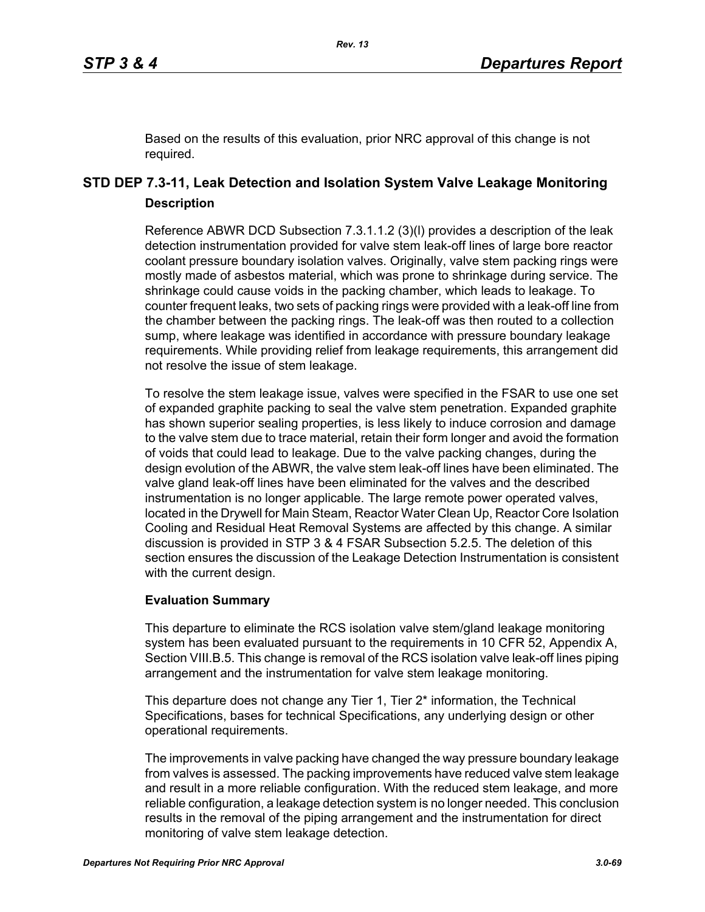Based on the results of this evaluation, prior NRC approval of this change is not required.

# **STD DEP 7.3-11, Leak Detection and Isolation System Valve Leakage Monitoring Description**

Reference ABWR DCD Subsection 7.3.1.1.2 (3)(l) provides a description of the leak detection instrumentation provided for valve stem leak-off lines of large bore reactor coolant pressure boundary isolation valves. Originally, valve stem packing rings were mostly made of asbestos material, which was prone to shrinkage during service. The shrinkage could cause voids in the packing chamber, which leads to leakage. To counter frequent leaks, two sets of packing rings were provided with a leak-off line from the chamber between the packing rings. The leak-off was then routed to a collection sump, where leakage was identified in accordance with pressure boundary leakage requirements. While providing relief from leakage requirements, this arrangement did not resolve the issue of stem leakage.

To resolve the stem leakage issue, valves were specified in the FSAR to use one set of expanded graphite packing to seal the valve stem penetration. Expanded graphite has shown superior sealing properties, is less likely to induce corrosion and damage to the valve stem due to trace material, retain their form longer and avoid the formation of voids that could lead to leakage. Due to the valve packing changes, during the design evolution of the ABWR, the valve stem leak-off lines have been eliminated. The valve gland leak-off lines have been eliminated for the valves and the described instrumentation is no longer applicable. The large remote power operated valves, located in the Drywell for Main Steam, Reactor Water Clean Up, Reactor Core Isolation Cooling and Residual Heat Removal Systems are affected by this change. A similar discussion is provided in STP 3 & 4 FSAR Subsection 5.2.5. The deletion of this section ensures the discussion of the Leakage Detection Instrumentation is consistent with the current design.

### **Evaluation Summary**

This departure to eliminate the RCS isolation valve stem/gland leakage monitoring system has been evaluated pursuant to the requirements in 10 CFR 52, Appendix A, Section VIII.B.5. This change is removal of the RCS isolation valve leak-off lines piping arrangement and the instrumentation for valve stem leakage monitoring.

This departure does not change any Tier 1, Tier 2<sup>\*</sup> information, the Technical Specifications, bases for technical Specifications, any underlying design or other operational requirements.

The improvements in valve packing have changed the way pressure boundary leakage from valves is assessed. The packing improvements have reduced valve stem leakage and result in a more reliable configuration. With the reduced stem leakage, and more reliable configuration, a leakage detection system is no longer needed. This conclusion results in the removal of the piping arrangement and the instrumentation for direct monitoring of valve stem leakage detection.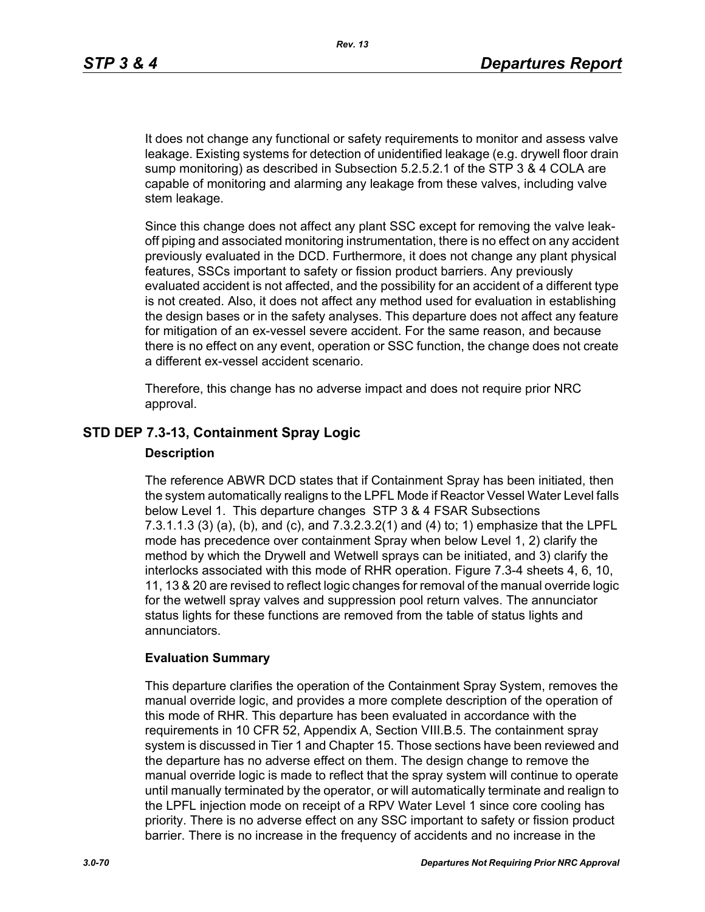It does not change any functional or safety requirements to monitor and assess valve leakage. Existing systems for detection of unidentified leakage (e.g. drywell floor drain sump monitoring) as described in Subsection 5.2.5.2.1 of the STP 3 & 4 COLA are capable of monitoring and alarming any leakage from these valves, including valve stem leakage.

Since this change does not affect any plant SSC except for removing the valve leakoff piping and associated monitoring instrumentation, there is no effect on any accident previously evaluated in the DCD. Furthermore, it does not change any plant physical features, SSCs important to safety or fission product barriers. Any previously evaluated accident is not affected, and the possibility for an accident of a different type is not created. Also, it does not affect any method used for evaluation in establishing the design bases or in the safety analyses. This departure does not affect any feature for mitigation of an ex-vessel severe accident. For the same reason, and because there is no effect on any event, operation or SSC function, the change does not create a different ex-vessel accident scenario.

Therefore, this change has no adverse impact and does not require prior NRC approval.

### **STD DEP 7.3-13, Containment Spray Logic**

#### **Description**

The reference ABWR DCD states that if Containment Spray has been initiated, then the system automatically realigns to the LPFL Mode if Reactor Vessel Water Level falls below Level 1. This departure changes STP 3 & 4 FSAR Subsections 7.3.1.1.3 (3) (a), (b), and (c), and 7.3.2.3.2(1) and (4) to; 1) emphasize that the LPFL mode has precedence over containment Spray when below Level 1, 2) clarify the method by which the Drywell and Wetwell sprays can be initiated, and 3) clarify the interlocks associated with this mode of RHR operation. Figure 7.3-4 sheets 4, 6, 10, 11, 13 & 20 are revised to reflect logic changes for removal of the manual override logic for the wetwell spray valves and suppression pool return valves. The annunciator status lights for these functions are removed from the table of status lights and annunciators.

### **Evaluation Summary**

This departure clarifies the operation of the Containment Spray System, removes the manual override logic, and provides a more complete description of the operation of this mode of RHR. This departure has been evaluated in accordance with the requirements in 10 CFR 52, Appendix A, Section VIII.B.5. The containment spray system is discussed in Tier 1 and Chapter 15. Those sections have been reviewed and the departure has no adverse effect on them. The design change to remove the manual override logic is made to reflect that the spray system will continue to operate until manually terminated by the operator, or will automatically terminate and realign to the LPFL injection mode on receipt of a RPV Water Level 1 since core cooling has priority. There is no adverse effect on any SSC important to safety or fission product barrier. There is no increase in the frequency of accidents and no increase in the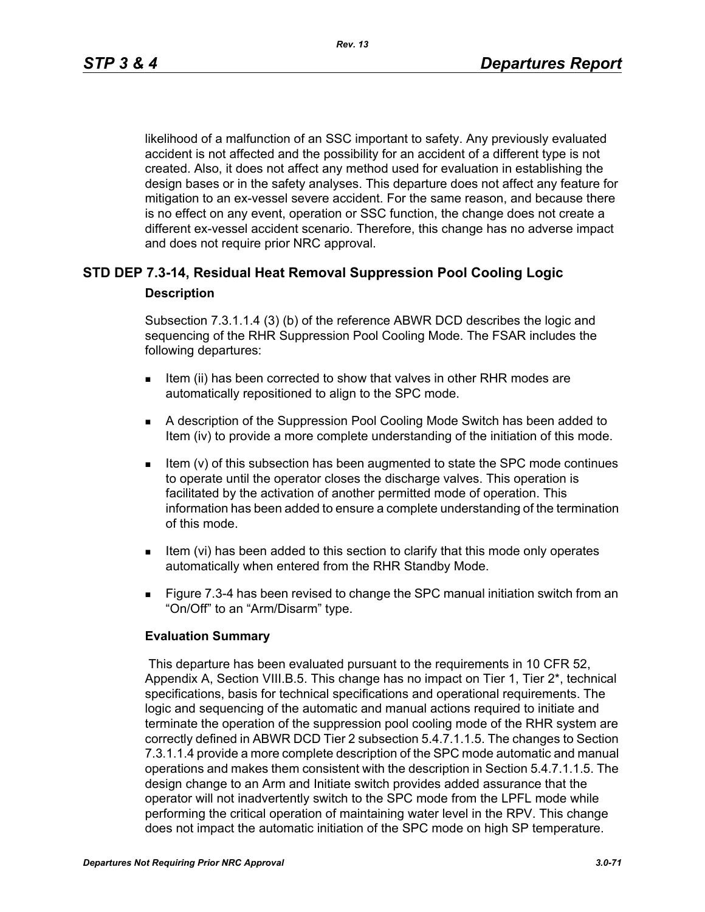likelihood of a malfunction of an SSC important to safety. Any previously evaluated accident is not affected and the possibility for an accident of a different type is not created. Also, it does not affect any method used for evaluation in establishing the design bases or in the safety analyses. This departure does not affect any feature for mitigation to an ex-vessel severe accident. For the same reason, and because there is no effect on any event, operation or SSC function, the change does not create a different ex-vessel accident scenario. Therefore, this change has no adverse impact and does not require prior NRC approval.

### **STD DEP 7.3-14, Residual Heat Removal Suppression Pool Cooling Logic Description**

Subsection 7.3.1.1.4 (3) (b) of the reference ABWR DCD describes the logic and sequencing of the RHR Suppression Pool Cooling Mode. The FSAR includes the following departures:

- Item (ii) has been corrected to show that valves in other RHR modes are automatically repositioned to align to the SPC mode.
- A description of the Suppression Pool Cooling Mode Switch has been added to Item (iv) to provide a more complete understanding of the initiation of this mode.
- Item (v) of this subsection has been augmented to state the SPC mode continues to operate until the operator closes the discharge valves. This operation is facilitated by the activation of another permitted mode of operation. This information has been added to ensure a complete understanding of the termination of this mode.
- Item (vi) has been added to this section to clarify that this mode only operates automatically when entered from the RHR Standby Mode.
- **Figure 7.3-4 has been revised to change the SPC manual initiation switch from an** "On/Off" to an "Arm/Disarm" type.

### **Evaluation Summary**

 This departure has been evaluated pursuant to the requirements in 10 CFR 52, Appendix A, Section VIII.B.5. This change has no impact on Tier 1, Tier 2\*, technical specifications, basis for technical specifications and operational requirements. The logic and sequencing of the automatic and manual actions required to initiate and terminate the operation of the suppression pool cooling mode of the RHR system are correctly defined in ABWR DCD Tier 2 subsection 5.4.7.1.1.5. The changes to Section 7.3.1.1.4 provide a more complete description of the SPC mode automatic and manual operations and makes them consistent with the description in Section 5.4.7.1.1.5. The design change to an Arm and Initiate switch provides added assurance that the operator will not inadvertently switch to the SPC mode from the LPFL mode while performing the critical operation of maintaining water level in the RPV. This change does not impact the automatic initiation of the SPC mode on high SP temperature.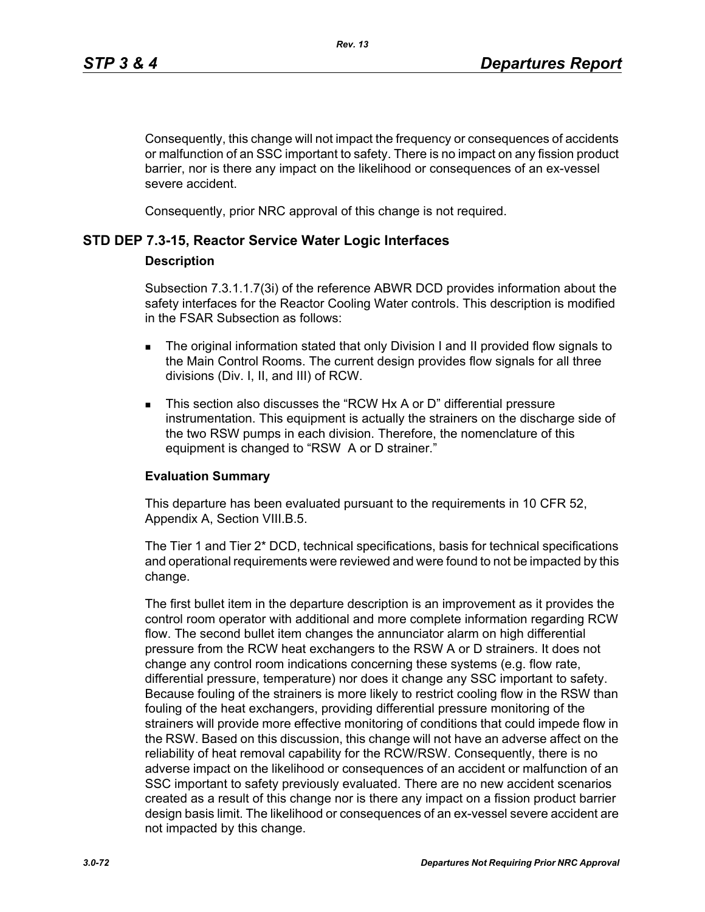Consequently, this change will not impact the frequency or consequences of accidents or malfunction of an SSC important to safety. There is no impact on any fission product barrier, nor is there any impact on the likelihood or consequences of an ex-vessel severe accident.

Consequently, prior NRC approval of this change is not required.

### **STD DEP 7.3-15, Reactor Service Water Logic Interfaces**

### **Description**

Subsection 7.3.1.1.7(3i) of the reference ABWR DCD provides information about the safety interfaces for the Reactor Cooling Water controls. This description is modified in the FSAR Subsection as follows:

- The original information stated that only Division I and II provided flow signals to the Main Control Rooms. The current design provides flow signals for all three divisions (Div. I, II, and III) of RCW.
- This section also discusses the "RCW Hx A or D" differential pressure instrumentation. This equipment is actually the strainers on the discharge side of the two RSW pumps in each division. Therefore, the nomenclature of this equipment is changed to "RSW A or D strainer."

### **Evaluation Summary**

This departure has been evaluated pursuant to the requirements in 10 CFR 52, Appendix A, Section VIII.B.5.

The Tier 1 and Tier 2\* DCD, technical specifications, basis for technical specifications and operational requirements were reviewed and were found to not be impacted by this change.

The first bullet item in the departure description is an improvement as it provides the control room operator with additional and more complete information regarding RCW flow. The second bullet item changes the annunciator alarm on high differential pressure from the RCW heat exchangers to the RSW A or D strainers. It does not change any control room indications concerning these systems (e.g. flow rate, differential pressure, temperature) nor does it change any SSC important to safety. Because fouling of the strainers is more likely to restrict cooling flow in the RSW than fouling of the heat exchangers, providing differential pressure monitoring of the strainers will provide more effective monitoring of conditions that could impede flow in the RSW. Based on this discussion, this change will not have an adverse affect on the reliability of heat removal capability for the RCW/RSW. Consequently, there is no adverse impact on the likelihood or consequences of an accident or malfunction of an SSC important to safety previously evaluated. There are no new accident scenarios created as a result of this change nor is there any impact on a fission product barrier design basis limit. The likelihood or consequences of an ex-vessel severe accident are not impacted by this change.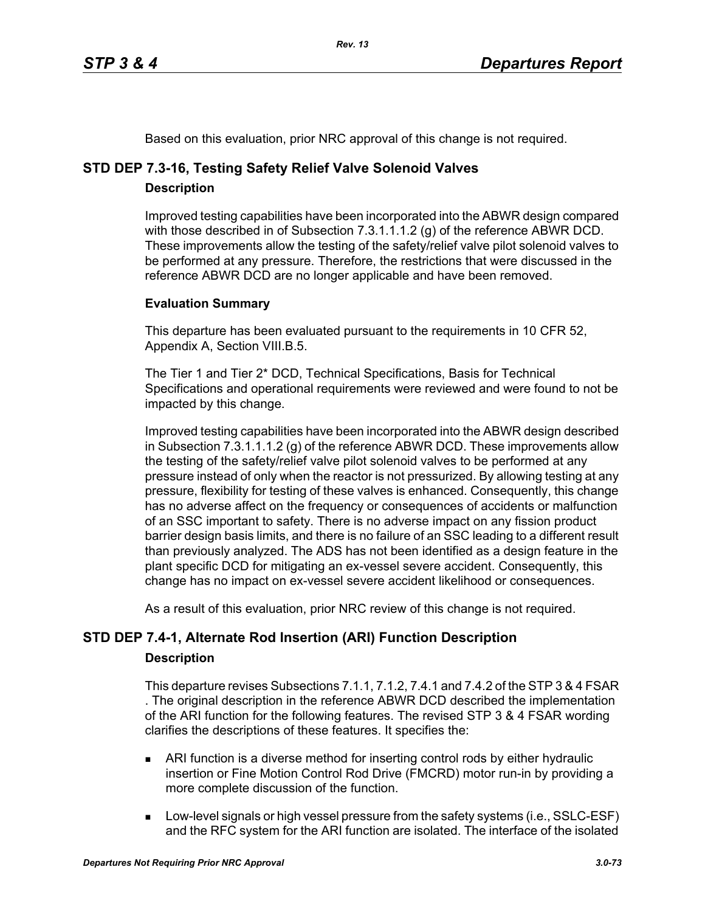Based on this evaluation, prior NRC approval of this change is not required.

# **STD DEP 7.3-16, Testing Safety Relief Valve Solenoid Valves**

## **Description**

Improved testing capabilities have been incorporated into the ABWR design compared with those described in of Subsection 7.3.1.1.1.2 (g) of the reference ABWR DCD. These improvements allow the testing of the safety/relief valve pilot solenoid valves to be performed at any pressure. Therefore, the restrictions that were discussed in the reference ABWR DCD are no longer applicable and have been removed.

## **Evaluation Summary**

This departure has been evaluated pursuant to the requirements in 10 CFR 52, Appendix A, Section VIII.B.5.

The Tier 1 and Tier 2\* DCD, Technical Specifications, Basis for Technical Specifications and operational requirements were reviewed and were found to not be impacted by this change.

Improved testing capabilities have been incorporated into the ABWR design described in Subsection 7.3.1.1.1.2 (g) of the reference ABWR DCD. These improvements allow the testing of the safety/relief valve pilot solenoid valves to be performed at any pressure instead of only when the reactor is not pressurized. By allowing testing at any pressure, flexibility for testing of these valves is enhanced. Consequently, this change has no adverse affect on the frequency or consequences of accidents or malfunction of an SSC important to safety. There is no adverse impact on any fission product barrier design basis limits, and there is no failure of an SSC leading to a different result than previously analyzed. The ADS has not been identified as a design feature in the plant specific DCD for mitigating an ex-vessel severe accident. Consequently, this change has no impact on ex-vessel severe accident likelihood or consequences.

As a result of this evaluation, prior NRC review of this change is not required.

# **STD DEP 7.4-1, Alternate Rod Insertion (ARI) Function Description**

### **Description**

This departure revises Subsections 7.1.1, 7.1.2, 7.4.1 and 7.4.2 of the STP 3 & 4 FSAR . The original description in the reference ABWR DCD described the implementation of the ARI function for the following features. The revised STP 3 & 4 FSAR wording clarifies the descriptions of these features. It specifies the:

- ARI function is a diverse method for inserting control rods by either hydraulic insertion or Fine Motion Control Rod Drive (FMCRD) motor run-in by providing a more complete discussion of the function.
- **Low-level signals or high vessel pressure from the safety systems (i.e., SSLC-ESF)** and the RFC system for the ARI function are isolated. The interface of the isolated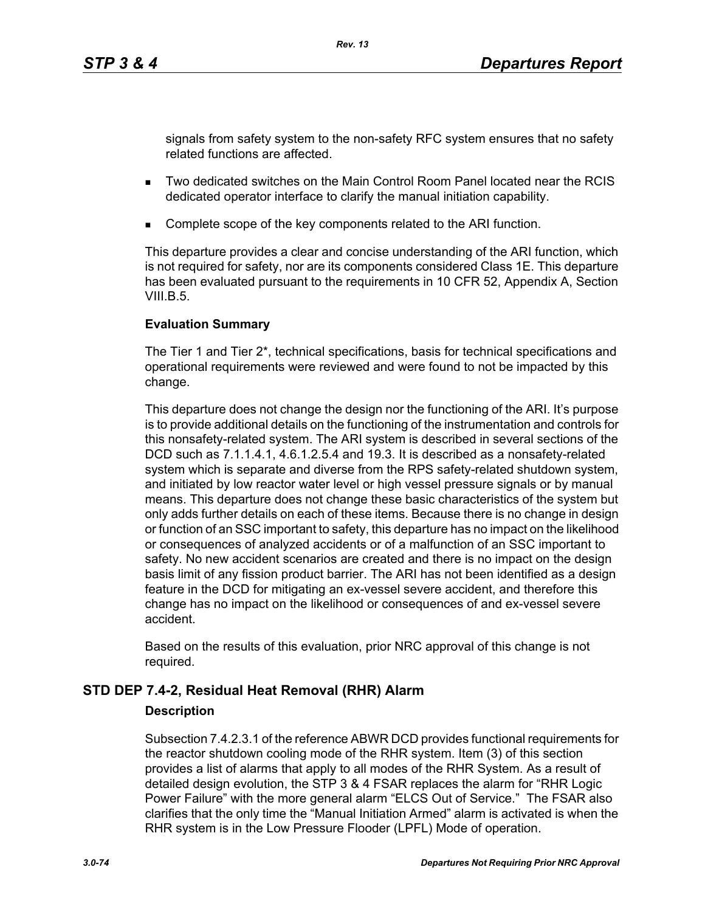signals from safety system to the non-safety RFC system ensures that no safety related functions are affected.

- Two dedicated switches on the Main Control Room Panel located near the RCIS dedicated operator interface to clarify the manual initiation capability.
- Complete scope of the key components related to the ARI function.

*Rev. 13*

This departure provides a clear and concise understanding of the ARI function, which is not required for safety, nor are its components considered Class 1E. This departure has been evaluated pursuant to the requirements in 10 CFR 52, Appendix A, Section VIII.B. $5$ .

## **Evaluation Summary**

The Tier 1 and Tier 2\*, technical specifications, basis for technical specifications and operational requirements were reviewed and were found to not be impacted by this change.

This departure does not change the design nor the functioning of the ARI. It's purpose is to provide additional details on the functioning of the instrumentation and controls for this nonsafety-related system. The ARI system is described in several sections of the DCD such as 7.1.1.4.1, 4.6.1.2.5.4 and 19.3. It is described as a nonsafety-related system which is separate and diverse from the RPS safety-related shutdown system, and initiated by low reactor water level or high vessel pressure signals or by manual means. This departure does not change these basic characteristics of the system but only adds further details on each of these items. Because there is no change in design or function of an SSC important to safety, this departure has no impact on the likelihood or consequences of analyzed accidents or of a malfunction of an SSC important to safety. No new accident scenarios are created and there is no impact on the design basis limit of any fission product barrier. The ARI has not been identified as a design feature in the DCD for mitigating an ex-vessel severe accident, and therefore this change has no impact on the likelihood or consequences of and ex-vessel severe accident.

Based on the results of this evaluation, prior NRC approval of this change is not required.

# **STD DEP 7.4-2, Residual Heat Removal (RHR) Alarm**

### **Description**

Subsection 7.4.2.3.1 of the reference ABWR DCD provides functional requirements for the reactor shutdown cooling mode of the RHR system. Item (3) of this section provides a list of alarms that apply to all modes of the RHR System. As a result of detailed design evolution, the STP 3 & 4 FSAR replaces the alarm for "RHR Logic Power Failure" with the more general alarm "ELCS Out of Service." The FSAR also clarifies that the only time the "Manual Initiation Armed" alarm is activated is when the RHR system is in the Low Pressure Flooder (LPFL) Mode of operation.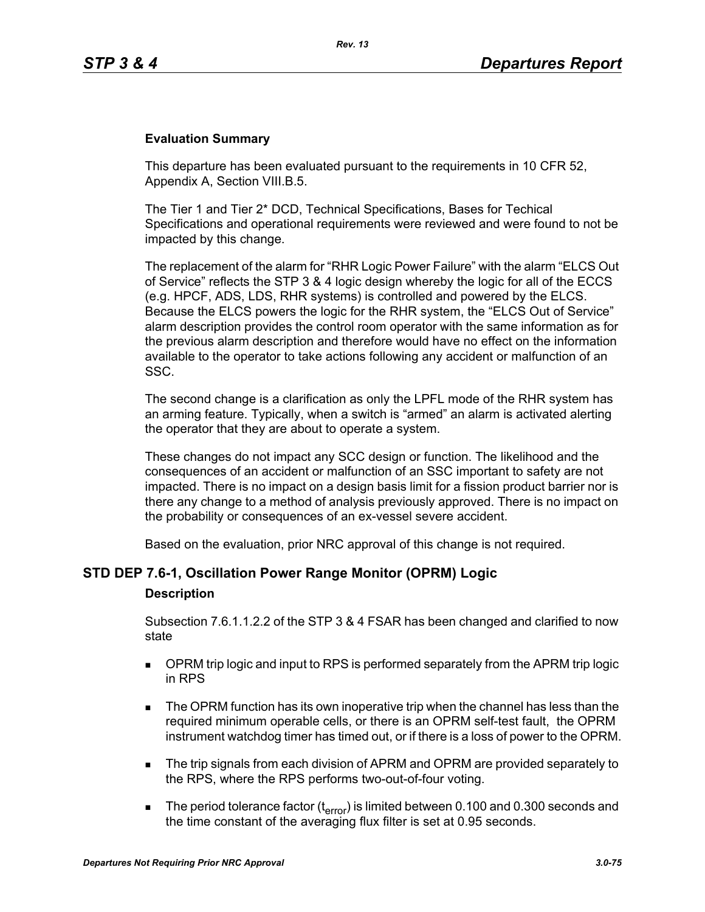### **Evaluation Summary**

This departure has been evaluated pursuant to the requirements in 10 CFR 52, Appendix A, Section VIII.B.5.

The Tier 1 and Tier 2\* DCD, Technical Specifications, Bases for Techical Specifications and operational requirements were reviewed and were found to not be impacted by this change.

The replacement of the alarm for "RHR Logic Power Failure" with the alarm "ELCS Out of Service" reflects the STP 3 & 4 logic design whereby the logic for all of the ECCS (e.g. HPCF, ADS, LDS, RHR systems) is controlled and powered by the ELCS. Because the ELCS powers the logic for the RHR system, the "ELCS Out of Service" alarm description provides the control room operator with the same information as for the previous alarm description and therefore would have no effect on the information available to the operator to take actions following any accident or malfunction of an SSC.

The second change is a clarification as only the LPFL mode of the RHR system has an arming feature. Typically, when a switch is "armed" an alarm is activated alerting the operator that they are about to operate a system.

These changes do not impact any SCC design or function. The likelihood and the consequences of an accident or malfunction of an SSC important to safety are not impacted. There is no impact on a design basis limit for a fission product barrier nor is there any change to a method of analysis previously approved. There is no impact on the probability or consequences of an ex-vessel severe accident.

Based on the evaluation, prior NRC approval of this change is not required.

### **STD DEP 7.6-1, Oscillation Power Range Monitor (OPRM) Logic**

#### **Description**

Subsection 7.6.1.1.2.2 of the STP 3 & 4 FSAR has been changed and clarified to now state

- **DPRM trip logic and input to RPS is performed separately from the APRM trip logic** in RPS
- The OPRM function has its own inoperative trip when the channel has less than the required minimum operable cells, or there is an OPRM self-test fault, the OPRM instrument watchdog timer has timed out, or if there is a loss of power to the OPRM.
- The trip signals from each division of APRM and OPRM are provided separately to the RPS, where the RPS performs two-out-of-four voting.
- The period tolerance factor ( $t_{\text{error}}$ ) is limited between 0.100 and 0.300 seconds and the time constant of the averaging flux filter is set at 0.95 seconds.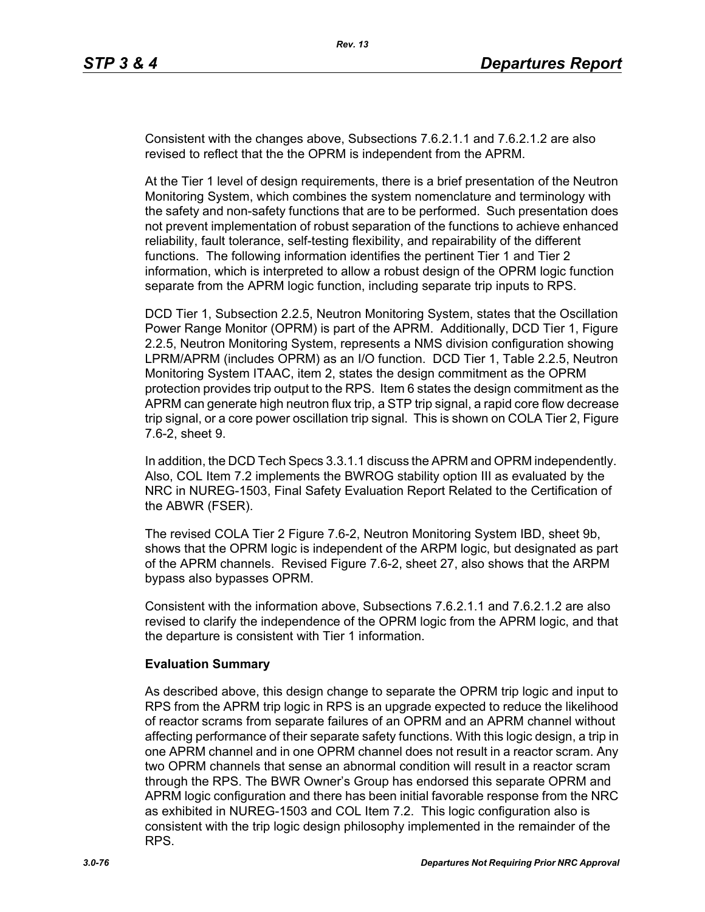Consistent with the changes above, Subsections 7.6.2.1.1 and 7.6.2.1.2 are also revised to reflect that the the OPRM is independent from the APRM.

At the Tier 1 level of design requirements, there is a brief presentation of the Neutron Monitoring System, which combines the system nomenclature and terminology with the safety and non-safety functions that are to be performed. Such presentation does not prevent implementation of robust separation of the functions to achieve enhanced reliability, fault tolerance, self-testing flexibility, and repairability of the different functions. The following information identifies the pertinent Tier 1 and Tier 2 information, which is interpreted to allow a robust design of the OPRM logic function separate from the APRM logic function, including separate trip inputs to RPS.

DCD Tier 1, Subsection 2.2.5, Neutron Monitoring System, states that the Oscillation Power Range Monitor (OPRM) is part of the APRM. Additionally, DCD Tier 1, Figure 2.2.5, Neutron Monitoring System, represents a NMS division configuration showing LPRM/APRM (includes OPRM) as an I/O function. DCD Tier 1, Table 2.2.5, Neutron Monitoring System ITAAC, item 2, states the design commitment as the OPRM protection provides trip output to the RPS. Item 6 states the design commitment as the APRM can generate high neutron flux trip, a STP trip signal, a rapid core flow decrease trip signal, or a core power oscillation trip signal. This is shown on COLA Tier 2, Figure 7.6-2, sheet 9.

In addition, the DCD Tech Specs 3.3.1.1 discuss the APRM and OPRM independently. Also, COL Item 7.2 implements the BWROG stability option III as evaluated by the NRC in NUREG-1503, Final Safety Evaluation Report Related to the Certification of the ABWR (FSER).

The revised COLA Tier 2 Figure 7.6-2, Neutron Monitoring System IBD, sheet 9b, shows that the OPRM logic is independent of the ARPM logic, but designated as part of the APRM channels. Revised Figure 7.6-2, sheet 27, also shows that the ARPM bypass also bypasses OPRM.

Consistent with the information above, Subsections 7.6.2.1.1 and 7.6.2.1.2 are also revised to clarify the independence of the OPRM logic from the APRM logic, and that the departure is consistent with Tier 1 information.

#### **Evaluation Summary**

As described above, this design change to separate the OPRM trip logic and input to RPS from the APRM trip logic in RPS is an upgrade expected to reduce the likelihood of reactor scrams from separate failures of an OPRM and an APRM channel without affecting performance of their separate safety functions. With this logic design, a trip in one APRM channel and in one OPRM channel does not result in a reactor scram. Any two OPRM channels that sense an abnormal condition will result in a reactor scram through the RPS. The BWR Owner's Group has endorsed this separate OPRM and APRM logic configuration and there has been initial favorable response from the NRC as exhibited in NUREG-1503 and COL Item 7.2. This logic configuration also is consistent with the trip logic design philosophy implemented in the remainder of the RPS.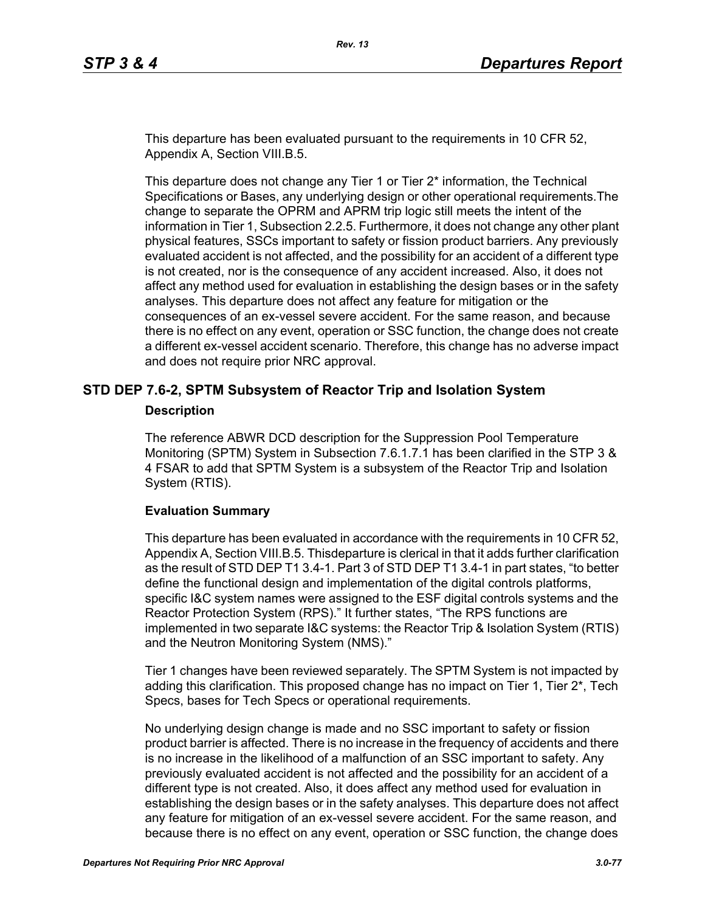This departure has been evaluated pursuant to the requirements in 10 CFR 52, Appendix A, Section VIII.B.5.

This departure does not change any Tier 1 or Tier 2\* information, the Technical Specifications or Bases, any underlying design or other operational requirements.The change to separate the OPRM and APRM trip logic still meets the intent of the information in Tier 1, Subsection 2.2.5. Furthermore, it does not change any other plant physical features, SSCs important to safety or fission product barriers. Any previously evaluated accident is not affected, and the possibility for an accident of a different type is not created, nor is the consequence of any accident increased. Also, it does not affect any method used for evaluation in establishing the design bases or in the safety analyses. This departure does not affect any feature for mitigation or the consequences of an ex-vessel severe accident. For the same reason, and because there is no effect on any event, operation or SSC function, the change does not create a different ex-vessel accident scenario. Therefore, this change has no adverse impact and does not require prior NRC approval.

### **STD DEP 7.6-2, SPTM Subsystem of Reactor Trip and Isolation System**

#### **Description**

The reference ABWR DCD description for the Suppression Pool Temperature Monitoring (SPTM) System in Subsection 7.6.1.7.1 has been clarified in the STP 3 & 4 FSAR to add that SPTM System is a subsystem of the Reactor Trip and Isolation System (RTIS).

#### **Evaluation Summary**

This departure has been evaluated in accordance with the requirements in 10 CFR 52, Appendix A, Section VIII.B.5. Thisdeparture is clerical in that it adds further clarification as the result of STD DEP T1 3.4-1. Part 3 of STD DEP T1 3.4-1 in part states, "to better define the functional design and implementation of the digital controls platforms, specific I&C system names were assigned to the ESF digital controls systems and the Reactor Protection System (RPS)." It further states, "The RPS functions are implemented in two separate I&C systems: the Reactor Trip & Isolation System (RTIS) and the Neutron Monitoring System (NMS)."

Tier 1 changes have been reviewed separately. The SPTM System is not impacted by adding this clarification. This proposed change has no impact on Tier 1, Tier  $2^*$ , Tech Specs, bases for Tech Specs or operational requirements.

No underlying design change is made and no SSC important to safety or fission product barrier is affected. There is no increase in the frequency of accidents and there is no increase in the likelihood of a malfunction of an SSC important to safety. Any previously evaluated accident is not affected and the possibility for an accident of a different type is not created. Also, it does affect any method used for evaluation in establishing the design bases or in the safety analyses. This departure does not affect any feature for mitigation of an ex-vessel severe accident. For the same reason, and because there is no effect on any event, operation or SSC function, the change does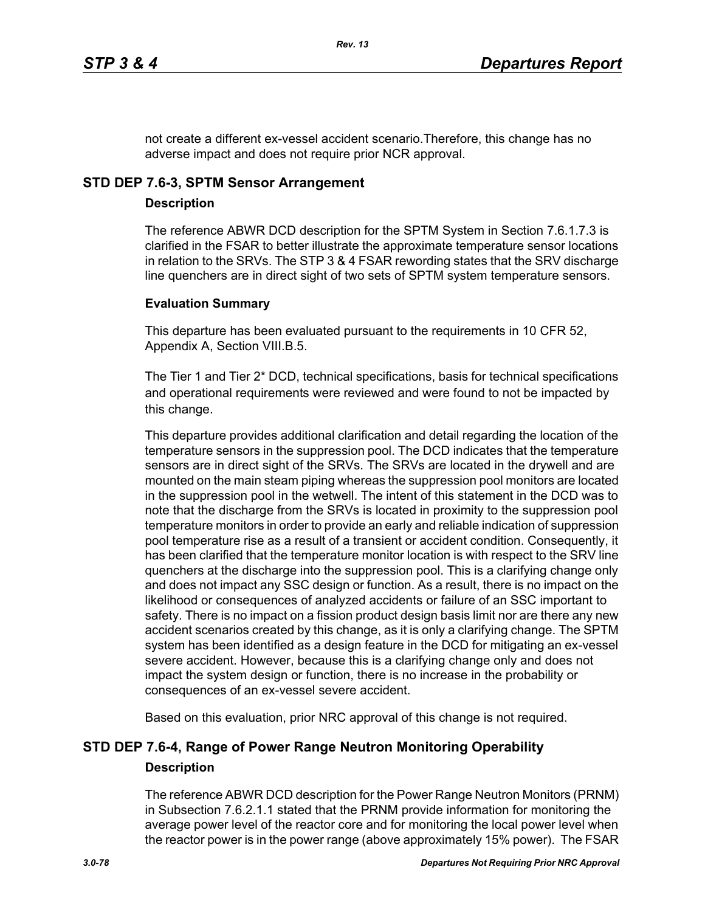not create a different ex-vessel accident scenario.Therefore, this change has no adverse impact and does not require prior NCR approval.

# **STD DEP 7.6-3, SPTM Sensor Arrangement**

### **Description**

The reference ABWR DCD description for the SPTM System in Section 7.6.1.7.3 is clarified in the FSAR to better illustrate the approximate temperature sensor locations in relation to the SRVs. The STP 3 & 4 FSAR rewording states that the SRV discharge line quenchers are in direct sight of two sets of SPTM system temperature sensors.

### **Evaluation Summary**

This departure has been evaluated pursuant to the requirements in 10 CFR 52, Appendix A, Section VIII.B.5.

The Tier 1 and Tier 2\* DCD, technical specifications, basis for technical specifications and operational requirements were reviewed and were found to not be impacted by this change.

This departure provides additional clarification and detail regarding the location of the temperature sensors in the suppression pool. The DCD indicates that the temperature sensors are in direct sight of the SRVs. The SRVs are located in the drywell and are mounted on the main steam piping whereas the suppression pool monitors are located in the suppression pool in the wetwell. The intent of this statement in the DCD was to note that the discharge from the SRVs is located in proximity to the suppression pool temperature monitors in order to provide an early and reliable indication of suppression pool temperature rise as a result of a transient or accident condition. Consequently, it has been clarified that the temperature monitor location is with respect to the SRV line quenchers at the discharge into the suppression pool. This is a clarifying change only and does not impact any SSC design or function. As a result, there is no impact on the likelihood or consequences of analyzed accidents or failure of an SSC important to safety. There is no impact on a fission product design basis limit nor are there any new accident scenarios created by this change, as it is only a clarifying change. The SPTM system has been identified as a design feature in the DCD for mitigating an ex-vessel severe accident. However, because this is a clarifying change only and does not impact the system design or function, there is no increase in the probability or consequences of an ex-vessel severe accident.

Based on this evaluation, prior NRC approval of this change is not required.

# **STD DEP 7.6-4, Range of Power Range Neutron Monitoring Operability Description**

The reference ABWR DCD description for the Power Range Neutron Monitors (PRNM) in Subsection 7.6.2.1.1 stated that the PRNM provide information for monitoring the average power level of the reactor core and for monitoring the local power level when the reactor power is in the power range (above approximately 15% power). The FSAR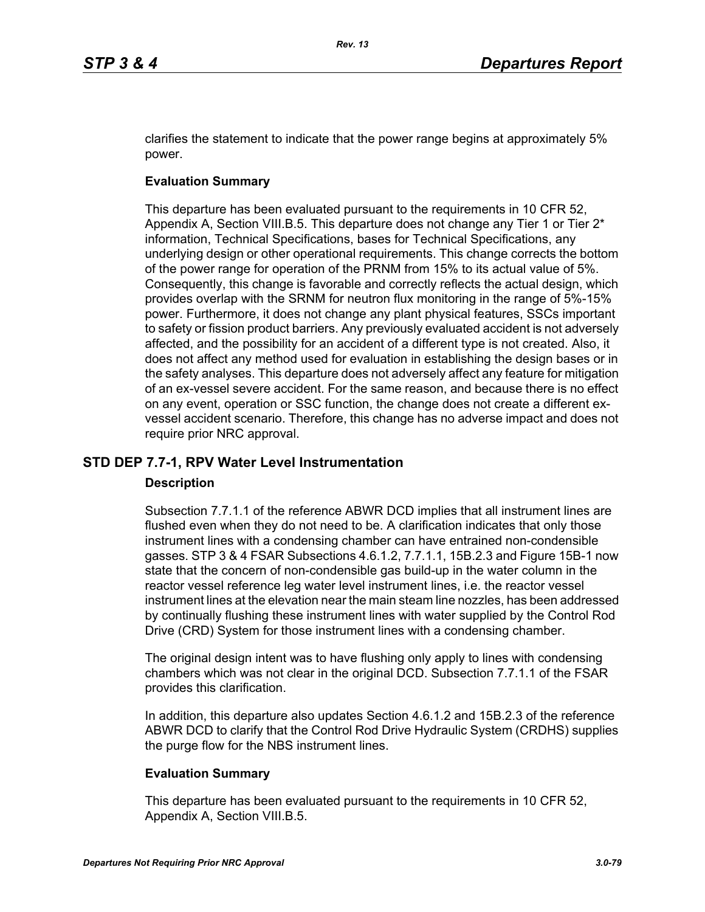clarifies the statement to indicate that the power range begins at approximately 5% power.

# **Evaluation Summary**

This departure has been evaluated pursuant to the requirements in 10 CFR 52, Appendix A, Section VIII.B.5. This departure does not change any Tier 1 or Tier  $2^*$ information, Technical Specifications, bases for Technical Specifications, any underlying design or other operational requirements. This change corrects the bottom of the power range for operation of the PRNM from 15% to its actual value of 5%. Consequently, this change is favorable and correctly reflects the actual design, which provides overlap with the SRNM for neutron flux monitoring in the range of 5%-15% power. Furthermore, it does not change any plant physical features, SSCs important to safety or fission product barriers. Any previously evaluated accident is not adversely affected, and the possibility for an accident of a different type is not created. Also, it does not affect any method used for evaluation in establishing the design bases or in the safety analyses. This departure does not adversely affect any feature for mitigation of an ex-vessel severe accident. For the same reason, and because there is no effect on any event, operation or SSC function, the change does not create a different exvessel accident scenario. Therefore, this change has no adverse impact and does not require prior NRC approval.

# **STD DEP 7.7-1, RPV Water Level Instrumentation**

### **Description**

Subsection 7.7.1.1 of the reference ABWR DCD implies that all instrument lines are flushed even when they do not need to be. A clarification indicates that only those instrument lines with a condensing chamber can have entrained non-condensible gasses. STP 3 & 4 FSAR Subsections 4.6.1.2, 7.7.1.1, 15B.2.3 and Figure 15B-1 now state that the concern of non-condensible gas build-up in the water column in the reactor vessel reference leg water level instrument lines, i.e. the reactor vessel instrument lines at the elevation near the main steam line nozzles, has been addressed by continually flushing these instrument lines with water supplied by the Control Rod Drive (CRD) System for those instrument lines with a condensing chamber.

The original design intent was to have flushing only apply to lines with condensing chambers which was not clear in the original DCD. Subsection 7.7.1.1 of the FSAR provides this clarification.

In addition, this departure also updates Section 4.6.1.2 and 15B.2.3 of the reference ABWR DCD to clarify that the Control Rod Drive Hydraulic System (CRDHS) supplies the purge flow for the NBS instrument lines.

### **Evaluation Summary**

This departure has been evaluated pursuant to the requirements in 10 CFR 52, Appendix A, Section VIII.B.5.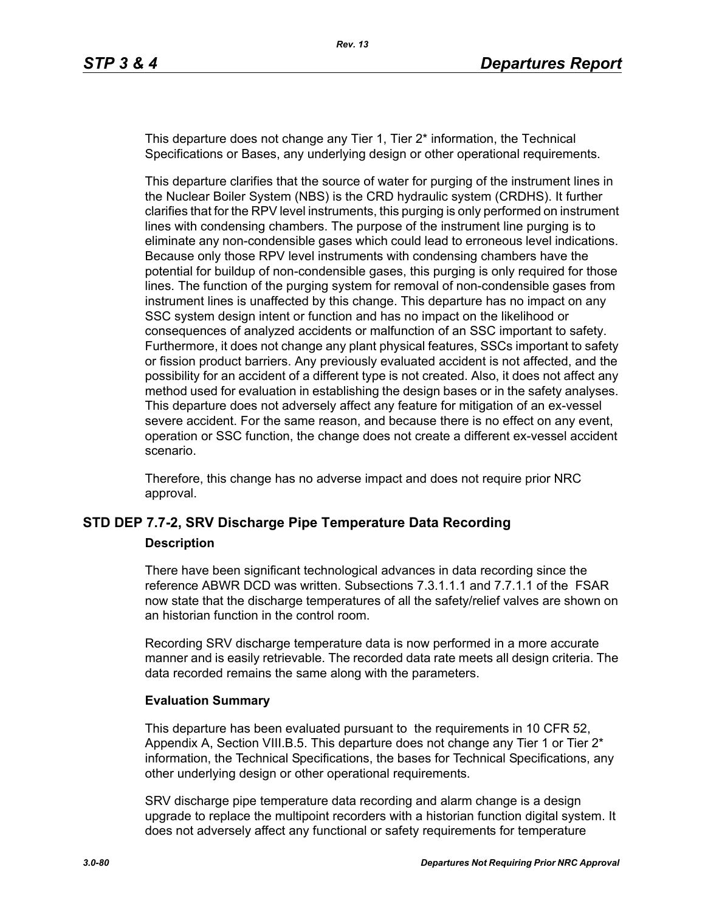This departure does not change any Tier 1, Tier 2<sup>\*</sup> information, the Technical Specifications or Bases, any underlying design or other operational requirements.

This departure clarifies that the source of water for purging of the instrument lines in the Nuclear Boiler System (NBS) is the CRD hydraulic system (CRDHS). It further clarifies that for the RPV level instruments, this purging is only performed on instrument lines with condensing chambers. The purpose of the instrument line purging is to eliminate any non-condensible gases which could lead to erroneous level indications. Because only those RPV level instruments with condensing chambers have the potential for buildup of non-condensible gases, this purging is only required for those lines. The function of the purging system for removal of non-condensible gases from instrument lines is unaffected by this change. This departure has no impact on any SSC system design intent or function and has no impact on the likelihood or consequences of analyzed accidents or malfunction of an SSC important to safety. Furthermore, it does not change any plant physical features, SSCs important to safety or fission product barriers. Any previously evaluated accident is not affected, and the possibility for an accident of a different type is not created. Also, it does not affect any method used for evaluation in establishing the design bases or in the safety analyses. This departure does not adversely affect any feature for mitigation of an ex-vessel severe accident. For the same reason, and because there is no effect on any event, operation or SSC function, the change does not create a different ex-vessel accident scenario.

Therefore, this change has no adverse impact and does not require prior NRC approval.

### **STD DEP 7.7-2, SRV Discharge Pipe Temperature Data Recording**

#### **Description**

There have been significant technological advances in data recording since the reference ABWR DCD was written. Subsections 7.3.1.1.1 and 7.7.1.1 of the FSAR now state that the discharge temperatures of all the safety/relief valves are shown on an historian function in the control room.

Recording SRV discharge temperature data is now performed in a more accurate manner and is easily retrievable. The recorded data rate meets all design criteria. The data recorded remains the same along with the parameters.

#### **Evaluation Summary**

This departure has been evaluated pursuant to the requirements in 10 CFR 52, Appendix A, Section VIII.B.5. This departure does not change any Tier 1 or Tier  $2^*$ information, the Technical Specifications, the bases for Technical Specifications, any other underlying design or other operational requirements.

SRV discharge pipe temperature data recording and alarm change is a design upgrade to replace the multipoint recorders with a historian function digital system. It does not adversely affect any functional or safety requirements for temperature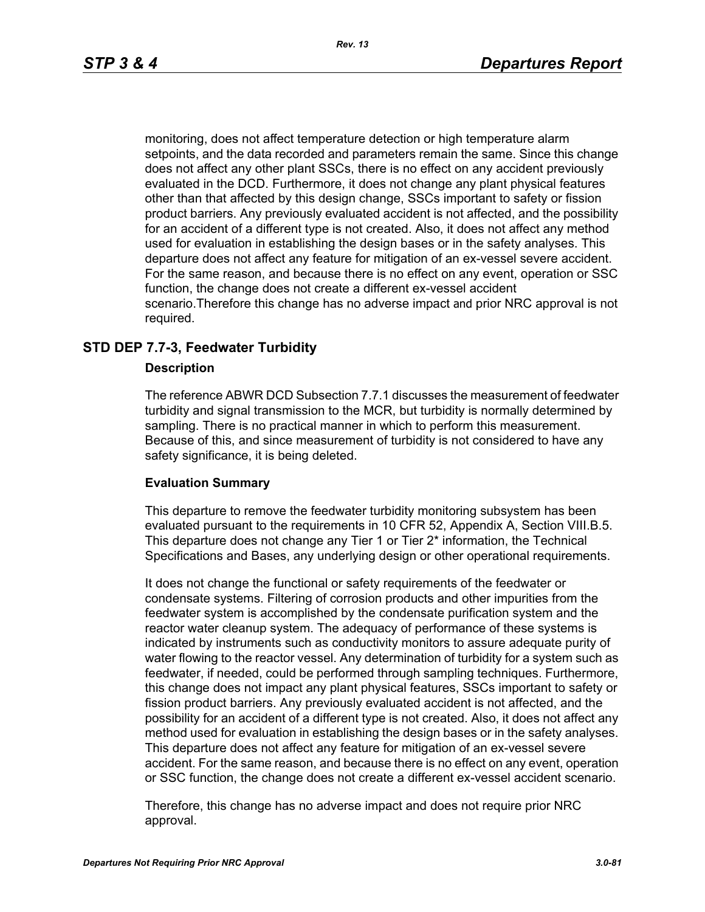monitoring, does not affect temperature detection or high temperature alarm setpoints, and the data recorded and parameters remain the same. Since this change does not affect any other plant SSCs, there is no effect on any accident previously evaluated in the DCD. Furthermore, it does not change any plant physical features other than that affected by this design change, SSCs important to safety or fission product barriers. Any previously evaluated accident is not affected, and the possibility for an accident of a different type is not created. Also, it does not affect any method used for evaluation in establishing the design bases or in the safety analyses. This departure does not affect any feature for mitigation of an ex-vessel severe accident. For the same reason, and because there is no effect on any event, operation or SSC function, the change does not create a different ex-vessel accident scenario.Therefore this change has no adverse impact and prior NRC approval is not required.

# **STD DEP 7.7-3, Feedwater Turbidity**

#### **Description**

The reference ABWR DCD Subsection 7.7.1 discusses the measurement of feedwater turbidity and signal transmission to the MCR, but turbidity is normally determined by sampling. There is no practical manner in which to perform this measurement. Because of this, and since measurement of turbidity is not considered to have any safety significance, it is being deleted.

#### **Evaluation Summary**

This departure to remove the feedwater turbidity monitoring subsystem has been evaluated pursuant to the requirements in 10 CFR 52, Appendix A, Section VIII.B.5. This departure does not change any Tier 1 or Tier 2\* information, the Technical Specifications and Bases, any underlying design or other operational requirements.

It does not change the functional or safety requirements of the feedwater or condensate systems. Filtering of corrosion products and other impurities from the feedwater system is accomplished by the condensate purification system and the reactor water cleanup system. The adequacy of performance of these systems is indicated by instruments such as conductivity monitors to assure adequate purity of water flowing to the reactor vessel. Any determination of turbidity for a system such as feedwater, if needed, could be performed through sampling techniques. Furthermore, this change does not impact any plant physical features, SSCs important to safety or fission product barriers. Any previously evaluated accident is not affected, and the possibility for an accident of a different type is not created. Also, it does not affect any method used for evaluation in establishing the design bases or in the safety analyses. This departure does not affect any feature for mitigation of an ex-vessel severe accident. For the same reason, and because there is no effect on any event, operation or SSC function, the change does not create a different ex-vessel accident scenario.

Therefore, this change has no adverse impact and does not require prior NRC approval.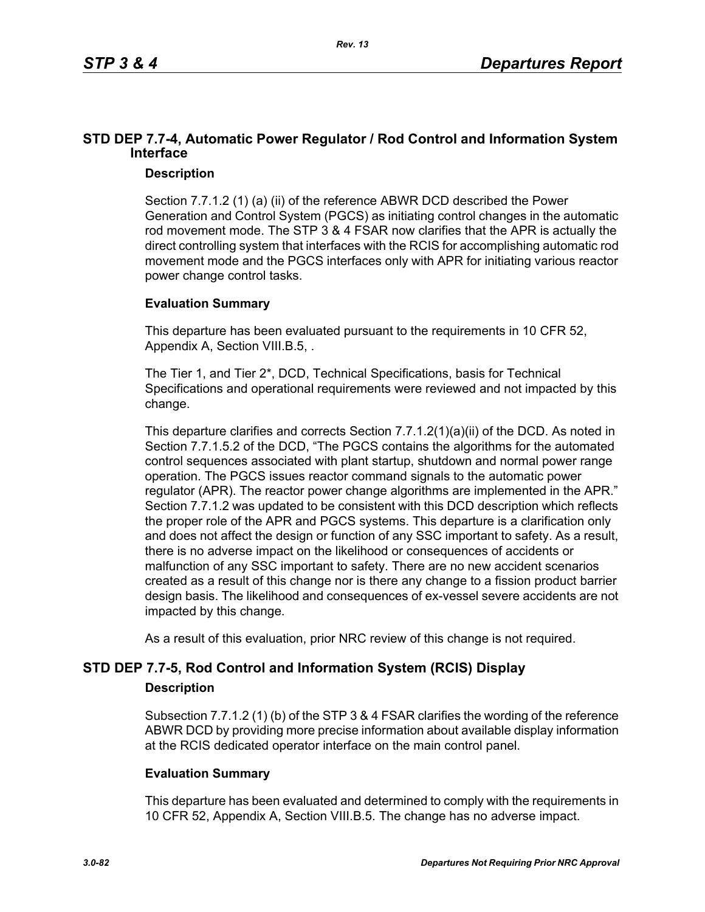# **STD DEP 7.7-4, Automatic Power Regulator / Rod Control and Information System Interface**

### **Description**

Section 7.7.1.2 (1) (a) (ii) of the reference ABWR DCD described the Power Generation and Control System (PGCS) as initiating control changes in the automatic rod movement mode. The STP 3 & 4 FSAR now clarifies that the APR is actually the direct controlling system that interfaces with the RCIS for accomplishing automatic rod movement mode and the PGCS interfaces only with APR for initiating various reactor power change control tasks.

# **Evaluation Summary**

This departure has been evaluated pursuant to the requirements in 10 CFR 52, Appendix A, Section VIII.B.5, .

The Tier 1, and Tier 2\*, DCD, Technical Specifications, basis for Technical Specifications and operational requirements were reviewed and not impacted by this change.

This departure clarifies and corrects Section 7.7.1.2(1)(a)(ii) of the DCD. As noted in Section 7.7.1.5.2 of the DCD, "The PGCS contains the algorithms for the automated control sequences associated with plant startup, shutdown and normal power range operation. The PGCS issues reactor command signals to the automatic power regulator (APR). The reactor power change algorithms are implemented in the APR." Section 7.7.1.2 was updated to be consistent with this DCD description which reflects the proper role of the APR and PGCS systems. This departure is a clarification only and does not affect the design or function of any SSC important to safety. As a result, there is no adverse impact on the likelihood or consequences of accidents or malfunction of any SSC important to safety. There are no new accident scenarios created as a result of this change nor is there any change to a fission product barrier design basis. The likelihood and consequences of ex-vessel severe accidents are not impacted by this change.

As a result of this evaluation, prior NRC review of this change is not required.

# **STD DEP 7.7-5, Rod Control and Information System (RCIS) Display**

### **Description**

Subsection 7.7.1.2 (1) (b) of the STP 3 & 4 FSAR clarifies the wording of the reference ABWR DCD by providing more precise information about available display information at the RCIS dedicated operator interface on the main control panel.

### **Evaluation Summary**

This departure has been evaluated and determined to comply with the requirements in 10 CFR 52, Appendix A, Section VIII.B.5. The change has no adverse impact.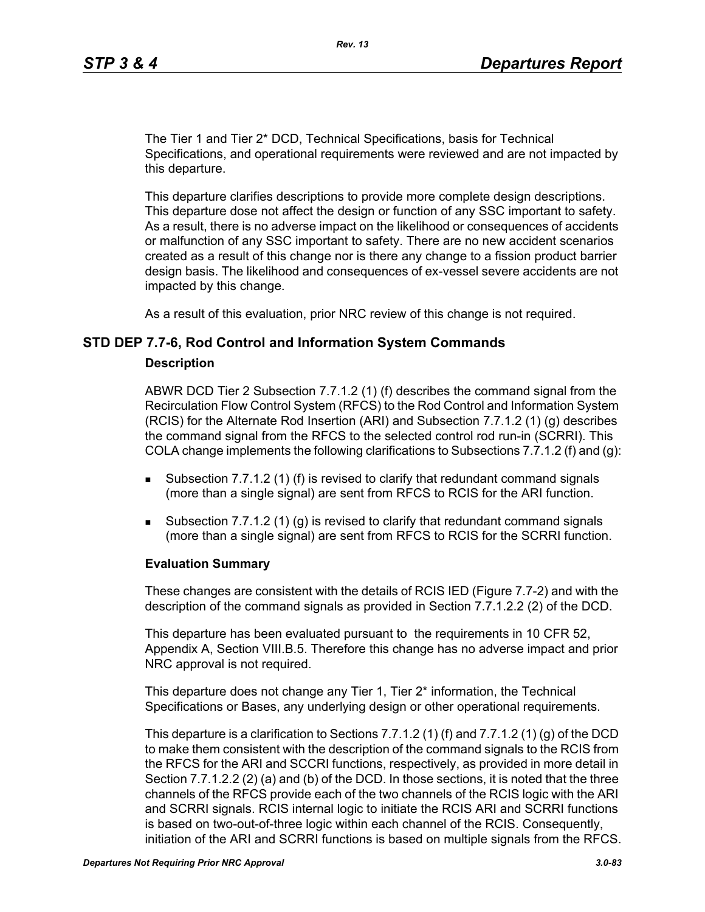The Tier 1 and Tier 2\* DCD, Technical Specifications, basis for Technical Specifications, and operational requirements were reviewed and are not impacted by this departure.

This departure clarifies descriptions to provide more complete design descriptions. This departure dose not affect the design or function of any SSC important to safety. As a result, there is no adverse impact on the likelihood or consequences of accidents or malfunction of any SSC important to safety. There are no new accident scenarios created as a result of this change nor is there any change to a fission product barrier design basis. The likelihood and consequences of ex-vessel severe accidents are not impacted by this change.

As a result of this evaluation, prior NRC review of this change is not required.

### **STD DEP 7.7-6, Rod Control and Information System Commands**

#### **Description**

ABWR DCD Tier 2 Subsection 7.7.1.2 (1) (f) describes the command signal from the Recirculation Flow Control System (RFCS) to the Rod Control and Information System (RCIS) for the Alternate Rod Insertion (ARI) and Subsection 7.7.1.2 (1) (g) describes the command signal from the RFCS to the selected control rod run-in (SCRRI). This COLA change implements the following clarifications to Subsections 7.7.1.2 (f) and (q):

- **Subsection 7.7.1.2 (1) (f) is revised to clarify that redundant command signals** (more than a single signal) are sent from RFCS to RCIS for the ARI function.
- Subsection 7.7.1.2 (1) (g) is revised to clarify that redundant command signals (more than a single signal) are sent from RFCS to RCIS for the SCRRI function.

#### **Evaluation Summary**

These changes are consistent with the details of RCIS IED (Figure 7.7-2) and with the description of the command signals as provided in Section 7.7.1.2.2 (2) of the DCD.

This departure has been evaluated pursuant to the requirements in 10 CFR 52, Appendix A, Section VIII.B.5. Therefore this change has no adverse impact and prior NRC approval is not required.

This departure does not change any Tier 1, Tier 2\* information, the Technical Specifications or Bases, any underlying design or other operational requirements.

This departure is a clarification to Sections 7.7.1.2 (1) (f) and 7.7.1.2 (1) (g) of the DCD to make them consistent with the description of the command signals to the RCIS from the RFCS for the ARI and SCCRI functions, respectively, as provided in more detail in Section 7.7.1.2.2 (2) (a) and (b) of the DCD. In those sections, it is noted that the three channels of the RFCS provide each of the two channels of the RCIS logic with the ARI and SCRRI signals. RCIS internal logic to initiate the RCIS ARI and SCRRI functions is based on two-out-of-three logic within each channel of the RCIS. Consequently, initiation of the ARI and SCRRI functions is based on multiple signals from the RFCS.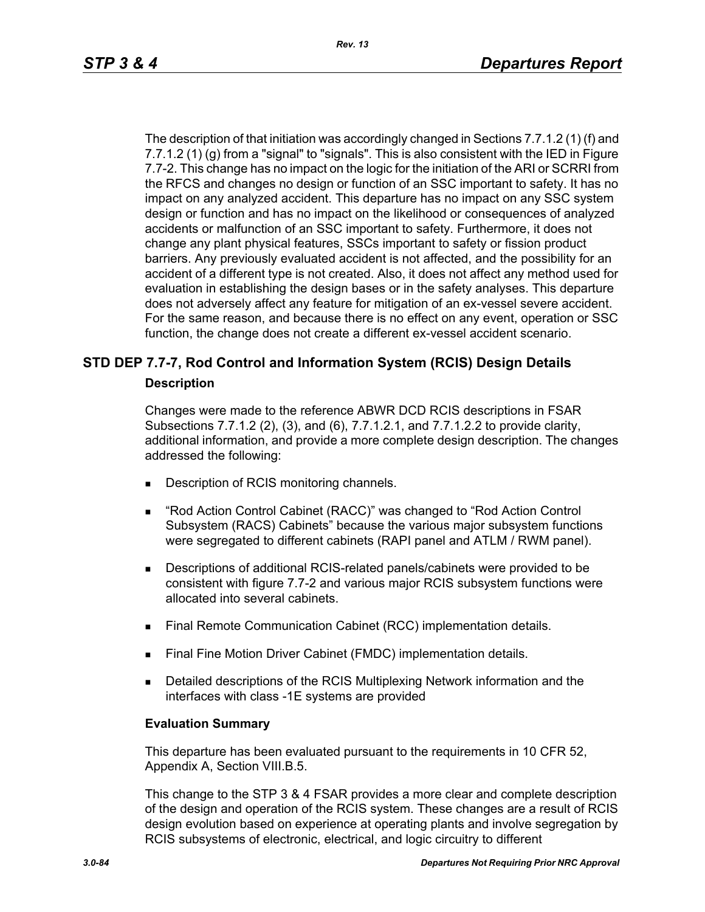The description of that initiation was accordingly changed in Sections 7.7.1.2 (1) (f) and 7.7.1.2 (1) (g) from a "signal" to "signals". This is also consistent with the IED in Figure 7.7-2. This change has no impact on the logic for the initiation of the ARI or SCRRI from the RFCS and changes no design or function of an SSC important to safety. It has no impact on any analyzed accident. This departure has no impact on any SSC system design or function and has no impact on the likelihood or consequences of analyzed accidents or malfunction of an SSC important to safety. Furthermore, it does not change any plant physical features, SSCs important to safety or fission product barriers. Any previously evaluated accident is not affected, and the possibility for an accident of a different type is not created. Also, it does not affect any method used for evaluation in establishing the design bases or in the safety analyses. This departure does not adversely affect any feature for mitigation of an ex-vessel severe accident. For the same reason, and because there is no effect on any event, operation or SSC function, the change does not create a different ex-vessel accident scenario.

# **STD DEP 7.7-7, Rod Control and Information System (RCIS) Design Details**

#### **Description**

Changes were made to the reference ABWR DCD RCIS descriptions in FSAR Subsections 7.7.1.2 (2), (3), and (6), 7.7.1.2.1, and 7.7.1.2.2 to provide clarity, additional information, and provide a more complete design description. The changes addressed the following:

- Description of RCIS monitoring channels.
- "Rod Action Control Cabinet (RACC)" was changed to "Rod Action Control Subsystem (RACS) Cabinets" because the various major subsystem functions were segregated to different cabinets (RAPI panel and ATLM / RWM panel).
- Descriptions of additional RCIS-related panels/cabinets were provided to be consistent with figure 7.7-2 and various major RCIS subsystem functions were allocated into several cabinets.
- **Final Remote Communication Cabinet (RCC) implementation details.**
- Final Fine Motion Driver Cabinet (FMDC) implementation details.
- **Detailed descriptions of the RCIS Multiplexing Network information and the** interfaces with class -1E systems are provided

#### **Evaluation Summary**

This departure has been evaluated pursuant to the requirements in 10 CFR 52, Appendix A, Section VIII.B.5.

This change to the STP 3 & 4 FSAR provides a more clear and complete description of the design and operation of the RCIS system. These changes are a result of RCIS design evolution based on experience at operating plants and involve segregation by RCIS subsystems of electronic, electrical, and logic circuitry to different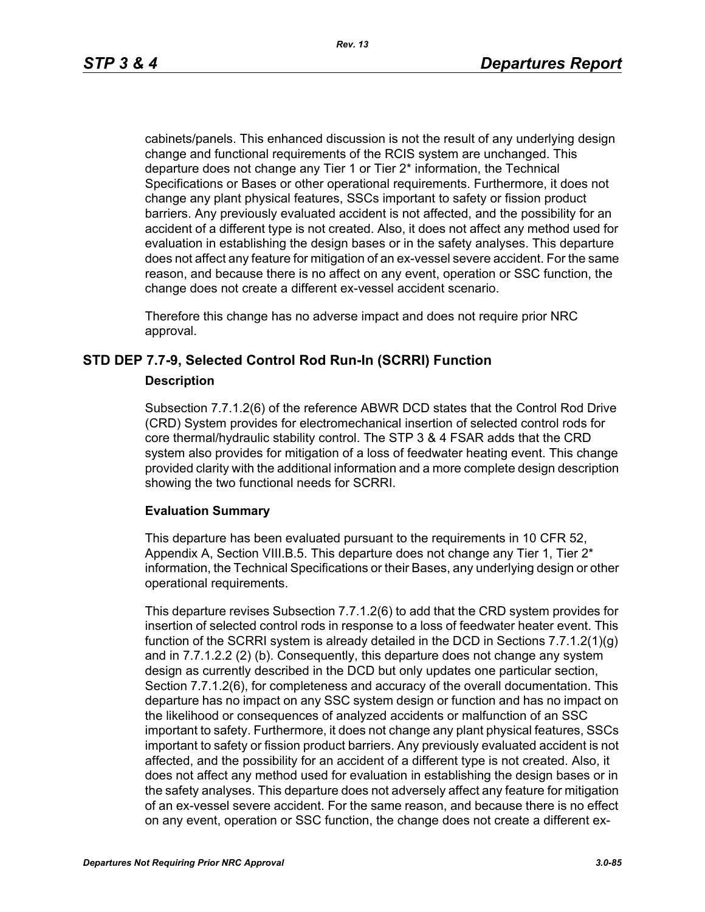cabinets/panels. This enhanced discussion is not the result of any underlying design change and functional requirements of the RCIS system are unchanged. This departure does not change any Tier 1 or Tier 2\* information, the Technical Specifications or Bases or other operational requirements. Furthermore, it does not change any plant physical features, SSCs important to safety or fission product barriers. Any previously evaluated accident is not affected, and the possibility for an accident of a different type is not created. Also, it does not affect any method used for evaluation in establishing the design bases or in the safety analyses. This departure does not affect any feature for mitigation of an ex-vessel severe accident. For the same reason, and because there is no affect on any event, operation or SSC function, the change does not create a different ex-vessel accident scenario.

Therefore this change has no adverse impact and does not require prior NRC approval.

## **STD DEP 7.7-9, Selected Control Rod Run-In (SCRRI) Function**

### **Description**

Subsection 7.7.1.2(6) of the reference ABWR DCD states that the Control Rod Drive (CRD) System provides for electromechanical insertion of selected control rods for core thermal/hydraulic stability control. The STP 3 & 4 FSAR adds that the CRD system also provides for mitigation of a loss of feedwater heating event. This change provided clarity with the additional information and a more complete design description showing the two functional needs for SCRRI.

### **Evaluation Summary**

This departure has been evaluated pursuant to the requirements in 10 CFR 52, Appendix A, Section VIII.B.5. This departure does not change any Tier 1, Tier  $2^*$ information, the Technical Specifications or their Bases, any underlying design or other operational requirements.

This departure revises Subsection 7.7.1.2(6) to add that the CRD system provides for insertion of selected control rods in response to a loss of feedwater heater event. This function of the SCRRI system is already detailed in the DCD in Sections 7.7.1.2(1)(g) and in 7.7.1.2.2 (2) (b). Consequently, this departure does not change any system design as currently described in the DCD but only updates one particular section, Section 7.7.1.2(6), for completeness and accuracy of the overall documentation. This departure has no impact on any SSC system design or function and has no impact on the likelihood or consequences of analyzed accidents or malfunction of an SSC important to safety. Furthermore, it does not change any plant physical features, SSCs important to safety or fission product barriers. Any previously evaluated accident is not affected, and the possibility for an accident of a different type is not created. Also, it does not affect any method used for evaluation in establishing the design bases or in the safety analyses. This departure does not adversely affect any feature for mitigation of an ex-vessel severe accident. For the same reason, and because there is no effect on any event, operation or SSC function, the change does not create a different ex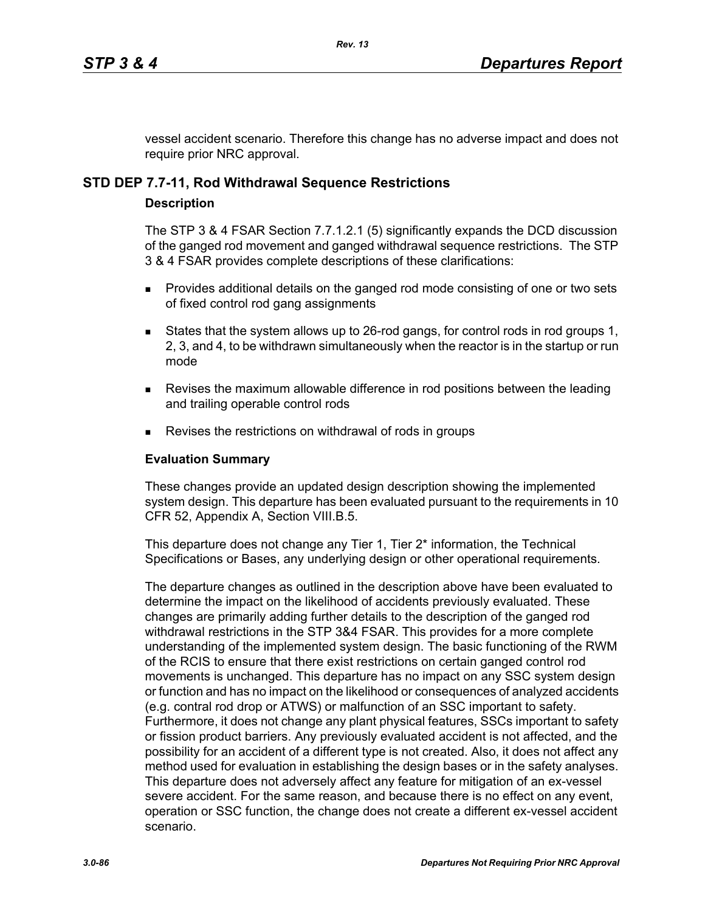vessel accident scenario. Therefore this change has no adverse impact and does not require prior NRC approval.

# **STD DEP 7.7-11, Rod Withdrawal Sequence Restrictions**

### **Description**

The STP 3 & 4 FSAR Section 7.7.1.2.1 (5) significantly expands the DCD discussion of the ganged rod movement and ganged withdrawal sequence restrictions. The STP 3 & 4 FSAR provides complete descriptions of these clarifications:

- **Provides additional details on the ganged rod mode consisting of one or two sets** of fixed control rod gang assignments
- States that the system allows up to 26-rod gangs, for control rods in rod groups 1, 2, 3, and 4, to be withdrawn simultaneously when the reactor is in the startup or run mode
- **Revises the maximum allowable difference in rod positions between the leading** and trailing operable control rods
- Revises the restrictions on withdrawal of rods in groups

## **Evaluation Summary**

These changes provide an updated design description showing the implemented system design. This departure has been evaluated pursuant to the requirements in 10 CFR 52, Appendix A, Section VIII.B.5.

This departure does not change any Tier 1, Tier 2<sup>\*</sup> information, the Technical Specifications or Bases, any underlying design or other operational requirements.

The departure changes as outlined in the description above have been evaluated to determine the impact on the likelihood of accidents previously evaluated. These changes are primarily adding further details to the description of the ganged rod withdrawal restrictions in the STP 3&4 FSAR. This provides for a more complete understanding of the implemented system design. The basic functioning of the RWM of the RCIS to ensure that there exist restrictions on certain ganged control rod movements is unchanged. This departure has no impact on any SSC system design or function and has no impact on the likelihood or consequences of analyzed accidents (e.g. contral rod drop or ATWS) or malfunction of an SSC important to safety. Furthermore, it does not change any plant physical features, SSCs important to safety or fission product barriers. Any previously evaluated accident is not affected, and the possibility for an accident of a different type is not created. Also, it does not affect any method used for evaluation in establishing the design bases or in the safety analyses. This departure does not adversely affect any feature for mitigation of an ex-vessel severe accident. For the same reason, and because there is no effect on any event, operation or SSC function, the change does not create a different ex-vessel accident scenario.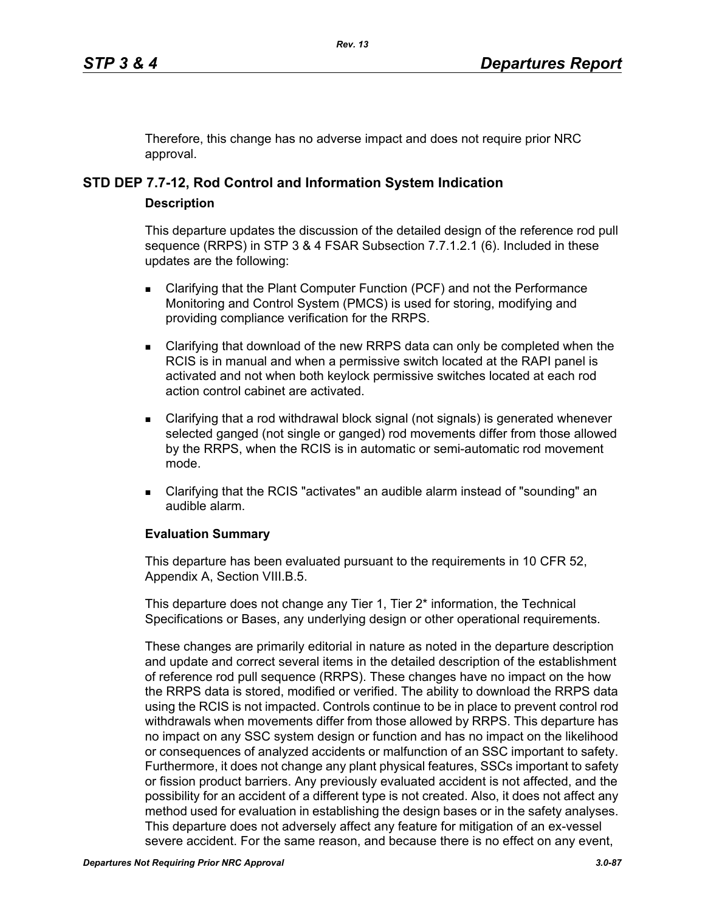Therefore, this change has no adverse impact and does not require prior NRC approval.

# **STD DEP 7.7-12, Rod Control and Information System Indication**

### **Description**

This departure updates the discussion of the detailed design of the reference rod pull sequence (RRPS) in STP 3 & 4 FSAR Subsection 7.7.1.2.1 (6). Included in these updates are the following:

- **EXEC** Clarifying that the Plant Computer Function (PCF) and not the Performance Monitoring and Control System (PMCS) is used for storing, modifying and providing compliance verification for the RRPS.
- Clarifying that download of the new RRPS data can only be completed when the RCIS is in manual and when a permissive switch located at the RAPI panel is activated and not when both keylock permissive switches located at each rod action control cabinet are activated.
- Clarifying that a rod withdrawal block signal (not signals) is generated whenever selected ganged (not single or ganged) rod movements differ from those allowed by the RRPS, when the RCIS is in automatic or semi-automatic rod movement mode.
- Clarifying that the RCIS "activates" an audible alarm instead of "sounding" an audible alarm.

# **Evaluation Summary**

This departure has been evaluated pursuant to the requirements in 10 CFR 52, Appendix A, Section VIII.B.5.

This departure does not change any Tier 1, Tier 2<sup>\*</sup> information, the Technical Specifications or Bases, any underlying design or other operational requirements.

These changes are primarily editorial in nature as noted in the departure description and update and correct several items in the detailed description of the establishment of reference rod pull sequence (RRPS). These changes have no impact on the how the RRPS data is stored, modified or verified. The ability to download the RRPS data using the RCIS is not impacted. Controls continue to be in place to prevent control rod withdrawals when movements differ from those allowed by RRPS. This departure has no impact on any SSC system design or function and has no impact on the likelihood or consequences of analyzed accidents or malfunction of an SSC important to safety. Furthermore, it does not change any plant physical features, SSCs important to safety or fission product barriers. Any previously evaluated accident is not affected, and the possibility for an accident of a different type is not created. Also, it does not affect any method used for evaluation in establishing the design bases or in the safety analyses. This departure does not adversely affect any feature for mitigation of an ex-vessel severe accident. For the same reason, and because there is no effect on any event,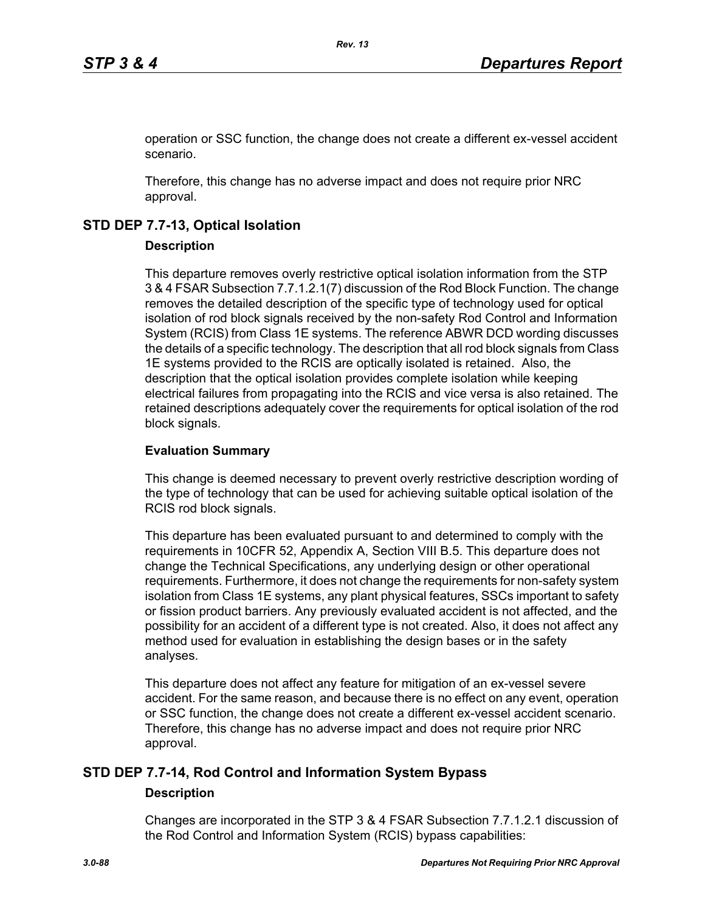operation or SSC function, the change does not create a different ex-vessel accident scenario.

Therefore, this change has no adverse impact and does not require prior NRC approval.

# **STD DEP 7.7-13, Optical Isolation**

## **Description**

This departure removes overly restrictive optical isolation information from the STP 3 & 4 FSAR Subsection 7.7.1.2.1(7) discussion of the Rod Block Function. The change removes the detailed description of the specific type of technology used for optical isolation of rod block signals received by the non-safety Rod Control and Information System (RCIS) from Class 1E systems. The reference ABWR DCD wording discusses the details of a specific technology. The description that all rod block signals from Class 1E systems provided to the RCIS are optically isolated is retained. Also, the description that the optical isolation provides complete isolation while keeping electrical failures from propagating into the RCIS and vice versa is also retained. The retained descriptions adequately cover the requirements for optical isolation of the rod block signals.

## **Evaluation Summary**

This change is deemed necessary to prevent overly restrictive description wording of the type of technology that can be used for achieving suitable optical isolation of the RCIS rod block signals.

This departure has been evaluated pursuant to and determined to comply with the requirements in 10CFR 52, Appendix A, Section VIII B.5. This departure does not change the Technical Specifications, any underlying design or other operational requirements. Furthermore, it does not change the requirements for non-safety system isolation from Class 1E systems, any plant physical features, SSCs important to safety or fission product barriers. Any previously evaluated accident is not affected, and the possibility for an accident of a different type is not created. Also, it does not affect any method used for evaluation in establishing the design bases or in the safety analyses.

This departure does not affect any feature for mitigation of an ex-vessel severe accident. For the same reason, and because there is no effect on any event, operation or SSC function, the change does not create a different ex-vessel accident scenario. Therefore, this change has no adverse impact and does not require prior NRC approval.

# **STD DEP 7.7-14, Rod Control and Information System Bypass**

### **Description**

Changes are incorporated in the STP 3 & 4 FSAR Subsection 7.7.1.2.1 discussion of the Rod Control and Information System (RCIS) bypass capabilities: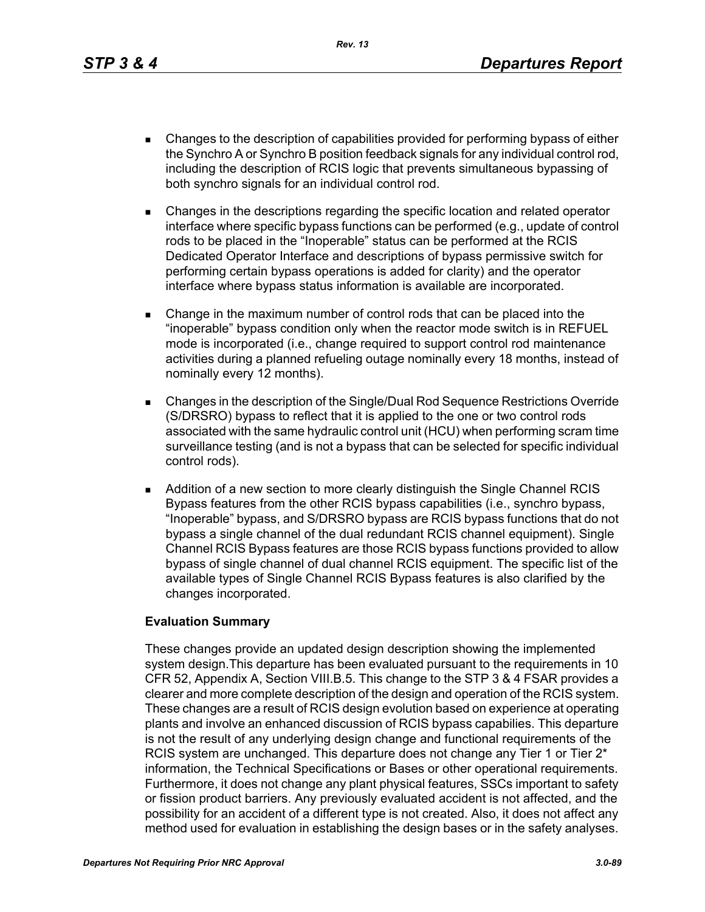*Rev. 13*

- Changes to the description of capabilities provided for performing bypass of either the Synchro A or Synchro B position feedback signals for any individual control rod, including the description of RCIS logic that prevents simultaneous bypassing of both synchro signals for an individual control rod.
- Changes in the descriptions regarding the specific location and related operator interface where specific bypass functions can be performed (e.g., update of control rods to be placed in the "Inoperable" status can be performed at the RCIS Dedicated Operator Interface and descriptions of bypass permissive switch for performing certain bypass operations is added for clarity) and the operator interface where bypass status information is available are incorporated.
- Change in the maximum number of control rods that can be placed into the "inoperable" bypass condition only when the reactor mode switch is in REFUEL mode is incorporated (i.e., change required to support control rod maintenance activities during a planned refueling outage nominally every 18 months, instead of nominally every 12 months).
- Changes in the description of the Single/Dual Rod Sequence Restrictions Override (S/DRSRO) bypass to reflect that it is applied to the one or two control rods associated with the same hydraulic control unit (HCU) when performing scram time surveillance testing (and is not a bypass that can be selected for specific individual control rods).
- **Addition of a new section to more clearly distinguish the Single Channel RCIS** Bypass features from the other RCIS bypass capabilities (i.e., synchro bypass, "Inoperable" bypass, and S/DRSRO bypass are RCIS bypass functions that do not bypass a single channel of the dual redundant RCIS channel equipment). Single Channel RCIS Bypass features are those RCIS bypass functions provided to allow bypass of single channel of dual channel RCIS equipment. The specific list of the available types of Single Channel RCIS Bypass features is also clarified by the changes incorporated.

### **Evaluation Summary**

These changes provide an updated design description showing the implemented system design.This departure has been evaluated pursuant to the requirements in 10 CFR 52, Appendix A, Section VIII.B.5. This change to the STP 3 & 4 FSAR provides a clearer and more complete description of the design and operation of the RCIS system. These changes are a result of RCIS design evolution based on experience at operating plants and involve an enhanced discussion of RCIS bypass capabilies. This departure is not the result of any underlying design change and functional requirements of the RCIS system are unchanged. This departure does not change any Tier 1 or Tier 2<sup>\*</sup> information, the Technical Specifications or Bases or other operational requirements. Furthermore, it does not change any plant physical features, SSCs important to safety or fission product barriers. Any previously evaluated accident is not affected, and the possibility for an accident of a different type is not created. Also, it does not affect any method used for evaluation in establishing the design bases or in the safety analyses.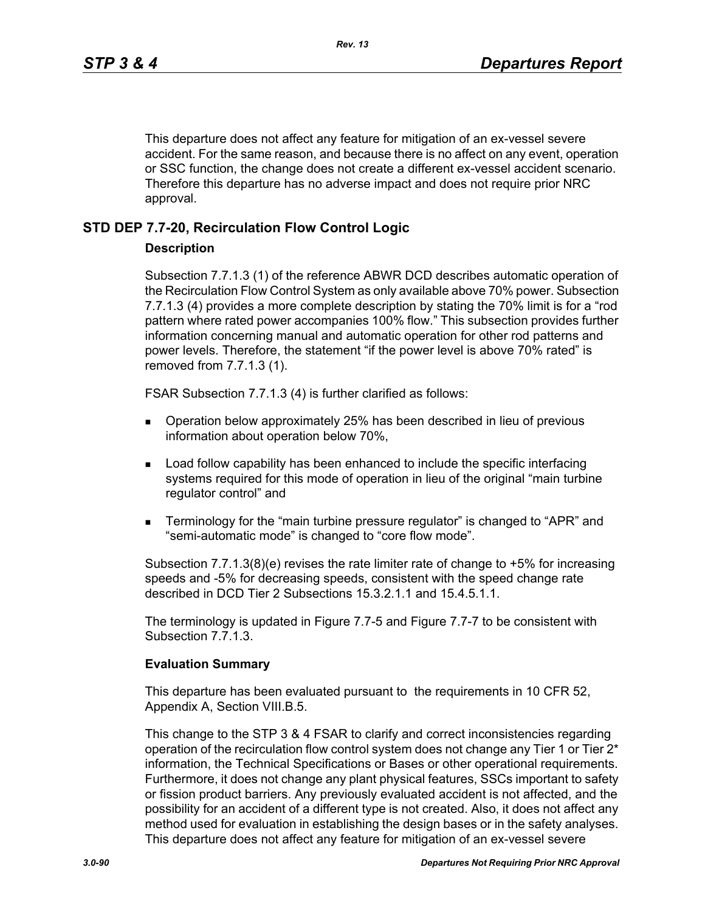This departure does not affect any feature for mitigation of an ex-vessel severe accident. For the same reason, and because there is no affect on any event, operation or SSC function, the change does not create a different ex-vessel accident scenario. Therefore this departure has no adverse impact and does not require prior NRC approval.

## **STD DEP 7.7-20, Recirculation Flow Control Logic**

### **Description**

Subsection 7.7.1.3 (1) of the reference ABWR DCD describes automatic operation of the Recirculation Flow Control System as only available above 70% power. Subsection 7.7.1.3 (4) provides a more complete description by stating the 70% limit is for a "rod pattern where rated power accompanies 100% flow." This subsection provides further information concerning manual and automatic operation for other rod patterns and power levels. Therefore, the statement "if the power level is above 70% rated" is removed from 7.7.1.3 (1).

FSAR Subsection 7.7.1.3 (4) is further clarified as follows:

- Operation below approximately 25% has been described in lieu of previous information about operation below 70%,
- **Load follow capability has been enhanced to include the specific interfacing** systems required for this mode of operation in lieu of the original "main turbine regulator control" and
- Terminology for the "main turbine pressure regulator" is changed to "APR" and "semi-automatic mode" is changed to "core flow mode".

Subsection 7.7.1.3(8)(e) revises the rate limiter rate of change to +5% for increasing speeds and -5% for decreasing speeds, consistent with the speed change rate described in DCD Tier 2 Subsections 15.3.2.1.1 and 15.4.5.1.1.

The terminology is updated in Figure 7.7-5 and Figure 7.7-7 to be consistent with Subsection 7.7.1.3.

#### **Evaluation Summary**

This departure has been evaluated pursuant to the requirements in 10 CFR 52, Appendix A, Section VIII.B.5.

This change to the STP 3 & 4 FSAR to clarify and correct inconsistencies regarding operation of the recirculation flow control system does not change any Tier 1 or Tier  $2^*$ information, the Technical Specifications or Bases or other operational requirements. Furthermore, it does not change any plant physical features, SSCs important to safety or fission product barriers. Any previously evaluated accident is not affected, and the possibility for an accident of a different type is not created. Also, it does not affect any method used for evaluation in establishing the design bases or in the safety analyses. This departure does not affect any feature for mitigation of an ex-vessel severe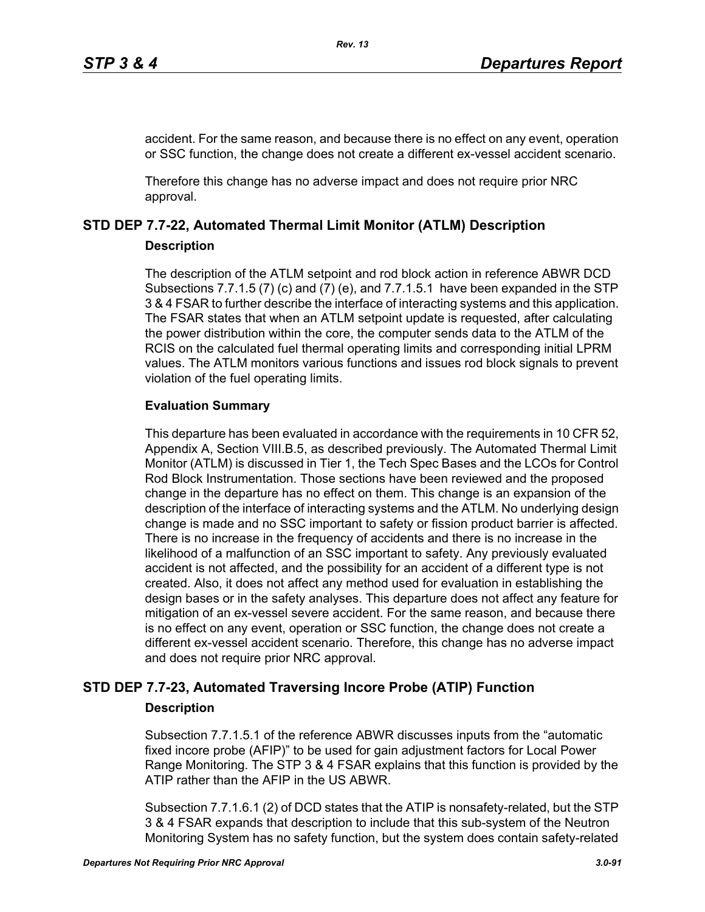accident. For the same reason, and because there is no effect on any event, operation or SSC function, the change does not create a different ex-vessel accident scenario.

Therefore this change has no adverse impact and does not require prior NRC approval.

# **STD DEP 7.7-22, Automated Thermal Limit Monitor (ATLM) Description**

### **Description**

The description of the ATLM setpoint and rod block action in reference ABWR DCD Subsections 7.7.1.5 (7) (c) and (7) (e), and 7.7.1.5.1 have been expanded in the STP 3 & 4 FSAR to further describe the interface of interacting systems and this application. The FSAR states that when an ATLM setpoint update is requested, after calculating the power distribution within the core, the computer sends data to the ATLM of the RCIS on the calculated fuel thermal operating limits and corresponding initial LPRM values. The ATLM monitors various functions and issues rod block signals to prevent violation of the fuel operating limits.

# **Evaluation Summary**

This departure has been evaluated in accordance with the requirements in 10 CFR 52, Appendix A, Section VIII.B.5, as described previously. The Automated Thermal Limit Monitor (ATLM) is discussed in Tier 1, the Tech Spec Bases and the LCOs for Control Rod Block Instrumentation. Those sections have been reviewed and the proposed change in the departure has no effect on them. This change is an expansion of the description of the interface of interacting systems and the ATLM. No underlying design change is made and no SSC important to safety or fission product barrier is affected. There is no increase in the frequency of accidents and there is no increase in the likelihood of a malfunction of an SSC important to safety. Any previously evaluated accident is not affected, and the possibility for an accident of a different type is not created. Also, it does not affect any method used for evaluation in establishing the design bases or in the safety analyses. This departure does not affect any feature for mitigation of an ex-vessel severe accident. For the same reason, and because there is no effect on any event, operation or SSC function, the change does not create a different ex-vessel accident scenario. Therefore, this change has no adverse impact and does not require prior NRC approval.

# **STD DEP 7.7-23, Automated Traversing Incore Probe (ATIP) Function**

# **Description**

Subsection 7.7.1.5.1 of the reference ABWR discusses inputs from the "automatic fixed incore probe (AFIP)" to be used for gain adjustment factors for Local Power Range Monitoring. The STP 3 & 4 FSAR explains that this function is provided by the ATIP rather than the AFIP in the US ABWR.

Subsection 7.7.1.6.1 (2) of DCD states that the ATIP is nonsafety-related, but the STP 3 & 4 FSAR expands that description to include that this sub-system of the Neutron Monitoring System has no safety function, but the system does contain safety-related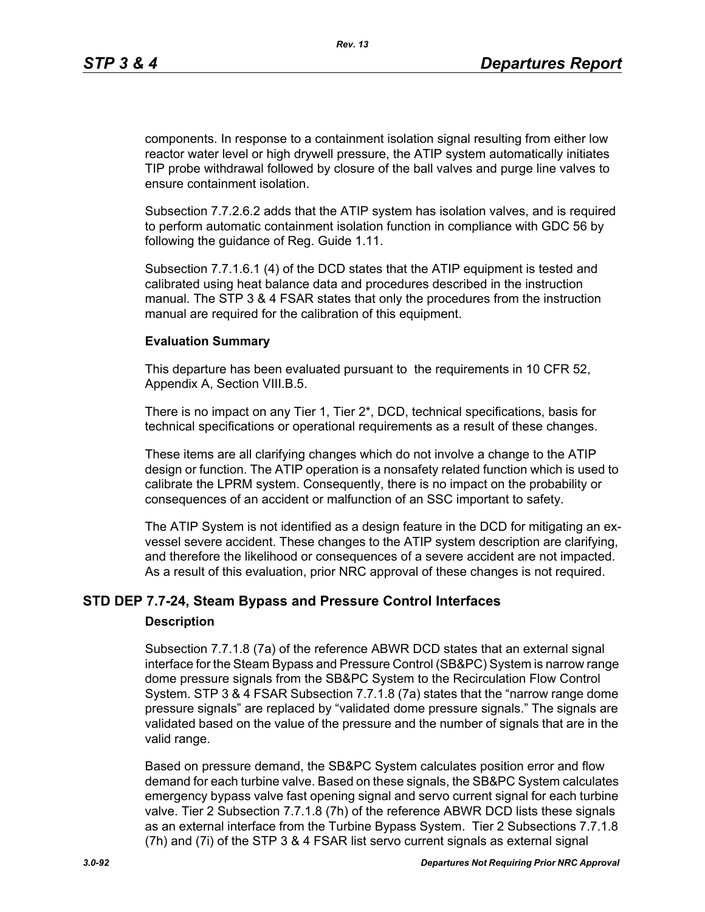components. In response to a containment isolation signal resulting from either low reactor water level or high drywell pressure, the ATIP system automatically initiates TIP probe withdrawal followed by closure of the ball valves and purge line valves to ensure containment isolation.

Subsection 7.7.2.6.2 adds that the ATIP system has isolation valves, and is required to perform automatic containment isolation function in compliance with GDC 56 by following the guidance of Reg. Guide 1.11.

Subsection 7.7.1.6.1 (4) of the DCD states that the ATIP equipment is tested and calibrated using heat balance data and procedures described in the instruction manual. The STP 3 & 4 FSAR states that only the procedures from the instruction manual are required for the calibration of this equipment.

#### **Evaluation Summary**

This departure has been evaluated pursuant to the requirements in 10 CFR 52, Appendix A, Section VIII.B.5.

There is no impact on any Tier 1, Tier 2\*, DCD, technical specifications, basis for technical specifications or operational requirements as a result of these changes.

These items are all clarifying changes which do not involve a change to the ATIP design or function. The ATIP operation is a nonsafety related function which is used to calibrate the LPRM system. Consequently, there is no impact on the probability or consequences of an accident or malfunction of an SSC important to safety.

The ATIP System is not identified as a design feature in the DCD for mitigating an exvessel severe accident. These changes to the ATIP system description are clarifying, and therefore the likelihood or consequences of a severe accident are not impacted. As a result of this evaluation, prior NRC approval of these changes is not required.

### **STD DEP 7.7-24, Steam Bypass and Pressure Control Interfaces**

#### **Description**

Subsection 7.7.1.8 (7a) of the reference ABWR DCD states that an external signal interface for the Steam Bypass and Pressure Control (SB&PC) System is narrow range dome pressure signals from the SB&PC System to the Recirculation Flow Control System. STP 3 & 4 FSAR Subsection 7.7.1.8 (7a) states that the "narrow range dome pressure signals" are replaced by "validated dome pressure signals." The signals are validated based on the value of the pressure and the number of signals that are in the valid range.

Based on pressure demand, the SB&PC System calculates position error and flow demand for each turbine valve. Based on these signals, the SB&PC System calculates emergency bypass valve fast opening signal and servo current signal for each turbine valve. Tier 2 Subsection 7.7.1.8 (7h) of the reference ABWR DCD lists these signals as an external interface from the Turbine Bypass System. Tier 2 Subsections 7.7.1.8 (7h) and (7i) of the STP 3 & 4 FSAR list servo current signals as external signal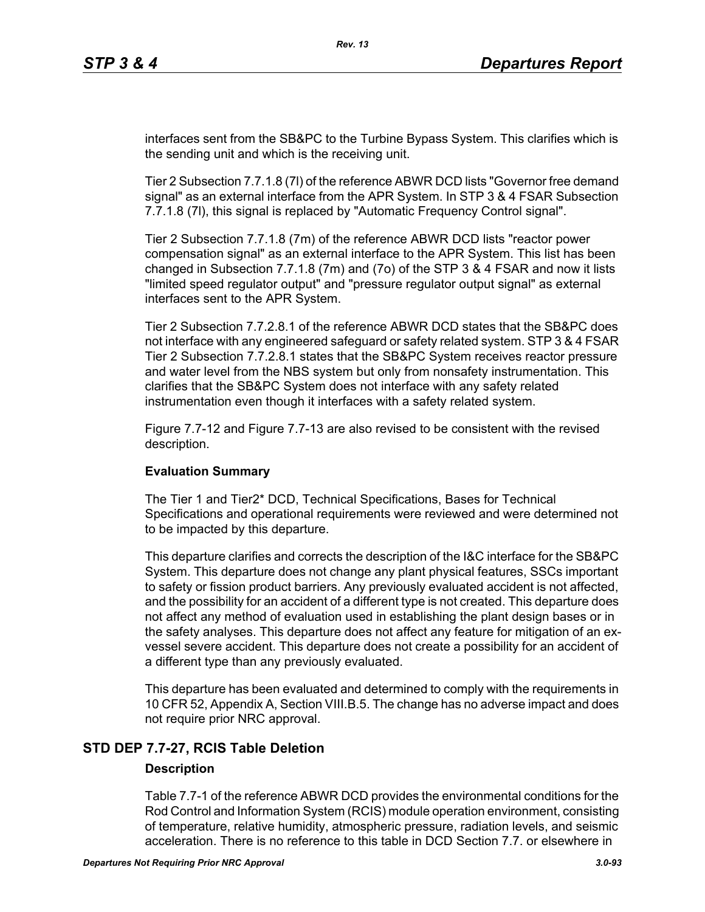interfaces sent from the SB&PC to the Turbine Bypass System. This clarifies which is the sending unit and which is the receiving unit.

Tier 2 Subsection 7.7.1.8 (7l) of the reference ABWR DCD lists "Governor free demand signal" as an external interface from the APR System. In STP 3 & 4 FSAR Subsection 7.7.1.8 (7l), this signal is replaced by "Automatic Frequency Control signal".

Tier 2 Subsection 7.7.1.8 (7m) of the reference ABWR DCD lists "reactor power compensation signal" as an external interface to the APR System. This list has been changed in Subsection 7.7.1.8 (7m) and (7o) of the STP 3 & 4 FSAR and now it lists "limited speed regulator output" and "pressure regulator output signal" as external interfaces sent to the APR System.

Tier 2 Subsection 7.7.2.8.1 of the reference ABWR DCD states that the SB&PC does not interface with any engineered safeguard or safety related system. STP 3 & 4 FSAR Tier 2 Subsection 7.7.2.8.1 states that the SB&PC System receives reactor pressure and water level from the NBS system but only from nonsafety instrumentation. This clarifies that the SB&PC System does not interface with any safety related instrumentation even though it interfaces with a safety related system.

Figure 7.7-12 and Figure 7.7-13 are also revised to be consistent with the revised description.

### **Evaluation Summary**

The Tier 1 and Tier2\* DCD, Technical Specifications, Bases for Technical Specifications and operational requirements were reviewed and were determined not to be impacted by this departure.

This departure clarifies and corrects the description of the I&C interface for the SB&PC System. This departure does not change any plant physical features, SSCs important to safety or fission product barriers. Any previously evaluated accident is not affected, and the possibility for an accident of a different type is not created. This departure does not affect any method of evaluation used in establishing the plant design bases or in the safety analyses. This departure does not affect any feature for mitigation of an exvessel severe accident. This departure does not create a possibility for an accident of a different type than any previously evaluated.

This departure has been evaluated and determined to comply with the requirements in 10 CFR 52, Appendix A, Section VIII.B.5. The change has no adverse impact and does not require prior NRC approval.

# **STD DEP 7.7-27, RCIS Table Deletion**

### **Description**

Table 7.7-1 of the reference ABWR DCD provides the environmental conditions for the Rod Control and Information System (RCIS) module operation environment, consisting of temperature, relative humidity, atmospheric pressure, radiation levels, and seismic acceleration. There is no reference to this table in DCD Section 7.7. or elsewhere in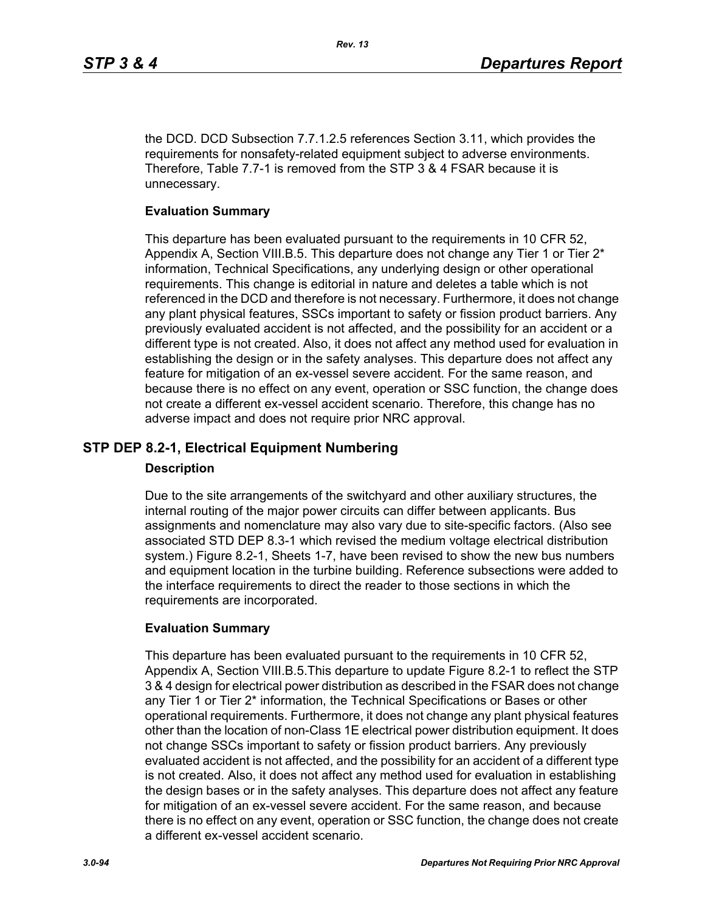the DCD. DCD Subsection 7.7.1.2.5 references Section 3.11, which provides the requirements for nonsafety-related equipment subject to adverse environments. Therefore, Table 7.7-1 is removed from the STP 3 & 4 FSAR because it is unnecessary.

### **Evaluation Summary**

This departure has been evaluated pursuant to the requirements in 10 CFR 52, Appendix A, Section VIII.B.5. This departure does not change any Tier 1 or Tier 2\* information, Technical Specifications, any underlying design or other operational requirements. This change is editorial in nature and deletes a table which is not referenced in the DCD and therefore is not necessary. Furthermore, it does not change any plant physical features, SSCs important to safety or fission product barriers. Any previously evaluated accident is not affected, and the possibility for an accident or a different type is not created. Also, it does not affect any method used for evaluation in establishing the design or in the safety analyses. This departure does not affect any feature for mitigation of an ex-vessel severe accident. For the same reason, and because there is no effect on any event, operation or SSC function, the change does not create a different ex-vessel accident scenario. Therefore, this change has no adverse impact and does not require prior NRC approval.

# **STP DEP 8.2-1, Electrical Equipment Numbering**

### **Description**

Due to the site arrangements of the switchyard and other auxiliary structures, the internal routing of the major power circuits can differ between applicants. Bus assignments and nomenclature may also vary due to site-specific factors. (Also see associated STD DEP 8.3-1 which revised the medium voltage electrical distribution system.) Figure 8.2-1, Sheets 1-7, have been revised to show the new bus numbers and equipment location in the turbine building. Reference subsections were added to the interface requirements to direct the reader to those sections in which the requirements are incorporated.

# **Evaluation Summary**

This departure has been evaluated pursuant to the requirements in 10 CFR 52, Appendix A, Section VIII.B.5.This departure to update Figure 8.2-1 to reflect the STP 3 & 4 design for electrical power distribution as described in the FSAR does not change any Tier 1 or Tier 2\* information, the Technical Specifications or Bases or other operational requirements. Furthermore, it does not change any plant physical features other than the location of non-Class 1E electrical power distribution equipment. It does not change SSCs important to safety or fission product barriers. Any previously evaluated accident is not affected, and the possibility for an accident of a different type is not created. Also, it does not affect any method used for evaluation in establishing the design bases or in the safety analyses. This departure does not affect any feature for mitigation of an ex-vessel severe accident. For the same reason, and because there is no effect on any event, operation or SSC function, the change does not create a different ex-vessel accident scenario.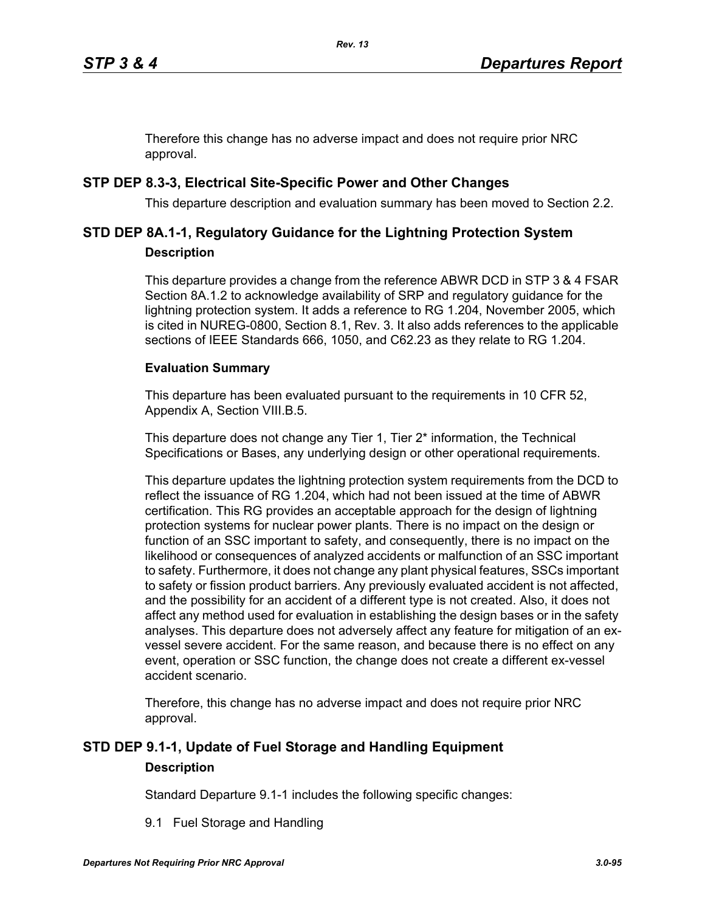Therefore this change has no adverse impact and does not require prior NRC approval.

# **STP DEP 8.3-3, Electrical Site-Specific Power and Other Changes**

This departure description and evaluation summary has been moved to Section 2.2.

# **STD DEP 8A.1-1, Regulatory Guidance for the Lightning Protection System Description**

This departure provides a change from the reference ABWR DCD in STP 3 & 4 FSAR Section 8A.1.2 to acknowledge availability of SRP and regulatory guidance for the lightning protection system. It adds a reference to RG 1.204, November 2005, which is cited in NUREG-0800, Section 8.1, Rev. 3. It also adds references to the applicable sections of IEEE Standards 666, 1050, and C62.23 as they relate to RG 1.204.

### **Evaluation Summary**

This departure has been evaluated pursuant to the requirements in 10 CFR 52, Appendix A, Section VIII.B.5.

This departure does not change any Tier 1, Tier 2<sup>\*</sup> information, the Technical Specifications or Bases, any underlying design or other operational requirements.

This departure updates the lightning protection system requirements from the DCD to reflect the issuance of RG 1.204, which had not been issued at the time of ABWR certification. This RG provides an acceptable approach for the design of lightning protection systems for nuclear power plants. There is no impact on the design or function of an SSC important to safety, and consequently, there is no impact on the likelihood or consequences of analyzed accidents or malfunction of an SSC important to safety. Furthermore, it does not change any plant physical features, SSCs important to safety or fission product barriers. Any previously evaluated accident is not affected, and the possibility for an accident of a different type is not created. Also, it does not affect any method used for evaluation in establishing the design bases or in the safety analyses. This departure does not adversely affect any feature for mitigation of an exvessel severe accident. For the same reason, and because there is no effect on any event, operation or SSC function, the change does not create a different ex-vessel accident scenario.

Therefore, this change has no adverse impact and does not require prior NRC approval.

# **STD DEP 9.1-1, Update of Fuel Storage and Handling Equipment Description**

Standard Departure 9.1-1 includes the following specific changes:

9.1 Fuel Storage and Handling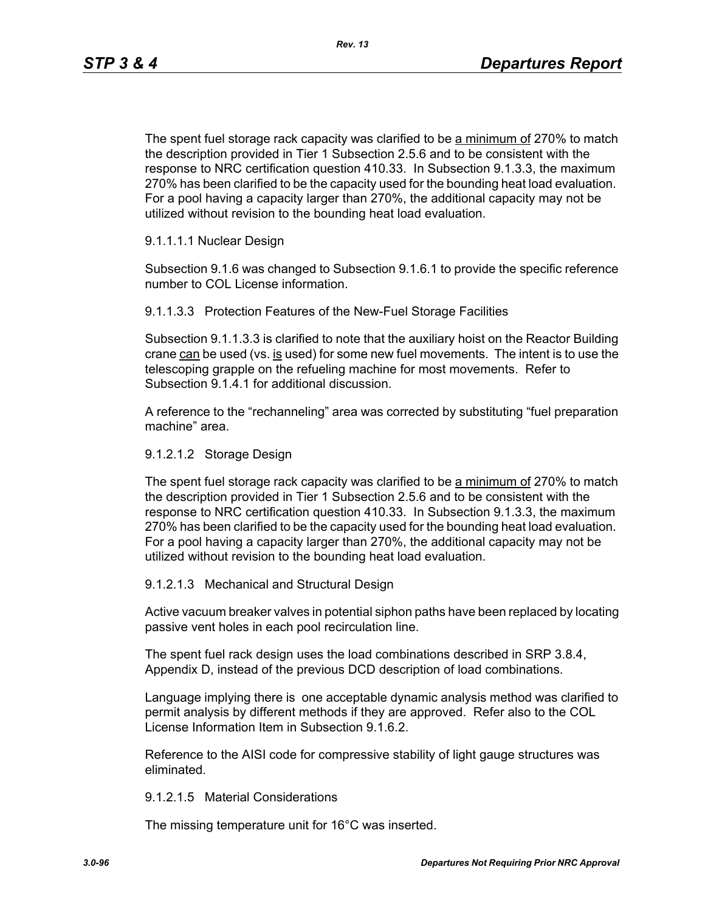The spent fuel storage rack capacity was clarified to be a minimum of 270% to match the description provided in Tier 1 Subsection 2.5.6 and to be consistent with the response to NRC certification question 410.33. In Subsection 9.1.3.3, the maximum 270% has been clarified to be the capacity used for the bounding heat load evaluation. For a pool having a capacity larger than 270%, the additional capacity may not be utilized without revision to the bounding heat load evaluation.

### 9.1.1.1.1 Nuclear Design

Subsection 9.1.6 was changed to Subsection 9.1.6.1 to provide the specific reference number to COL License information.

9.1.1.3.3 Protection Features of the New-Fuel Storage Facilities

Subsection 9.1.1.3.3 is clarified to note that the auxiliary hoist on the Reactor Building crane  $can$  be used (vs. is used) for some new fuel movements. The intent is to use the telescoping grapple on the refueling machine for most movements. Refer to Subsection 9.1.4.1 for additional discussion.

A reference to the "rechanneling" area was corrected by substituting "fuel preparation machine" area.

### 9.1.2.1.2 Storage Design

The spent fuel storage rack capacity was clarified to be a minimum of 270% to match the description provided in Tier 1 Subsection 2.5.6 and to be consistent with the response to NRC certification question 410.33. In Subsection 9.1.3.3, the maximum 270% has been clarified to be the capacity used for the bounding heat load evaluation. For a pool having a capacity larger than 270%, the additional capacity may not be utilized without revision to the bounding heat load evaluation.

#### 9.1.2.1.3 Mechanical and Structural Design

Active vacuum breaker valves in potential siphon paths have been replaced by locating passive vent holes in each pool recirculation line.

The spent fuel rack design uses the load combinations described in SRP 3.8.4, Appendix D, instead of the previous DCD description of load combinations.

Language implying there is one acceptable dynamic analysis method was clarified to permit analysis by different methods if they are approved. Refer also to the COL License Information Item in Subsection 9.1.6.2.

Reference to the AISI code for compressive stability of light gauge structures was eliminated.

#### 9.1.2.1.5 Material Considerations

The missing temperature unit for 16°C was inserted.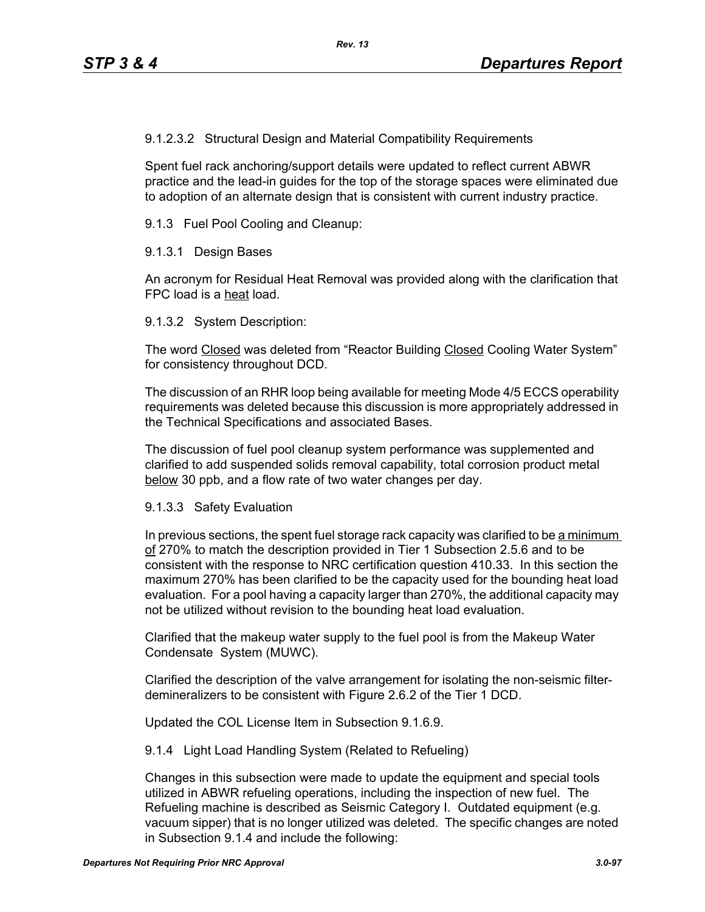9.1.2.3.2 Structural Design and Material Compatibility Requirements

Spent fuel rack anchoring/support details were updated to reflect current ABWR practice and the lead-in guides for the top of the storage spaces were eliminated due to adoption of an alternate design that is consistent with current industry practice.

9.1.3 Fuel Pool Cooling and Cleanup:

9.1.3.1 Design Bases

An acronym for Residual Heat Removal was provided along with the clarification that FPC load is a heat load.

9.1.3.2 System Description:

The word Closed was deleted from "Reactor Building Closed Cooling Water System" for consistency throughout DCD.

The discussion of an RHR loop being available for meeting Mode 4/5 ECCS operability requirements was deleted because this discussion is more appropriately addressed in the Technical Specifications and associated Bases.

The discussion of fuel pool cleanup system performance was supplemented and clarified to add suspended solids removal capability, total corrosion product metal below 30 ppb, and a flow rate of two water changes per day.

#### 9.1.3.3 Safety Evaluation

In previous sections, the spent fuel storage rack capacity was clarified to be a minimum of 270% to match the description provided in Tier 1 Subsection 2.5.6 and to be consistent with the response to NRC certification question 410.33. In this section the maximum 270% has been clarified to be the capacity used for the bounding heat load evaluation. For a pool having a capacity larger than 270%, the additional capacity may not be utilized without revision to the bounding heat load evaluation.

Clarified that the makeup water supply to the fuel pool is from the Makeup Water Condensate System (MUWC).

Clarified the description of the valve arrangement for isolating the non-seismic filterdemineralizers to be consistent with Figure 2.6.2 of the Tier 1 DCD.

Updated the COL License Item in Subsection 9.1.6.9.

9.1.4 Light Load Handling System (Related to Refueling)

Changes in this subsection were made to update the equipment and special tools utilized in ABWR refueling operations, including the inspection of new fuel. The Refueling machine is described as Seismic Category I. Outdated equipment (e.g. vacuum sipper) that is no longer utilized was deleted. The specific changes are noted in Subsection 9.1.4 and include the following: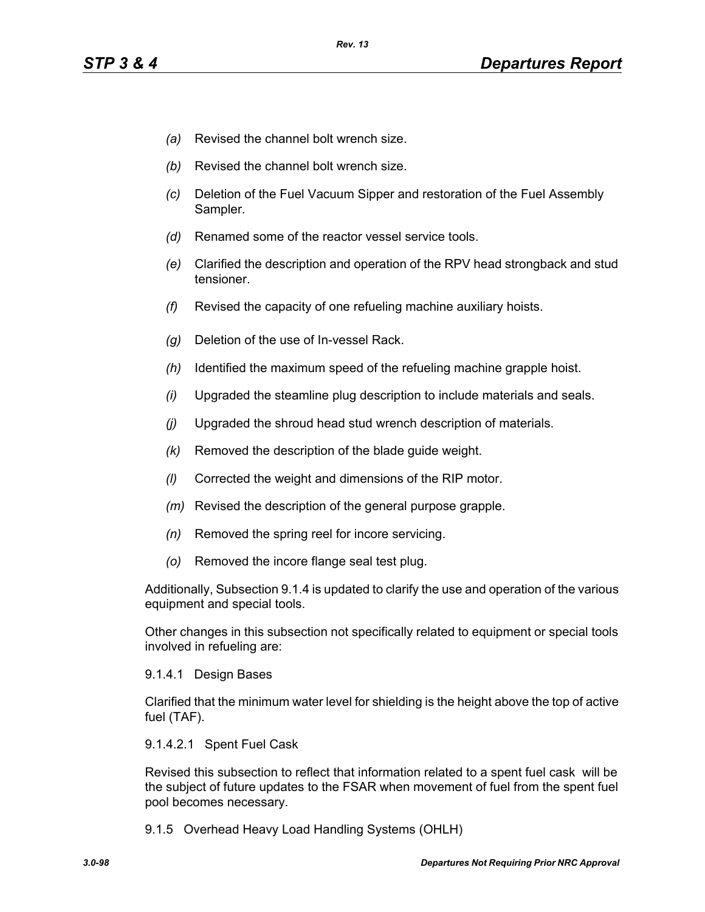- *(a)* Revised the channel bolt wrench size.
- *(b)* Revised the channel bolt wrench size.
- *(c)* Deletion of the Fuel Vacuum Sipper and restoration of the Fuel Assembly Sampler.
- *(d)* Renamed some of the reactor vessel service tools.
- *(e)* Clarified the description and operation of the RPV head strongback and stud tensioner.
- *(f)* Revised the capacity of one refueling machine auxiliary hoists.
- *(g)* Deletion of the use of In-vessel Rack.
- *(h)* Identified the maximum speed of the refueling machine grapple hoist.
- *(i)* Upgraded the steamline plug description to include materials and seals.
- *(j)* Upgraded the shroud head stud wrench description of materials.
- *(k)* Removed the description of the blade guide weight.
- *(l)* Corrected the weight and dimensions of the RIP motor.
- *(m)* Revised the description of the general purpose grapple.
- *(n)* Removed the spring reel for incore servicing.
- *(o)* Removed the incore flange seal test plug.

Additionally, Subsection 9.1.4 is updated to clarify the use and operation of the various equipment and special tools.

Other changes in this subsection not specifically related to equipment or special tools involved in refueling are:

#### 9.1.4.1 Design Bases

Clarified that the minimum water level for shielding is the height above the top of active fuel (TAF).

#### 9.1.4.2.1 Spent Fuel Cask

Revised this subsection to reflect that information related to a spent fuel cask will be the subject of future updates to the FSAR when movement of fuel from the spent fuel pool becomes necessary.

9.1.5 Overhead Heavy Load Handling Systems (OHLH)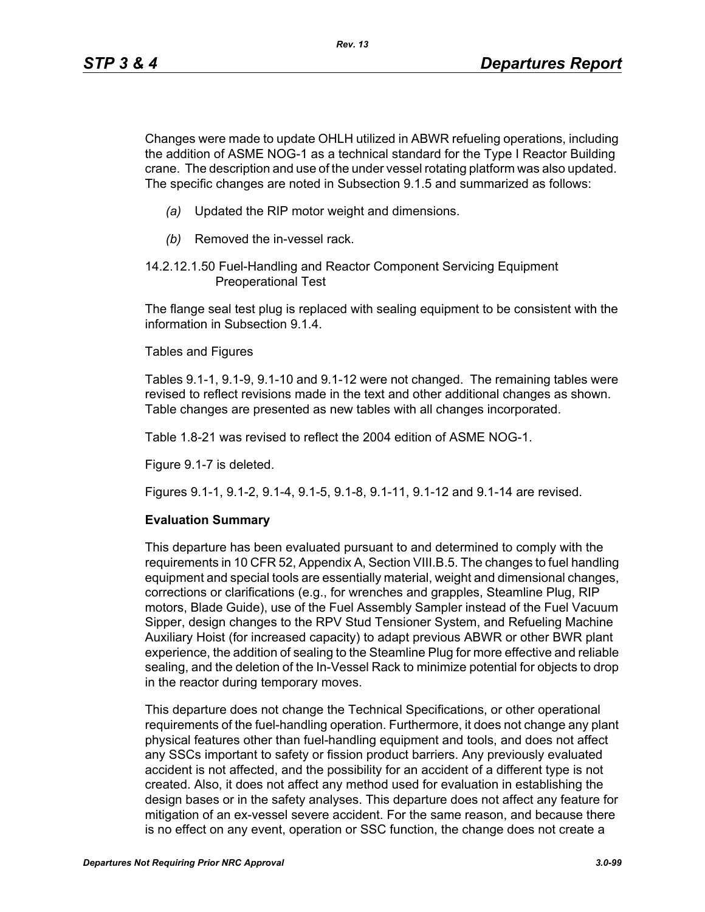Changes were made to update OHLH utilized in ABWR refueling operations, including the addition of ASME NOG-1 as a technical standard for the Type I Reactor Building crane. The description and use of the under vessel rotating platform was also updated. The specific changes are noted in Subsection 9.1.5 and summarized as follows:

- *(a)* Updated the RIP motor weight and dimensions.
- *(b)* Removed the in-vessel rack.
- 14.2.12.1.50 Fuel-Handling and Reactor Component Servicing Equipment Preoperational Test

The flange seal test plug is replaced with sealing equipment to be consistent with the information in Subsection 9.1.4.

Tables and Figures

Tables 9.1-1, 9.1-9, 9.1-10 and 9.1-12 were not changed. The remaining tables were revised to reflect revisions made in the text and other additional changes as shown. Table changes are presented as new tables with all changes incorporated.

Table 1.8-21 was revised to reflect the 2004 edition of ASME NOG-1.

Figure 9.1-7 is deleted.

Figures 9.1-1, 9.1-2, 9.1-4, 9.1-5, 9.1-8, 9.1-11, 9.1-12 and 9.1-14 are revised.

### **Evaluation Summary**

This departure has been evaluated pursuant to and determined to comply with the requirements in 10 CFR 52, Appendix A, Section VIII.B.5. The changes to fuel handling equipment and special tools are essentially material, weight and dimensional changes, corrections or clarifications (e.g., for wrenches and grapples, Steamline Plug, RIP motors, Blade Guide), use of the Fuel Assembly Sampler instead of the Fuel Vacuum Sipper, design changes to the RPV Stud Tensioner System, and Refueling Machine Auxiliary Hoist (for increased capacity) to adapt previous ABWR or other BWR plant experience, the addition of sealing to the Steamline Plug for more effective and reliable sealing, and the deletion of the In-Vessel Rack to minimize potential for objects to drop in the reactor during temporary moves.

This departure does not change the Technical Specifications, or other operational requirements of the fuel-handling operation. Furthermore, it does not change any plant physical features other than fuel-handling equipment and tools, and does not affect any SSCs important to safety or fission product barriers. Any previously evaluated accident is not affected, and the possibility for an accident of a different type is not created. Also, it does not affect any method used for evaluation in establishing the design bases or in the safety analyses. This departure does not affect any feature for mitigation of an ex-vessel severe accident. For the same reason, and because there is no effect on any event, operation or SSC function, the change does not create a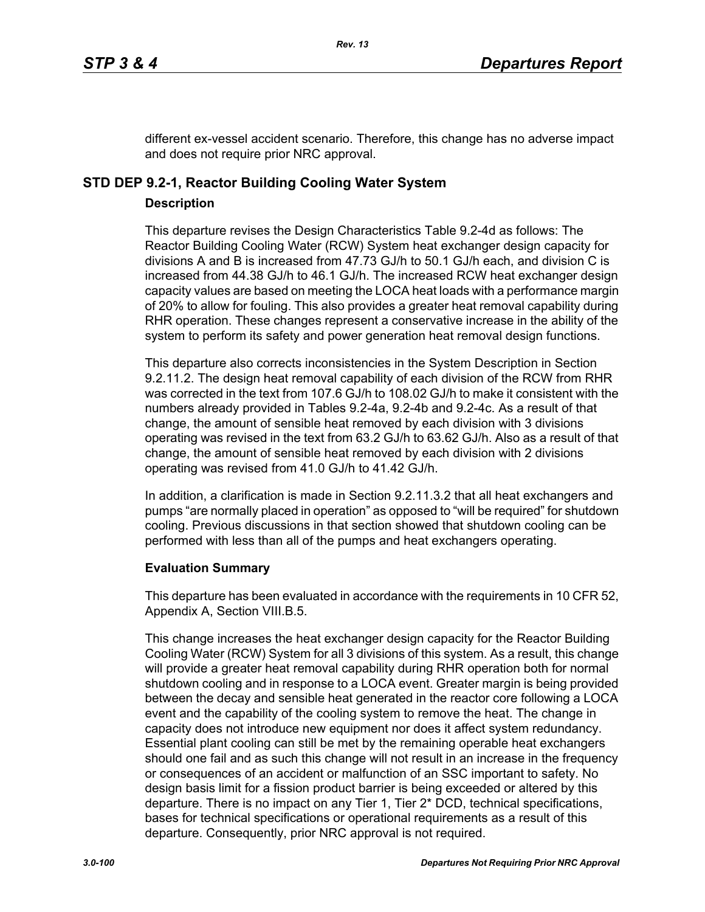different ex-vessel accident scenario. Therefore, this change has no adverse impact and does not require prior NRC approval.

# **STD DEP 9.2-1, Reactor Building Cooling Water System**

### **Description**

This departure revises the Design Characteristics Table 9.2-4d as follows: The Reactor Building Cooling Water (RCW) System heat exchanger design capacity for divisions A and B is increased from 47.73 GJ/h to 50.1 GJ/h each, and division C is increased from 44.38 GJ/h to 46.1 GJ/h. The increased RCW heat exchanger design capacity values are based on meeting the LOCA heat loads with a performance margin of 20% to allow for fouling. This also provides a greater heat removal capability during RHR operation. These changes represent a conservative increase in the ability of the system to perform its safety and power generation heat removal design functions.

This departure also corrects inconsistencies in the System Description in Section 9.2.11.2. The design heat removal capability of each division of the RCW from RHR was corrected in the text from 107.6 GJ/h to 108.02 GJ/h to make it consistent with the numbers already provided in Tables 9.2-4a, 9.2-4b and 9.2-4c. As a result of that change, the amount of sensible heat removed by each division with 3 divisions operating was revised in the text from 63.2 GJ/h to 63.62 GJ/h. Also as a result of that change, the amount of sensible heat removed by each division with 2 divisions operating was revised from 41.0 GJ/h to 41.42 GJ/h.

In addition, a clarification is made in Section 9.2.11.3.2 that all heat exchangers and pumps "are normally placed in operation" as opposed to "will be required" for shutdown cooling. Previous discussions in that section showed that shutdown cooling can be performed with less than all of the pumps and heat exchangers operating.

### **Evaluation Summary**

This departure has been evaluated in accordance with the requirements in 10 CFR 52, Appendix A, Section VIII.B.5.

This change increases the heat exchanger design capacity for the Reactor Building Cooling Water (RCW) System for all 3 divisions of this system. As a result, this change will provide a greater heat removal capability during RHR operation both for normal shutdown cooling and in response to a LOCA event. Greater margin is being provided between the decay and sensible heat generated in the reactor core following a LOCA event and the capability of the cooling system to remove the heat. The change in capacity does not introduce new equipment nor does it affect system redundancy. Essential plant cooling can still be met by the remaining operable heat exchangers should one fail and as such this change will not result in an increase in the frequency or consequences of an accident or malfunction of an SSC important to safety. No design basis limit for a fission product barrier is being exceeded or altered by this departure. There is no impact on any Tier 1, Tier 2\* DCD, technical specifications, bases for technical specifications or operational requirements as a result of this departure. Consequently, prior NRC approval is not required.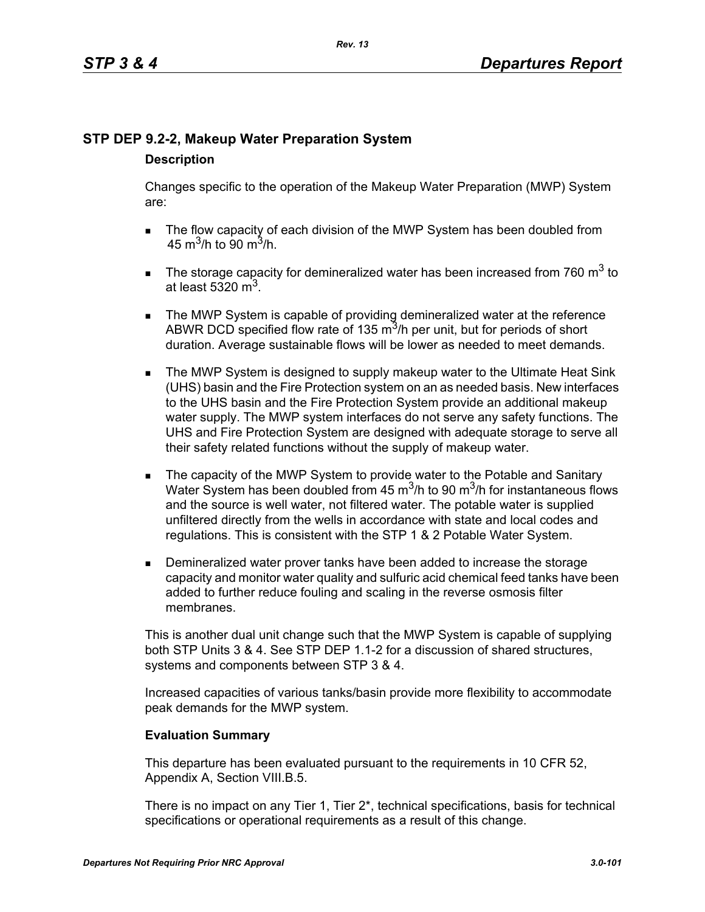# **STP DEP 9.2-2, Makeup Water Preparation System**

## **Description**

Changes specific to the operation of the Makeup Water Preparation (MWP) System are:

- The flow capacity of each division of the MWP System has been doubled from 45 m<sup>3</sup>/h to 90 m<sup>3</sup>/h.
- The storage capacity for demineralized water has been increased from 760  $m^3$  to at least 5320  $m<sup>3</sup>$ .
- **The MWP System is capable of providing demineralized water at the reference** ABWR DCD specified flow rate of 135  $\mathrm{m}^3$ /h per unit, but for periods of short duration. Average sustainable flows will be lower as needed to meet demands.
- **The MWP System is designed to supply makeup water to the Ultimate Heat Sink** (UHS) basin and the Fire Protection system on an as needed basis. New interfaces to the UHS basin and the Fire Protection System provide an additional makeup water supply. The MWP system interfaces do not serve any safety functions. The UHS and Fire Protection System are designed with adequate storage to serve all their safety related functions without the supply of makeup water.
- The capacity of the MWP System to provide water to the Potable and Sanitary Water System has been doubled from 45  $\mathrm{m}^3$ /h to 90  $\mathrm{m}^3$ /h for instantaneous flows and the source is well water, not filtered water. The potable water is supplied unfiltered directly from the wells in accordance with state and local codes and regulations. This is consistent with the STP 1 & 2 Potable Water System.
- **Demineralized water prover tanks have been added to increase the storage** capacity and monitor water quality and sulfuric acid chemical feed tanks have been added to further reduce fouling and scaling in the reverse osmosis filter membranes.

This is another dual unit change such that the MWP System is capable of supplying both STP Units 3 & 4. See STP DEP 1.1-2 for a discussion of shared structures, systems and components between STP 3 & 4.

Increased capacities of various tanks/basin provide more flexibility to accommodate peak demands for the MWP system.

# **Evaluation Summary**

This departure has been evaluated pursuant to the requirements in 10 CFR 52, Appendix A, Section VIII.B.5.

There is no impact on any Tier 1, Tier 2\*, technical specifications, basis for technical specifications or operational requirements as a result of this change.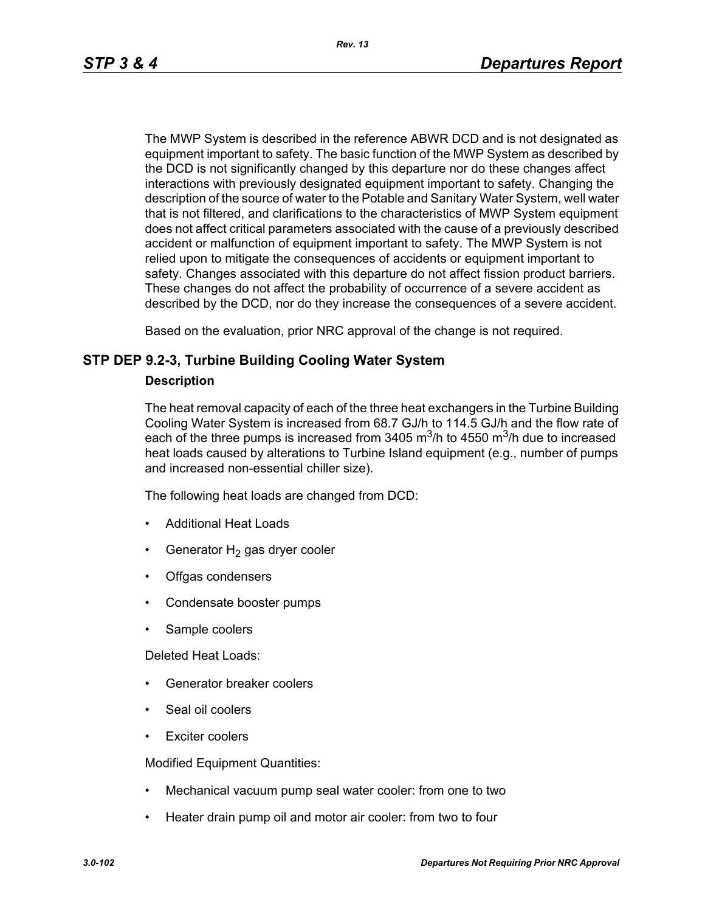The MWP System is described in the reference ABWR DCD and is not designated as equipment important to safety. The basic function of the MWP System as described by the DCD is not significantly changed by this departure nor do these changes affect interactions with previously designated equipment important to safety. Changing the description of the source of water to the Potable and Sanitary Water System, well water that is not filtered, and clarifications to the characteristics of MWP System equipment does not affect critical parameters associated with the cause of a previously described accident or malfunction of equipment important to safety. The MWP System is not relied upon to mitigate the consequences of accidents or equipment important to safety. Changes associated with this departure do not affect fission product barriers. These changes do not affect the probability of occurrence of a severe accident as described by the DCD, nor do they increase the consequences of a severe accident.

Based on the evaluation, prior NRC approval of the change is not required.

### **STP DEP 9.2-3, Turbine Building Cooling Water System**

### **Description**

The heat removal capacity of each of the three heat exchangers in the Turbine Building Cooling Water System is increased from 68.7 GJ/h to 114.5 GJ/h and the flow rate of each of the three pumps is increased from 3405  $\mathrm{m}^3$ /h to 4550  $\mathrm{m}^3$ /h due to increased heat loads caused by alterations to Turbine Island equipment (e.g., number of pumps and increased non-essential chiller size).

The following heat loads are changed from DCD:

- Additional Heat Loads
- Generator  $H_2$  gas dryer cooler
- Offgas condensers
- Condensate booster pumps
- Sample coolers

Deleted Heat Loads:

- Generator breaker coolers
- Seal oil coolers
- Exciter coolers

Modified Equipment Quantities:

- Mechanical vacuum pump seal water cooler: from one to two
- Heater drain pump oil and motor air cooler: from two to four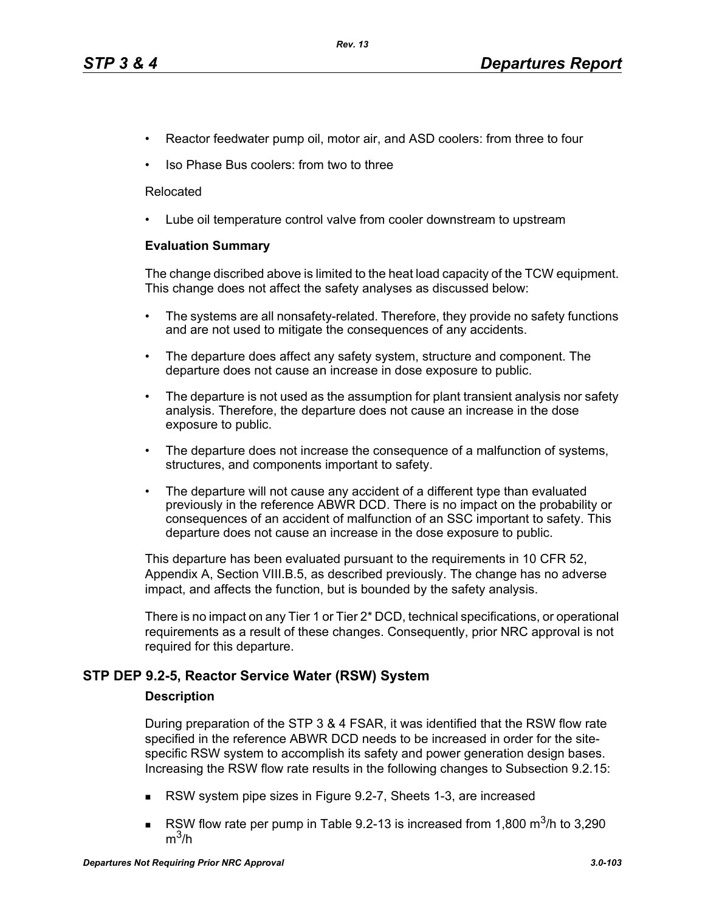- Reactor feedwater pump oil, motor air, and ASD coolers: from three to four
- Iso Phase Bus coolers: from two to three

#### Relocated

• Lube oil temperature control valve from cooler downstream to upstream

### **Evaluation Summary**

The change discribed above is limited to the heat load capacity of the TCW equipment. This change does not affect the safety analyses as discussed below:

- The systems are all nonsafety-related. Therefore, they provide no safety functions and are not used to mitigate the consequences of any accidents.
- The departure does affect any safety system, structure and component. The departure does not cause an increase in dose exposure to public.
- The departure is not used as the assumption for plant transient analysis nor safety analysis. Therefore, the departure does not cause an increase in the dose exposure to public.
- The departure does not increase the consequence of a malfunction of systems, structures, and components important to safety.
- The departure will not cause any accident of a different type than evaluated previously in the reference ABWR DCD. There is no impact on the probability or consequences of an accident of malfunction of an SSC important to safety. This departure does not cause an increase in the dose exposure to public.

This departure has been evaluated pursuant to the requirements in 10 CFR 52, Appendix A, Section VIII.B.5, as described previously. The change has no adverse impact, and affects the function, but is bounded by the safety analysis.

There is no impact on any Tier 1 or Tier 2\* DCD, technical specifications, or operational requirements as a result of these changes. Consequently, prior NRC approval is not required for this departure.

### **STP DEP 9.2-5, Reactor Service Water (RSW) System**

#### **Description**

During preparation of the STP 3 & 4 FSAR, it was identified that the RSW flow rate specified in the reference ABWR DCD needs to be increased in order for the sitespecific RSW system to accomplish its safety and power generation design bases. Increasing the RSW flow rate results in the following changes to Subsection 9.2.15:

- RSW system pipe sizes in Figure 9.2-7, Sheets 1-3, are increased
- RSW flow rate per pump in Table 9.2-13 is increased from 1,800  $\text{m}^3$ /h to 3,290  $m^3/h$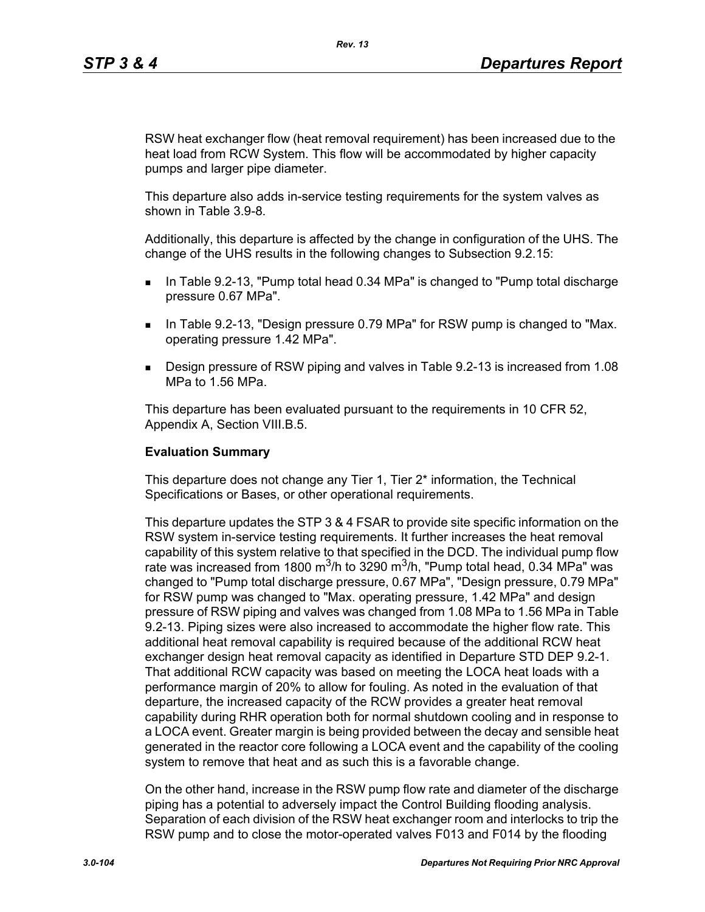RSW heat exchanger flow (heat removal requirement) has been increased due to the heat load from RCW System. This flow will be accommodated by higher capacity pumps and larger pipe diameter.

This departure also adds in-service testing requirements for the system valves as shown in Table 3.9-8.

Additionally, this departure is affected by the change in configuration of the UHS. The change of the UHS results in the following changes to Subsection 9.2.15:

- In Table 9.2-13, "Pump total head 0.34 MPa" is changed to "Pump total discharge pressure 0.67 MPa".
- **IF IN Table 9.2-13, "Design pressure 0.79 MPa" for RSW pump is changed to "Max.** operating pressure 1.42 MPa".
- Design pressure of RSW piping and valves in Table 9.2-13 is increased from 1.08 MPa to 1.56 MPa.

This departure has been evaluated pursuant to the requirements in 10 CFR 52, Appendix A, Section VIII.B.5.

#### **Evaluation Summary**

This departure does not change any Tier 1, Tier 2\* information, the Technical Specifications or Bases, or other operational requirements.

This departure updates the STP 3 & 4 FSAR to provide site specific information on the RSW system in-service testing requirements. It further increases the heat removal capability of this system relative to that specified in the DCD. The individual pump flow rate was increased from 1800 m<sup>3</sup>/h to 3290 m<sup>3</sup>/h, "Pump total head, 0.34 MPa" was changed to "Pump total discharge pressure, 0.67 MPa", "Design pressure, 0.79 MPa" for RSW pump was changed to "Max. operating pressure, 1.42 MPa" and design pressure of RSW piping and valves was changed from 1.08 MPa to 1.56 MPa in Table 9.2-13. Piping sizes were also increased to accommodate the higher flow rate. This additional heat removal capability is required because of the additional RCW heat exchanger design heat removal capacity as identified in Departure STD DEP 9.2-1. That additional RCW capacity was based on meeting the LOCA heat loads with a performance margin of 20% to allow for fouling. As noted in the evaluation of that departure, the increased capacity of the RCW provides a greater heat removal capability during RHR operation both for normal shutdown cooling and in response to a LOCA event. Greater margin is being provided between the decay and sensible heat generated in the reactor core following a LOCA event and the capability of the cooling system to remove that heat and as such this is a favorable change.

On the other hand, increase in the RSW pump flow rate and diameter of the discharge piping has a potential to adversely impact the Control Building flooding analysis. Separation of each division of the RSW heat exchanger room and interlocks to trip the RSW pump and to close the motor-operated valves F013 and F014 by the flooding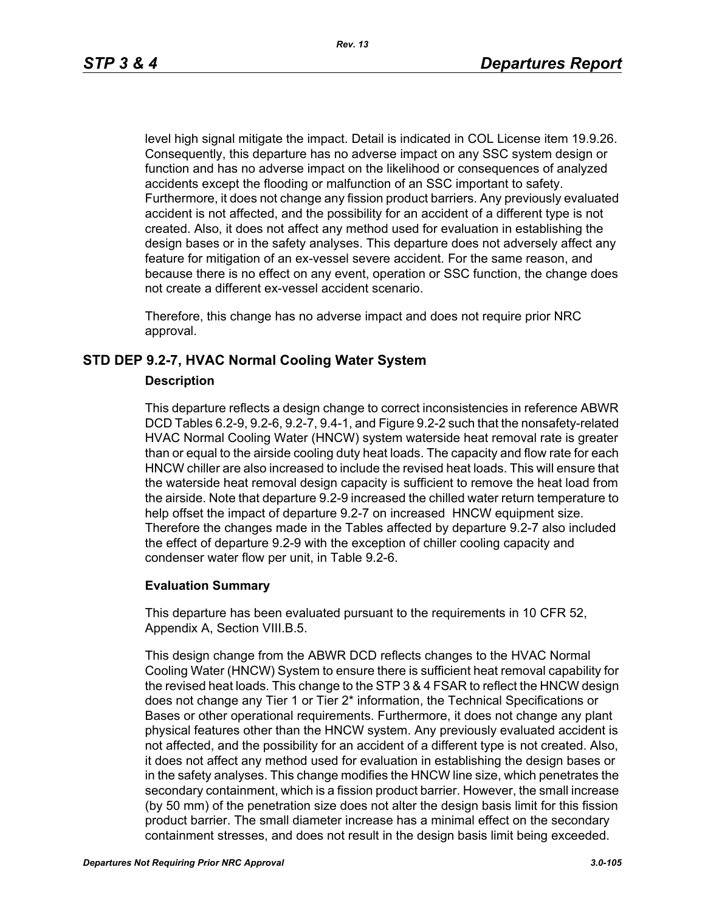level high signal mitigate the impact. Detail is indicated in COL License item 19.9.26. Consequently, this departure has no adverse impact on any SSC system design or function and has no adverse impact on the likelihood or consequences of analyzed accidents except the flooding or malfunction of an SSC important to safety. Furthermore, it does not change any fission product barriers. Any previously evaluated accident is not affected, and the possibility for an accident of a different type is not created. Also, it does not affect any method used for evaluation in establishing the design bases or in the safety analyses. This departure does not adversely affect any feature for mitigation of an ex-vessel severe accident. For the same reason, and because there is no effect on any event, operation or SSC function, the change does not create a different ex-vessel accident scenario.

Therefore, this change has no adverse impact and does not require prior NRC approval.

# **STD DEP 9.2-7, HVAC Normal Cooling Water System**

### **Description**

This departure reflects a design change to correct inconsistencies in reference ABWR DCD Tables 6.2-9, 9.2-6, 9.2-7, 9.4-1, and Figure 9.2-2 such that the nonsafety-related HVAC Normal Cooling Water (HNCW) system waterside heat removal rate is greater than or equal to the airside cooling duty heat loads. The capacity and flow rate for each HNCW chiller are also increased to include the revised heat loads. This will ensure that the waterside heat removal design capacity is sufficient to remove the heat load from the airside. Note that departure 9.2-9 increased the chilled water return temperature to help offset the impact of departure 9.2-7 on increased HNCW equipment size. Therefore the changes made in the Tables affected by departure 9.2-7 also included the effect of departure 9.2-9 with the exception of chiller cooling capacity and condenser water flow per unit, in Table 9.2-6.

#### **Evaluation Summary**

This departure has been evaluated pursuant to the requirements in 10 CFR 52, Appendix A, Section VIII.B.5.

This design change from the ABWR DCD reflects changes to the HVAC Normal Cooling Water (HNCW) System to ensure there is sufficient heat removal capability for the revised heat loads. This change to the STP 3 & 4 FSAR to reflect the HNCW design does not change any Tier 1 or Tier 2\* information, the Technical Specifications or Bases or other operational requirements. Furthermore, it does not change any plant physical features other than the HNCW system. Any previously evaluated accident is not affected, and the possibility for an accident of a different type is not created. Also, it does not affect any method used for evaluation in establishing the design bases or in the safety analyses. This change modifies the HNCW line size, which penetrates the secondary containment, which is a fission product barrier. However, the small increase (by 50 mm) of the penetration size does not alter the design basis limit for this fission product barrier. The small diameter increase has a minimal effect on the secondary containment stresses, and does not result in the design basis limit being exceeded.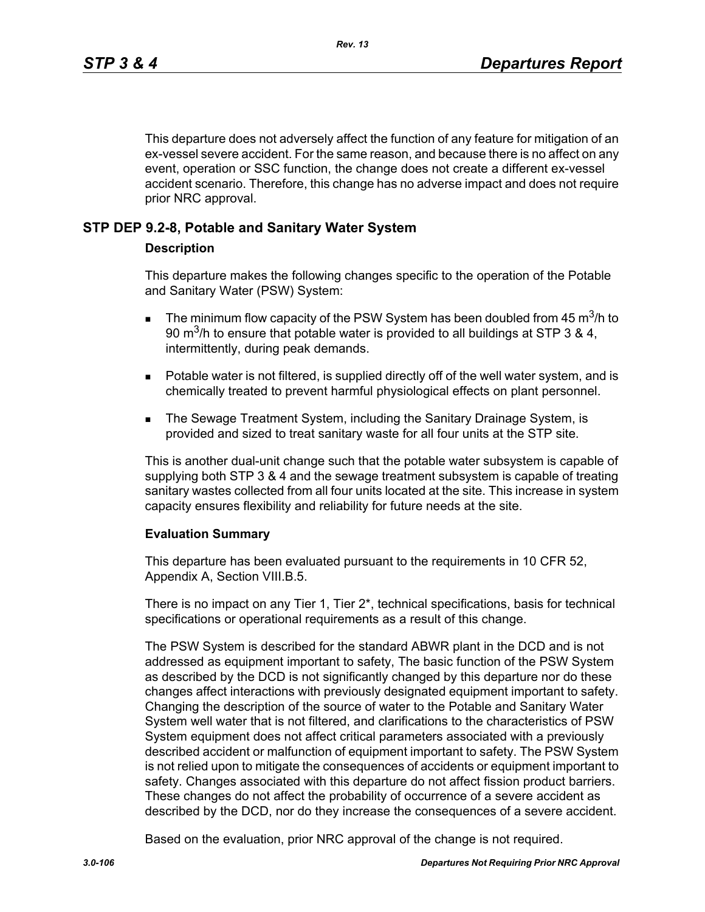This departure does not adversely affect the function of any feature for mitigation of an ex-vessel severe accident. For the same reason, and because there is no affect on any event, operation or SSC function, the change does not create a different ex-vessel accident scenario. Therefore, this change has no adverse impact and does not require prior NRC approval.

### **STP DEP 9.2-8, Potable and Sanitary Water System**

### **Description**

This departure makes the following changes specific to the operation of the Potable and Sanitary Water (PSW) System:

- **The minimum flow capacity of the PSW System has been doubled from 45 m<sup>3</sup>/h to** 90 m<sup>3</sup>/h to ensure that potable water is provided to all buildings at STP 3 & 4, intermittently, during peak demands.
- **Potable water is not filtered, is supplied directly off of the well water system, and is** chemically treated to prevent harmful physiological effects on plant personnel.
- **The Sewage Treatment System, including the Sanitary Drainage System, is** provided and sized to treat sanitary waste for all four units at the STP site.

This is another dual-unit change such that the potable water subsystem is capable of supplying both STP 3 & 4 and the sewage treatment subsystem is capable of treating sanitary wastes collected from all four units located at the site. This increase in system capacity ensures flexibility and reliability for future needs at the site.

#### **Evaluation Summary**

This departure has been evaluated pursuant to the requirements in 10 CFR 52, Appendix A, Section VIII.B.5.

There is no impact on any Tier 1, Tier 2\*, technical specifications, basis for technical specifications or operational requirements as a result of this change.

The PSW System is described for the standard ABWR plant in the DCD and is not addressed as equipment important to safety, The basic function of the PSW System as described by the DCD is not significantly changed by this departure nor do these changes affect interactions with previously designated equipment important to safety. Changing the description of the source of water to the Potable and Sanitary Water System well water that is not filtered, and clarifications to the characteristics of PSW System equipment does not affect critical parameters associated with a previously described accident or malfunction of equipment important to safety. The PSW System is not relied upon to mitigate the consequences of accidents or equipment important to safety. Changes associated with this departure do not affect fission product barriers. These changes do not affect the probability of occurrence of a severe accident as described by the DCD, nor do they increase the consequences of a severe accident.

Based on the evaluation, prior NRC approval of the change is not required.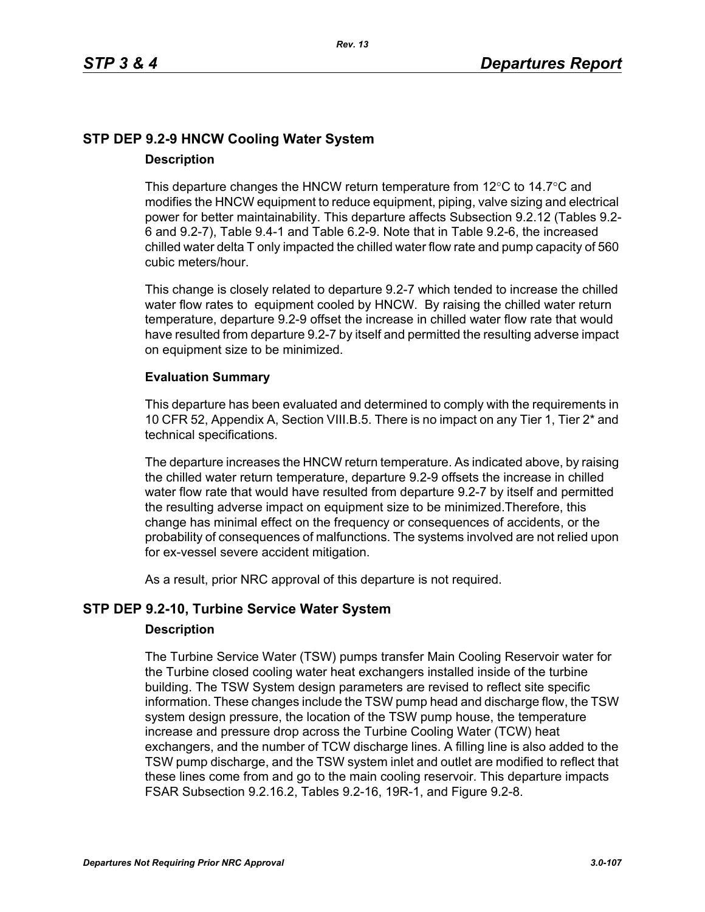# **STP DEP 9.2-9 HNCW Cooling Water System Description**

### This departure changes the HNCW return temperature from  $12^{\circ}$ C to  $14.7^{\circ}$ C and modifies the HNCW equipment to reduce equipment, piping, valve sizing and electrical power for better maintainability. This departure affects Subsection 9.2.12 (Tables 9.2- 6 and 9.2-7), Table 9.4-1 and Table 6.2-9. Note that in Table 9.2-6, the increased chilled water delta T only impacted the chilled water flow rate and pump capacity of 560 cubic meters/hour.

This change is closely related to departure 9.2-7 which tended to increase the chilled water flow rates to equipment cooled by HNCW. By raising the chilled water return temperature, departure 9.2-9 offset the increase in chilled water flow rate that would have resulted from departure 9.2-7 by itself and permitted the resulting adverse impact on equipment size to be minimized.

# **Evaluation Summary**

This departure has been evaluated and determined to comply with the requirements in 10 CFR 52, Appendix A, Section VIII.B.5. There is no impact on any Tier 1, Tier 2\* and technical specifications.

The departure increases the HNCW return temperature. As indicated above, by raising the chilled water return temperature, departure 9.2-9 offsets the increase in chilled water flow rate that would have resulted from departure 9.2-7 by itself and permitted the resulting adverse impact on equipment size to be minimized.Therefore, this change has minimal effect on the frequency or consequences of accidents, or the probability of consequences of malfunctions. The systems involved are not relied upon for ex-vessel severe accident mitigation.

As a result, prior NRC approval of this departure is not required.

# **STP DEP 9.2-10, Turbine Service Water System**

### **Description**

The Turbine Service Water (TSW) pumps transfer Main Cooling Reservoir water for the Turbine closed cooling water heat exchangers installed inside of the turbine building. The TSW System design parameters are revised to reflect site specific information. These changes include the TSW pump head and discharge flow, the TSW system design pressure, the location of the TSW pump house, the temperature increase and pressure drop across the Turbine Cooling Water (TCW) heat exchangers, and the number of TCW discharge lines. A filling line is also added to the TSW pump discharge, and the TSW system inlet and outlet are modified to reflect that these lines come from and go to the main cooling reservoir. This departure impacts FSAR Subsection 9.2.16.2, Tables 9.2-16, 19R-1, and Figure 9.2-8.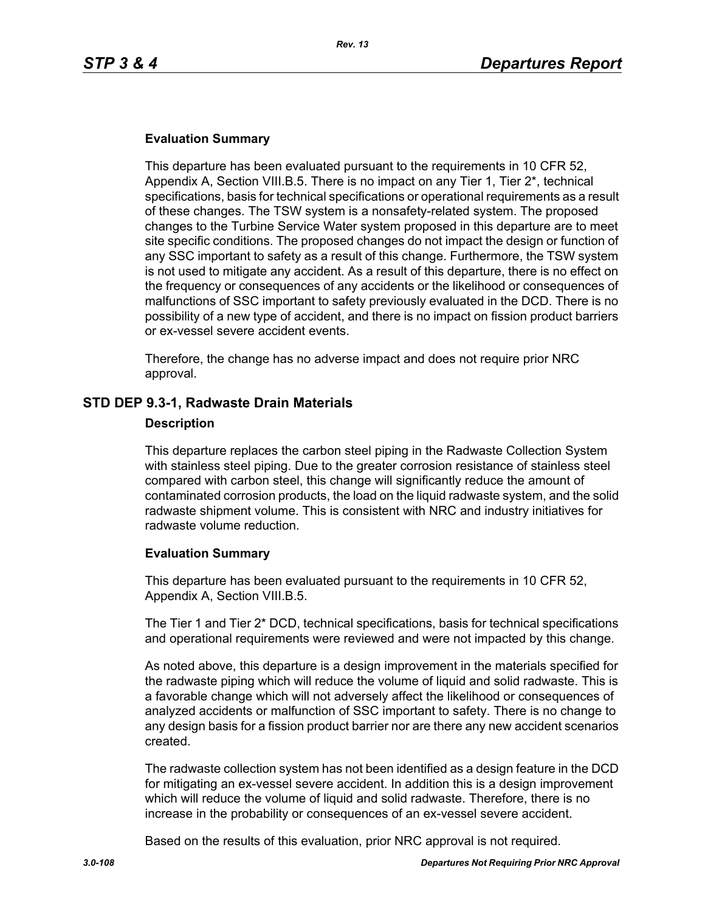### **Evaluation Summary**

This departure has been evaluated pursuant to the requirements in 10 CFR 52, Appendix A, Section VIII.B.5. There is no impact on any Tier 1, Tier 2\*, technical specifications, basis for technical specifications or operational requirements as a result of these changes. The TSW system is a nonsafety-related system. The proposed changes to the Turbine Service Water system proposed in this departure are to meet site specific conditions. The proposed changes do not impact the design or function of any SSC important to safety as a result of this change. Furthermore, the TSW system is not used to mitigate any accident. As a result of this departure, there is no effect on the frequency or consequences of any accidents or the likelihood or consequences of malfunctions of SSC important to safety previously evaluated in the DCD. There is no possibility of a new type of accident, and there is no impact on fission product barriers or ex-vessel severe accident events.

Therefore, the change has no adverse impact and does not require prior NRC approval.

### **STD DEP 9.3-1, Radwaste Drain Materials**

#### **Description**

This departure replaces the carbon steel piping in the Radwaste Collection System with stainless steel piping. Due to the greater corrosion resistance of stainless steel compared with carbon steel, this change will significantly reduce the amount of contaminated corrosion products, the load on the liquid radwaste system, and the solid radwaste shipment volume. This is consistent with NRC and industry initiatives for radwaste volume reduction.

#### **Evaluation Summary**

This departure has been evaluated pursuant to the requirements in 10 CFR 52, Appendix A, Section VIII.B.5.

The Tier 1 and Tier 2\* DCD, technical specifications, basis for technical specifications and operational requirements were reviewed and were not impacted by this change.

As noted above, this departure is a design improvement in the materials specified for the radwaste piping which will reduce the volume of liquid and solid radwaste. This is a favorable change which will not adversely affect the likelihood or consequences of analyzed accidents or malfunction of SSC important to safety. There is no change to any design basis for a fission product barrier nor are there any new accident scenarios created.

The radwaste collection system has not been identified as a design feature in the DCD for mitigating an ex-vessel severe accident. In addition this is a design improvement which will reduce the volume of liquid and solid radwaste. Therefore, there is no increase in the probability or consequences of an ex-vessel severe accident.

Based on the results of this evaluation, prior NRC approval is not required.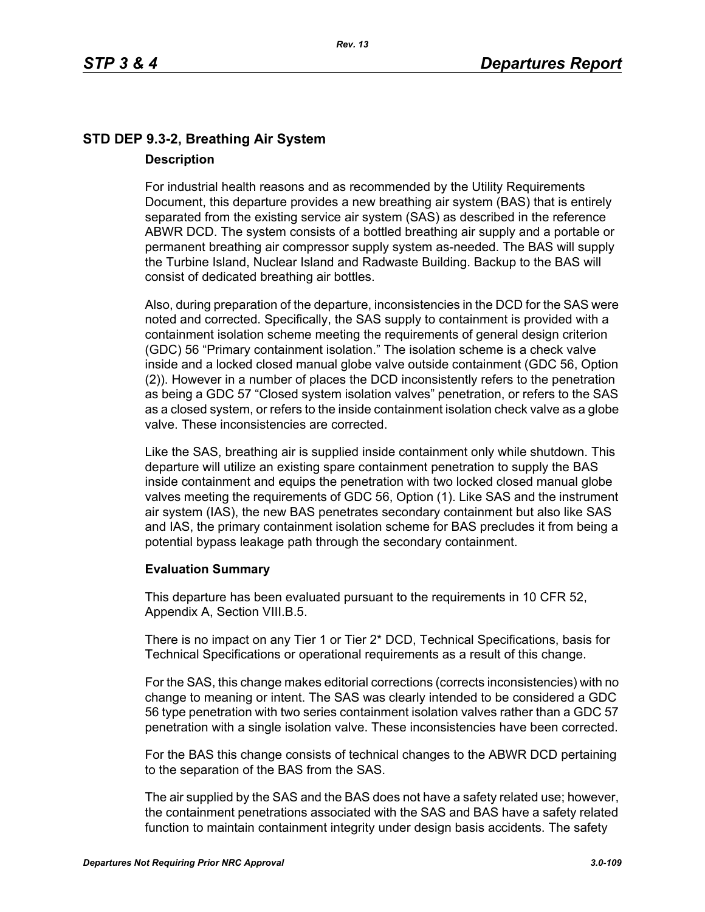# **STD DEP 9.3-2, Breathing Air System Description**

For industrial health reasons and as recommended by the Utility Requirements Document, this departure provides a new breathing air system (BAS) that is entirely separated from the existing service air system (SAS) as described in the reference ABWR DCD. The system consists of a bottled breathing air supply and a portable or permanent breathing air compressor supply system as-needed. The BAS will supply the Turbine Island, Nuclear Island and Radwaste Building. Backup to the BAS will consist of dedicated breathing air bottles.

Also, during preparation of the departure, inconsistencies in the DCD for the SAS were noted and corrected. Specifically, the SAS supply to containment is provided with a containment isolation scheme meeting the requirements of general design criterion (GDC) 56 "Primary containment isolation." The isolation scheme is a check valve inside and a locked closed manual globe valve outside containment (GDC 56, Option (2)). However in a number of places the DCD inconsistently refers to the penetration as being a GDC 57 "Closed system isolation valves" penetration, or refers to the SAS as a closed system, or refers to the inside containment isolation check valve as a globe valve. These inconsistencies are corrected.

Like the SAS, breathing air is supplied inside containment only while shutdown. This departure will utilize an existing spare containment penetration to supply the BAS inside containment and equips the penetration with two locked closed manual globe valves meeting the requirements of GDC 56, Option (1). Like SAS and the instrument air system (IAS), the new BAS penetrates secondary containment but also like SAS and IAS, the primary containment isolation scheme for BAS precludes it from being a potential bypass leakage path through the secondary containment.

### **Evaluation Summary**

This departure has been evaluated pursuant to the requirements in 10 CFR 52, Appendix A, Section VIII.B.5.

There is no impact on any Tier 1 or Tier 2\* DCD, Technical Specifications, basis for Technical Specifications or operational requirements as a result of this change.

For the SAS, this change makes editorial corrections (corrects inconsistencies) with no change to meaning or intent. The SAS was clearly intended to be considered a GDC 56 type penetration with two series containment isolation valves rather than a GDC 57 penetration with a single isolation valve. These inconsistencies have been corrected.

For the BAS this change consists of technical changes to the ABWR DCD pertaining to the separation of the BAS from the SAS.

The air supplied by the SAS and the BAS does not have a safety related use; however, the containment penetrations associated with the SAS and BAS have a safety related function to maintain containment integrity under design basis accidents. The safety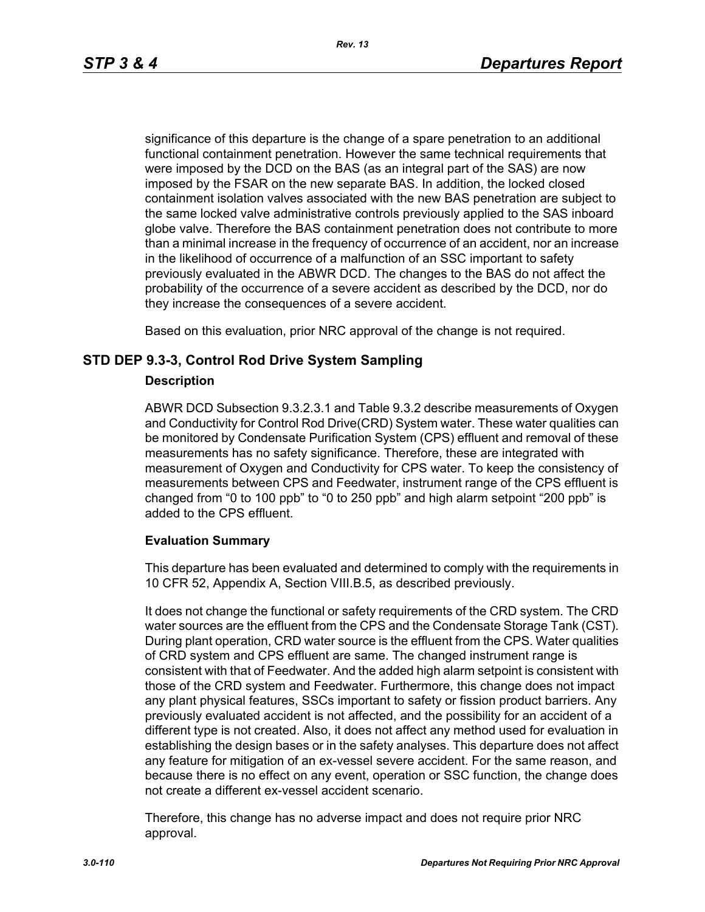significance of this departure is the change of a spare penetration to an additional functional containment penetration. However the same technical requirements that were imposed by the DCD on the BAS (as an integral part of the SAS) are now imposed by the FSAR on the new separate BAS. In addition, the locked closed containment isolation valves associated with the new BAS penetration are subject to the same locked valve administrative controls previously applied to the SAS inboard globe valve. Therefore the BAS containment penetration does not contribute to more than a minimal increase in the frequency of occurrence of an accident, nor an increase in the likelihood of occurrence of a malfunction of an SSC important to safety previously evaluated in the ABWR DCD. The changes to the BAS do not affect the probability of the occurrence of a severe accident as described by the DCD, nor do they increase the consequences of a severe accident.

Based on this evaluation, prior NRC approval of the change is not required.

### **STD DEP 9.3-3, Control Rod Drive System Sampling**

#### **Description**

ABWR DCD Subsection 9.3.2.3.1 and Table 9.3.2 describe measurements of Oxygen and Conductivity for Control Rod Drive(CRD) System water. These water qualities can be monitored by Condensate Purification System (CPS) effluent and removal of these measurements has no safety significance. Therefore, these are integrated with measurement of Oxygen and Conductivity for CPS water. To keep the consistency of measurements between CPS and Feedwater, instrument range of the CPS effluent is changed from "0 to 100 ppb" to "0 to 250 ppb" and high alarm setpoint "200 ppb" is added to the CPS effluent.

#### **Evaluation Summary**

This departure has been evaluated and determined to comply with the requirements in 10 CFR 52, Appendix A, Section VIII.B.5, as described previously.

It does not change the functional or safety requirements of the CRD system. The CRD water sources are the effluent from the CPS and the Condensate Storage Tank (CST). During plant operation, CRD water source is the effluent from the CPS. Water qualities of CRD system and CPS effluent are same. The changed instrument range is consistent with that of Feedwater. And the added high alarm setpoint is consistent with those of the CRD system and Feedwater. Furthermore, this change does not impact any plant physical features, SSCs important to safety or fission product barriers. Any previously evaluated accident is not affected, and the possibility for an accident of a different type is not created. Also, it does not affect any method used for evaluation in establishing the design bases or in the safety analyses. This departure does not affect any feature for mitigation of an ex-vessel severe accident. For the same reason, and because there is no effect on any event, operation or SSC function, the change does not create a different ex-vessel accident scenario.

Therefore, this change has no adverse impact and does not require prior NRC approval.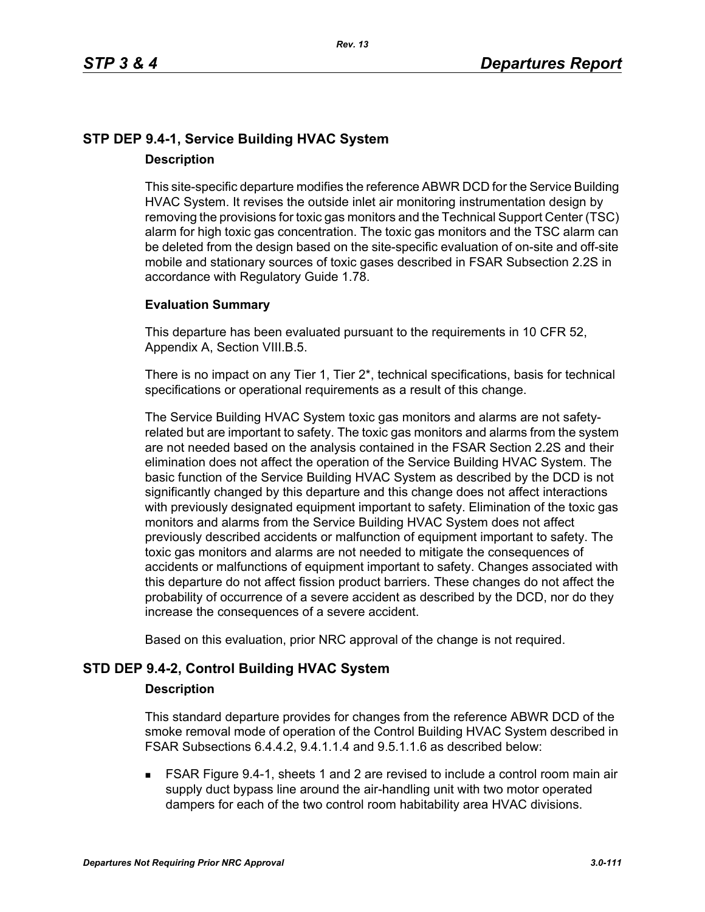## **STP DEP 9.4-1, Service Building HVAC System Description**

This site-specific departure modifies the reference ABWR DCD for the Service Building HVAC System. It revises the outside inlet air monitoring instrumentation design by removing the provisions for toxic gas monitors and the Technical Support Center (TSC) alarm for high toxic gas concentration. The toxic gas monitors and the TSC alarm can be deleted from the design based on the site-specific evaluation of on-site and off-site mobile and stationary sources of toxic gases described in FSAR Subsection 2.2S in accordance with Regulatory Guide 1.78.

### **Evaluation Summary**

This departure has been evaluated pursuant to the requirements in 10 CFR 52, Appendix A, Section VIII.B.5.

There is no impact on any Tier 1, Tier 2\*, technical specifications, basis for technical specifications or operational requirements as a result of this change.

The Service Building HVAC System toxic gas monitors and alarms are not safetyrelated but are important to safety. The toxic gas monitors and alarms from the system are not needed based on the analysis contained in the FSAR Section 2.2S and their elimination does not affect the operation of the Service Building HVAC System. The basic function of the Service Building HVAC System as described by the DCD is not significantly changed by this departure and this change does not affect interactions with previously designated equipment important to safety. Elimination of the toxic gas monitors and alarms from the Service Building HVAC System does not affect previously described accidents or malfunction of equipment important to safety. The toxic gas monitors and alarms are not needed to mitigate the consequences of accidents or malfunctions of equipment important to safety. Changes associated with this departure do not affect fission product barriers. These changes do not affect the probability of occurrence of a severe accident as described by the DCD, nor do they increase the consequences of a severe accident.

Based on this evaluation, prior NRC approval of the change is not required.

### **STD DEP 9.4-2, Control Building HVAC System**

#### **Description**

This standard departure provides for changes from the reference ABWR DCD of the smoke removal mode of operation of the Control Building HVAC System described in FSAR Subsections 6.4.4.2, 9.4.1.1.4 and 9.5.1.1.6 as described below:

 FSAR Figure 9.4-1, sheets 1 and 2 are revised to include a control room main air supply duct bypass line around the air-handling unit with two motor operated dampers for each of the two control room habitability area HVAC divisions.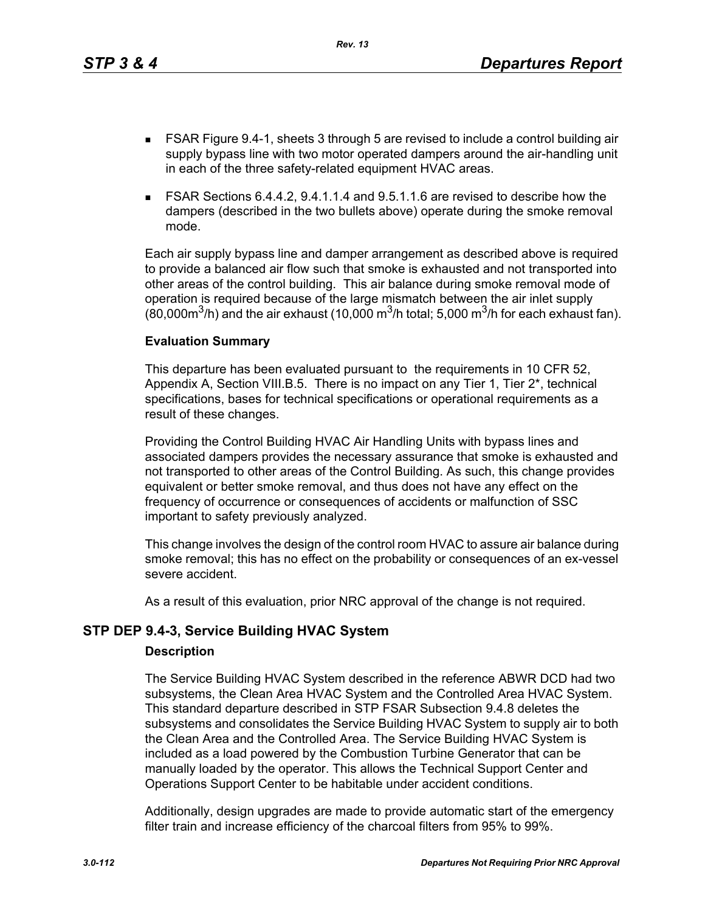This departure has been evaluated pursuant to the requirements in 10 CFR 52, Appendix A, Section VIII.B.5. There is no impact on any Tier 1, Tier 2\*, technical specifications, bases for technical specifications or operational requirements as a result of these changes.

Providing the Control Building HVAC Air Handling Units with bypass lines and associated dampers provides the necessary assurance that smoke is exhausted and not transported to other areas of the Control Building. As such, this change provides equivalent or better smoke removal, and thus does not have any effect on the frequency of occurrence or consequences of accidents or malfunction of SSC important to safety previously analyzed.

This change involves the design of the control room HVAC to assure air balance during smoke removal; this has no effect on the probability or consequences of an ex-vessel severe accident.

As a result of this evaluation, prior NRC approval of the change is not required.

# **STP DEP 9.4-3, Service Building HVAC System**

**Evaluation Summary**

#### **Description**

The Service Building HVAC System described in the reference ABWR DCD had two subsystems, the Clean Area HVAC System and the Controlled Area HVAC System. This standard departure described in STP FSAR Subsection 9.4.8 deletes the subsystems and consolidates the Service Building HVAC System to supply air to both the Clean Area and the Controlled Area. The Service Building HVAC System is included as a load powered by the Combustion Turbine Generator that can be manually loaded by the operator. This allows the Technical Support Center and Operations Support Center to be habitable under accident conditions.

Additionally, design upgrades are made to provide automatic start of the emergency filter train and increase efficiency of the charcoal filters from 95% to 99%.

- FSAR Figure 9.4-1, sheets 3 through 5 are revised to include a control building air supply bypass line with two motor operated dampers around the air-handling unit in each of the three safety-related equipment HVAC areas.
- FSAR Sections 6.4.4.2, 9.4.1.1.4 and 9.5.1.1.6 are revised to describe how the dampers (described in the two bullets above) operate during the smoke removal mode.

Each air supply bypass line and damper arrangement as described above is required to provide a balanced air flow such that smoke is exhausted and not transported into other areas of the control building. This air balance during smoke removal mode of operation is required because of the large mismatch between the air inlet supply

(80,000 $\mathrm{m}^3$ /h) and the air exhaust (10,000  $\mathrm{m}^3$ /h total; 5,000  $\mathrm{m}^3$ /h for each exhaust fan).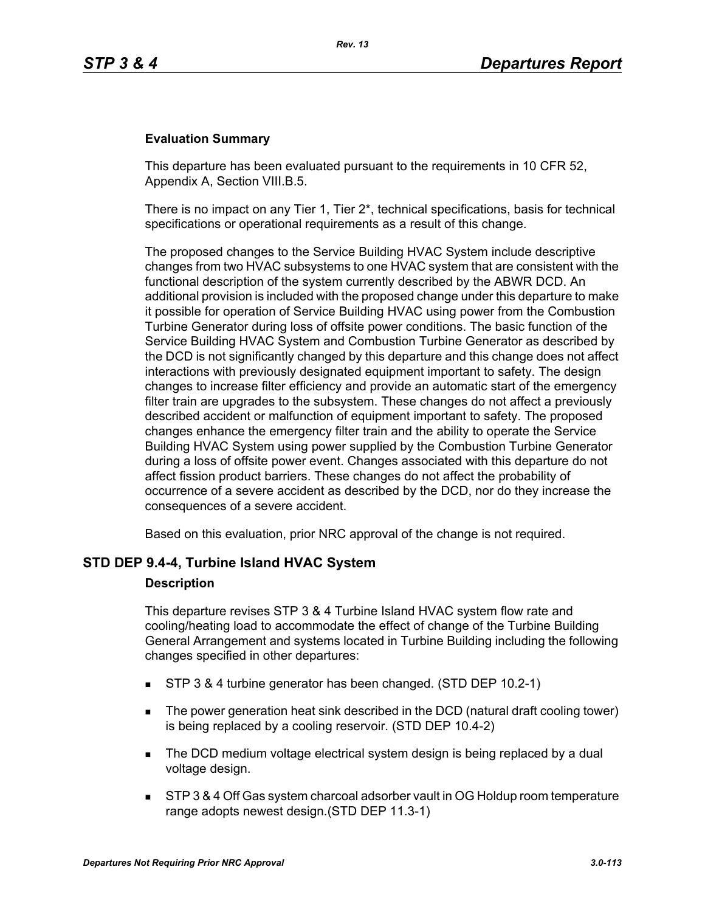#### **Evaluation Summary**

This departure has been evaluated pursuant to the requirements in 10 CFR 52, Appendix A, Section VIII.B.5.

There is no impact on any Tier 1, Tier  $2^*$ , technical specifications, basis for technical specifications or operational requirements as a result of this change.

The proposed changes to the Service Building HVAC System include descriptive changes from two HVAC subsystems to one HVAC system that are consistent with the functional description of the system currently described by the ABWR DCD. An additional provision is included with the proposed change under this departure to make it possible for operation of Service Building HVAC using power from the Combustion Turbine Generator during loss of offsite power conditions. The basic function of the Service Building HVAC System and Combustion Turbine Generator as described by the DCD is not significantly changed by this departure and this change does not affect interactions with previously designated equipment important to safety. The design changes to increase filter efficiency and provide an automatic start of the emergency filter train are upgrades to the subsystem. These changes do not affect a previously described accident or malfunction of equipment important to safety. The proposed changes enhance the emergency filter train and the ability to operate the Service Building HVAC System using power supplied by the Combustion Turbine Generator during a loss of offsite power event. Changes associated with this departure do not affect fission product barriers. These changes do not affect the probability of occurrence of a severe accident as described by the DCD, nor do they increase the consequences of a severe accident.

Based on this evaluation, prior NRC approval of the change is not required.

#### **STD DEP 9.4-4, Turbine Island HVAC System**

#### **Description**

This departure revises STP 3 & 4 Turbine Island HVAC system flow rate and cooling/heating load to accommodate the effect of change of the Turbine Building General Arrangement and systems located in Turbine Building including the following changes specified in other departures:

- STP 3 & 4 turbine generator has been changed. (STD DEP 10.2-1)
- The power generation heat sink described in the DCD (natural draft cooling tower) is being replaced by a cooling reservoir. (STD DEP 10.4-2)
- The DCD medium voltage electrical system design is being replaced by a dual voltage design.
- STP 3 & 4 Off Gas system charcoal adsorber vault in OG Holdup room temperature range adopts newest design.(STD DEP 11.3-1)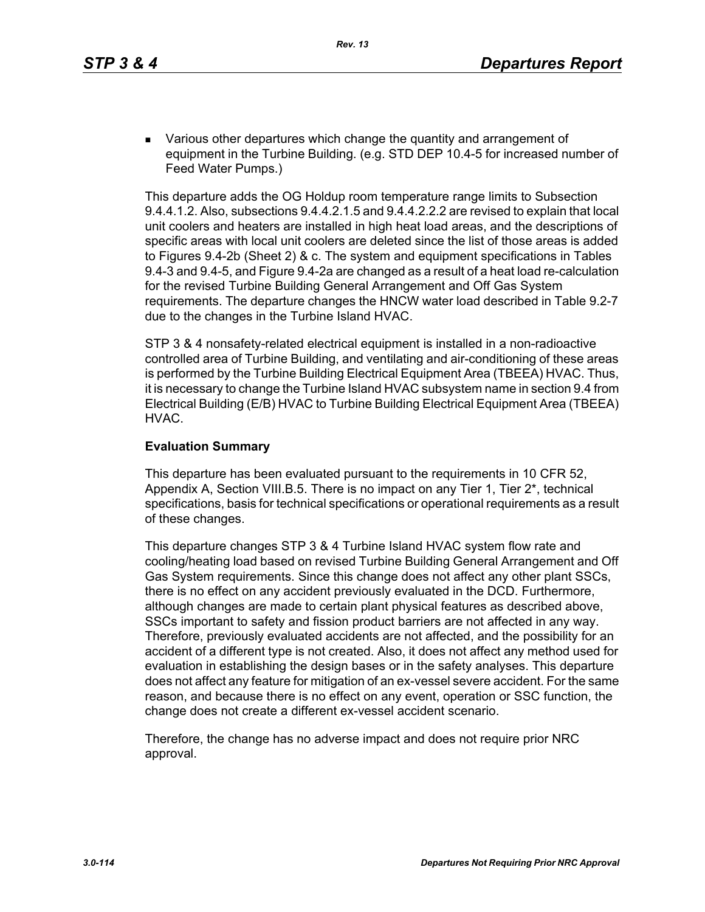**EXECT** Various other departures which change the quantity and arrangement of equipment in the Turbine Building. (e.g. STD DEP 10.4-5 for increased number of Feed Water Pumps.)

This departure adds the OG Holdup room temperature range limits to Subsection 9.4.4.1.2. Also, subsections 9.4.4.2.1.5 and 9.4.4.2.2.2 are revised to explain that local unit coolers and heaters are installed in high heat load areas, and the descriptions of specific areas with local unit coolers are deleted since the list of those areas is added to Figures 9.4-2b (Sheet 2) & c. The system and equipment specifications in Tables 9.4-3 and 9.4-5, and Figure 9.4-2a are changed as a result of a heat load re-calculation for the revised Turbine Building General Arrangement and Off Gas System requirements. The departure changes the HNCW water load described in Table 9.2-7 due to the changes in the Turbine Island HVAC.

STP 3 & 4 nonsafety-related electrical equipment is installed in a non-radioactive controlled area of Turbine Building, and ventilating and air-conditioning of these areas is performed by the Turbine Building Electrical Equipment Area (TBEEA) HVAC. Thus, it is necessary to change the Turbine Island HVAC subsystem name in section 9.4 from Electrical Building (E/B) HVAC to Turbine Building Electrical Equipment Area (TBEEA) HVAC.

#### **Evaluation Summary**

This departure has been evaluated pursuant to the requirements in 10 CFR 52, Appendix A, Section VIII.B.5. There is no impact on any Tier 1, Tier 2\*, technical specifications, basis for technical specifications or operational requirements as a result of these changes.

This departure changes STP 3 & 4 Turbine Island HVAC system flow rate and cooling/heating load based on revised Turbine Building General Arrangement and Off Gas System requirements. Since this change does not affect any other plant SSCs, there is no effect on any accident previously evaluated in the DCD. Furthermore, although changes are made to certain plant physical features as described above, SSCs important to safety and fission product barriers are not affected in any way. Therefore, previously evaluated accidents are not affected, and the possibility for an accident of a different type is not created. Also, it does not affect any method used for evaluation in establishing the design bases or in the safety analyses. This departure does not affect any feature for mitigation of an ex-vessel severe accident. For the same reason, and because there is no effect on any event, operation or SSC function, the change does not create a different ex-vessel accident scenario.

Therefore, the change has no adverse impact and does not require prior NRC approval.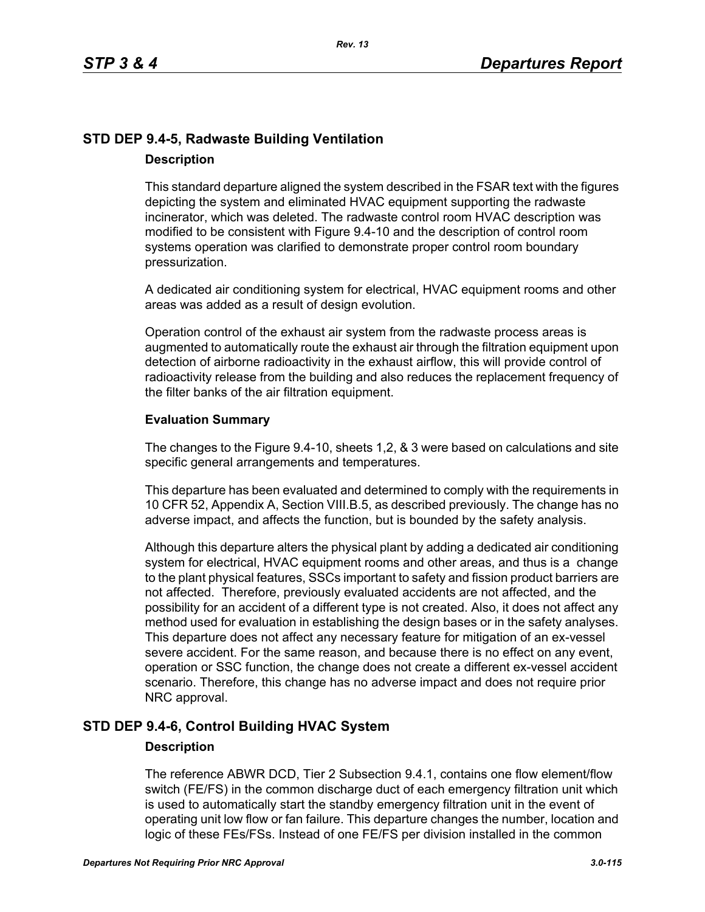# **STD DEP 9.4-5, Radwaste Building Ventilation Description**

This standard departure aligned the system described in the FSAR text with the figures depicting the system and eliminated HVAC equipment supporting the radwaste incinerator, which was deleted. The radwaste control room HVAC description was modified to be consistent with Figure 9.4-10 and the description of control room systems operation was clarified to demonstrate proper control room boundary pressurization.

A dedicated air conditioning system for electrical, HVAC equipment rooms and other areas was added as a result of design evolution.

Operation control of the exhaust air system from the radwaste process areas is augmented to automatically route the exhaust air through the filtration equipment upon detection of airborne radioactivity in the exhaust airflow, this will provide control of radioactivity release from the building and also reduces the replacement frequency of the filter banks of the air filtration equipment.

### **Evaluation Summary**

The changes to the Figure 9.4-10, sheets 1,2, & 3 were based on calculations and site specific general arrangements and temperatures.

This departure has been evaluated and determined to comply with the requirements in 10 CFR 52, Appendix A, Section VIII.B.5, as described previously. The change has no adverse impact, and affects the function, but is bounded by the safety analysis.

Although this departure alters the physical plant by adding a dedicated air conditioning system for electrical, HVAC equipment rooms and other areas, and thus is a change to the plant physical features, SSCs important to safety and fission product barriers are not affected. Therefore, previously evaluated accidents are not affected, and the possibility for an accident of a different type is not created. Also, it does not affect any method used for evaluation in establishing the design bases or in the safety analyses. This departure does not affect any necessary feature for mitigation of an ex-vessel severe accident. For the same reason, and because there is no effect on any event, operation or SSC function, the change does not create a different ex-vessel accident scenario. Therefore, this change has no adverse impact and does not require prior NRC approval.

# **STD DEP 9.4-6, Control Building HVAC System**

### **Description**

The reference ABWR DCD, Tier 2 Subsection 9.4.1, contains one flow element/flow switch (FE/FS) in the common discharge duct of each emergency filtration unit which is used to automatically start the standby emergency filtration unit in the event of operating unit low flow or fan failure. This departure changes the number, location and logic of these FEs/FSs. Instead of one FE/FS per division installed in the common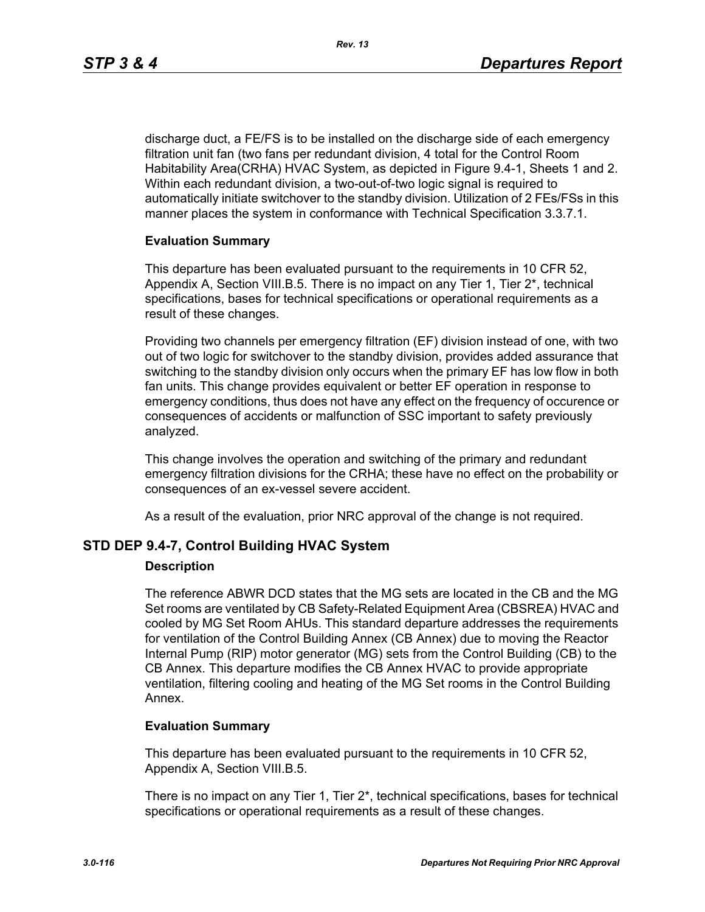discharge duct, a FE/FS is to be installed on the discharge side of each emergency filtration unit fan (two fans per redundant division, 4 total for the Control Room Habitability Area(CRHA) HVAC System, as depicted in Figure 9.4-1, Sheets 1 and 2. Within each redundant division, a two-out-of-two logic signal is required to automatically initiate switchover to the standby division. Utilization of 2 FEs/FSs in this manner places the system in conformance with Technical Specification 3.3.7.1.

#### **Evaluation Summary**

This departure has been evaluated pursuant to the requirements in 10 CFR 52, Appendix A, Section VIII.B.5. There is no impact on any Tier 1, Tier 2\*, technical specifications, bases for technical specifications or operational requirements as a result of these changes.

Providing two channels per emergency filtration (EF) division instead of one, with two out of two logic for switchover to the standby division, provides added assurance that switching to the standby division only occurs when the primary EF has low flow in both fan units. This change provides equivalent or better EF operation in response to emergency conditions, thus does not have any effect on the frequency of occurence or consequences of accidents or malfunction of SSC important to safety previously analyzed.

This change involves the operation and switching of the primary and redundant emergency filtration divisions for the CRHA; these have no effect on the probability or consequences of an ex-vessel severe accident.

As a result of the evaluation, prior NRC approval of the change is not required.

#### **STD DEP 9.4-7, Control Building HVAC System**

#### **Description**

The reference ABWR DCD states that the MG sets are located in the CB and the MG Set rooms are ventilated by CB Safety-Related Equipment Area (CBSREA) HVAC and cooled by MG Set Room AHUs. This standard departure addresses the requirements for ventilation of the Control Building Annex (CB Annex) due to moving the Reactor Internal Pump (RIP) motor generator (MG) sets from the Control Building (CB) to the CB Annex. This departure modifies the CB Annex HVAC to provide appropriate ventilation, filtering cooling and heating of the MG Set rooms in the Control Building Annex.

#### **Evaluation Summary**

This departure has been evaluated pursuant to the requirements in 10 CFR 52, Appendix A, Section VIII.B.5.

There is no impact on any Tier 1, Tier 2\*, technical specifications, bases for technical specifications or operational requirements as a result of these changes.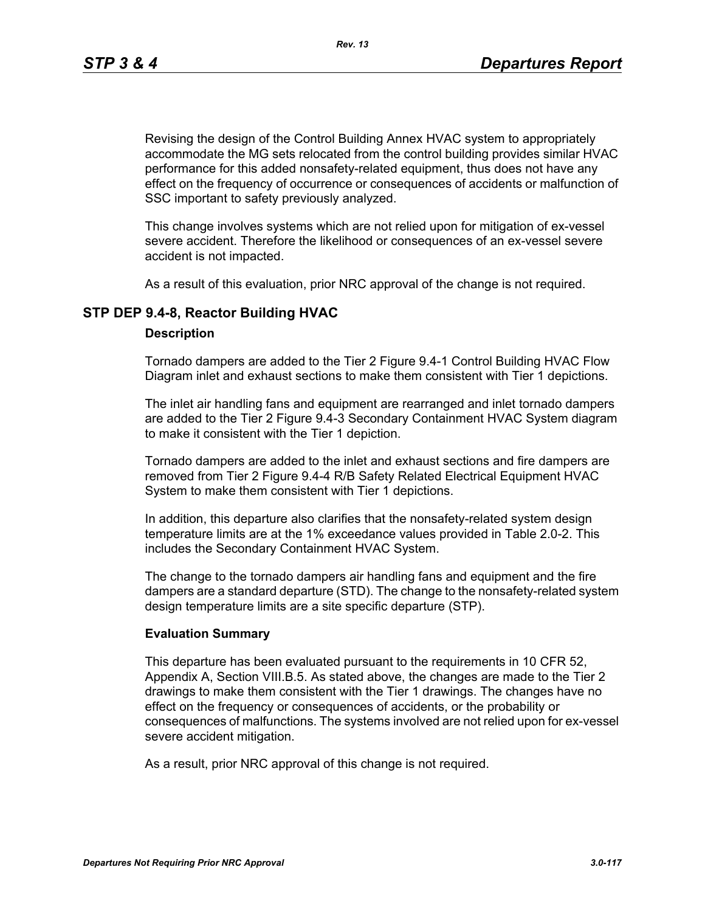Revising the design of the Control Building Annex HVAC system to appropriately accommodate the MG sets relocated from the control building provides similar HVAC performance for this added nonsafety-related equipment, thus does not have any effect on the frequency of occurrence or consequences of accidents or malfunction of SSC important to safety previously analyzed.

This change involves systems which are not relied upon for mitigation of ex-vessel severe accident. Therefore the likelihood or consequences of an ex-vessel severe accident is not impacted.

As a result of this evaluation, prior NRC approval of the change is not required.

### **STP DEP 9.4-8, Reactor Building HVAC**

#### **Description**

Tornado dampers are added to the Tier 2 Figure 9.4-1 Control Building HVAC Flow Diagram inlet and exhaust sections to make them consistent with Tier 1 depictions.

The inlet air handling fans and equipment are rearranged and inlet tornado dampers are added to the Tier 2 Figure 9.4-3 Secondary Containment HVAC System diagram to make it consistent with the Tier 1 depiction.

Tornado dampers are added to the inlet and exhaust sections and fire dampers are removed from Tier 2 Figure 9.4-4 R/B Safety Related Electrical Equipment HVAC System to make them consistent with Tier 1 depictions.

In addition, this departure also clarifies that the nonsafety-related system design temperature limits are at the 1% exceedance values provided in Table 2.0-2. This includes the Secondary Containment HVAC System.

The change to the tornado dampers air handling fans and equipment and the fire dampers are a standard departure (STD). The change to the nonsafety-related system design temperature limits are a site specific departure (STP).

#### **Evaluation Summary**

This departure has been evaluated pursuant to the requirements in 10 CFR 52, Appendix A, Section VIII.B.5. As stated above, the changes are made to the Tier 2 drawings to make them consistent with the Tier 1 drawings. The changes have no effect on the frequency or consequences of accidents, or the probability or consequences of malfunctions. The systems involved are not relied upon for ex-vessel severe accident mitigation.

As a result, prior NRC approval of this change is not required.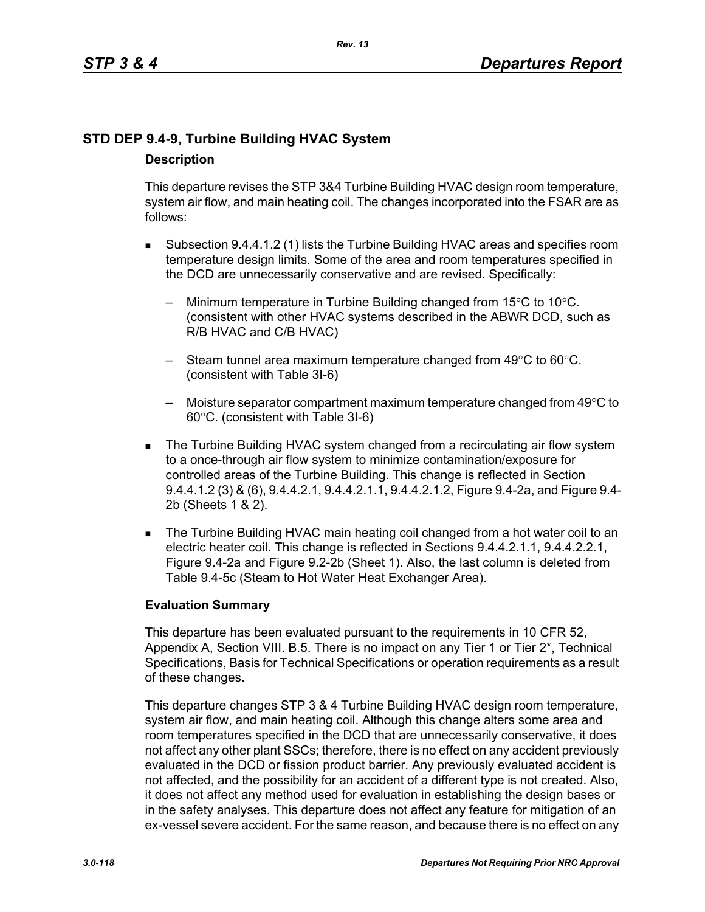# **STD DEP 9.4-9, Turbine Building HVAC System Description**

This departure revises the STP 3&4 Turbine Building HVAC design room temperature, system air flow, and main heating coil. The changes incorporated into the FSAR are as follows:

- Subsection 9.4.4.1.2 (1) lists the Turbine Building HVAC areas and specifies room temperature design limits. Some of the area and room temperatures specified in the DCD are unnecessarily conservative and are revised. Specifically:
	- Minimum temperature in Turbine Building changed from  $15^{\circ}$ C to  $10^{\circ}$ C. (consistent with other HVAC systems described in the ABWR DCD, such as R/B HVAC and C/B HVAC)
	- Steam tunnel area maximum temperature changed from 49°C to 60°C. (consistent with Table 3I-6)
	- $-$  Moisture separator compartment maximum temperature changed from 49 $\degree$ C to 60°C. (consistent with Table 3I-6)
- The Turbine Building HVAC system changed from a recirculating air flow system to a once-through air flow system to minimize contamination/exposure for controlled areas of the Turbine Building. This change is reflected in Section 9.4.4.1.2 (3) & (6), 9.4.4.2.1, 9.4.4.2.1.1, 9.4.4.2.1.2, Figure 9.4-2a, and Figure 9.4- 2b (Sheets 1 & 2).
- The Turbine Building HVAC main heating coil changed from a hot water coil to an electric heater coil. This change is reflected in Sections 9.4.4.2.1.1, 9.4.4.2.2.1, Figure 9.4-2a and Figure 9.2-2b (Sheet 1). Also, the last column is deleted from Table 9.4-5c (Steam to Hot Water Heat Exchanger Area).

### **Evaluation Summary**

This departure has been evaluated pursuant to the requirements in 10 CFR 52, Appendix A, Section VIII. B.5. There is no impact on any Tier 1 or Tier 2<sup>\*</sup>, Technical Specifications, Basis for Technical Specifications or operation requirements as a result of these changes.

This departure changes STP 3 & 4 Turbine Building HVAC design room temperature, system air flow, and main heating coil. Although this change alters some area and room temperatures specified in the DCD that are unnecessarily conservative, it does not affect any other plant SSCs; therefore, there is no effect on any accident previously evaluated in the DCD or fission product barrier. Any previously evaluated accident is not affected, and the possibility for an accident of a different type is not created. Also, it does not affect any method used for evaluation in establishing the design bases or in the safety analyses. This departure does not affect any feature for mitigation of an ex-vessel severe accident. For the same reason, and because there is no effect on any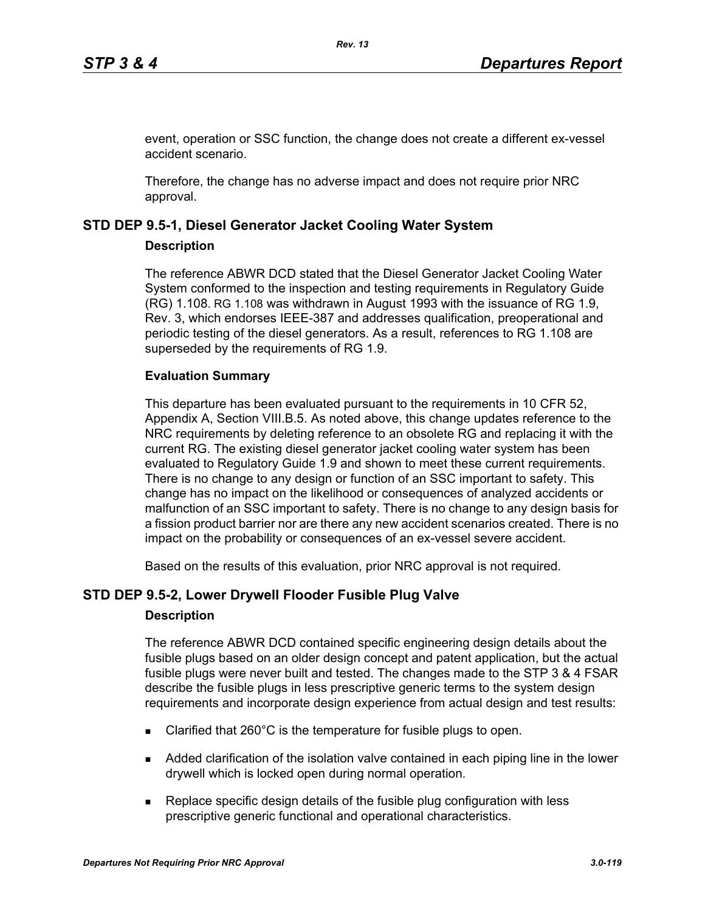event, operation or SSC function, the change does not create a different ex-vessel accident scenario.

Therefore, the change has no adverse impact and does not require prior NRC approval.

### **STD DEP 9.5-1, Diesel Generator Jacket Cooling Water System**

### **Description**

The reference ABWR DCD stated that the Diesel Generator Jacket Cooling Water System conformed to the inspection and testing requirements in Regulatory Guide (RG) 1.108. RG 1.108 was withdrawn in August 1993 with the issuance of RG 1.9, Rev. 3, which endorses IEEE-387 and addresses qualification, preoperational and periodic testing of the diesel generators. As a result, references to RG 1.108 are superseded by the requirements of RG 1.9.

### **Evaluation Summary**

This departure has been evaluated pursuant to the requirements in 10 CFR 52, Appendix A, Section VIII.B.5. As noted above, this change updates reference to the NRC requirements by deleting reference to an obsolete RG and replacing it with the current RG. The existing diesel generator jacket cooling water system has been evaluated to Regulatory Guide 1.9 and shown to meet these current requirements. There is no change to any design or function of an SSC important to safety. This change has no impact on the likelihood or consequences of analyzed accidents or malfunction of an SSC important to safety. There is no change to any design basis for a fission product barrier nor are there any new accident scenarios created. There is no impact on the probability or consequences of an ex-vessel severe accident.

Based on the results of this evaluation, prior NRC approval is not required.

# **STD DEP 9.5-2, Lower Drywell Flooder Fusible Plug Valve**

#### **Description**

The reference ABWR DCD contained specific engineering design details about the fusible plugs based on an older design concept and patent application, but the actual fusible plugs were never built and tested. The changes made to the STP 3 & 4 FSAR describe the fusible plugs in less prescriptive generic terms to the system design requirements and incorporate design experience from actual design and test results:

- Clarified that 260°C is the temperature for fusible plugs to open.
- Added clarification of the isolation valve contained in each piping line in the lower drywell which is locked open during normal operation.
- **Replace specific design details of the fusible plug configuration with less** prescriptive generic functional and operational characteristics.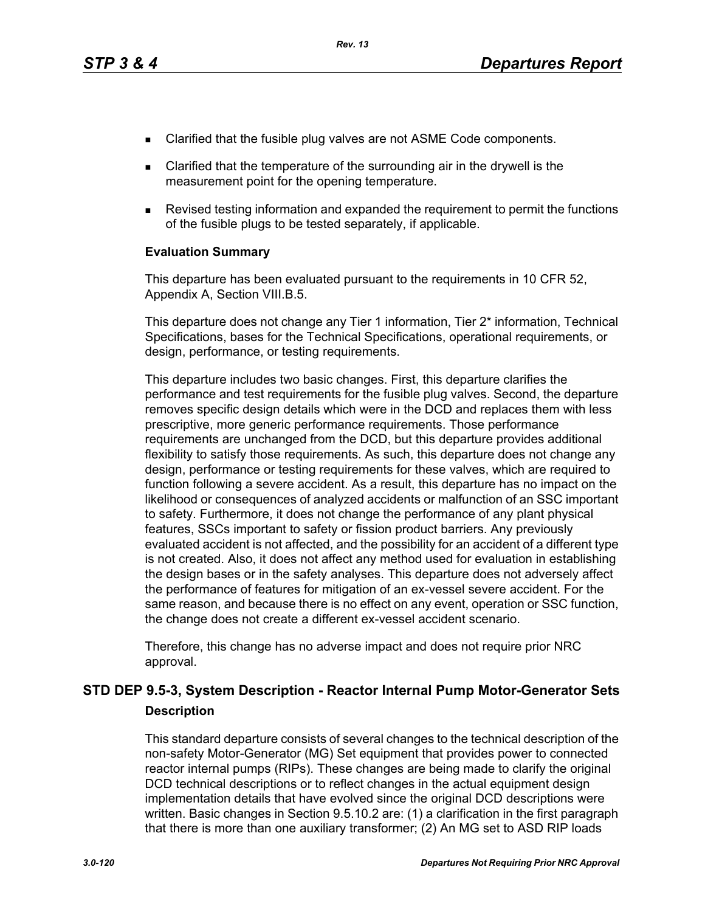- Clarified that the fusible plug valves are not ASME Code components.
- Clarified that the temperature of the surrounding air in the drywell is the measurement point for the opening temperature.
- Revised testing information and expanded the requirement to permit the functions of the fusible plugs to be tested separately, if applicable.

#### **Evaluation Summary**

This departure has been evaluated pursuant to the requirements in 10 CFR 52, Appendix A, Section VIII.B.5.

This departure does not change any Tier 1 information, Tier 2\* information, Technical Specifications, bases for the Technical Specifications, operational requirements, or design, performance, or testing requirements.

This departure includes two basic changes. First, this departure clarifies the performance and test requirements for the fusible plug valves. Second, the departure removes specific design details which were in the DCD and replaces them with less prescriptive, more generic performance requirements. Those performance requirements are unchanged from the DCD, but this departure provides additional flexibility to satisfy those requirements. As such, this departure does not change any design, performance or testing requirements for these valves, which are required to function following a severe accident. As a result, this departure has no impact on the likelihood or consequences of analyzed accidents or malfunction of an SSC important to safety. Furthermore, it does not change the performance of any plant physical features, SSCs important to safety or fission product barriers. Any previously evaluated accident is not affected, and the possibility for an accident of a different type is not created. Also, it does not affect any method used for evaluation in establishing the design bases or in the safety analyses. This departure does not adversely affect the performance of features for mitigation of an ex-vessel severe accident. For the same reason, and because there is no effect on any event, operation or SSC function, the change does not create a different ex-vessel accident scenario.

Therefore, this change has no adverse impact and does not require prior NRC approval.

## **STD DEP 9.5-3, System Description - Reactor Internal Pump Motor-Generator Sets Description**

This standard departure consists of several changes to the technical description of the non-safety Motor-Generator (MG) Set equipment that provides power to connected reactor internal pumps (RIPs). These changes are being made to clarify the original DCD technical descriptions or to reflect changes in the actual equipment design implementation details that have evolved since the original DCD descriptions were written. Basic changes in Section 9.5.10.2 are: (1) a clarification in the first paragraph that there is more than one auxiliary transformer; (2) An MG set to ASD RIP loads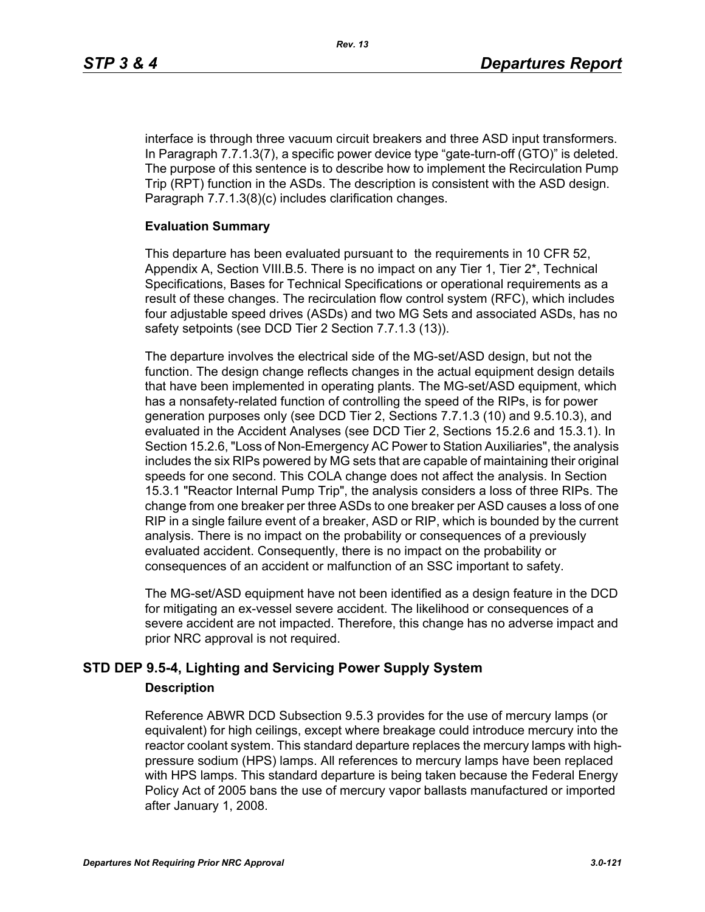interface is through three vacuum circuit breakers and three ASD input transformers. In Paragraph 7.7.1.3(7), a specific power device type "gate-turn-off (GTO)" is deleted. The purpose of this sentence is to describe how to implement the Recirculation Pump Trip (RPT) function in the ASDs. The description is consistent with the ASD design. Paragraph 7.7.1.3(8)(c) includes clarification changes.

#### **Evaluation Summary**

This departure has been evaluated pursuant to the requirements in 10 CFR 52, Appendix A, Section VIII.B.5. There is no impact on any Tier 1, Tier 2\*, Technical Specifications, Bases for Technical Specifications or operational requirements as a result of these changes. The recirculation flow control system (RFC), which includes four adjustable speed drives (ASDs) and two MG Sets and associated ASDs, has no safety setpoints (see DCD Tier 2 Section 7.7.1.3 (13)).

The departure involves the electrical side of the MG-set/ASD design, but not the function. The design change reflects changes in the actual equipment design details that have been implemented in operating plants. The MG-set/ASD equipment, which has a nonsafety-related function of controlling the speed of the RIPs, is for power generation purposes only (see DCD Tier 2, Sections 7.7.1.3 (10) and 9.5.10.3), and evaluated in the Accident Analyses (see DCD Tier 2, Sections 15.2.6 and 15.3.1). In Section 15.2.6, "Loss of Non-Emergency AC Power to Station Auxiliaries", the analysis includes the six RIPs powered by MG sets that are capable of maintaining their original speeds for one second. This COLA change does not affect the analysis. In Section 15.3.1 "Reactor Internal Pump Trip", the analysis considers a loss of three RIPs. The change from one breaker per three ASDs to one breaker per ASD causes a loss of one RIP in a single failure event of a breaker, ASD or RIP, which is bounded by the current analysis. There is no impact on the probability or consequences of a previously evaluated accident. Consequently, there is no impact on the probability or consequences of an accident or malfunction of an SSC important to safety.

The MG-set/ASD equipment have not been identified as a design feature in the DCD for mitigating an ex-vessel severe accident. The likelihood or consequences of a severe accident are not impacted. Therefore, this change has no adverse impact and prior NRC approval is not required.

# **STD DEP 9.5-4, Lighting and Servicing Power Supply System**

#### **Description**

Reference ABWR DCD Subsection 9.5.3 provides for the use of mercury lamps (or equivalent) for high ceilings, except where breakage could introduce mercury into the reactor coolant system. This standard departure replaces the mercury lamps with highpressure sodium (HPS) lamps. All references to mercury lamps have been replaced with HPS lamps. This standard departure is being taken because the Federal Energy Policy Act of 2005 bans the use of mercury vapor ballasts manufactured or imported after January 1, 2008.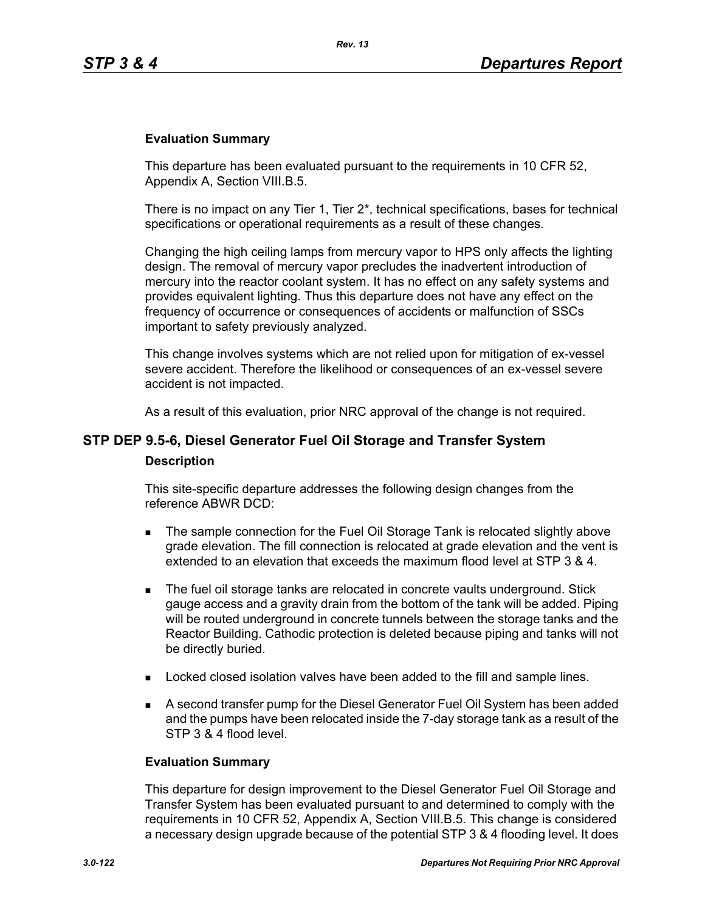#### **Evaluation Summary**

This departure has been evaluated pursuant to the requirements in 10 CFR 52, Appendix A, Section VIII.B.5.

There is no impact on any Tier 1, Tier  $2^*$ , technical specifications, bases for technical specifications or operational requirements as a result of these changes.

Changing the high ceiling lamps from mercury vapor to HPS only affects the lighting design. The removal of mercury vapor precludes the inadvertent introduction of mercury into the reactor coolant system. It has no effect on any safety systems and provides equivalent lighting. Thus this departure does not have any effect on the frequency of occurrence or consequences of accidents or malfunction of SSCs important to safety previously analyzed.

This change involves systems which are not relied upon for mitigation of ex-vessel severe accident. Therefore the likelihood or consequences of an ex-vessel severe accident is not impacted.

As a result of this evaluation, prior NRC approval of the change is not required.

# **STP DEP 9.5-6, Diesel Generator Fuel Oil Storage and Transfer System Description**

This site-specific departure addresses the following design changes from the reference ABWR DCD:

- The sample connection for the Fuel Oil Storage Tank is relocated slightly above grade elevation. The fill connection is relocated at grade elevation and the vent is extended to an elevation that exceeds the maximum flood level at STP 3 & 4.
- **The fuel oil storage tanks are relocated in concrete vaults underground. Stick** gauge access and a gravity drain from the bottom of the tank will be added. Piping will be routed underground in concrete tunnels between the storage tanks and the Reactor Building. Cathodic protection is deleted because piping and tanks will not be directly buried.
- **Locked closed isolation valves have been added to the fill and sample lines.**
- A second transfer pump for the Diesel Generator Fuel Oil System has been added and the pumps have been relocated inside the 7-day storage tank as a result of the STP 3 & 4 flood level.

#### **Evaluation Summary**

This departure for design improvement to the Diesel Generator Fuel Oil Storage and Transfer System has been evaluated pursuant to and determined to comply with the requirements in 10 CFR 52, Appendix A, Section VIII.B.5. This change is considered a necessary design upgrade because of the potential STP 3 & 4 flooding level. It does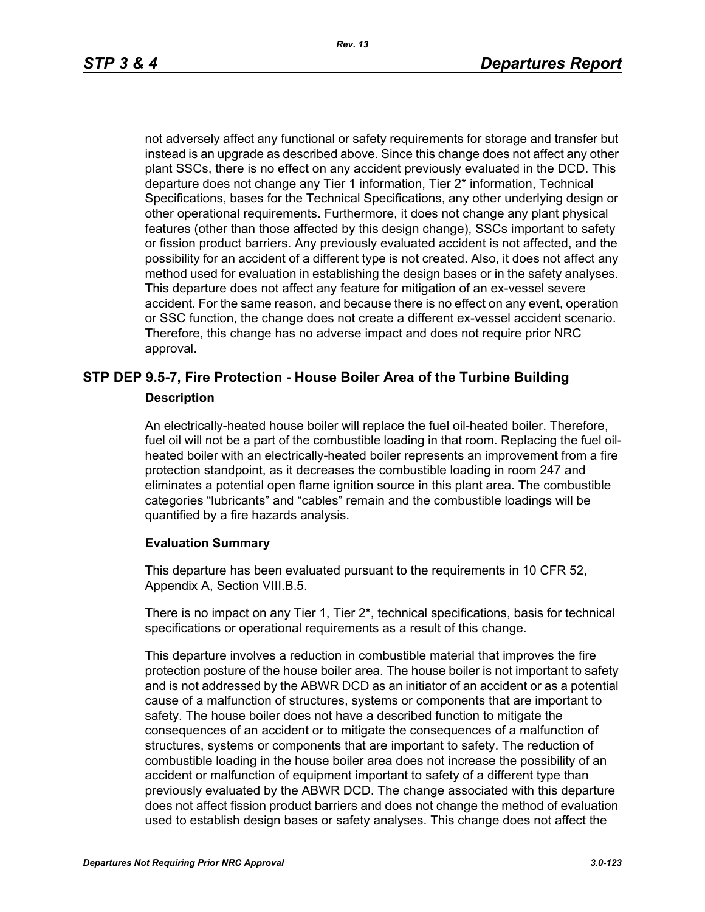not adversely affect any functional or safety requirements for storage and transfer but instead is an upgrade as described above. Since this change does not affect any other plant SSCs, there is no effect on any accident previously evaluated in the DCD. This departure does not change any Tier 1 information, Tier 2\* information, Technical Specifications, bases for the Technical Specifications, any other underlying design or other operational requirements. Furthermore, it does not change any plant physical features (other than those affected by this design change), SSCs important to safety or fission product barriers. Any previously evaluated accident is not affected, and the possibility for an accident of a different type is not created. Also, it does not affect any method used for evaluation in establishing the design bases or in the safety analyses. This departure does not affect any feature for mitigation of an ex-vessel severe accident. For the same reason, and because there is no effect on any event, operation or SSC function, the change does not create a different ex-vessel accident scenario. Therefore, this change has no adverse impact and does not require prior NRC approval.

### **STP DEP 9.5-7, Fire Protection - House Boiler Area of the Turbine Building Description**

An electrically-heated house boiler will replace the fuel oil-heated boiler. Therefore, fuel oil will not be a part of the combustible loading in that room. Replacing the fuel oilheated boiler with an electrically-heated boiler represents an improvement from a fire protection standpoint, as it decreases the combustible loading in room 247 and eliminates a potential open flame ignition source in this plant area. The combustible categories "lubricants" and "cables" remain and the combustible loadings will be quantified by a fire hazards analysis.

#### **Evaluation Summary**

This departure has been evaluated pursuant to the requirements in 10 CFR 52, Appendix A, Section VIII.B.5.

There is no impact on any Tier 1, Tier 2\*, technical specifications, basis for technical specifications or operational requirements as a result of this change.

This departure involves a reduction in combustible material that improves the fire protection posture of the house boiler area. The house boiler is not important to safety and is not addressed by the ABWR DCD as an initiator of an accident or as a potential cause of a malfunction of structures, systems or components that are important to safety. The house boiler does not have a described function to mitigate the consequences of an accident or to mitigate the consequences of a malfunction of structures, systems or components that are important to safety. The reduction of combustible loading in the house boiler area does not increase the possibility of an accident or malfunction of equipment important to safety of a different type than previously evaluated by the ABWR DCD. The change associated with this departure does not affect fission product barriers and does not change the method of evaluation used to establish design bases or safety analyses. This change does not affect the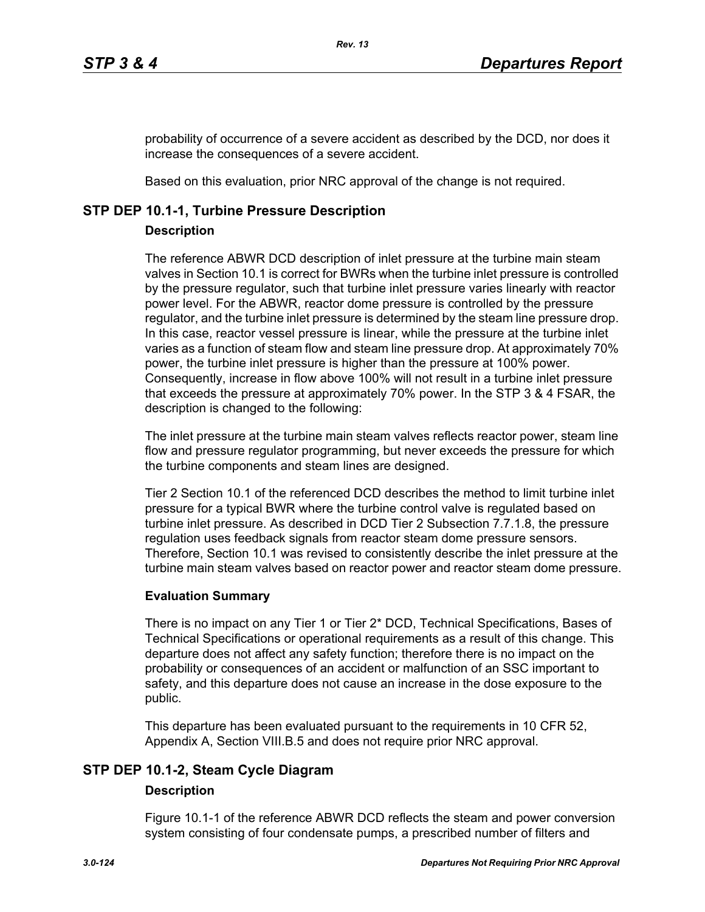probability of occurrence of a severe accident as described by the DCD, nor does it increase the consequences of a severe accident.

Based on this evaluation, prior NRC approval of the change is not required.

### **STP DEP 10.1-1, Turbine Pressure Description**

### **Description**

The reference ABWR DCD description of inlet pressure at the turbine main steam valves in Section 10.1 is correct for BWRs when the turbine inlet pressure is controlled by the pressure regulator, such that turbine inlet pressure varies linearly with reactor power level. For the ABWR, reactor dome pressure is controlled by the pressure regulator, and the turbine inlet pressure is determined by the steam line pressure drop. In this case, reactor vessel pressure is linear, while the pressure at the turbine inlet varies as a function of steam flow and steam line pressure drop. At approximately 70% power, the turbine inlet pressure is higher than the pressure at 100% power. Consequently, increase in flow above 100% will not result in a turbine inlet pressure that exceeds the pressure at approximately 70% power. In the STP 3 & 4 FSAR, the description is changed to the following:

The inlet pressure at the turbine main steam valves reflects reactor power, steam line flow and pressure regulator programming, but never exceeds the pressure for which the turbine components and steam lines are designed.

Tier 2 Section 10.1 of the referenced DCD describes the method to limit turbine inlet pressure for a typical BWR where the turbine control valve is regulated based on turbine inlet pressure. As described in DCD Tier 2 Subsection 7.7.1.8, the pressure regulation uses feedback signals from reactor steam dome pressure sensors. Therefore, Section 10.1 was revised to consistently describe the inlet pressure at the turbine main steam valves based on reactor power and reactor steam dome pressure.

### **Evaluation Summary**

There is no impact on any Tier 1 or Tier 2\* DCD, Technical Specifications, Bases of Technical Specifications or operational requirements as a result of this change. This departure does not affect any safety function; therefore there is no impact on the probability or consequences of an accident or malfunction of an SSC important to safety, and this departure does not cause an increase in the dose exposure to the public.

This departure has been evaluated pursuant to the requirements in 10 CFR 52, Appendix A, Section VIII.B.5 and does not require prior NRC approval.

# **STP DEP 10.1-2, Steam Cycle Diagram**

### **Description**

Figure 10.1-1 of the reference ABWR DCD reflects the steam and power conversion system consisting of four condensate pumps, a prescribed number of filters and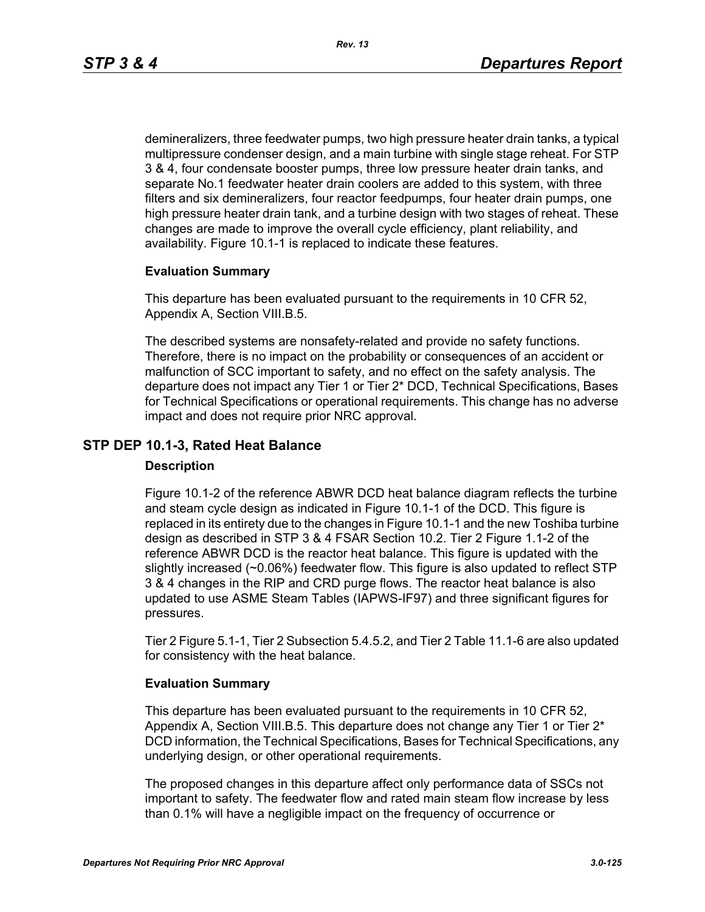demineralizers, three feedwater pumps, two high pressure heater drain tanks, a typical multipressure condenser design, and a main turbine with single stage reheat. For STP 3 & 4, four condensate booster pumps, three low pressure heater drain tanks, and separate No.1 feedwater heater drain coolers are added to this system, with three filters and six demineralizers, four reactor feedpumps, four heater drain pumps, one high pressure heater drain tank, and a turbine design with two stages of reheat. These changes are made to improve the overall cycle efficiency, plant reliability, and availability. Figure 10.1-1 is replaced to indicate these features.

#### **Evaluation Summary**

This departure has been evaluated pursuant to the requirements in 10 CFR 52, Appendix A, Section VIII.B.5.

The described systems are nonsafety-related and provide no safety functions. Therefore, there is no impact on the probability or consequences of an accident or malfunction of SCC important to safety, and no effect on the safety analysis. The departure does not impact any Tier 1 or Tier 2\* DCD, Technical Specifications, Bases for Technical Specifications or operational requirements. This change has no adverse impact and does not require prior NRC approval.

### **STP DEP 10.1-3, Rated Heat Balance**

#### **Description**

Figure 10.1-2 of the reference ABWR DCD heat balance diagram reflects the turbine and steam cycle design as indicated in Figure 10.1-1 of the DCD. This figure is replaced in its entirety due to the changes in Figure 10.1-1 and the new Toshiba turbine design as described in STP 3 & 4 FSAR Section 10.2. Tier 2 Figure 1.1-2 of the reference ABWR DCD is the reactor heat balance. This figure is updated with the slightly increased (~0.06%) feedwater flow. This figure is also updated to reflect STP 3 & 4 changes in the RIP and CRD purge flows. The reactor heat balance is also updated to use ASME Steam Tables (IAPWS-IF97) and three significant figures for pressures.

Tier 2 Figure 5.1-1, Tier 2 Subsection 5.4.5.2, and Tier 2 Table 11.1-6 are also updated for consistency with the heat balance.

#### **Evaluation Summary**

This departure has been evaluated pursuant to the requirements in 10 CFR 52, Appendix A, Section VIII.B.5. This departure does not change any Tier 1 or Tier 2\* DCD information, the Technical Specifications, Bases for Technical Specifications, any underlying design, or other operational requirements.

The proposed changes in this departure affect only performance data of SSCs not important to safety. The feedwater flow and rated main steam flow increase by less than 0.1% will have a negligible impact on the frequency of occurrence or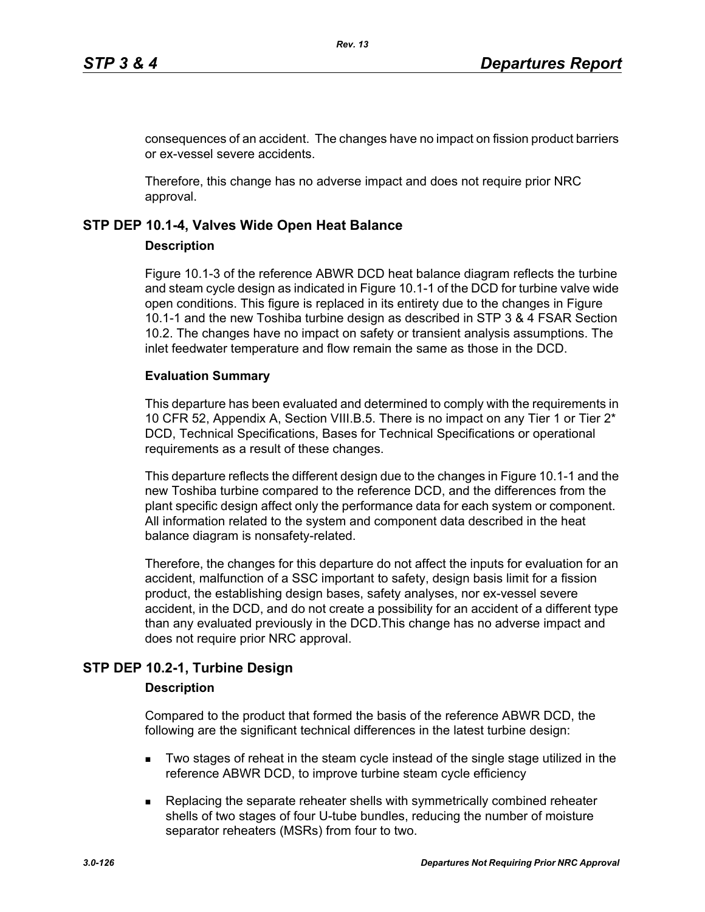consequences of an accident. The changes have no impact on fission product barriers or ex-vessel severe accidents.

Therefore, this change has no adverse impact and does not require prior NRC approval.

### **STP DEP 10.1-4, Valves Wide Open Heat Balance**

#### **Description**

Figure 10.1-3 of the reference ABWR DCD heat balance diagram reflects the turbine and steam cycle design as indicated in Figure 10.1-1 of the DCD for turbine valve wide open conditions. This figure is replaced in its entirety due to the changes in Figure 10.1-1 and the new Toshiba turbine design as described in STP 3 & 4 FSAR Section 10.2. The changes have no impact on safety or transient analysis assumptions. The inlet feedwater temperature and flow remain the same as those in the DCD.

#### **Evaluation Summary**

This departure has been evaluated and determined to comply with the requirements in 10 CFR 52, Appendix A, Section VIII.B.5. There is no impact on any Tier 1 or Tier 2\* DCD, Technical Specifications, Bases for Technical Specifications or operational requirements as a result of these changes.

This departure reflects the different design due to the changes in Figure 10.1-1 and the new Toshiba turbine compared to the reference DCD, and the differences from the plant specific design affect only the performance data for each system or component. All information related to the system and component data described in the heat balance diagram is nonsafety-related.

Therefore, the changes for this departure do not affect the inputs for evaluation for an accident, malfunction of a SSC important to safety, design basis limit for a fission product, the establishing design bases, safety analyses, nor ex-vessel severe accident, in the DCD, and do not create a possibility for an accident of a different type than any evaluated previously in the DCD.This change has no adverse impact and does not require prior NRC approval.

### **STP DEP 10.2-1, Turbine Design**

#### **Description**

Compared to the product that formed the basis of the reference ABWR DCD, the following are the significant technical differences in the latest turbine design:

- **Two stages of reheat in the steam cycle instead of the single stage utilized in the** reference ABWR DCD, to improve turbine steam cycle efficiency
- **Replacing the separate reheater shells with symmetrically combined reheater** shells of two stages of four U-tube bundles, reducing the number of moisture separator reheaters (MSRs) from four to two.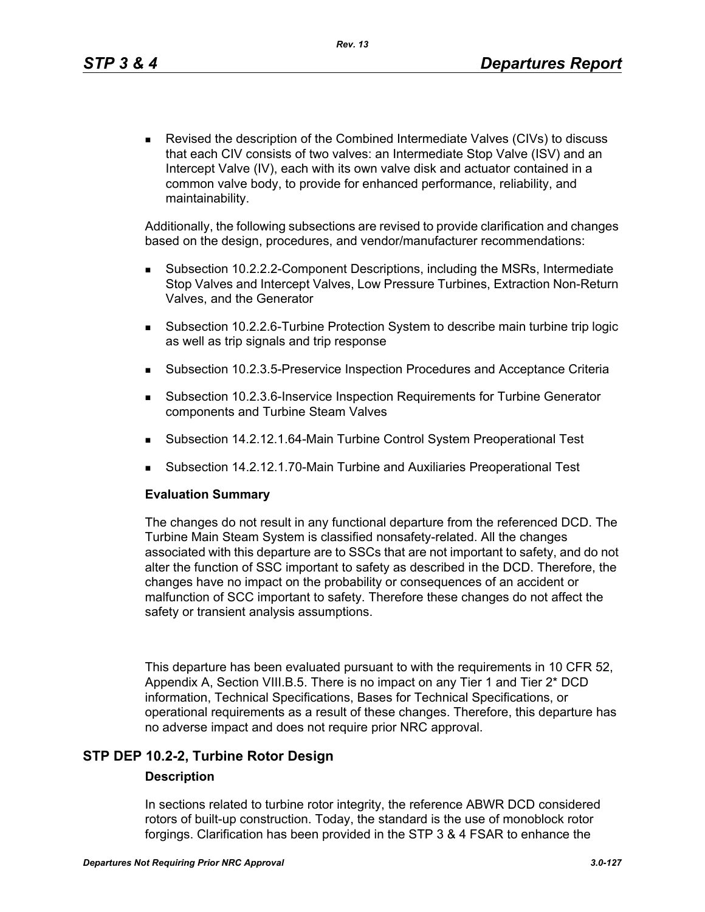Revised the description of the Combined Intermediate Valves (CIVs) to discuss that each CIV consists of two valves: an Intermediate Stop Valve (ISV) and an Intercept Valve (IV), each with its own valve disk and actuator contained in a common valve body, to provide for enhanced performance, reliability, and maintainability.

Additionally, the following subsections are revised to provide clarification and changes based on the design, procedures, and vendor/manufacturer recommendations:

- Subsection 10.2.2.2-Component Descriptions, including the MSRs, Intermediate Stop Valves and Intercept Valves, Low Pressure Turbines, Extraction Non-Return Valves, and the Generator
- Subsection 10.2.2.6-Turbine Protection System to describe main turbine trip logic as well as trip signals and trip response
- Subsection 10.2.3.5-Preservice Inspection Procedures and Acceptance Criteria
- Subsection 10.2.3.6-Inservice Inspection Requirements for Turbine Generator components and Turbine Steam Valves
- Subsection 14.2.12.1.64-Main Turbine Control System Preoperational Test
- Subsection 14.2.12.1.70-Main Turbine and Auxiliaries Preoperational Test

#### **Evaluation Summary**

The changes do not result in any functional departure from the referenced DCD. The Turbine Main Steam System is classified nonsafety-related. All the changes associated with this departure are to SSCs that are not important to safety, and do not alter the function of SSC important to safety as described in the DCD. Therefore, the changes have no impact on the probability or consequences of an accident or malfunction of SCC important to safety. Therefore these changes do not affect the safety or transient analysis assumptions.

This departure has been evaluated pursuant to with the requirements in 10 CFR 52, Appendix A, Section VIII.B.5. There is no impact on any Tier 1 and Tier 2\* DCD information, Technical Specifications, Bases for Technical Specifications, or operational requirements as a result of these changes. Therefore, this departure has no adverse impact and does not require prior NRC approval.

### **STP DEP 10.2-2, Turbine Rotor Design**

#### **Description**

In sections related to turbine rotor integrity, the reference ABWR DCD considered rotors of built-up construction. Today, the standard is the use of monoblock rotor forgings. Clarification has been provided in the STP 3 & 4 FSAR to enhance the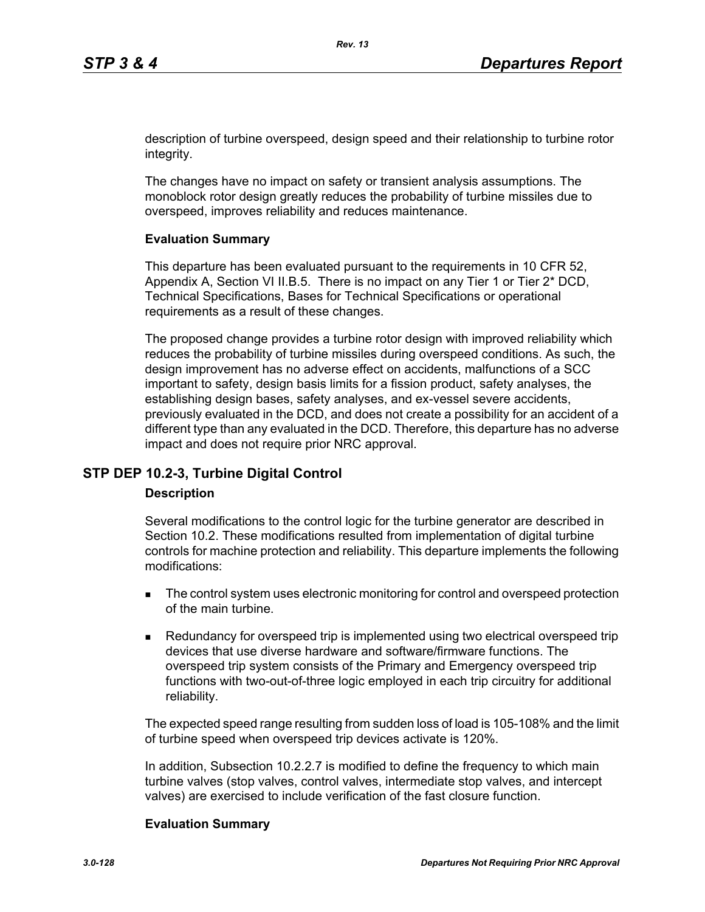description of turbine overspeed, design speed and their relationship to turbine rotor integrity.

The changes have no impact on safety or transient analysis assumptions. The monoblock rotor design greatly reduces the probability of turbine missiles due to overspeed, improves reliability and reduces maintenance.

#### **Evaluation Summary**

This departure has been evaluated pursuant to the requirements in 10 CFR 52, Appendix A, Section VI II.B.5. There is no impact on any Tier 1 or Tier 2\* DCD, Technical Specifications, Bases for Technical Specifications or operational requirements as a result of these changes.

The proposed change provides a turbine rotor design with improved reliability which reduces the probability of turbine missiles during overspeed conditions. As such, the design improvement has no adverse effect on accidents, malfunctions of a SCC important to safety, design basis limits for a fission product, safety analyses, the establishing design bases, safety analyses, and ex-vessel severe accidents, previously evaluated in the DCD, and does not create a possibility for an accident of a different type than any evaluated in the DCD. Therefore, this departure has no adverse impact and does not require prior NRC approval.

#### **STP DEP 10.2-3, Turbine Digital Control**

#### **Description**

Several modifications to the control logic for the turbine generator are described in Section 10.2. These modifications resulted from implementation of digital turbine controls for machine protection and reliability. This departure implements the following modifications:

- The control system uses electronic monitoring for control and overspeed protection of the main turbine.
- **Redundancy for overspeed trip is implemented using two electrical overspeed trip** devices that use diverse hardware and software/firmware functions. The overspeed trip system consists of the Primary and Emergency overspeed trip functions with two-out-of-three logic employed in each trip circuitry for additional reliability.

The expected speed range resulting from sudden loss of load is 105-108% and the limit of turbine speed when overspeed trip devices activate is 120%.

In addition, Subsection 10.2.2.7 is modified to define the frequency to which main turbine valves (stop valves, control valves, intermediate stop valves, and intercept valves) are exercised to include verification of the fast closure function.

#### **Evaluation Summary**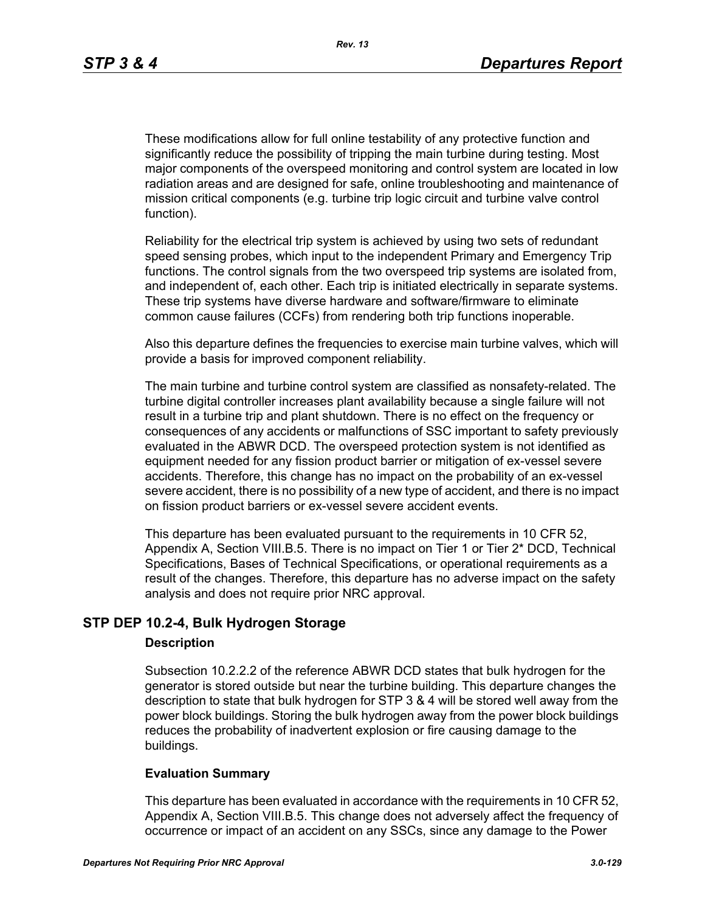These modifications allow for full online testability of any protective function and significantly reduce the possibility of tripping the main turbine during testing. Most major components of the overspeed monitoring and control system are located in low radiation areas and are designed for safe, online troubleshooting and maintenance of mission critical components (e.g. turbine trip logic circuit and turbine valve control function).

Reliability for the electrical trip system is achieved by using two sets of redundant speed sensing probes, which input to the independent Primary and Emergency Trip functions. The control signals from the two overspeed trip systems are isolated from, and independent of, each other. Each trip is initiated electrically in separate systems. These trip systems have diverse hardware and software/firmware to eliminate common cause failures (CCFs) from rendering both trip functions inoperable.

Also this departure defines the frequencies to exercise main turbine valves, which will provide a basis for improved component reliability.

The main turbine and turbine control system are classified as nonsafety-related. The turbine digital controller increases plant availability because a single failure will not result in a turbine trip and plant shutdown. There is no effect on the frequency or consequences of any accidents or malfunctions of SSC important to safety previously evaluated in the ABWR DCD. The overspeed protection system is not identified as equipment needed for any fission product barrier or mitigation of ex-vessel severe accidents. Therefore, this change has no impact on the probability of an ex-vessel severe accident, there is no possibility of a new type of accident, and there is no impact on fission product barriers or ex-vessel severe accident events.

This departure has been evaluated pursuant to the requirements in 10 CFR 52, Appendix A, Section VIII.B.5. There is no impact on Tier 1 or Tier 2\* DCD, Technical Specifications, Bases of Technical Specifications, or operational requirements as a result of the changes. Therefore, this departure has no adverse impact on the safety analysis and does not require prior NRC approval.

### **STP DEP 10.2-4, Bulk Hydrogen Storage**

#### **Description**

Subsection 10.2.2.2 of the reference ABWR DCD states that bulk hydrogen for the generator is stored outside but near the turbine building. This departure changes the description to state that bulk hydrogen for STP 3 & 4 will be stored well away from the power block buildings. Storing the bulk hydrogen away from the power block buildings reduces the probability of inadvertent explosion or fire causing damage to the buildings.

#### **Evaluation Summary**

This departure has been evaluated in accordance with the requirements in 10 CFR 52, Appendix A, Section VIII.B.5. This change does not adversely affect the frequency of occurrence or impact of an accident on any SSCs, since any damage to the Power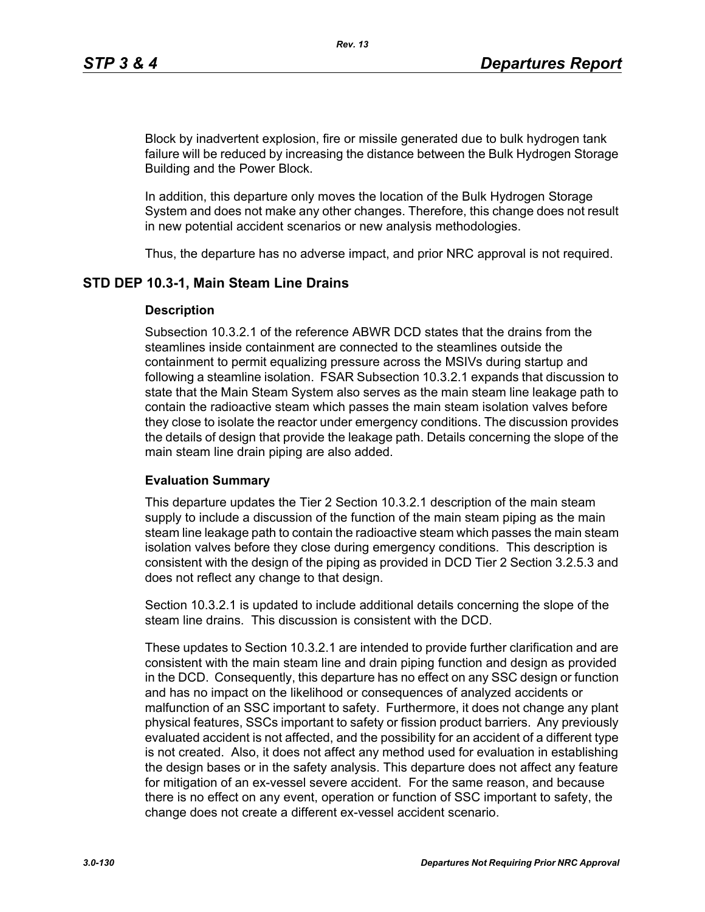Block by inadvertent explosion, fire or missile generated due to bulk hydrogen tank failure will be reduced by increasing the distance between the Bulk Hydrogen Storage Building and the Power Block.

In addition, this departure only moves the location of the Bulk Hydrogen Storage System and does not make any other changes. Therefore, this change does not result in new potential accident scenarios or new analysis methodologies.

Thus, the departure has no adverse impact, and prior NRC approval is not required.

### **STD DEP 10.3-1, Main Steam Line Drains**

#### **Description**

Subsection 10.3.2.1 of the reference ABWR DCD states that the drains from the steamlines inside containment are connected to the steamlines outside the containment to permit equalizing pressure across the MSIVs during startup and following a steamline isolation. FSAR Subsection 10.3.2.1 expands that discussion to state that the Main Steam System also serves as the main steam line leakage path to contain the radioactive steam which passes the main steam isolation valves before they close to isolate the reactor under emergency conditions. The discussion provides the details of design that provide the leakage path. Details concerning the slope of the main steam line drain piping are also added.

#### **Evaluation Summary**

This departure updates the Tier 2 Section 10.3.2.1 description of the main steam supply to include a discussion of the function of the main steam piping as the main steam line leakage path to contain the radioactive steam which passes the main steam isolation valves before they close during emergency conditions. This description is consistent with the design of the piping as provided in DCD Tier 2 Section 3.2.5.3 and does not reflect any change to that design.

Section 10.3.2.1 is updated to include additional details concerning the slope of the steam line drains. This discussion is consistent with the DCD.

These updates to Section 10.3.2.1 are intended to provide further clarification and are consistent with the main steam line and drain piping function and design as provided in the DCD. Consequently, this departure has no effect on any SSC design or function and has no impact on the likelihood or consequences of analyzed accidents or malfunction of an SSC important to safety. Furthermore, it does not change any plant physical features, SSCs important to safety or fission product barriers. Any previously evaluated accident is not affected, and the possibility for an accident of a different type is not created. Also, it does not affect any method used for evaluation in establishing the design bases or in the safety analysis. This departure does not affect any feature for mitigation of an ex-vessel severe accident. For the same reason, and because there is no effect on any event, operation or function of SSC important to safety, the change does not create a different ex-vessel accident scenario.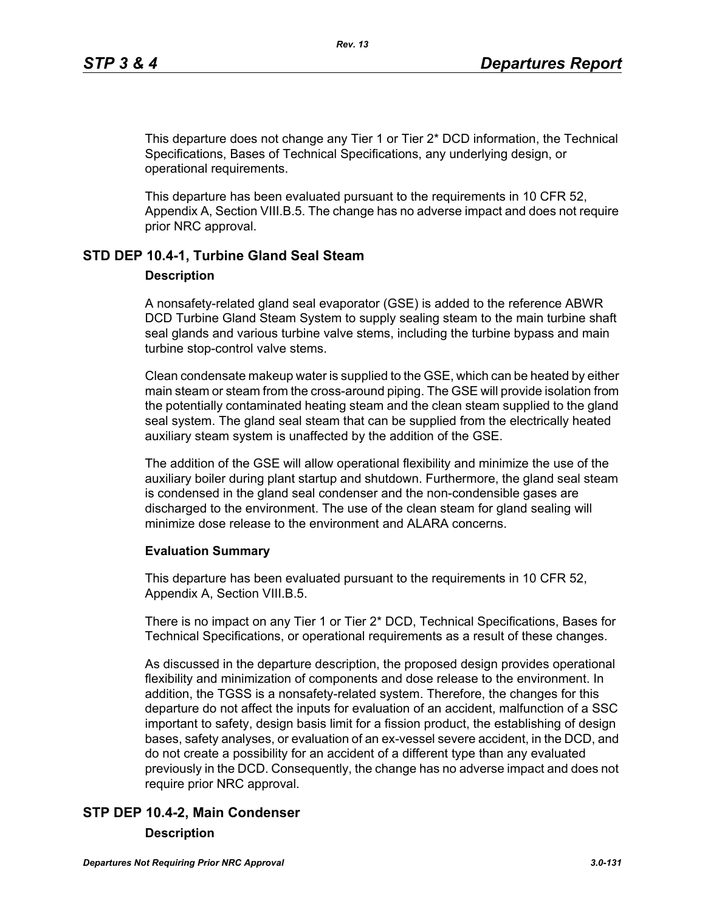This departure does not change any Tier 1 or Tier 2\* DCD information, the Technical Specifications, Bases of Technical Specifications, any underlying design, or operational requirements.

This departure has been evaluated pursuant to the requirements in 10 CFR 52, Appendix A, Section VIII.B.5. The change has no adverse impact and does not require prior NRC approval.

### **STD DEP 10.4-1, Turbine Gland Seal Steam**

#### **Description**

A nonsafety-related gland seal evaporator (GSE) is added to the reference ABWR DCD Turbine Gland Steam System to supply sealing steam to the main turbine shaft seal glands and various turbine valve stems, including the turbine bypass and main turbine stop-control valve stems.

Clean condensate makeup water is supplied to the GSE, which can be heated by either main steam or steam from the cross-around piping. The GSE will provide isolation from the potentially contaminated heating steam and the clean steam supplied to the gland seal system. The gland seal steam that can be supplied from the electrically heated auxiliary steam system is unaffected by the addition of the GSE.

The addition of the GSE will allow operational flexibility and minimize the use of the auxiliary boiler during plant startup and shutdown. Furthermore, the gland seal steam is condensed in the gland seal condenser and the non-condensible gases are discharged to the environment. The use of the clean steam for gland sealing will minimize dose release to the environment and ALARA concerns.

### **Evaluation Summary**

This departure has been evaluated pursuant to the requirements in 10 CFR 52, Appendix A, Section VIII.B.5.

There is no impact on any Tier 1 or Tier 2\* DCD, Technical Specifications, Bases for Technical Specifications, or operational requirements as a result of these changes.

As discussed in the departure description, the proposed design provides operational flexibility and minimization of components and dose release to the environment. In addition, the TGSS is a nonsafety-related system. Therefore, the changes for this departure do not affect the inputs for evaluation of an accident, malfunction of a SSC important to safety, design basis limit for a fission product, the establishing of design bases, safety analyses, or evaluation of an ex-vessel severe accident, in the DCD, and do not create a possibility for an accident of a different type than any evaluated previously in the DCD. Consequently, the change has no adverse impact and does not require prior NRC approval.

# **STP DEP 10.4-2, Main Condenser**

#### **Description**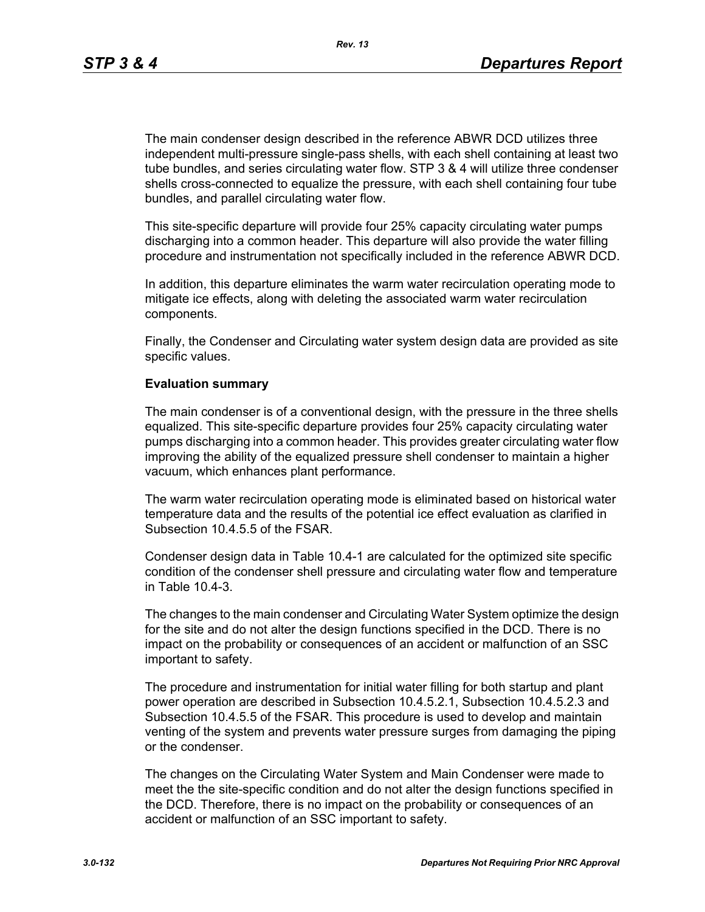*Rev. 13*

The main condenser design described in the reference ABWR DCD utilizes three independent multi-pressure single-pass shells, with each shell containing at least two tube bundles, and series circulating water flow. STP 3 & 4 will utilize three condenser shells cross-connected to equalize the pressure, with each shell containing four tube bundles, and parallel circulating water flow.

This site-specific departure will provide four 25% capacity circulating water pumps discharging into a common header. This departure will also provide the water filling procedure and instrumentation not specifically included in the reference ABWR DCD.

In addition, this departure eliminates the warm water recirculation operating mode to mitigate ice effects, along with deleting the associated warm water recirculation components.

Finally, the Condenser and Circulating water system design data are provided as site specific values.

#### **Evaluation summary**

The main condenser is of a conventional design, with the pressure in the three shells equalized. This site-specific departure provides four 25% capacity circulating water pumps discharging into a common header. This provides greater circulating water flow improving the ability of the equalized pressure shell condenser to maintain a higher vacuum, which enhances plant performance.

The warm water recirculation operating mode is eliminated based on historical water temperature data and the results of the potential ice effect evaluation as clarified in Subsection 10.4.5.5 of the FSAR.

Condenser design data in Table 10.4-1 are calculated for the optimized site specific condition of the condenser shell pressure and circulating water flow and temperature in Table 10.4-3.

The changes to the main condenser and Circulating Water System optimize the design for the site and do not alter the design functions specified in the DCD. There is no impact on the probability or consequences of an accident or malfunction of an SSC important to safety.

The procedure and instrumentation for initial water filling for both startup and plant power operation are described in Subsection 10.4.5.2.1, Subsection 10.4.5.2.3 and Subsection 10.4.5.5 of the FSAR. This procedure is used to develop and maintain venting of the system and prevents water pressure surges from damaging the piping or the condenser.

The changes on the Circulating Water System and Main Condenser were made to meet the the site-specific condition and do not alter the design functions specified in the DCD. Therefore, there is no impact on the probability or consequences of an accident or malfunction of an SSC important to safety.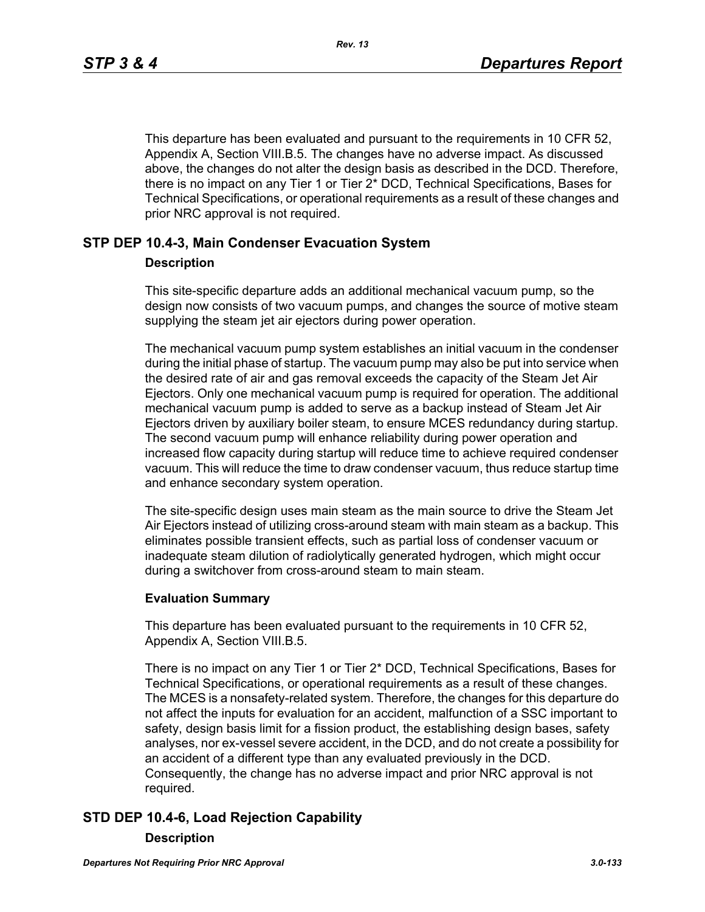This departure has been evaluated and pursuant to the requirements in 10 CFR 52, Appendix A, Section VIII.B.5. The changes have no adverse impact. As discussed above, the changes do not alter the design basis as described in the DCD. Therefore, there is no impact on any Tier 1 or Tier 2\* DCD, Technical Specifications, Bases for Technical Specifications, or operational requirements as a result of these changes and prior NRC approval is not required.

### **STP DEP 10.4-3, Main Condenser Evacuation System**

#### **Description**

This site-specific departure adds an additional mechanical vacuum pump, so the design now consists of two vacuum pumps, and changes the source of motive steam supplying the steam jet air ejectors during power operation.

The mechanical vacuum pump system establishes an initial vacuum in the condenser during the initial phase of startup. The vacuum pump may also be put into service when the desired rate of air and gas removal exceeds the capacity of the Steam Jet Air Ejectors. Only one mechanical vacuum pump is required for operation. The additional mechanical vacuum pump is added to serve as a backup instead of Steam Jet Air Ejectors driven by auxiliary boiler steam, to ensure MCES redundancy during startup. The second vacuum pump will enhance reliability during power operation and increased flow capacity during startup will reduce time to achieve required condenser vacuum. This will reduce the time to draw condenser vacuum, thus reduce startup time and enhance secondary system operation.

The site-specific design uses main steam as the main source to drive the Steam Jet Air Ejectors instead of utilizing cross-around steam with main steam as a backup. This eliminates possible transient effects, such as partial loss of condenser vacuum or inadequate steam dilution of radiolytically generated hydrogen, which might occur during a switchover from cross-around steam to main steam.

#### **Evaluation Summary**

This departure has been evaluated pursuant to the requirements in 10 CFR 52, Appendix A, Section VIII.B.5.

There is no impact on any Tier 1 or Tier 2\* DCD, Technical Specifications, Bases for Technical Specifications, or operational requirements as a result of these changes. The MCES is a nonsafety-related system. Therefore, the changes for this departure do not affect the inputs for evaluation for an accident, malfunction of a SSC important to safety, design basis limit for a fission product, the establishing design bases, safety analyses, nor ex-vessel severe accident, in the DCD, and do not create a possibility for an accident of a different type than any evaluated previously in the DCD. Consequently, the change has no adverse impact and prior NRC approval is not required.

# **STD DEP 10.4-6, Load Rejection Capability**

#### **Description**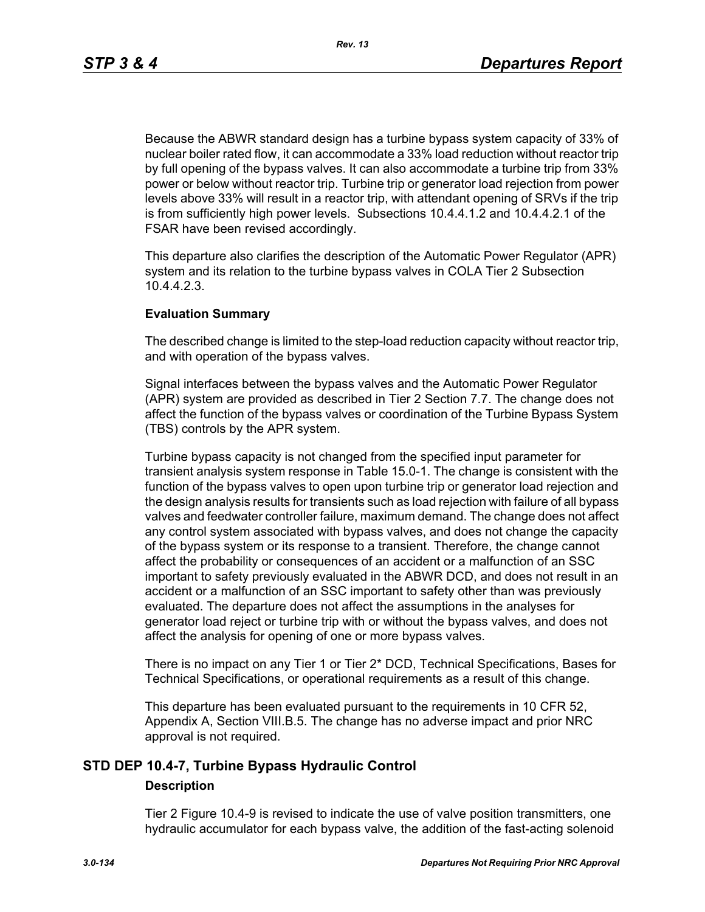Because the ABWR standard design has a turbine bypass system capacity of 33% of nuclear boiler rated flow, it can accommodate a 33% load reduction without reactor trip by full opening of the bypass valves. It can also accommodate a turbine trip from 33% power or below without reactor trip. Turbine trip or generator load rejection from power levels above 33% will result in a reactor trip, with attendant opening of SRVs if the trip is from sufficiently high power levels. Subsections 10.4.4.1.2 and 10.4.4.2.1 of the FSAR have been revised accordingly.

This departure also clarifies the description of the Automatic Power Regulator (APR) system and its relation to the turbine bypass valves in COLA Tier 2 Subsection 10.4.4.2.3.

#### **Evaluation Summary**

The described change is limited to the step-load reduction capacity without reactor trip, and with operation of the bypass valves.

Signal interfaces between the bypass valves and the Automatic Power Regulator (APR) system are provided as described in Tier 2 Section 7.7. The change does not affect the function of the bypass valves or coordination of the Turbine Bypass System (TBS) controls by the APR system.

Turbine bypass capacity is not changed from the specified input parameter for transient analysis system response in Table 15.0-1. The change is consistent with the function of the bypass valves to open upon turbine trip or generator load rejection and the design analysis results for transients such as load rejection with failure of all bypass valves and feedwater controller failure, maximum demand. The change does not affect any control system associated with bypass valves, and does not change the capacity of the bypass system or its response to a transient. Therefore, the change cannot affect the probability or consequences of an accident or a malfunction of an SSC important to safety previously evaluated in the ABWR DCD, and does not result in an accident or a malfunction of an SSC important to safety other than was previously evaluated. The departure does not affect the assumptions in the analyses for generator load reject or turbine trip with or without the bypass valves, and does not affect the analysis for opening of one or more bypass valves.

There is no impact on any Tier 1 or Tier 2\* DCD, Technical Specifications, Bases for Technical Specifications, or operational requirements as a result of this change.

This departure has been evaluated pursuant to the requirements in 10 CFR 52, Appendix A, Section VIII.B.5. The change has no adverse impact and prior NRC approval is not required.

# **STD DEP 10.4-7, Turbine Bypass Hydraulic Control**

#### **Description**

Tier 2 Figure 10.4-9 is revised to indicate the use of valve position transmitters, one hydraulic accumulator for each bypass valve, the addition of the fast-acting solenoid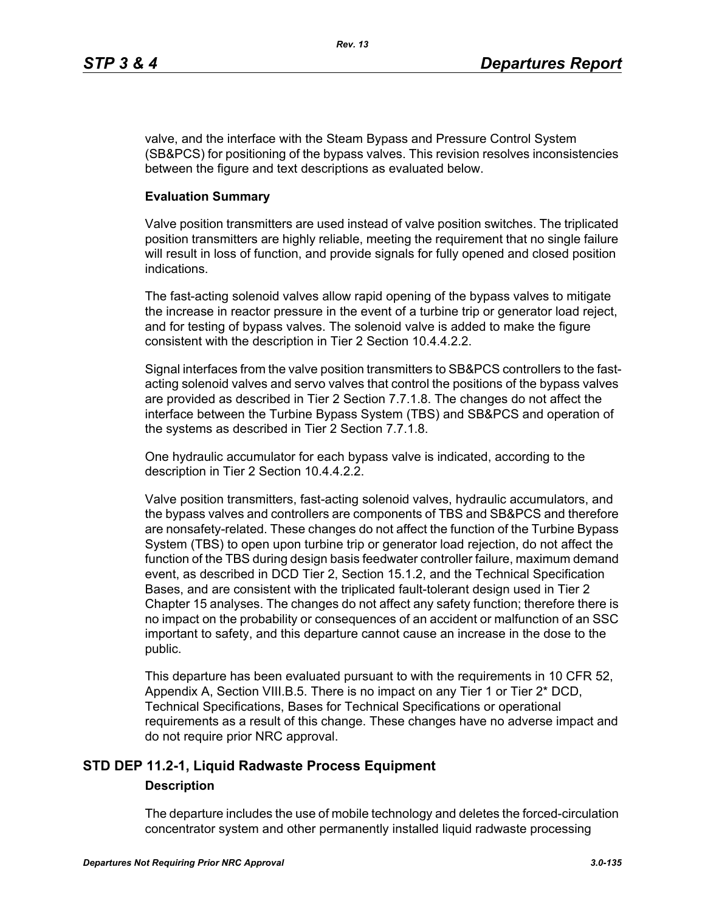valve, and the interface with the Steam Bypass and Pressure Control System (SB&PCS) for positioning of the bypass valves. This revision resolves inconsistencies between the figure and text descriptions as evaluated below.

#### **Evaluation Summary**

Valve position transmitters are used instead of valve position switches. The triplicated position transmitters are highly reliable, meeting the requirement that no single failure will result in loss of function, and provide signals for fully opened and closed position indications.

The fast-acting solenoid valves allow rapid opening of the bypass valves to mitigate the increase in reactor pressure in the event of a turbine trip or generator load reject, and for testing of bypass valves. The solenoid valve is added to make the figure consistent with the description in Tier 2 Section 10.4.4.2.2.

Signal interfaces from the valve position transmitters to SB&PCS controllers to the fastacting solenoid valves and servo valves that control the positions of the bypass valves are provided as described in Tier 2 Section 7.7.1.8. The changes do not affect the interface between the Turbine Bypass System (TBS) and SB&PCS and operation of the systems as described in Tier 2 Section 7.7.1.8.

One hydraulic accumulator for each bypass valve is indicated, according to the description in Tier 2 Section 10.4.4.2.2.

Valve position transmitters, fast-acting solenoid valves, hydraulic accumulators, and the bypass valves and controllers are components of TBS and SB&PCS and therefore are nonsafety-related. These changes do not affect the function of the Turbine Bypass System (TBS) to open upon turbine trip or generator load rejection, do not affect the function of the TBS during design basis feedwater controller failure, maximum demand event, as described in DCD Tier 2, Section 15.1.2, and the Technical Specification Bases, and are consistent with the triplicated fault-tolerant design used in Tier 2 Chapter 15 analyses. The changes do not affect any safety function; therefore there is no impact on the probability or consequences of an accident or malfunction of an SSC important to safety, and this departure cannot cause an increase in the dose to the public.

This departure has been evaluated pursuant to with the requirements in 10 CFR 52, Appendix A, Section VIII.B.5. There is no impact on any Tier 1 or Tier 2\* DCD, Technical Specifications, Bases for Technical Specifications or operational requirements as a result of this change. These changes have no adverse impact and do not require prior NRC approval.

# **STD DEP 11.2-1, Liquid Radwaste Process Equipment**

#### **Description**

The departure includes the use of mobile technology and deletes the forced-circulation concentrator system and other permanently installed liquid radwaste processing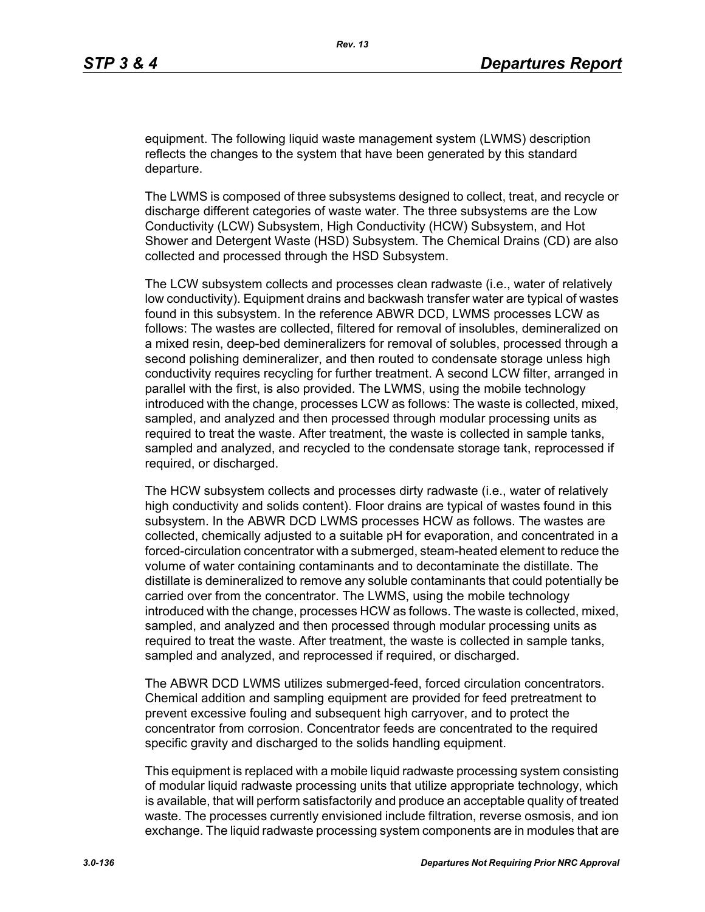equipment. The following liquid waste management system (LWMS) description reflects the changes to the system that have been generated by this standard departure.

The LWMS is composed of three subsystems designed to collect, treat, and recycle or discharge different categories of waste water. The three subsystems are the Low Conductivity (LCW) Subsystem, High Conductivity (HCW) Subsystem, and Hot Shower and Detergent Waste (HSD) Subsystem. The Chemical Drains (CD) are also collected and processed through the HSD Subsystem.

The LCW subsystem collects and processes clean radwaste (i.e., water of relatively low conductivity). Equipment drains and backwash transfer water are typical of wastes found in this subsystem. In the reference ABWR DCD, LWMS processes LCW as follows: The wastes are collected, filtered for removal of insolubles, demineralized on a mixed resin, deep-bed demineralizers for removal of solubles, processed through a second polishing demineralizer, and then routed to condensate storage unless high conductivity requires recycling for further treatment. A second LCW filter, arranged in parallel with the first, is also provided. The LWMS, using the mobile technology introduced with the change, processes LCW as follows: The waste is collected, mixed, sampled, and analyzed and then processed through modular processing units as required to treat the waste. After treatment, the waste is collected in sample tanks, sampled and analyzed, and recycled to the condensate storage tank, reprocessed if required, or discharged.

The HCW subsystem collects and processes dirty radwaste (i.e., water of relatively high conductivity and solids content). Floor drains are typical of wastes found in this subsystem. In the ABWR DCD LWMS processes HCW as follows. The wastes are collected, chemically adjusted to a suitable pH for evaporation, and concentrated in a forced-circulation concentrator with a submerged, steam-heated element to reduce the volume of water containing contaminants and to decontaminate the distillate. The distillate is demineralized to remove any soluble contaminants that could potentially be carried over from the concentrator. The LWMS, using the mobile technology introduced with the change, processes HCW as follows. The waste is collected, mixed, sampled, and analyzed and then processed through modular processing units as required to treat the waste. After treatment, the waste is collected in sample tanks, sampled and analyzed, and reprocessed if required, or discharged.

The ABWR DCD LWMS utilizes submerged-feed, forced circulation concentrators. Chemical addition and sampling equipment are provided for feed pretreatment to prevent excessive fouling and subsequent high carryover, and to protect the concentrator from corrosion. Concentrator feeds are concentrated to the required specific gravity and discharged to the solids handling equipment.

This equipment is replaced with a mobile liquid radwaste processing system consisting of modular liquid radwaste processing units that utilize appropriate technology, which is available, that will perform satisfactorily and produce an acceptable quality of treated waste. The processes currently envisioned include filtration, reverse osmosis, and ion exchange. The liquid radwaste processing system components are in modules that are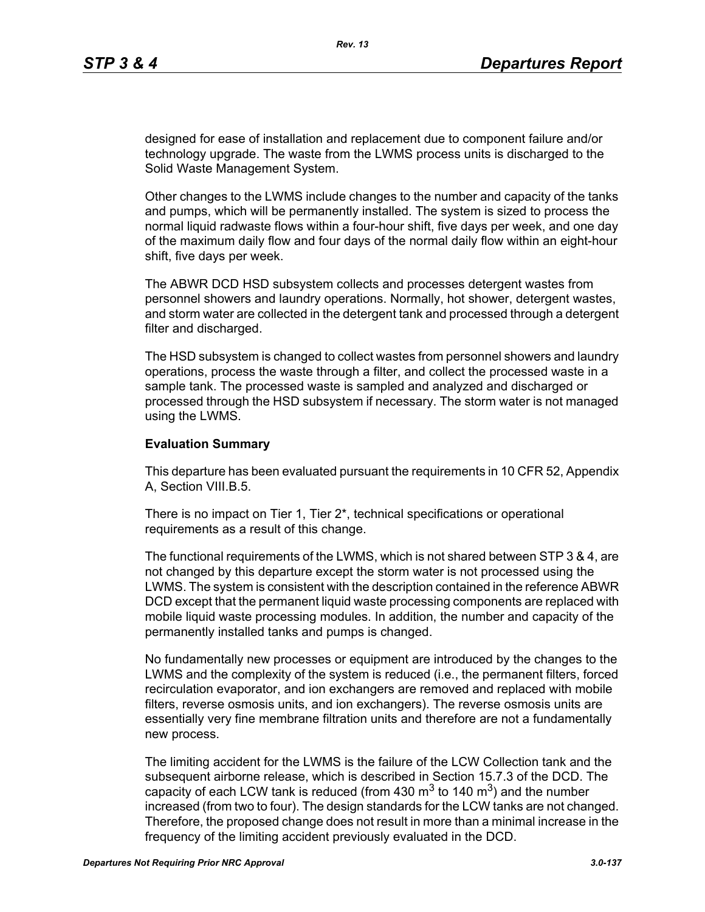designed for ease of installation and replacement due to component failure and/or technology upgrade. The waste from the LWMS process units is discharged to the Solid Waste Management System.

Other changes to the LWMS include changes to the number and capacity of the tanks and pumps, which will be permanently installed. The system is sized to process the normal liquid radwaste flows within a four-hour shift, five days per week, and one day of the maximum daily flow and four days of the normal daily flow within an eight-hour shift, five days per week.

The ABWR DCD HSD subsystem collects and processes detergent wastes from personnel showers and laundry operations. Normally, hot shower, detergent wastes, and storm water are collected in the detergent tank and processed through a detergent filter and discharged.

The HSD subsystem is changed to collect wastes from personnel showers and laundry operations, process the waste through a filter, and collect the processed waste in a sample tank. The processed waste is sampled and analyzed and discharged or processed through the HSD subsystem if necessary. The storm water is not managed using the LWMS.

#### **Evaluation Summary**

This departure has been evaluated pursuant the requirements in 10 CFR 52, Appendix A, Section VIII.B.5.

There is no impact on Tier 1, Tier 2\*, technical specifications or operational requirements as a result of this change.

The functional requirements of the LWMS, which is not shared between STP 3 & 4, are not changed by this departure except the storm water is not processed using the LWMS. The system is consistent with the description contained in the reference ABWR DCD except that the permanent liquid waste processing components are replaced with mobile liquid waste processing modules. In addition, the number and capacity of the permanently installed tanks and pumps is changed.

No fundamentally new processes or equipment are introduced by the changes to the LWMS and the complexity of the system is reduced (i.e., the permanent filters, forced recirculation evaporator, and ion exchangers are removed and replaced with mobile filters, reverse osmosis units, and ion exchangers). The reverse osmosis units are essentially very fine membrane filtration units and therefore are not a fundamentally new process.

The limiting accident for the LWMS is the failure of the LCW Collection tank and the subsequent airborne release, which is described in Section 15.7.3 of the DCD. The capacity of each LCW tank is reduced (from 430  $\text{m}^3$  to 140  $\text{m}^3$ ) and the number increased (from two to four). The design standards for the LCW tanks are not changed. Therefore, the proposed change does not result in more than a minimal increase in the frequency of the limiting accident previously evaluated in the DCD.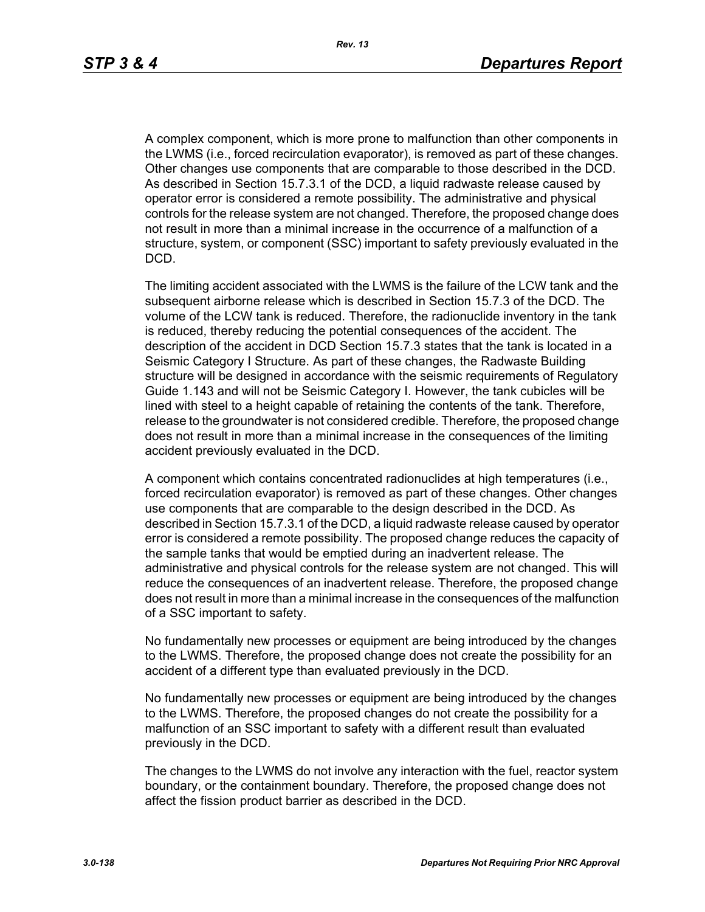A complex component, which is more prone to malfunction than other components in the LWMS (i.e., forced recirculation evaporator), is removed as part of these changes. Other changes use components that are comparable to those described in the DCD. As described in Section 15.7.3.1 of the DCD, a liquid radwaste release caused by operator error is considered a remote possibility. The administrative and physical controls for the release system are not changed. Therefore, the proposed change does not result in more than a minimal increase in the occurrence of a malfunction of a structure, system, or component (SSC) important to safety previously evaluated in the DCD.

The limiting accident associated with the LWMS is the failure of the LCW tank and the subsequent airborne release which is described in Section 15.7.3 of the DCD. The volume of the LCW tank is reduced. Therefore, the radionuclide inventory in the tank is reduced, thereby reducing the potential consequences of the accident. The description of the accident in DCD Section 15.7.3 states that the tank is located in a Seismic Category I Structure. As part of these changes, the Radwaste Building structure will be designed in accordance with the seismic requirements of Regulatory Guide 1.143 and will not be Seismic Category I. However, the tank cubicles will be lined with steel to a height capable of retaining the contents of the tank. Therefore, release to the groundwater is not considered credible. Therefore, the proposed change does not result in more than a minimal increase in the consequences of the limiting accident previously evaluated in the DCD.

A component which contains concentrated radionuclides at high temperatures (i.e., forced recirculation evaporator) is removed as part of these changes. Other changes use components that are comparable to the design described in the DCD. As described in Section 15.7.3.1 of the DCD, a liquid radwaste release caused by operator error is considered a remote possibility. The proposed change reduces the capacity of the sample tanks that would be emptied during an inadvertent release. The administrative and physical controls for the release system are not changed. This will reduce the consequences of an inadvertent release. Therefore, the proposed change does not result in more than a minimal increase in the consequences of the malfunction of a SSC important to safety.

No fundamentally new processes or equipment are being introduced by the changes to the LWMS. Therefore, the proposed change does not create the possibility for an accident of a different type than evaluated previously in the DCD.

No fundamentally new processes or equipment are being introduced by the changes to the LWMS. Therefore, the proposed changes do not create the possibility for a malfunction of an SSC important to safety with a different result than evaluated previously in the DCD.

The changes to the LWMS do not involve any interaction with the fuel, reactor system boundary, or the containment boundary. Therefore, the proposed change does not affect the fission product barrier as described in the DCD.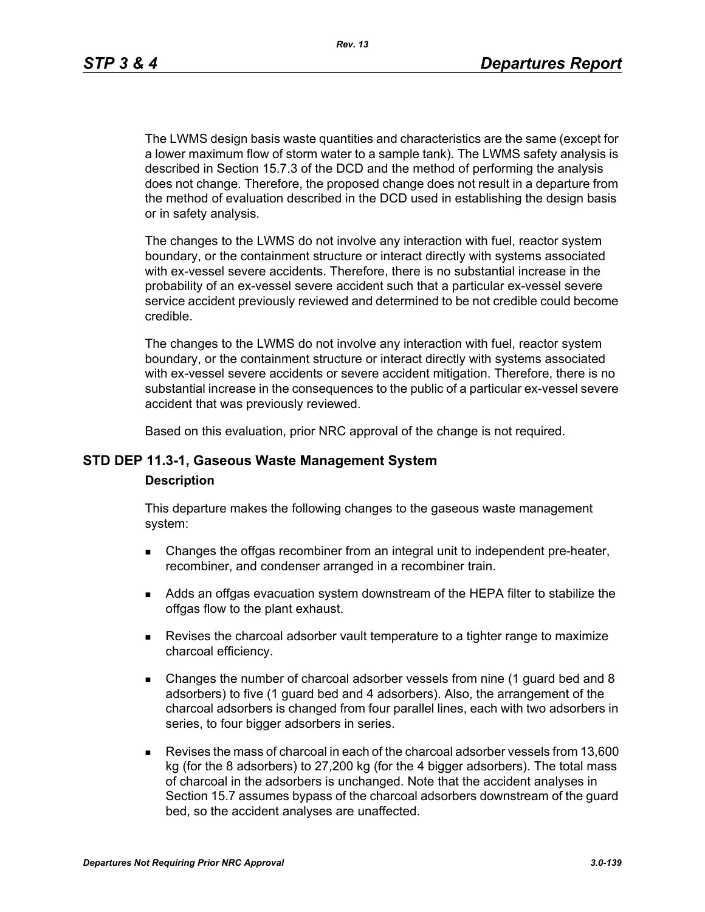The LWMS design basis waste quantities and characteristics are the same (except for a lower maximum flow of storm water to a sample tank). The LWMS safety analysis is described in Section 15.7.3 of the DCD and the method of performing the analysis does not change. Therefore, the proposed change does not result in a departure from the method of evaluation described in the DCD used in establishing the design basis or in safety analysis.

The changes to the LWMS do not involve any interaction with fuel, reactor system boundary, or the containment structure or interact directly with systems associated with ex-vessel severe accidents. Therefore, there is no substantial increase in the probability of an ex-vessel severe accident such that a particular ex-vessel severe service accident previously reviewed and determined to be not credible could become credible.

The changes to the LWMS do not involve any interaction with fuel, reactor system boundary, or the containment structure or interact directly with systems associated with ex-vessel severe accidents or severe accident mitigation. Therefore, there is no substantial increase in the consequences to the public of a particular ex-vessel severe accident that was previously reviewed.

Based on this evaluation, prior NRC approval of the change is not required.

#### **STD DEP 11.3-1, Gaseous Waste Management System**

#### **Description**

This departure makes the following changes to the gaseous waste management system:

- **EXECH** Changes the offgas recombiner from an integral unit to independent pre-heater, recombiner, and condenser arranged in a recombiner train.
- Adds an offgas evacuation system downstream of the HEPA filter to stabilize the offgas flow to the plant exhaust.
- Revises the charcoal adsorber vault temperature to a tighter range to maximize charcoal efficiency.
- Changes the number of charcoal adsorber vessels from nine (1 guard bed and 8 adsorbers) to five (1 guard bed and 4 adsorbers). Also, the arrangement of the charcoal adsorbers is changed from four parallel lines, each with two adsorbers in series, to four bigger adsorbers in series.
- Revises the mass of charcoal in each of the charcoal adsorber vessels from 13,600 kg (for the 8 adsorbers) to 27,200 kg (for the 4 bigger adsorbers). The total mass of charcoal in the adsorbers is unchanged. Note that the accident analyses in Section 15.7 assumes bypass of the charcoal adsorbers downstream of the guard bed, so the accident analyses are unaffected.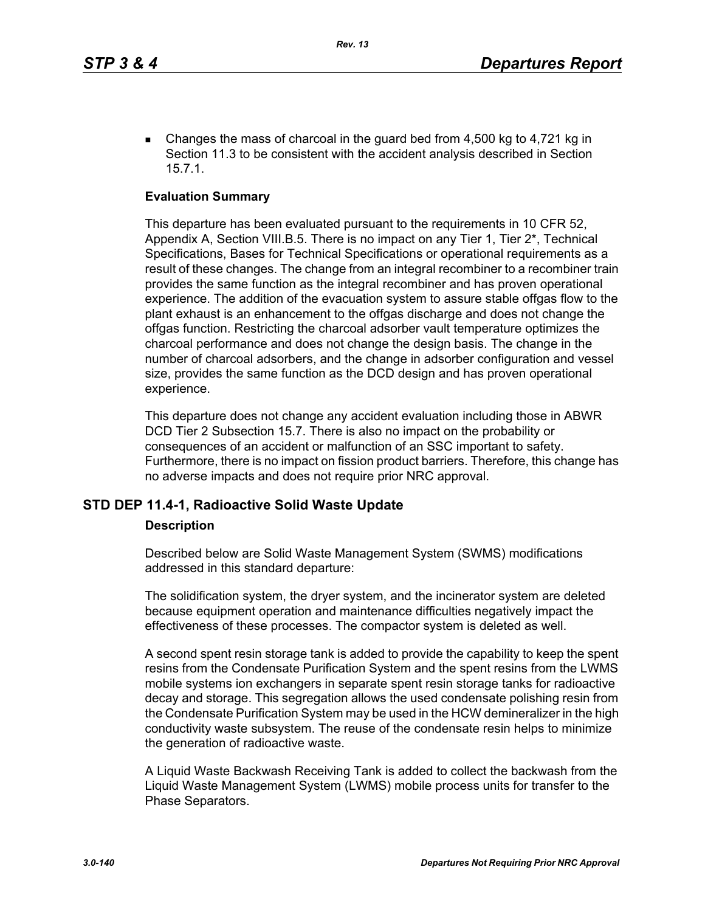Changes the mass of charcoal in the guard bed from  $4,500$  kg to  $4,721$  kg in Section 11.3 to be consistent with the accident analysis described in Section 15.7.1.

### **Evaluation Summary**

This departure has been evaluated pursuant to the requirements in 10 CFR 52, Appendix A, Section VIII.B.5. There is no impact on any Tier 1, Tier 2\*, Technical Specifications, Bases for Technical Specifications or operational requirements as a result of these changes. The change from an integral recombiner to a recombiner train provides the same function as the integral recombiner and has proven operational experience. The addition of the evacuation system to assure stable offgas flow to the plant exhaust is an enhancement to the offgas discharge and does not change the offgas function. Restricting the charcoal adsorber vault temperature optimizes the charcoal performance and does not change the design basis. The change in the number of charcoal adsorbers, and the change in adsorber configuration and vessel size, provides the same function as the DCD design and has proven operational experience.

This departure does not change any accident evaluation including those in ABWR DCD Tier 2 Subsection 15.7. There is also no impact on the probability or consequences of an accident or malfunction of an SSC important to safety. Furthermore, there is no impact on fission product barriers. Therefore, this change has no adverse impacts and does not require prior NRC approval.

### **STD DEP 11.4-1, Radioactive Solid Waste Update**

#### **Description**

Described below are Solid Waste Management System (SWMS) modifications addressed in this standard departure:

The solidification system, the dryer system, and the incinerator system are deleted because equipment operation and maintenance difficulties negatively impact the effectiveness of these processes. The compactor system is deleted as well.

A second spent resin storage tank is added to provide the capability to keep the spent resins from the Condensate Purification System and the spent resins from the LWMS mobile systems ion exchangers in separate spent resin storage tanks for radioactive decay and storage. This segregation allows the used condensate polishing resin from the Condensate Purification System may be used in the HCW demineralizer in the high conductivity waste subsystem. The reuse of the condensate resin helps to minimize the generation of radioactive waste.

A Liquid Waste Backwash Receiving Tank is added to collect the backwash from the Liquid Waste Management System (LWMS) mobile process units for transfer to the Phase Separators.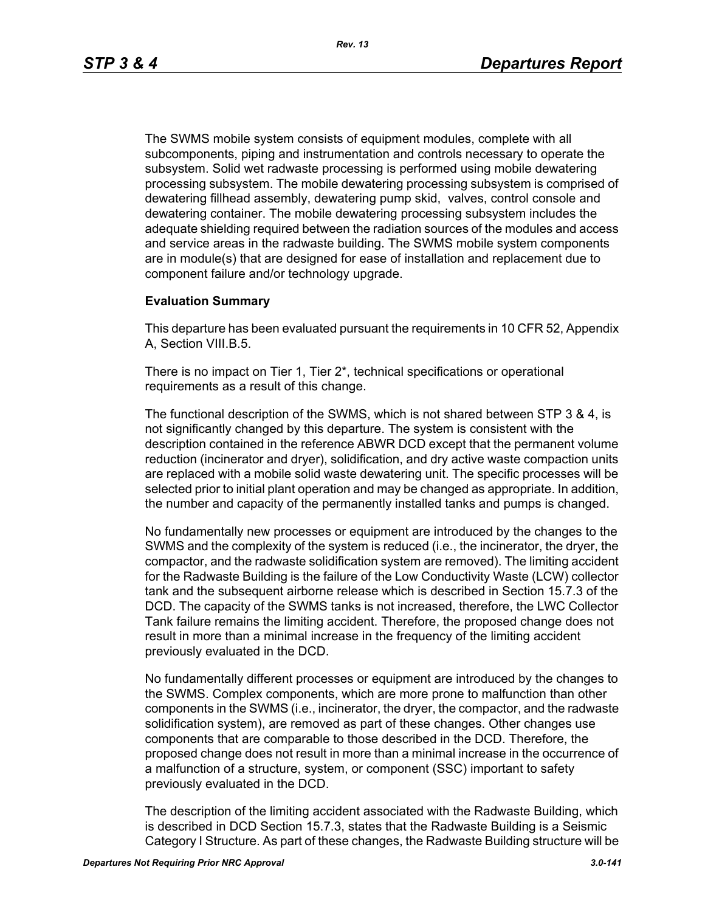The SWMS mobile system consists of equipment modules, complete with all subcomponents, piping and instrumentation and controls necessary to operate the subsystem. Solid wet radwaste processing is performed using mobile dewatering processing subsystem. The mobile dewatering processing subsystem is comprised of dewatering fillhead assembly, dewatering pump skid, valves, control console and dewatering container. The mobile dewatering processing subsystem includes the adequate shielding required between the radiation sources of the modules and access and service areas in the radwaste building. The SWMS mobile system components are in module(s) that are designed for ease of installation and replacement due to component failure and/or technology upgrade.

#### **Evaluation Summary**

This departure has been evaluated pursuant the requirements in 10 CFR 52, Appendix A, Section VIII.B.5.

There is no impact on Tier 1, Tier 2\*, technical specifications or operational requirements as a result of this change.

The functional description of the SWMS, which is not shared between STP 3 & 4, is not significantly changed by this departure. The system is consistent with the description contained in the reference ABWR DCD except that the permanent volume reduction (incinerator and dryer), solidification, and dry active waste compaction units are replaced with a mobile solid waste dewatering unit. The specific processes will be selected prior to initial plant operation and may be changed as appropriate. In addition, the number and capacity of the permanently installed tanks and pumps is changed.

No fundamentally new processes or equipment are introduced by the changes to the SWMS and the complexity of the system is reduced (i.e., the incinerator, the dryer, the compactor, and the radwaste solidification system are removed). The limiting accident for the Radwaste Building is the failure of the Low Conductivity Waste (LCW) collector tank and the subsequent airborne release which is described in Section 15.7.3 of the DCD. The capacity of the SWMS tanks is not increased, therefore, the LWC Collector Tank failure remains the limiting accident. Therefore, the proposed change does not result in more than a minimal increase in the frequency of the limiting accident previously evaluated in the DCD.

No fundamentally different processes or equipment are introduced by the changes to the SWMS. Complex components, which are more prone to malfunction than other components in the SWMS (i.e., incinerator, the dryer, the compactor, and the radwaste solidification system), are removed as part of these changes. Other changes use components that are comparable to those described in the DCD. Therefore, the proposed change does not result in more than a minimal increase in the occurrence of a malfunction of a structure, system, or component (SSC) important to safety previously evaluated in the DCD.

The description of the limiting accident associated with the Radwaste Building, which is described in DCD Section 15.7.3, states that the Radwaste Building is a Seismic Category I Structure. As part of these changes, the Radwaste Building structure will be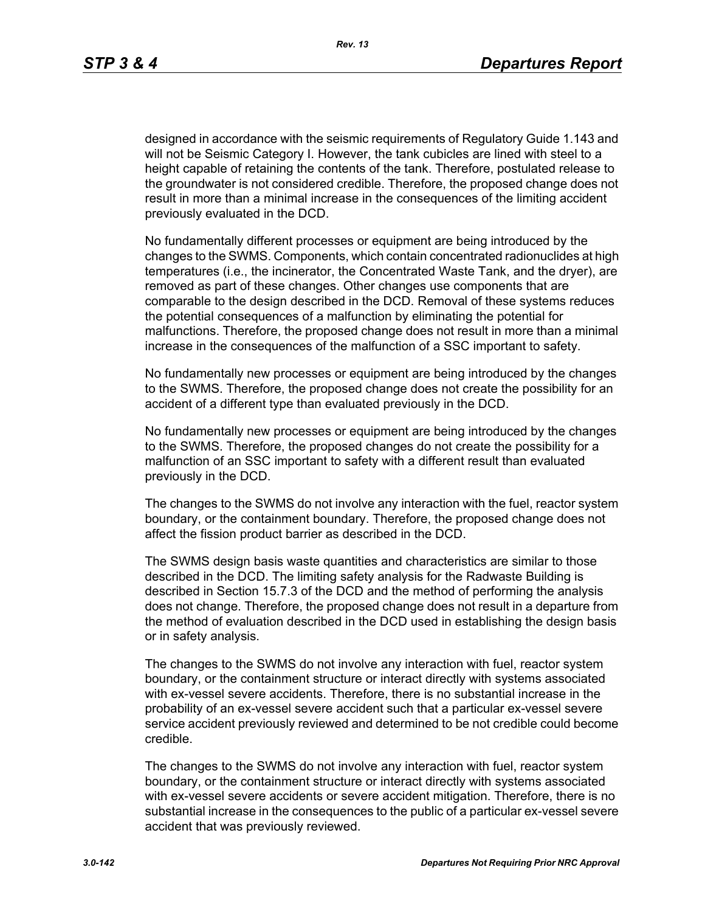designed in accordance with the seismic requirements of Regulatory Guide 1.143 and will not be Seismic Category I. However, the tank cubicles are lined with steel to a height capable of retaining the contents of the tank. Therefore, postulated release to the groundwater is not considered credible. Therefore, the proposed change does not result in more than a minimal increase in the consequences of the limiting accident previously evaluated in the DCD.

No fundamentally different processes or equipment are being introduced by the changes to the SWMS. Components, which contain concentrated radionuclides at high temperatures (i.e., the incinerator, the Concentrated Waste Tank, and the dryer), are removed as part of these changes. Other changes use components that are comparable to the design described in the DCD. Removal of these systems reduces the potential consequences of a malfunction by eliminating the potential for malfunctions. Therefore, the proposed change does not result in more than a minimal increase in the consequences of the malfunction of a SSC important to safety.

No fundamentally new processes or equipment are being introduced by the changes to the SWMS. Therefore, the proposed change does not create the possibility for an accident of a different type than evaluated previously in the DCD.

No fundamentally new processes or equipment are being introduced by the changes to the SWMS. Therefore, the proposed changes do not create the possibility for a malfunction of an SSC important to safety with a different result than evaluated previously in the DCD.

The changes to the SWMS do not involve any interaction with the fuel, reactor system boundary, or the containment boundary. Therefore, the proposed change does not affect the fission product barrier as described in the DCD.

The SWMS design basis waste quantities and characteristics are similar to those described in the DCD. The limiting safety analysis for the Radwaste Building is described in Section 15.7.3 of the DCD and the method of performing the analysis does not change. Therefore, the proposed change does not result in a departure from the method of evaluation described in the DCD used in establishing the design basis or in safety analysis.

The changes to the SWMS do not involve any interaction with fuel, reactor system boundary, or the containment structure or interact directly with systems associated with ex-vessel severe accidents. Therefore, there is no substantial increase in the probability of an ex-vessel severe accident such that a particular ex-vessel severe service accident previously reviewed and determined to be not credible could become credible.

The changes to the SWMS do not involve any interaction with fuel, reactor system boundary, or the containment structure or interact directly with systems associated with ex-vessel severe accidents or severe accident mitigation. Therefore, there is no substantial increase in the consequences to the public of a particular ex-vessel severe accident that was previously reviewed.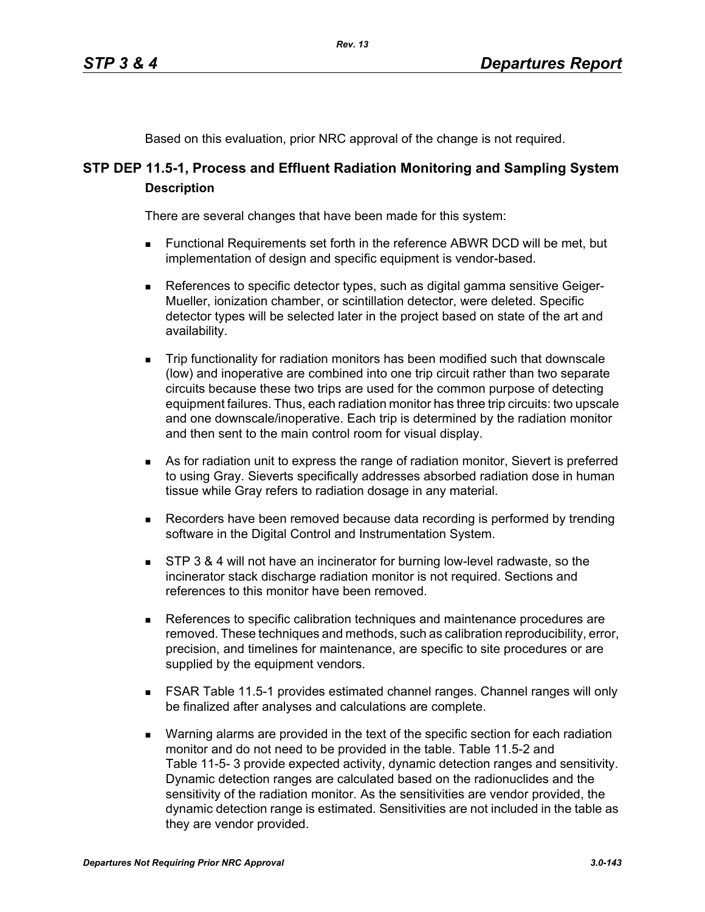Based on this evaluation, prior NRC approval of the change is not required.

# **STP DEP 11.5-1, Process and Effluent Radiation Monitoring and Sampling System Description**

There are several changes that have been made for this system:

- Functional Requirements set forth in the reference ABWR DCD will be met, but implementation of design and specific equipment is vendor-based.
- References to specific detector types, such as digital gamma sensitive Geiger-Mueller, ionization chamber, or scintillation detector, were deleted. Specific detector types will be selected later in the project based on state of the art and availability.
- Trip functionality for radiation monitors has been modified such that downscale (low) and inoperative are combined into one trip circuit rather than two separate circuits because these two trips are used for the common purpose of detecting equipment failures. Thus, each radiation monitor has three trip circuits: two upscale and one downscale/inoperative. Each trip is determined by the radiation monitor and then sent to the main control room for visual display.
- As for radiation unit to express the range of radiation monitor, Sievert is preferred to using Gray. Sieverts specifically addresses absorbed radiation dose in human tissue while Gray refers to radiation dosage in any material.
- **Recorders have been removed because data recording is performed by trending** software in the Digital Control and Instrumentation System.
- **STP 3 & 4 will not have an incinerator for burning low-level radwaste, so the** incinerator stack discharge radiation monitor is not required. Sections and references to this monitor have been removed.
- References to specific calibration techniques and maintenance procedures are removed. These techniques and methods, such as calibration reproducibility, error, precision, and timelines for maintenance, are specific to site procedures or are supplied by the equipment vendors.
- FSAR Table 11.5-1 provides estimated channel ranges. Channel ranges will only be finalized after analyses and calculations are complete.
- **Narning alarms are provided in the text of the specific section for each radiation** monitor and do not need to be provided in the table. Table 11.5-2 and Table 11-5- 3 provide expected activity, dynamic detection ranges and sensitivity. Dynamic detection ranges are calculated based on the radionuclides and the sensitivity of the radiation monitor. As the sensitivities are vendor provided, the dynamic detection range is estimated. Sensitivities are not included in the table as they are vendor provided.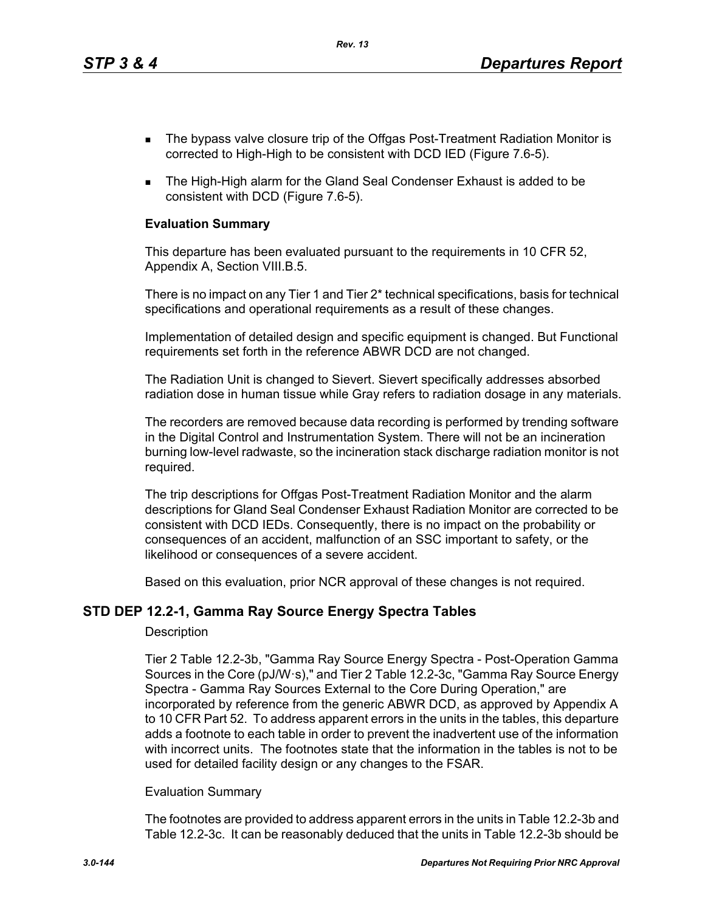- The bypass valve closure trip of the Offgas Post-Treatment Radiation Monitor is corrected to High-High to be consistent with DCD IED (Figure 7.6-5).
- The High-High alarm for the Gland Seal Condenser Exhaust is added to be consistent with DCD (Figure 7.6-5).

#### **Evaluation Summary**

This departure has been evaluated pursuant to the requirements in 10 CFR 52, Appendix A, Section VIII.B.5.

There is no impact on any Tier 1 and Tier 2\* technical specifications, basis for technical specifications and operational requirements as a result of these changes.

Implementation of detailed design and specific equipment is changed. But Functional requirements set forth in the reference ABWR DCD are not changed.

The Radiation Unit is changed to Sievert. Sievert specifically addresses absorbed radiation dose in human tissue while Gray refers to radiation dosage in any materials.

The recorders are removed because data recording is performed by trending software in the Digital Control and Instrumentation System. There will not be an incineration burning low-level radwaste, so the incineration stack discharge radiation monitor is not required.

The trip descriptions for Offgas Post-Treatment Radiation Monitor and the alarm descriptions for Gland Seal Condenser Exhaust Radiation Monitor are corrected to be consistent with DCD IEDs. Consequently, there is no impact on the probability or consequences of an accident, malfunction of an SSC important to safety, or the likelihood or consequences of a severe accident.

Based on this evaluation, prior NCR approval of these changes is not required.

#### **STD DEP 12.2-1, Gamma Ray Source Energy Spectra Tables**

#### **Description**

Tier 2 Table 12.2-3b, "Gamma Ray Source Energy Spectra - Post-Operation Gamma Sources in the Core (pJ/W·s)," and Tier 2 Table 12.2-3c, "Gamma Ray Source Energy Spectra - Gamma Ray Sources External to the Core During Operation," are incorporated by reference from the generic ABWR DCD, as approved by Appendix A to 10 CFR Part 52. To address apparent errors in the units in the tables, this departure adds a footnote to each table in order to prevent the inadvertent use of the information with incorrect units. The footnotes state that the information in the tables is not to be used for detailed facility design or any changes to the FSAR.

#### Evaluation Summary

The footnotes are provided to address apparent errors in the units in Table 12.2-3b and Table 12.2-3c. It can be reasonably deduced that the units in Table 12.2-3b should be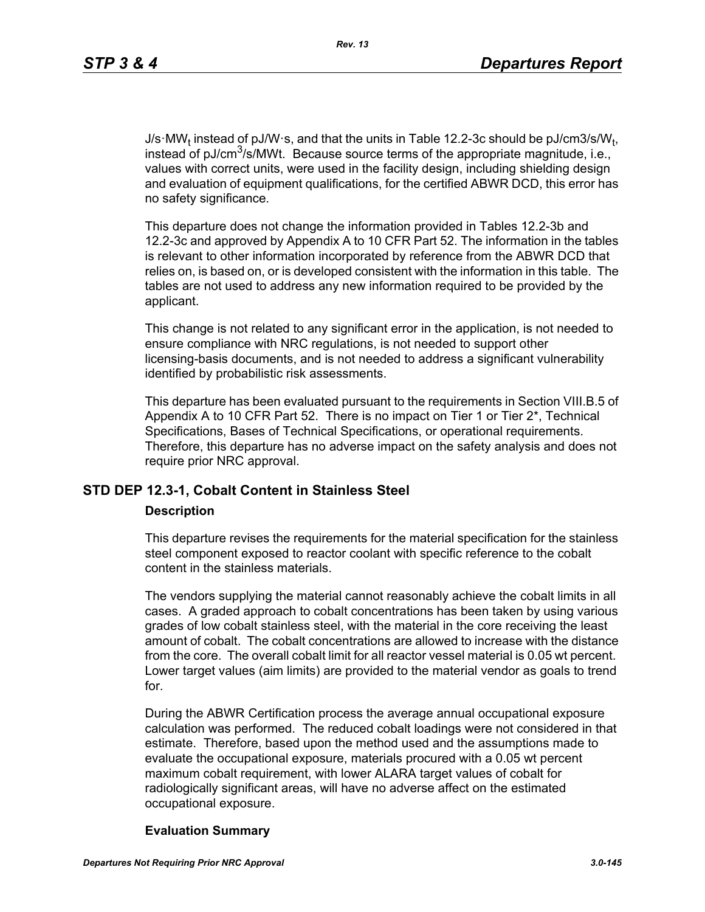J/s·MW<sub>t</sub> instead of pJ/W·s, and that the units in Table 12.2-3c should be pJ/cm3/s/W<sub>t</sub>, instead of pJ/cm<sup>3</sup>/s/MWt. Because source terms of the appropriate magnitude, i.e., values with correct units, were used in the facility design, including shielding design and evaluation of equipment qualifications, for the certified ABWR DCD, this error has no safety significance.

This departure does not change the information provided in Tables 12.2-3b and 12.2-3c and approved by Appendix A to 10 CFR Part 52. The information in the tables is relevant to other information incorporated by reference from the ABWR DCD that relies on, is based on, or is developed consistent with the information in this table. The tables are not used to address any new information required to be provided by the applicant.

This change is not related to any significant error in the application, is not needed to ensure compliance with NRC regulations, is not needed to support other licensing-basis documents, and is not needed to address a significant vulnerability identified by probabilistic risk assessments.

This departure has been evaluated pursuant to the requirements in Section VIII.B.5 of Appendix A to 10 CFR Part 52. There is no impact on Tier 1 or Tier 2<sup>\*</sup>, Technical Specifications, Bases of Technical Specifications, or operational requirements. Therefore, this departure has no adverse impact on the safety analysis and does not require prior NRC approval.

# **STD DEP 12.3-1, Cobalt Content in Stainless Steel**

#### **Description**

This departure revises the requirements for the material specification for the stainless steel component exposed to reactor coolant with specific reference to the cobalt content in the stainless materials.

The vendors supplying the material cannot reasonably achieve the cobalt limits in all cases. A graded approach to cobalt concentrations has been taken by using various grades of low cobalt stainless steel, with the material in the core receiving the least amount of cobalt. The cobalt concentrations are allowed to increase with the distance from the core. The overall cobalt limit for all reactor vessel material is 0.05 wt percent. Lower target values (aim limits) are provided to the material vendor as goals to trend for.

During the ABWR Certification process the average annual occupational exposure calculation was performed. The reduced cobalt loadings were not considered in that estimate. Therefore, based upon the method used and the assumptions made to evaluate the occupational exposure, materials procured with a 0.05 wt percent maximum cobalt requirement, with lower ALARA target values of cobalt for radiologically significant areas, will have no adverse affect on the estimated occupational exposure.

## **Evaluation Summary**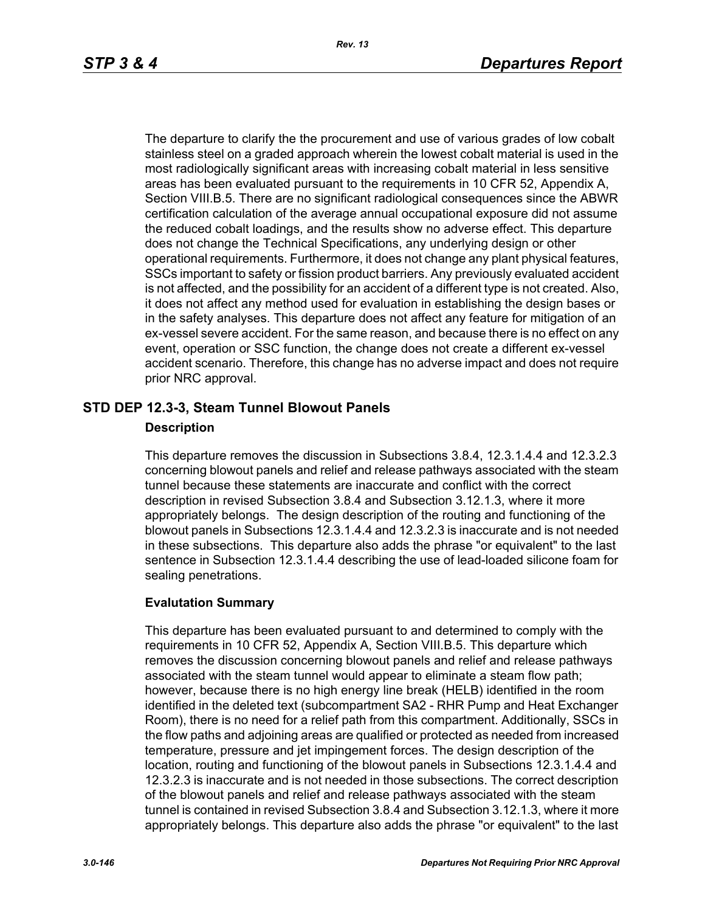The departure to clarify the the procurement and use of various grades of low cobalt stainless steel on a graded approach wherein the lowest cobalt material is used in the most radiologically significant areas with increasing cobalt material in less sensitive areas has been evaluated pursuant to the requirements in 10 CFR 52, Appendix A, Section VIII.B.5. There are no significant radiological consequences since the ABWR certification calculation of the average annual occupational exposure did not assume the reduced cobalt loadings, and the results show no adverse effect. This departure does not change the Technical Specifications, any underlying design or other operational requirements. Furthermore, it does not change any plant physical features, SSCs important to safety or fission product barriers. Any previously evaluated accident is not affected, and the possibility for an accident of a different type is not created. Also, it does not affect any method used for evaluation in establishing the design bases or in the safety analyses. This departure does not affect any feature for mitigation of an ex-vessel severe accident. For the same reason, and because there is no effect on any event, operation or SSC function, the change does not create a different ex-vessel accident scenario. Therefore, this change has no adverse impact and does not require prior NRC approval.

## **STD DEP 12.3-3, Steam Tunnel Blowout Panels**

## **Description**

This departure removes the discussion in Subsections 3.8.4, 12.3.1.4.4 and 12.3.2.3 concerning blowout panels and relief and release pathways associated with the steam tunnel because these statements are inaccurate and conflict with the correct description in revised Subsection 3.8.4 and Subsection 3.12.1.3, where it more appropriately belongs. The design description of the routing and functioning of the blowout panels in Subsections 12.3.1.4.4 and 12.3.2.3 is inaccurate and is not needed in these subsections. This departure also adds the phrase "or equivalent" to the last sentence in Subsection 12.3.1.4.4 describing the use of lead-loaded silicone foam for sealing penetrations.

## **Evalutation Summary**

This departure has been evaluated pursuant to and determined to comply with the requirements in 10 CFR 52, Appendix A, Section VIII.B.5. This departure which removes the discussion concerning blowout panels and relief and release pathways associated with the steam tunnel would appear to eliminate a steam flow path; however, because there is no high energy line break (HELB) identified in the room identified in the deleted text (subcompartment SA2 - RHR Pump and Heat Exchanger Room), there is no need for a relief path from this compartment. Additionally, SSCs in the flow paths and adjoining areas are qualified or protected as needed from increased temperature, pressure and jet impingement forces. The design description of the location, routing and functioning of the blowout panels in Subsections 12.3.1.4.4 and 12.3.2.3 is inaccurate and is not needed in those subsections. The correct description of the blowout panels and relief and release pathways associated with the steam tunnel is contained in revised Subsection 3.8.4 and Subsection 3.12.1.3, where it more appropriately belongs. This departure also adds the phrase "or equivalent" to the last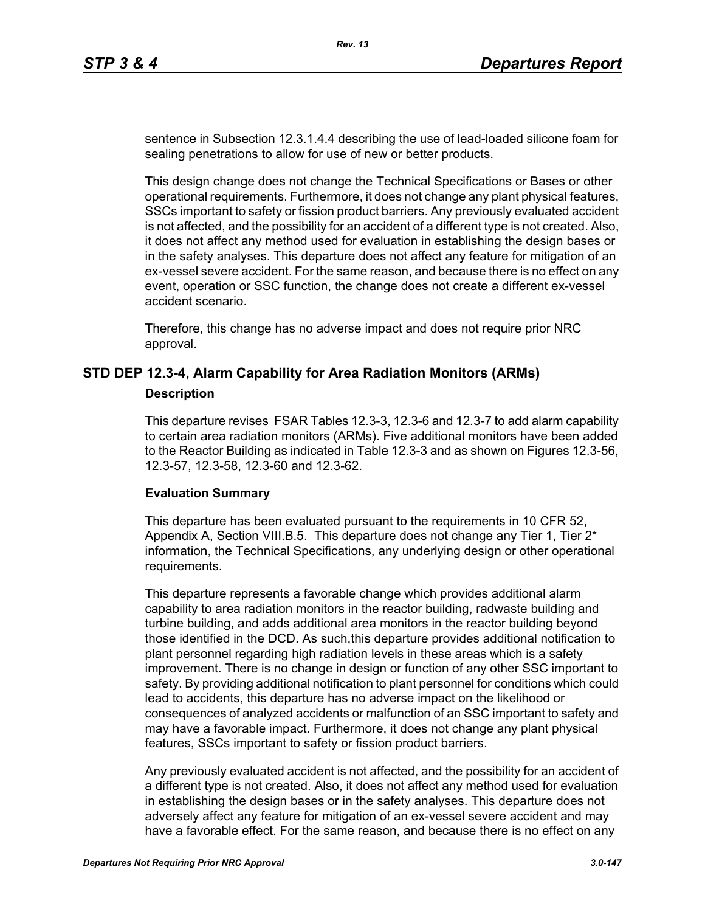sentence in Subsection 12.3.1.4.4 describing the use of lead-loaded silicone foam for sealing penetrations to allow for use of new or better products.

This design change does not change the Technical Specifications or Bases or other operational requirements. Furthermore, it does not change any plant physical features, SSCs important to safety or fission product barriers. Any previously evaluated accident is not affected, and the possibility for an accident of a different type is not created. Also, it does not affect any method used for evaluation in establishing the design bases or in the safety analyses. This departure does not affect any feature for mitigation of an ex-vessel severe accident. For the same reason, and because there is no effect on any event, operation or SSC function, the change does not create a different ex-vessel accident scenario.

Therefore, this change has no adverse impact and does not require prior NRC approval.

## **STD DEP 12.3-4, Alarm Capability for Area Radiation Monitors (ARMs)**

#### **Description**

This departure revises FSAR Tables 12.3-3, 12.3-6 and 12.3-7 to add alarm capability to certain area radiation monitors (ARMs). Five additional monitors have been added to the Reactor Building as indicated in Table 12.3-3 and as shown on Figures 12.3-56, 12.3-57, 12.3-58, 12.3-60 and 12.3-62.

#### **Evaluation Summary**

This departure has been evaluated pursuant to the requirements in 10 CFR 52, Appendix A, Section VIII.B.5. This departure does not change any Tier 1, Tier  $2^*$ information, the Technical Specifications, any underlying design or other operational requirements.

This departure represents a favorable change which provides additional alarm capability to area radiation monitors in the reactor building, radwaste building and turbine building, and adds additional area monitors in the reactor building beyond those identified in the DCD. As such,this departure provides additional notification to plant personnel regarding high radiation levels in these areas which is a safety improvement. There is no change in design or function of any other SSC important to safety. By providing additional notification to plant personnel for conditions which could lead to accidents, this departure has no adverse impact on the likelihood or consequences of analyzed accidents or malfunction of an SSC important to safety and may have a favorable impact. Furthermore, it does not change any plant physical features, SSCs important to safety or fission product barriers.

Any previously evaluated accident is not affected, and the possibility for an accident of a different type is not created. Also, it does not affect any method used for evaluation in establishing the design bases or in the safety analyses. This departure does not adversely affect any feature for mitigation of an ex-vessel severe accident and may have a favorable effect. For the same reason, and because there is no effect on any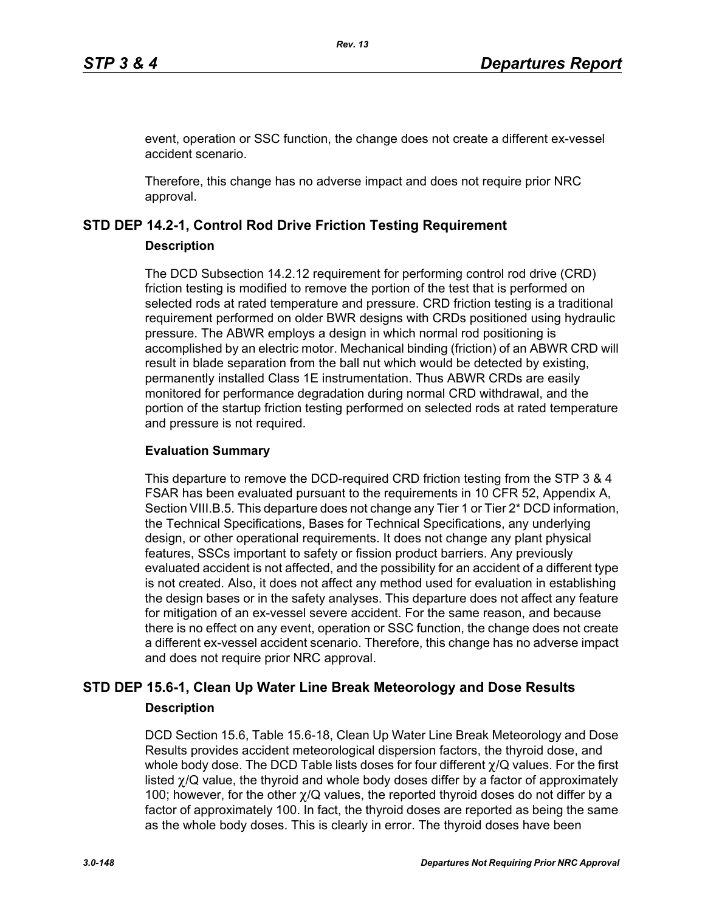event, operation or SSC function, the change does not create a different ex-vessel accident scenario.

Therefore, this change has no adverse impact and does not require prior NRC approval.

## **STD DEP 14.2-1, Control Rod Drive Friction Testing Requirement**

## **Description**

The DCD Subsection 14.2.12 requirement for performing control rod drive (CRD) friction testing is modified to remove the portion of the test that is performed on selected rods at rated temperature and pressure. CRD friction testing is a traditional requirement performed on older BWR designs with CRDs positioned using hydraulic pressure. The ABWR employs a design in which normal rod positioning is accomplished by an electric motor. Mechanical binding (friction) of an ABWR CRD will result in blade separation from the ball nut which would be detected by existing, permanently installed Class 1E instrumentation. Thus ABWR CRDs are easily monitored for performance degradation during normal CRD withdrawal, and the portion of the startup friction testing performed on selected rods at rated temperature and pressure is not required.

## **Evaluation Summary**

This departure to remove the DCD-required CRD friction testing from the STP 3 & 4 FSAR has been evaluated pursuant to the requirements in 10 CFR 52, Appendix A, Section VIII.B.5. This departure does not change any Tier 1 or Tier 2<sup>\*</sup> DCD information, the Technical Specifications, Bases for Technical Specifications, any underlying design, or other operational requirements. It does not change any plant physical features, SSCs important to safety or fission product barriers. Any previously evaluated accident is not affected, and the possibility for an accident of a different type is not created. Also, it does not affect any method used for evaluation in establishing the design bases or in the safety analyses. This departure does not affect any feature for mitigation of an ex-vessel severe accident. For the same reason, and because there is no effect on any event, operation or SSC function, the change does not create a different ex-vessel accident scenario. Therefore, this change has no adverse impact and does not require prior NRC approval.

# **STD DEP 15.6-1, Clean Up Water Line Break Meteorology and Dose Results Description**

DCD Section 15.6, Table 15.6-18, Clean Up Water Line Break Meteorology and Dose Results provides accident meteorological dispersion factors, the thyroid dose, and whole body dose. The DCD Table lists doses for four different χ/Q values. For the first listed  $\gamma$ /Q value, the thyroid and whole body doses differ by a factor of approximately 100; however, for the other  $\chi$ /Q values, the reported thyroid doses do not differ by a factor of approximately 100. In fact, the thyroid doses are reported as being the same as the whole body doses. This is clearly in error. The thyroid doses have been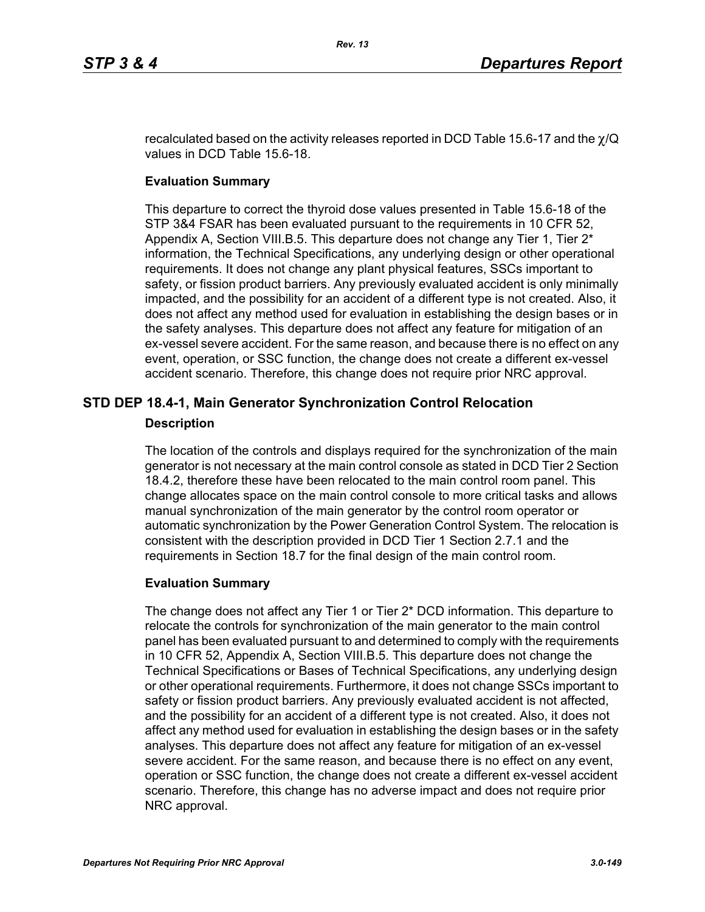recalculated based on the activity releases reported in DCD Table 15.6-17 and the  $\chi$ /Q values in DCD Table 15.6-18.

## **Evaluation Summary**

This departure to correct the thyroid dose values presented in Table 15.6-18 of the STP 3&4 FSAR has been evaluated pursuant to the requirements in 10 CFR 52, Appendix A, Section VIII.B.5. This departure does not change any Tier 1, Tier 2\* information, the Technical Specifications, any underlying design or other operational requirements. It does not change any plant physical features, SSCs important to safety, or fission product barriers. Any previously evaluated accident is only minimally impacted, and the possibility for an accident of a different type is not created. Also, it does not affect any method used for evaluation in establishing the design bases or in the safety analyses. This departure does not affect any feature for mitigation of an ex-vessel severe accident. For the same reason, and because there is no effect on any event, operation, or SSC function, the change does not create a different ex-vessel accident scenario. Therefore, this change does not require prior NRC approval.

# **STD DEP 18.4-1, Main Generator Synchronization Control Relocation**

## **Description**

The location of the controls and displays required for the synchronization of the main generator is not necessary at the main control console as stated in DCD Tier 2 Section 18.4.2, therefore these have been relocated to the main control room panel. This change allocates space on the main control console to more critical tasks and allows manual synchronization of the main generator by the control room operator or automatic synchronization by the Power Generation Control System. The relocation is consistent with the description provided in DCD Tier 1 Section 2.7.1 and the requirements in Section 18.7 for the final design of the main control room.

## **Evaluation Summary**

The change does not affect any Tier 1 or Tier 2\* DCD information. This departure to relocate the controls for synchronization of the main generator to the main control panel has been evaluated pursuant to and determined to comply with the requirements in 10 CFR 52, Appendix A, Section VIII.B.5. This departure does not change the Technical Specifications or Bases of Technical Specifications, any underlying design or other operational requirements. Furthermore, it does not change SSCs important to safety or fission product barriers. Any previously evaluated accident is not affected, and the possibility for an accident of a different type is not created. Also, it does not affect any method used for evaluation in establishing the design bases or in the safety analyses. This departure does not affect any feature for mitigation of an ex-vessel severe accident. For the same reason, and because there is no effect on any event, operation or SSC function, the change does not create a different ex-vessel accident scenario. Therefore, this change has no adverse impact and does not require prior NRC approval.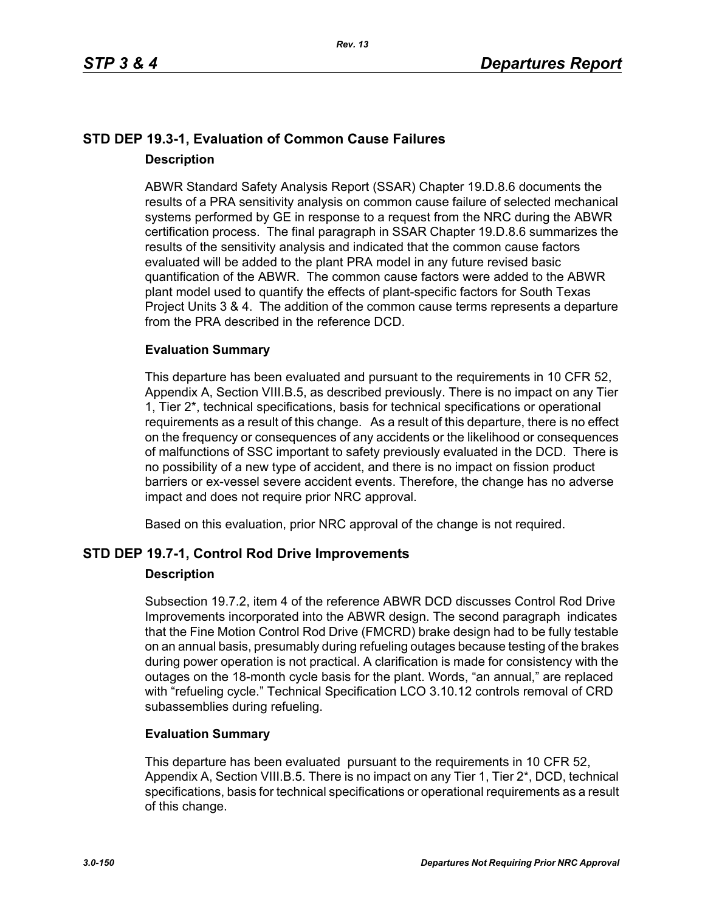## **STD DEP 19.3-1, Evaluation of Common Cause Failures Description**

ABWR Standard Safety Analysis Report (SSAR) Chapter 19.D.8.6 documents the results of a PRA sensitivity analysis on common cause failure of selected mechanical systems performed by GE in response to a request from the NRC during the ABWR certification process. The final paragraph in SSAR Chapter 19.D.8.6 summarizes the results of the sensitivity analysis and indicated that the common cause factors evaluated will be added to the plant PRA model in any future revised basic quantification of the ABWR. The common cause factors were added to the ABWR plant model used to quantify the effects of plant-specific factors for South Texas Project Units 3 & 4. The addition of the common cause terms represents a departure from the PRA described in the reference DCD.

## **Evaluation Summary**

This departure has been evaluated and pursuant to the requirements in 10 CFR 52, Appendix A, Section VIII.B.5, as described previously. There is no impact on any Tier 1, Tier 2\*, technical specifications, basis for technical specifications or operational requirements as a result of this change. As a result of this departure, there is no effect on the frequency or consequences of any accidents or the likelihood or consequences of malfunctions of SSC important to safety previously evaluated in the DCD. There is no possibility of a new type of accident, and there is no impact on fission product barriers or ex-vessel severe accident events. Therefore, the change has no adverse impact and does not require prior NRC approval.

Based on this evaluation, prior NRC approval of the change is not required.

## **STD DEP 19.7-1, Control Rod Drive Improvements**

## **Description**

Subsection 19.7.2, item 4 of the reference ABWR DCD discusses Control Rod Drive Improvements incorporated into the ABWR design. The second paragraph indicates that the Fine Motion Control Rod Drive (FMCRD) brake design had to be fully testable on an annual basis, presumably during refueling outages because testing of the brakes during power operation is not practical. A clarification is made for consistency with the outages on the 18-month cycle basis for the plant. Words, "an annual," are replaced with "refueling cycle." Technical Specification LCO 3.10.12 controls removal of CRD subassemblies during refueling.

## **Evaluation Summary**

This departure has been evaluated pursuant to the requirements in 10 CFR 52, Appendix A, Section VIII.B.5. There is no impact on any Tier 1, Tier 2<sup>\*</sup>, DCD, technical specifications, basis for technical specifications or operational requirements as a result of this change.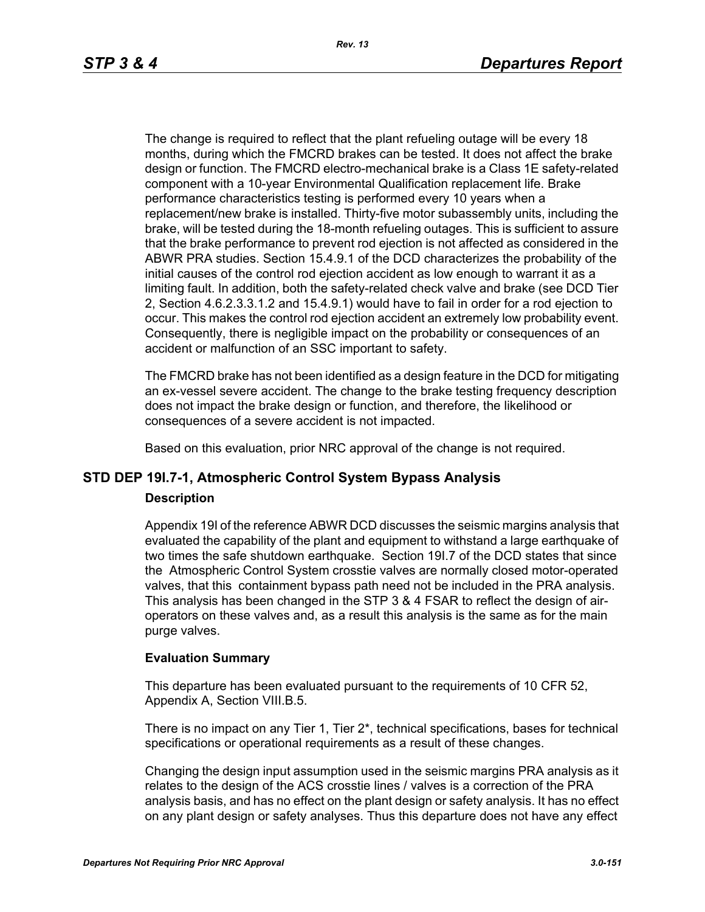The change is required to reflect that the plant refueling outage will be every 18 months, during which the FMCRD brakes can be tested. It does not affect the brake design or function. The FMCRD electro-mechanical brake is a Class 1E safety-related component with a 10-year Environmental Qualification replacement life. Brake performance characteristics testing is performed every 10 years when a replacement/new brake is installed. Thirty-five motor subassembly units, including the brake, will be tested during the 18-month refueling outages. This is sufficient to assure that the brake performance to prevent rod ejection is not affected as considered in the ABWR PRA studies. Section 15.4.9.1 of the DCD characterizes the probability of the initial causes of the control rod ejection accident as low enough to warrant it as a limiting fault. In addition, both the safety-related check valve and brake (see DCD Tier 2, Section 4.6.2.3.3.1.2 and 15.4.9.1) would have to fail in order for a rod ejection to occur. This makes the control rod ejection accident an extremely low probability event. Consequently, there is negligible impact on the probability or consequences of an accident or malfunction of an SSC important to safety.

The FMCRD brake has not been identified as a design feature in the DCD for mitigating an ex-vessel severe accident. The change to the brake testing frequency description does not impact the brake design or function, and therefore, the likelihood or consequences of a severe accident is not impacted.

Based on this evaluation, prior NRC approval of the change is not required.

# **STD DEP 19I.7-1, Atmospheric Control System Bypass Analysis**

## **Description**

Appendix 19I of the reference ABWR DCD discusses the seismic margins analysis that evaluated the capability of the plant and equipment to withstand a large earthquake of two times the safe shutdown earthquake. Section 19I.7 of the DCD states that since the Atmospheric Control System crosstie valves are normally closed motor-operated valves, that this containment bypass path need not be included in the PRA analysis. This analysis has been changed in the STP 3 & 4 FSAR to reflect the design of airoperators on these valves and, as a result this analysis is the same as for the main purge valves.

## **Evaluation Summary**

This departure has been evaluated pursuant to the requirements of 10 CFR 52, Appendix A, Section VIII.B.5.

There is no impact on any Tier 1, Tier 2\*, technical specifications, bases for technical specifications or operational requirements as a result of these changes.

Changing the design input assumption used in the seismic margins PRA analysis as it relates to the design of the ACS crosstie lines / valves is a correction of the PRA analysis basis, and has no effect on the plant design or safety analysis. It has no effect on any plant design or safety analyses. Thus this departure does not have any effect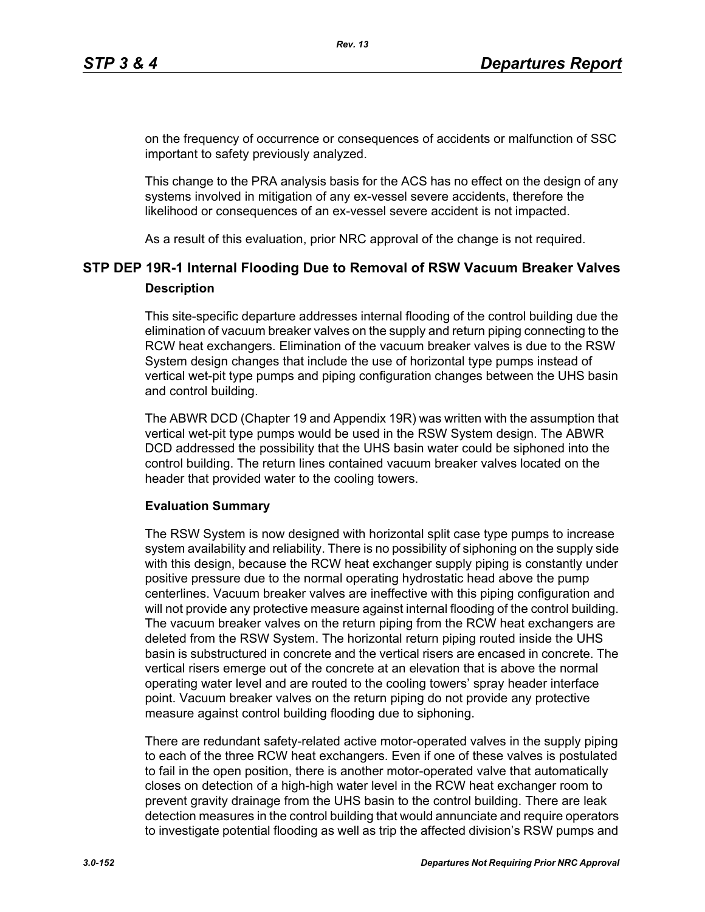on the frequency of occurrence or consequences of accidents or malfunction of SSC important to safety previously analyzed.

This change to the PRA analysis basis for the ACS has no effect on the design of any systems involved in mitigation of any ex-vessel severe accidents, therefore the likelihood or consequences of an ex-vessel severe accident is not impacted.

As a result of this evaluation, prior NRC approval of the change is not required.

# **STP DEP 19R-1 Internal Flooding Due to Removal of RSW Vacuum Breaker Valves Description**

This site-specific departure addresses internal flooding of the control building due the elimination of vacuum breaker valves on the supply and return piping connecting to the RCW heat exchangers. Elimination of the vacuum breaker valves is due to the RSW System design changes that include the use of horizontal type pumps instead of vertical wet-pit type pumps and piping configuration changes between the UHS basin and control building.

The ABWR DCD (Chapter 19 and Appendix 19R) was written with the assumption that vertical wet-pit type pumps would be used in the RSW System design. The ABWR DCD addressed the possibility that the UHS basin water could be siphoned into the control building. The return lines contained vacuum breaker valves located on the header that provided water to the cooling towers.

## **Evaluation Summary**

The RSW System is now designed with horizontal split case type pumps to increase system availability and reliability. There is no possibility of siphoning on the supply side with this design, because the RCW heat exchanger supply piping is constantly under positive pressure due to the normal operating hydrostatic head above the pump centerlines. Vacuum breaker valves are ineffective with this piping configuration and will not provide any protective measure against internal flooding of the control building. The vacuum breaker valves on the return piping from the RCW heat exchangers are deleted from the RSW System. The horizontal return piping routed inside the UHS basin is substructured in concrete and the vertical risers are encased in concrete. The vertical risers emerge out of the concrete at an elevation that is above the normal operating water level and are routed to the cooling towers' spray header interface point. Vacuum breaker valves on the return piping do not provide any protective measure against control building flooding due to siphoning.

There are redundant safety-related active motor-operated valves in the supply piping to each of the three RCW heat exchangers. Even if one of these valves is postulated to fail in the open position, there is another motor-operated valve that automatically closes on detection of a high-high water level in the RCW heat exchanger room to prevent gravity drainage from the UHS basin to the control building. There are leak detection measures in the control building that would annunciate and require operators to investigate potential flooding as well as trip the affected division's RSW pumps and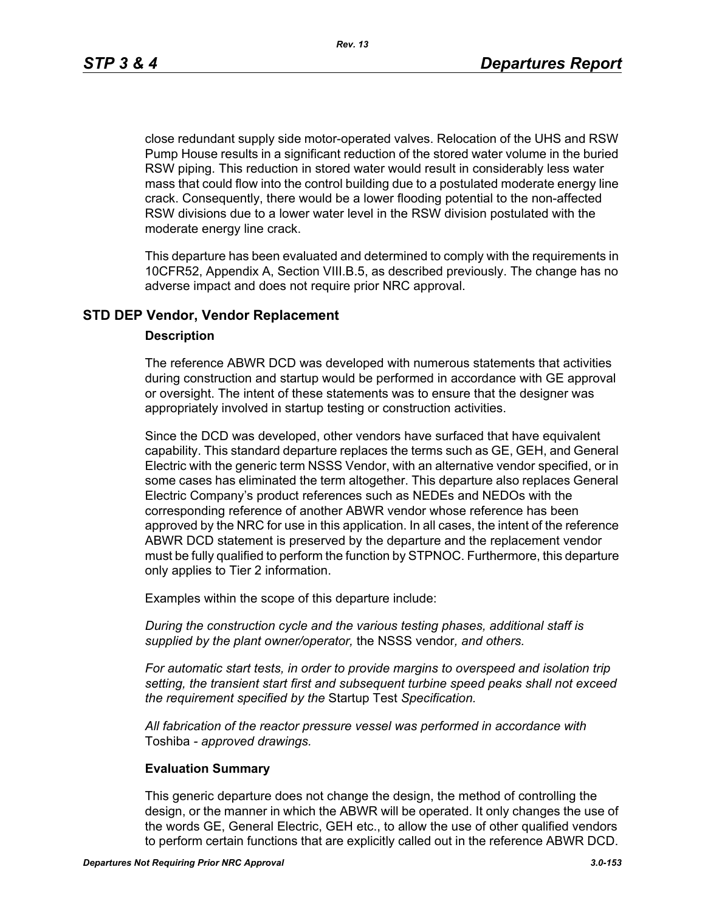*Rev. 13*

close redundant supply side motor-operated valves. Relocation of the UHS and RSW Pump House results in a significant reduction of the stored water volume in the buried RSW piping. This reduction in stored water would result in considerably less water mass that could flow into the control building due to a postulated moderate energy line crack. Consequently, there would be a lower flooding potential to the non-affected RSW divisions due to a lower water level in the RSW division postulated with the moderate energy line crack.

This departure has been evaluated and determined to comply with the requirements in 10CFR52, Appendix A, Section VIII.B.5, as described previously. The change has no adverse impact and does not require prior NRC approval.

## **STD DEP Vendor, Vendor Replacement**

#### **Description**

The reference ABWR DCD was developed with numerous statements that activities during construction and startup would be performed in accordance with GE approval or oversight. The intent of these statements was to ensure that the designer was appropriately involved in startup testing or construction activities.

Since the DCD was developed, other vendors have surfaced that have equivalent capability. This standard departure replaces the terms such as GE, GEH, and General Electric with the generic term NSSS Vendor, with an alternative vendor specified, or in some cases has eliminated the term altogether. This departure also replaces General Electric Company's product references such as NEDEs and NEDOs with the corresponding reference of another ABWR vendor whose reference has been approved by the NRC for use in this application. In all cases, the intent of the reference ABWR DCD statement is preserved by the departure and the replacement vendor must be fully qualified to perform the function by STPNOC. Furthermore, this departure only applies to Tier 2 information.

Examples within the scope of this departure include:

*During the construction cycle and the various testing phases, additional staff is supplied by the plant owner/operator,* the NSSS vendor*, and others.*

*For automatic start tests, in order to provide margins to overspeed and isolation trip setting, the transient start first and subsequent turbine speed peaks shall not exceed the requirement specified by the* Startup Test *Specification.*

*All fabrication of the reactor pressure vessel was performed in accordance with*  Toshiba *- approved drawings.*

## **Evaluation Summary**

This generic departure does not change the design, the method of controlling the design, or the manner in which the ABWR will be operated. It only changes the use of the words GE, General Electric, GEH etc., to allow the use of other qualified vendors to perform certain functions that are explicitly called out in the reference ABWR DCD.